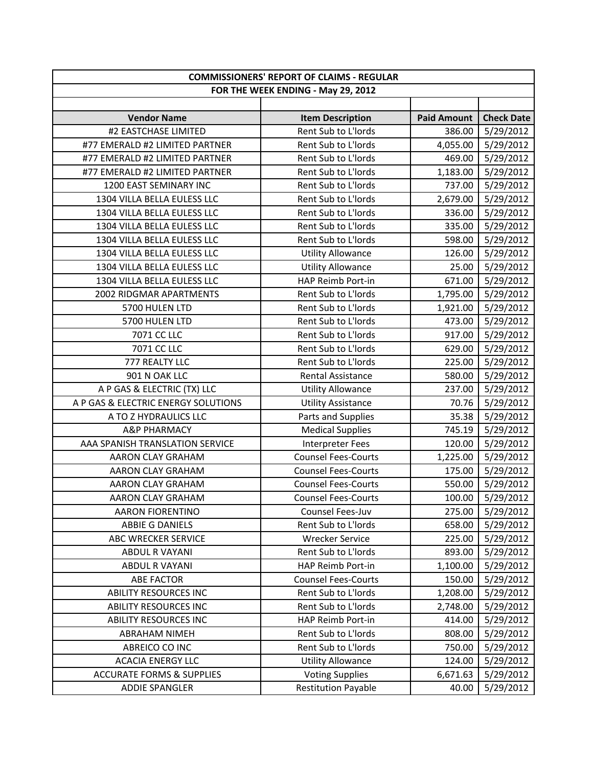| <b>COMMISSIONERS' REPORT OF CLAIMS - REGULAR</b> |                                    |                    |                   |
|--------------------------------------------------|------------------------------------|--------------------|-------------------|
|                                                  | FOR THE WEEK ENDING - May 29, 2012 |                    |                   |
|                                                  |                                    |                    |                   |
| <b>Vendor Name</b>                               | <b>Item Description</b>            | <b>Paid Amount</b> | <b>Check Date</b> |
| #2 EASTCHASE LIMITED                             | Rent Sub to L'Iords                | 386.00             | 5/29/2012         |
| #77 EMERALD #2 LIMITED PARTNER                   | Rent Sub to L'Iords                | 4,055.00           | 5/29/2012         |
| #77 EMERALD #2 LIMITED PARTNER                   | Rent Sub to L'Iords                | 469.00             | 5/29/2012         |
| #77 EMERALD #2 LIMITED PARTNER                   | Rent Sub to L'Iords                | 1,183.00           | 5/29/2012         |
| 1200 EAST SEMINARY INC                           | Rent Sub to L'Iords                | 737.00             | 5/29/2012         |
| 1304 VILLA BELLA EULESS LLC                      | Rent Sub to L'Iords                | 2,679.00           | 5/29/2012         |
| 1304 VILLA BELLA EULESS LLC                      | Rent Sub to L'Iords                | 336.00             | 5/29/2012         |
| 1304 VILLA BELLA EULESS LLC                      | Rent Sub to L'Iords                | 335.00             | 5/29/2012         |
| 1304 VILLA BELLA EULESS LLC                      | Rent Sub to L'Iords                | 598.00             | 5/29/2012         |
| 1304 VILLA BELLA EULESS LLC                      | <b>Utility Allowance</b>           | 126.00             | 5/29/2012         |
| 1304 VILLA BELLA EULESS LLC                      | <b>Utility Allowance</b>           | 25.00              | 5/29/2012         |
| 1304 VILLA BELLA EULESS LLC                      | HAP Reimb Port-in                  | 671.00             | 5/29/2012         |
| 2002 RIDGMAR APARTMENTS                          | Rent Sub to L'Iords                | 1,795.00           | 5/29/2012         |
| 5700 HULEN LTD                                   | Rent Sub to L'Iords                | 1,921.00           | 5/29/2012         |
| 5700 HULEN LTD                                   | Rent Sub to L'Iords                | 473.00             | 5/29/2012         |
| 7071 CC LLC                                      | Rent Sub to L'Iords                | 917.00             | 5/29/2012         |
| 7071 CC LLC                                      | Rent Sub to L'Iords                | 629.00             | 5/29/2012         |
| 777 REALTY LLC                                   | Rent Sub to L'Iords                | 225.00             | 5/29/2012         |
| 901 N OAK LLC                                    | <b>Rental Assistance</b>           | 580.00             | 5/29/2012         |
| A P GAS & ELECTRIC (TX) LLC                      | <b>Utility Allowance</b>           | 237.00             | 5/29/2012         |
| A P GAS & ELECTRIC ENERGY SOLUTIONS              | <b>Utility Assistance</b>          | 70.76              | 5/29/2012         |
| A TO Z HYDRAULICS LLC                            | Parts and Supplies                 | 35.38              | 5/29/2012         |
| <b>A&amp;P PHARMACY</b>                          | <b>Medical Supplies</b>            | 745.19             | 5/29/2012         |
| AAA SPANISH TRANSLATION SERVICE                  | Interpreter Fees                   | 120.00             | 5/29/2012         |
| AARON CLAY GRAHAM                                | <b>Counsel Fees-Courts</b>         | 1,225.00           | 5/29/2012         |
| AARON CLAY GRAHAM                                | <b>Counsel Fees-Courts</b>         | 175.00             | 5/29/2012         |
| AARON CLAY GRAHAM                                | <b>Counsel Fees-Courts</b>         | 550.00             | 5/29/2012         |
| AARON CLAY GRAHAM                                | <b>Counsel Fees-Courts</b>         | 100.00             | 5/29/2012         |
| <b>AARON FIORENTINO</b>                          | Counsel Fees-Juv                   | 275.00             | 5/29/2012         |
| ABBIE G DANIELS                                  | Rent Sub to L'Iords                | 658.00             | 5/29/2012         |
| ABC WRECKER SERVICE                              | <b>Wrecker Service</b>             | 225.00             | 5/29/2012         |
| <b>ABDUL R VAYANI</b>                            | Rent Sub to L'Iords                | 893.00             | 5/29/2012         |
| <b>ABDUL R VAYANI</b>                            | HAP Reimb Port-in                  | 1,100.00           | 5/29/2012         |
| <b>ABE FACTOR</b>                                | <b>Counsel Fees-Courts</b>         | 150.00             | 5/29/2012         |
| <b>ABILITY RESOURCES INC</b>                     | Rent Sub to L'Iords                | 1,208.00           | 5/29/2012         |
| <b>ABILITY RESOURCES INC</b>                     | Rent Sub to L'Iords                | 2,748.00           | 5/29/2012         |
| <b>ABILITY RESOURCES INC</b>                     | HAP Reimb Port-in                  | 414.00             | 5/29/2012         |
| <b>ABRAHAM NIMEH</b>                             | Rent Sub to L'Iords                | 808.00             | 5/29/2012         |
| ABREICO CO INC                                   | Rent Sub to L'Iords                | 750.00             | 5/29/2012         |
| <b>ACACIA ENERGY LLC</b>                         | <b>Utility Allowance</b>           | 124.00             | 5/29/2012         |
| <b>ACCURATE FORMS &amp; SUPPLIES</b>             | <b>Voting Supplies</b>             | 6,671.63           | 5/29/2012         |
| <b>ADDIE SPANGLER</b>                            | <b>Restitution Payable</b>         | 40.00              | 5/29/2012         |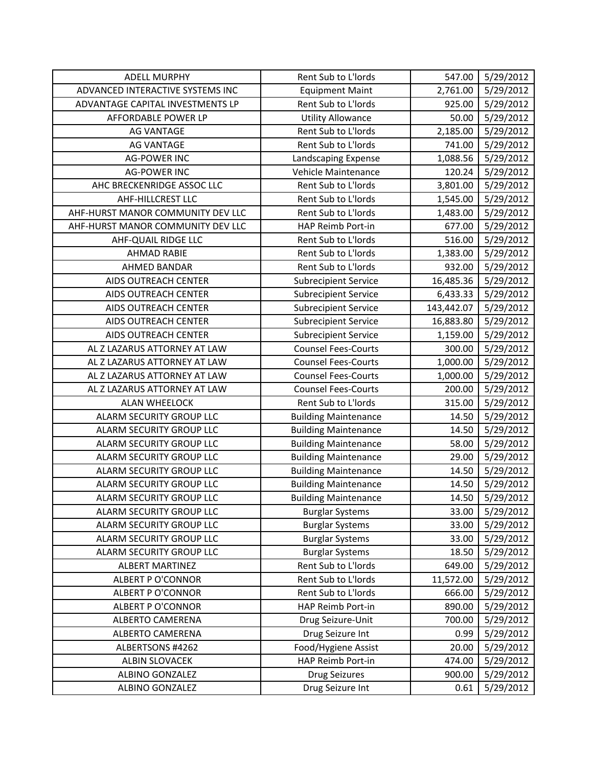| <b>ADELL MURPHY</b>               | Rent Sub to L'Iords         | 547.00     | 5/29/2012 |
|-----------------------------------|-----------------------------|------------|-----------|
| ADVANCED INTERACTIVE SYSTEMS INC  | <b>Equipment Maint</b>      | 2,761.00   | 5/29/2012 |
| ADVANTAGE CAPITAL INVESTMENTS LP  | Rent Sub to L'Iords         | 925.00     | 5/29/2012 |
| AFFORDABLE POWER LP               | <b>Utility Allowance</b>    | 50.00      | 5/29/2012 |
| <b>AG VANTAGE</b>                 | Rent Sub to L'Iords         | 2,185.00   | 5/29/2012 |
| <b>AG VANTAGE</b>                 | Rent Sub to L'Iords         | 741.00     | 5/29/2012 |
| <b>AG-POWER INC</b>               | Landscaping Expense         | 1,088.56   | 5/29/2012 |
| <b>AG-POWER INC</b>               | Vehicle Maintenance         | 120.24     | 5/29/2012 |
| AHC BRECKENRIDGE ASSOC LLC        | Rent Sub to L'Iords         | 3,801.00   | 5/29/2012 |
| <b>AHF-HILLCREST LLC</b>          | Rent Sub to L'Iords         | 1,545.00   | 5/29/2012 |
| AHF-HURST MANOR COMMUNITY DEV LLC | Rent Sub to L'Iords         | 1,483.00   | 5/29/2012 |
| AHF-HURST MANOR COMMUNITY DEV LLC | HAP Reimb Port-in           | 677.00     | 5/29/2012 |
| AHF-QUAIL RIDGE LLC               | Rent Sub to L'Iords         | 516.00     | 5/29/2012 |
| <b>AHMAD RABIE</b>                | Rent Sub to L'Iords         | 1,383.00   | 5/29/2012 |
| AHMED BANDAR                      | Rent Sub to L'Iords         | 932.00     | 5/29/2012 |
| AIDS OUTREACH CENTER              | <b>Subrecipient Service</b> | 16,485.36  | 5/29/2012 |
| AIDS OUTREACH CENTER              | <b>Subrecipient Service</b> | 6,433.33   | 5/29/2012 |
| AIDS OUTREACH CENTER              | <b>Subrecipient Service</b> | 143,442.07 | 5/29/2012 |
| <b>AIDS OUTREACH CENTER</b>       | <b>Subrecipient Service</b> | 16,883.80  | 5/29/2012 |
| AIDS OUTREACH CENTER              | <b>Subrecipient Service</b> | 1,159.00   | 5/29/2012 |
| AL Z LAZARUS ATTORNEY AT LAW      | <b>Counsel Fees-Courts</b>  | 300.00     | 5/29/2012 |
| AL Z LAZARUS ATTORNEY AT LAW      | <b>Counsel Fees-Courts</b>  | 1,000.00   | 5/29/2012 |
| AL Z LAZARUS ATTORNEY AT LAW      | <b>Counsel Fees-Courts</b>  | 1,000.00   | 5/29/2012 |
| AL Z LAZARUS ATTORNEY AT LAW      | <b>Counsel Fees-Courts</b>  | 200.00     | 5/29/2012 |
| <b>ALAN WHEELOCK</b>              | Rent Sub to L'Iords         | 315.00     | 5/29/2012 |
| ALARM SECURITY GROUP LLC          | <b>Building Maintenance</b> | 14.50      | 5/29/2012 |
| ALARM SECURITY GROUP LLC          | <b>Building Maintenance</b> | 14.50      | 5/29/2012 |
| ALARM SECURITY GROUP LLC          | <b>Building Maintenance</b> | 58.00      | 5/29/2012 |
| ALARM SECURITY GROUP LLC          | <b>Building Maintenance</b> | 29.00      | 5/29/2012 |
| ALARM SECURITY GROUP LLC          | <b>Building Maintenance</b> | 14.50      | 5/29/2012 |
| ALARM SECURITY GROUP LLC          | <b>Building Maintenance</b> | 14.50      | 5/29/2012 |
| ALARM SECURITY GROUP LLC          | <b>Building Maintenance</b> | 14.50      | 5/29/2012 |
| ALARM SECURITY GROUP LLC          | <b>Burglar Systems</b>      | 33.00      | 5/29/2012 |
| ALARM SECURITY GROUP LLC          | <b>Burglar Systems</b>      | 33.00      | 5/29/2012 |
| ALARM SECURITY GROUP LLC          | <b>Burglar Systems</b>      | 33.00      | 5/29/2012 |
| ALARM SECURITY GROUP LLC          | <b>Burglar Systems</b>      | 18.50      | 5/29/2012 |
| <b>ALBERT MARTINEZ</b>            | Rent Sub to L'Iords         | 649.00     | 5/29/2012 |
| <b>ALBERT P O'CONNOR</b>          | Rent Sub to L'Iords         | 11,572.00  | 5/29/2012 |
| ALBERT P O'CONNOR                 | Rent Sub to L'Iords         | 666.00     | 5/29/2012 |
| <b>ALBERT P O'CONNOR</b>          | HAP Reimb Port-in           | 890.00     | 5/29/2012 |
| ALBERTO CAMERENA                  | Drug Seizure-Unit           | 700.00     | 5/29/2012 |
| ALBERTO CAMERENA                  | Drug Seizure Int            | 0.99       | 5/29/2012 |
| ALBERTSONS #4262                  | Food/Hygiene Assist         | 20.00      | 5/29/2012 |
| <b>ALBIN SLOVACEK</b>             | HAP Reimb Port-in           | 474.00     | 5/29/2012 |
| ALBINO GONZALEZ                   | <b>Drug Seizures</b>        | 900.00     | 5/29/2012 |
| ALBINO GONZALEZ                   | Drug Seizure Int            | 0.61       | 5/29/2012 |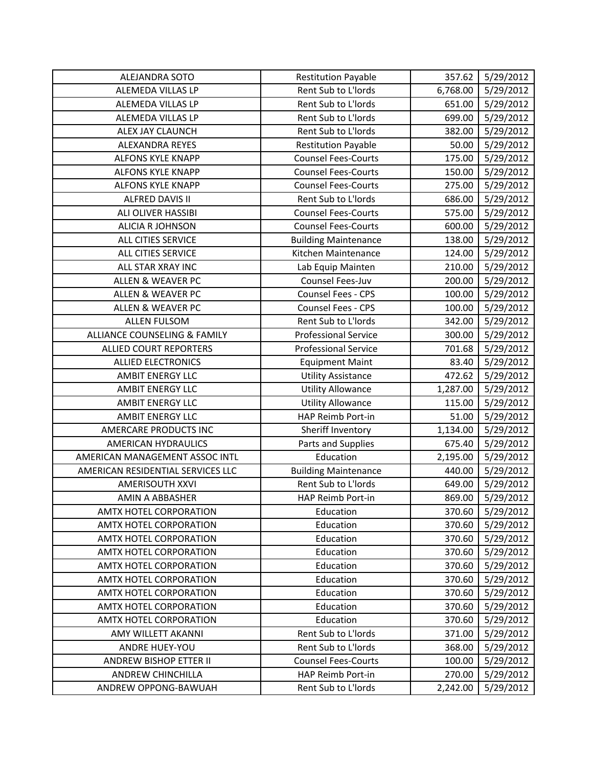| ALEJANDRA SOTO                    | <b>Restitution Payable</b>  | 357.62   | 5/29/2012 |
|-----------------------------------|-----------------------------|----------|-----------|
| ALEMEDA VILLAS LP                 | Rent Sub to L'Iords         | 6,768.00 | 5/29/2012 |
| ALEMEDA VILLAS LP                 | Rent Sub to L'Iords         | 651.00   | 5/29/2012 |
| ALEMEDA VILLAS LP                 | Rent Sub to L'Iords         | 699.00   | 5/29/2012 |
| ALEX JAY CLAUNCH                  | Rent Sub to L'Iords         | 382.00   | 5/29/2012 |
| <b>ALEXANDRA REYES</b>            | <b>Restitution Payable</b>  | 50.00    | 5/29/2012 |
| ALFONS KYLE KNAPP                 | <b>Counsel Fees-Courts</b>  | 175.00   | 5/29/2012 |
| <b>ALFONS KYLE KNAPP</b>          | <b>Counsel Fees-Courts</b>  | 150.00   | 5/29/2012 |
| <b>ALFONS KYLE KNAPP</b>          | <b>Counsel Fees-Courts</b>  | 275.00   | 5/29/2012 |
| ALFRED DAVIS II                   | Rent Sub to L'Iords         | 686.00   | 5/29/2012 |
| ALI OLIVER HASSIBI                | <b>Counsel Fees-Courts</b>  | 575.00   | 5/29/2012 |
| <b>ALICIA R JOHNSON</b>           | <b>Counsel Fees-Courts</b>  | 600.00   | 5/29/2012 |
| ALL CITIES SERVICE                | <b>Building Maintenance</b> | 138.00   | 5/29/2012 |
| ALL CITIES SERVICE                | Kitchen Maintenance         | 124.00   | 5/29/2012 |
| ALL STAR XRAY INC                 | Lab Equip Mainten           | 210.00   | 5/29/2012 |
| <b>ALLEN &amp; WEAVER PC</b>      | Counsel Fees-Juv            | 200.00   | 5/29/2012 |
| <b>ALLEN &amp; WEAVER PC</b>      | Counsel Fees - CPS          | 100.00   | 5/29/2012 |
| <b>ALLEN &amp; WEAVER PC</b>      | Counsel Fees - CPS          | 100.00   | 5/29/2012 |
| <b>ALLEN FULSOM</b>               | Rent Sub to L'Iords         | 342.00   | 5/29/2012 |
| ALLIANCE COUNSELING & FAMILY      | <b>Professional Service</b> | 300.00   | 5/29/2012 |
| <b>ALLIED COURT REPORTERS</b>     | <b>Professional Service</b> | 701.68   | 5/29/2012 |
| <b>ALLIED ELECTRONICS</b>         | <b>Equipment Maint</b>      | 83.40    | 5/29/2012 |
| AMBIT ENERGY LLC                  | <b>Utility Assistance</b>   | 472.62   | 5/29/2012 |
| AMBIT ENERGY LLC                  | <b>Utility Allowance</b>    | 1,287.00 | 5/29/2012 |
| AMBIT ENERGY LLC                  | <b>Utility Allowance</b>    | 115.00   | 5/29/2012 |
| <b>AMBIT ENERGY LLC</b>           | HAP Reimb Port-in           | 51.00    | 5/29/2012 |
| AMERCARE PRODUCTS INC             | Sheriff Inventory           | 1,134.00 | 5/29/2012 |
| <b>AMERICAN HYDRAULICS</b>        | Parts and Supplies          | 675.40   | 5/29/2012 |
| AMERICAN MANAGEMENT ASSOC INTL    | Education                   | 2,195.00 | 5/29/2012 |
| AMERICAN RESIDENTIAL SERVICES LLC | <b>Building Maintenance</b> | 440.00   | 5/29/2012 |
| AMERISOUTH XXVI                   | Rent Sub to L'Iords         | 649.00   | 5/29/2012 |
| AMIN A ABBASHER                   | HAP Reimb Port-in           | 869.00   | 5/29/2012 |
| AMTX HOTEL CORPORATION            | Education                   | 370.60   | 5/29/2012 |
| AMTX HOTEL CORPORATION            | Education                   | 370.60   | 5/29/2012 |
| AMTX HOTEL CORPORATION            | Education                   | 370.60   | 5/29/2012 |
| AMTX HOTEL CORPORATION            | Education                   | 370.60   | 5/29/2012 |
| AMTX HOTEL CORPORATION            | Education                   | 370.60   | 5/29/2012 |
| AMTX HOTEL CORPORATION            | Education                   | 370.60   | 5/29/2012 |
| <b>AMTX HOTEL CORPORATION</b>     | Education                   | 370.60   | 5/29/2012 |
| AMTX HOTEL CORPORATION            | Education                   | 370.60   | 5/29/2012 |
| AMTX HOTEL CORPORATION            | Education                   | 370.60   | 5/29/2012 |
| AMY WILLETT AKANNI                | Rent Sub to L'Iords         | 371.00   | 5/29/2012 |
| ANDRE HUEY-YOU                    | Rent Sub to L'Iords         | 368.00   | 5/29/2012 |
| ANDREW BISHOP ETTER II            | <b>Counsel Fees-Courts</b>  | 100.00   | 5/29/2012 |
| ANDREW CHINCHILLA                 | HAP Reimb Port-in           | 270.00   | 5/29/2012 |
| ANDREW OPPONG-BAWUAH              | Rent Sub to L'Iords         | 2,242.00 | 5/29/2012 |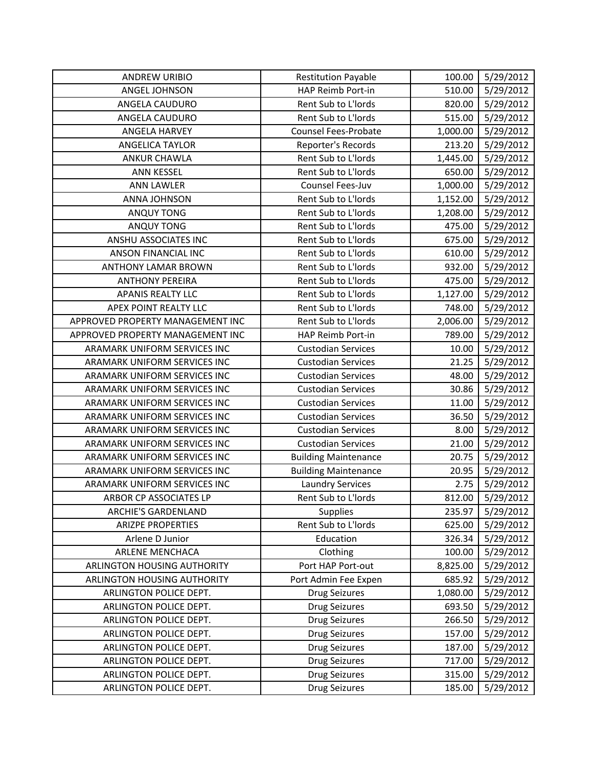| <b>ANDREW URIBIO</b>             | <b>Restitution Payable</b>  | 100.00   | 5/29/2012 |
|----------------------------------|-----------------------------|----------|-----------|
| ANGEL JOHNSON                    | HAP Reimb Port-in           | 510.00   | 5/29/2012 |
| ANGELA CAUDURO                   | Rent Sub to L'Iords         | 820.00   | 5/29/2012 |
| ANGELA CAUDURO                   | Rent Sub to L'Iords         | 515.00   | 5/29/2012 |
| <b>ANGELA HARVEY</b>             | <b>Counsel Fees-Probate</b> | 1,000.00 | 5/29/2012 |
| <b>ANGELICA TAYLOR</b>           | Reporter's Records          | 213.20   | 5/29/2012 |
| <b>ANKUR CHAWLA</b>              | Rent Sub to L'Iords         | 1,445.00 | 5/29/2012 |
| <b>ANN KESSEL</b>                | Rent Sub to L'Iords         | 650.00   | 5/29/2012 |
| <b>ANN LAWLER</b>                | Counsel Fees-Juv            | 1,000.00 | 5/29/2012 |
| ANNA JOHNSON                     | Rent Sub to L'Iords         | 1,152.00 | 5/29/2012 |
| <b>ANQUY TONG</b>                | Rent Sub to L'Iords         | 1,208.00 | 5/29/2012 |
| <b>ANQUY TONG</b>                | Rent Sub to L'Iords         | 475.00   | 5/29/2012 |
| ANSHU ASSOCIATES INC             | Rent Sub to L'Iords         | 675.00   | 5/29/2012 |
| ANSON FINANCIAL INC              | Rent Sub to L'Iords         | 610.00   | 5/29/2012 |
| <b>ANTHONY LAMAR BROWN</b>       | Rent Sub to L'Iords         | 932.00   | 5/29/2012 |
| <b>ANTHONY PEREIRA</b>           | Rent Sub to L'Iords         | 475.00   | 5/29/2012 |
| <b>APANIS REALTY LLC</b>         | Rent Sub to L'Iords         | 1,127.00 | 5/29/2012 |
| APEX POINT REALTY LLC            | Rent Sub to L'Iords         | 748.00   | 5/29/2012 |
| APPROVED PROPERTY MANAGEMENT INC | Rent Sub to L'Iords         | 2,006.00 | 5/29/2012 |
| APPROVED PROPERTY MANAGEMENT INC | HAP Reimb Port-in           | 789.00   | 5/29/2012 |
| ARAMARK UNIFORM SERVICES INC     | <b>Custodian Services</b>   | 10.00    | 5/29/2012 |
| ARAMARK UNIFORM SERVICES INC     | <b>Custodian Services</b>   | 21.25    | 5/29/2012 |
| ARAMARK UNIFORM SERVICES INC     | <b>Custodian Services</b>   | 48.00    | 5/29/2012 |
| ARAMARK UNIFORM SERVICES INC     | <b>Custodian Services</b>   | 30.86    | 5/29/2012 |
| ARAMARK UNIFORM SERVICES INC     | <b>Custodian Services</b>   | 11.00    | 5/29/2012 |
| ARAMARK UNIFORM SERVICES INC     | <b>Custodian Services</b>   | 36.50    | 5/29/2012 |
| ARAMARK UNIFORM SERVICES INC     | <b>Custodian Services</b>   | 8.00     | 5/29/2012 |
| ARAMARK UNIFORM SERVICES INC     | <b>Custodian Services</b>   | 21.00    | 5/29/2012 |
| ARAMARK UNIFORM SERVICES INC     | <b>Building Maintenance</b> | 20.75    | 5/29/2012 |
| ARAMARK UNIFORM SERVICES INC     | <b>Building Maintenance</b> | 20.95    | 5/29/2012 |
| ARAMARK UNIFORM SERVICES INC     | <b>Laundry Services</b>     | 2.75     | 5/29/2012 |
| ARBOR CP ASSOCIATES LP           | Rent Sub to L'Iords         | 812.00   | 5/29/2012 |
| <b>ARCHIE'S GARDENLAND</b>       | <b>Supplies</b>             | 235.97   | 5/29/2012 |
| <b>ARIZPE PROPERTIES</b>         | Rent Sub to L'Iords         | 625.00   | 5/29/2012 |
| Arlene D Junior                  | Education                   | 326.34   | 5/29/2012 |
| ARLENE MENCHACA                  | Clothing                    | 100.00   | 5/29/2012 |
| ARLINGTON HOUSING AUTHORITY      | Port HAP Port-out           | 8,825.00 | 5/29/2012 |
| ARLINGTON HOUSING AUTHORITY      | Port Admin Fee Expen        | 685.92   | 5/29/2012 |
| ARLINGTON POLICE DEPT.           | <b>Drug Seizures</b>        | 1,080.00 | 5/29/2012 |
| ARLINGTON POLICE DEPT.           | <b>Drug Seizures</b>        | 693.50   | 5/29/2012 |
| ARLINGTON POLICE DEPT.           | <b>Drug Seizures</b>        | 266.50   | 5/29/2012 |
| ARLINGTON POLICE DEPT.           | <b>Drug Seizures</b>        | 157.00   | 5/29/2012 |
| ARLINGTON POLICE DEPT.           | <b>Drug Seizures</b>        | 187.00   | 5/29/2012 |
| ARLINGTON POLICE DEPT.           | <b>Drug Seizures</b>        | 717.00   | 5/29/2012 |
| ARLINGTON POLICE DEPT.           | Drug Seizures               | 315.00   | 5/29/2012 |
| ARLINGTON POLICE DEPT.           | Drug Seizures               | 185.00   | 5/29/2012 |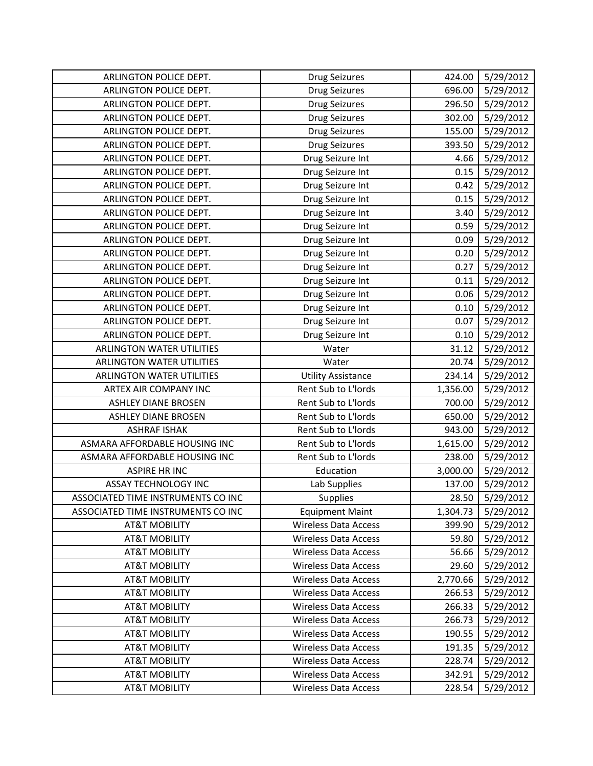| ARLINGTON POLICE DEPT.             | <b>Drug Seizures</b>        | 424.00   | 5/29/2012 |
|------------------------------------|-----------------------------|----------|-----------|
| ARLINGTON POLICE DEPT.             | <b>Drug Seizures</b>        | 696.00   | 5/29/2012 |
| ARLINGTON POLICE DEPT.             | <b>Drug Seizures</b>        | 296.50   | 5/29/2012 |
| ARLINGTON POLICE DEPT.             | <b>Drug Seizures</b>        | 302.00   | 5/29/2012 |
| ARLINGTON POLICE DEPT.             | <b>Drug Seizures</b>        | 155.00   | 5/29/2012 |
| ARLINGTON POLICE DEPT.             | <b>Drug Seizures</b>        | 393.50   | 5/29/2012 |
| ARLINGTON POLICE DEPT.             | Drug Seizure Int            | 4.66     | 5/29/2012 |
| ARLINGTON POLICE DEPT.             | Drug Seizure Int            | 0.15     | 5/29/2012 |
| ARLINGTON POLICE DEPT.             | Drug Seizure Int            | 0.42     | 5/29/2012 |
| ARLINGTON POLICE DEPT.             | Drug Seizure Int            | 0.15     | 5/29/2012 |
| ARLINGTON POLICE DEPT.             | Drug Seizure Int            | 3.40     | 5/29/2012 |
| ARLINGTON POLICE DEPT.             | Drug Seizure Int            | 0.59     | 5/29/2012 |
| ARLINGTON POLICE DEPT.             | Drug Seizure Int            | 0.09     | 5/29/2012 |
| ARLINGTON POLICE DEPT.             | Drug Seizure Int            | 0.20     | 5/29/2012 |
| ARLINGTON POLICE DEPT.             | Drug Seizure Int            | 0.27     | 5/29/2012 |
| ARLINGTON POLICE DEPT.             | Drug Seizure Int            | 0.11     | 5/29/2012 |
| ARLINGTON POLICE DEPT.             | Drug Seizure Int            | 0.06     | 5/29/2012 |
| ARLINGTON POLICE DEPT.             | Drug Seizure Int            | 0.10     | 5/29/2012 |
| ARLINGTON POLICE DEPT.             | Drug Seizure Int            | 0.07     | 5/29/2012 |
| ARLINGTON POLICE DEPT.             | Drug Seizure Int            | 0.10     | 5/29/2012 |
| ARLINGTON WATER UTILITIES          | Water                       | 31.12    | 5/29/2012 |
| <b>ARLINGTON WATER UTILITIES</b>   | Water                       | 20.74    | 5/29/2012 |
| ARLINGTON WATER UTILITIES          | <b>Utility Assistance</b>   | 234.14   | 5/29/2012 |
| ARTEX AIR COMPANY INC              | Rent Sub to L'Iords         | 1,356.00 | 5/29/2012 |
| <b>ASHLEY DIANE BROSEN</b>         | Rent Sub to L'Iords         | 700.00   | 5/29/2012 |
| <b>ASHLEY DIANE BROSEN</b>         | Rent Sub to L'Iords         | 650.00   | 5/29/2012 |
| <b>ASHRAF ISHAK</b>                | Rent Sub to L'Iords         | 943.00   | 5/29/2012 |
| ASMARA AFFORDABLE HOUSING INC      | Rent Sub to L'Iords         | 1,615.00 | 5/29/2012 |
| ASMARA AFFORDABLE HOUSING INC      | Rent Sub to L'Iords         | 238.00   | 5/29/2012 |
| <b>ASPIRE HR INC</b>               | Education                   | 3,000.00 | 5/29/2012 |
| ASSAY TECHNOLOGY INC               | Lab Supplies                | 137.00   | 5/29/2012 |
| ASSOCIATED TIME INSTRUMENTS CO INC | Supplies                    | 28.50    | 5/29/2012 |
| ASSOCIATED TIME INSTRUMENTS CO INC | <b>Equipment Maint</b>      | 1,304.73 | 5/29/2012 |
| <b>AT&amp;T MOBILITY</b>           | <b>Wireless Data Access</b> | 399.90   | 5/29/2012 |
| <b>AT&amp;T MOBILITY</b>           | Wireless Data Access        | 59.80    | 5/29/2012 |
| <b>AT&amp;T MOBILITY</b>           | <b>Wireless Data Access</b> | 56.66    | 5/29/2012 |
| <b>AT&amp;T MOBILITY</b>           | <b>Wireless Data Access</b> | 29.60    | 5/29/2012 |
| <b>AT&amp;T MOBILITY</b>           | <b>Wireless Data Access</b> | 2,770.66 | 5/29/2012 |
| <b>AT&amp;T MOBILITY</b>           | <b>Wireless Data Access</b> | 266.53   | 5/29/2012 |
| <b>AT&amp;T MOBILITY</b>           | <b>Wireless Data Access</b> | 266.33   | 5/29/2012 |
| <b>AT&amp;T MOBILITY</b>           | <b>Wireless Data Access</b> | 266.73   | 5/29/2012 |
| <b>AT&amp;T MOBILITY</b>           | <b>Wireless Data Access</b> | 190.55   | 5/29/2012 |
| <b>AT&amp;T MOBILITY</b>           | <b>Wireless Data Access</b> | 191.35   | 5/29/2012 |
| <b>AT&amp;T MOBILITY</b>           | <b>Wireless Data Access</b> | 228.74   | 5/29/2012 |
| <b>AT&amp;T MOBILITY</b>           | <b>Wireless Data Access</b> | 342.91   | 5/29/2012 |
| <b>AT&amp;T MOBILITY</b>           | <b>Wireless Data Access</b> | 228.54   | 5/29/2012 |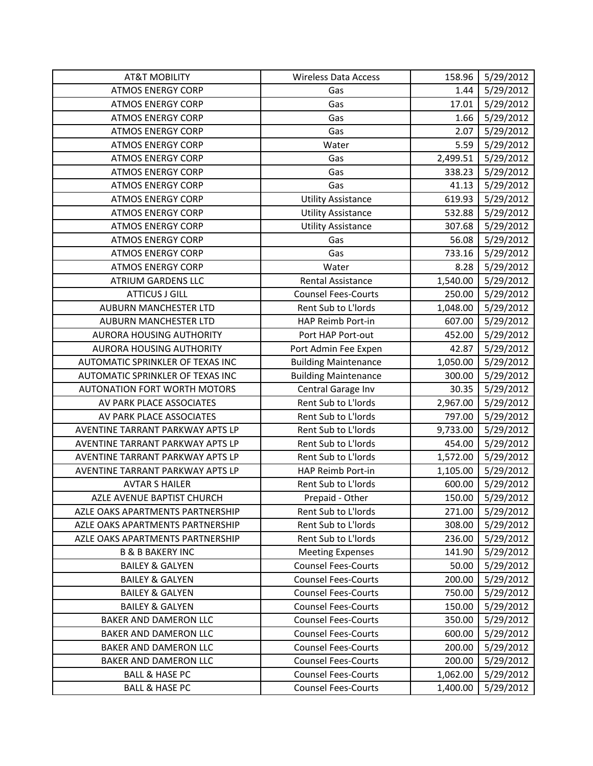| <b>AT&amp;T MOBILITY</b>            | <b>Wireless Data Access</b> | 158.96   | 5/29/2012 |
|-------------------------------------|-----------------------------|----------|-----------|
| <b>ATMOS ENERGY CORP</b>            | Gas                         | 1.44     | 5/29/2012 |
| <b>ATMOS ENERGY CORP</b>            | Gas                         | 17.01    | 5/29/2012 |
| <b>ATMOS ENERGY CORP</b>            | Gas                         | 1.66     | 5/29/2012 |
| <b>ATMOS ENERGY CORP</b>            | Gas                         | 2.07     | 5/29/2012 |
| <b>ATMOS ENERGY CORP</b>            | Water                       | 5.59     | 5/29/2012 |
| <b>ATMOS ENERGY CORP</b>            | Gas                         | 2,499.51 | 5/29/2012 |
| <b>ATMOS ENERGY CORP</b>            | Gas                         | 338.23   | 5/29/2012 |
| <b>ATMOS ENERGY CORP</b>            | Gas                         | 41.13    | 5/29/2012 |
| <b>ATMOS ENERGY CORP</b>            | <b>Utility Assistance</b>   | 619.93   | 5/29/2012 |
| <b>ATMOS ENERGY CORP</b>            | <b>Utility Assistance</b>   | 532.88   | 5/29/2012 |
| <b>ATMOS ENERGY CORP</b>            | <b>Utility Assistance</b>   | 307.68   | 5/29/2012 |
| <b>ATMOS ENERGY CORP</b>            | Gas                         | 56.08    | 5/29/2012 |
| <b>ATMOS ENERGY CORP</b>            | Gas                         | 733.16   | 5/29/2012 |
| <b>ATMOS ENERGY CORP</b>            | Water                       | 8.28     | 5/29/2012 |
| <b>ATRIUM GARDENS LLC</b>           | Rental Assistance           | 1,540.00 | 5/29/2012 |
| <b>ATTICUS J GILL</b>               | <b>Counsel Fees-Courts</b>  | 250.00   | 5/29/2012 |
| <b>AUBURN MANCHESTER LTD</b>        | Rent Sub to L'Iords         | 1,048.00 | 5/29/2012 |
| AUBURN MANCHESTER LTD               | HAP Reimb Port-in           | 607.00   | 5/29/2012 |
| <b>AURORA HOUSING AUTHORITY</b>     | Port HAP Port-out           | 452.00   | 5/29/2012 |
| <b>AURORA HOUSING AUTHORITY</b>     | Port Admin Fee Expen        | 42.87    | 5/29/2012 |
| AUTOMATIC SPRINKLER OF TEXAS INC    | <b>Building Maintenance</b> | 1,050.00 | 5/29/2012 |
| AUTOMATIC SPRINKLER OF TEXAS INC    | <b>Building Maintenance</b> | 300.00   | 5/29/2012 |
| <b>AUTONATION FORT WORTH MOTORS</b> | Central Garage Inv          | 30.35    | 5/29/2012 |
| AV PARK PLACE ASSOCIATES            | Rent Sub to L'Iords         | 2,967.00 | 5/29/2012 |
| AV PARK PLACE ASSOCIATES            | Rent Sub to L'Iords         | 797.00   | 5/29/2012 |
| AVENTINE TARRANT PARKWAY APTS LP    | Rent Sub to L'Iords         | 9,733.00 | 5/29/2012 |
| AVENTINE TARRANT PARKWAY APTS LP    | Rent Sub to L'Iords         | 454.00   | 5/29/2012 |
| AVENTINE TARRANT PARKWAY APTS LP    | Rent Sub to L'Iords         | 1,572.00 | 5/29/2012 |
| AVENTINE TARRANT PARKWAY APTS LP    | HAP Reimb Port-in           | 1,105.00 | 5/29/2012 |
| <b>AVTAR S HAILER</b>               | Rent Sub to L'Iords         | 600.00   | 5/29/2012 |
| AZLE AVENUE BAPTIST CHURCH          | Prepaid - Other             | 150.00   | 5/29/2012 |
| AZLE OAKS APARTMENTS PARTNERSHIP    | Rent Sub to L'Iords         | 271.00   | 5/29/2012 |
| AZLE OAKS APARTMENTS PARTNERSHIP    | Rent Sub to L'Iords         | 308.00   | 5/29/2012 |
| AZLE OAKS APARTMENTS PARTNERSHIP    | Rent Sub to L'Iords         | 236.00   | 5/29/2012 |
| <b>B &amp; B BAKERY INC</b>         | <b>Meeting Expenses</b>     | 141.90   | 5/29/2012 |
| <b>BAILEY &amp; GALYEN</b>          | <b>Counsel Fees-Courts</b>  | 50.00    | 5/29/2012 |
| <b>BAILEY &amp; GALYEN</b>          | <b>Counsel Fees-Courts</b>  | 200.00   | 5/29/2012 |
| <b>BAILEY &amp; GALYEN</b>          | <b>Counsel Fees-Courts</b>  | 750.00   | 5/29/2012 |
| <b>BAILEY &amp; GALYEN</b>          | <b>Counsel Fees-Courts</b>  | 150.00   | 5/29/2012 |
| BAKER AND DAMERON LLC               | <b>Counsel Fees-Courts</b>  | 350.00   | 5/29/2012 |
| BAKER AND DAMERON LLC               | <b>Counsel Fees-Courts</b>  | 600.00   | 5/29/2012 |
| BAKER AND DAMERON LLC               | <b>Counsel Fees-Courts</b>  | 200.00   | 5/29/2012 |
| BAKER AND DAMERON LLC               | <b>Counsel Fees-Courts</b>  | 200.00   | 5/29/2012 |
| <b>BALL &amp; HASE PC</b>           | <b>Counsel Fees-Courts</b>  | 1,062.00 | 5/29/2012 |
| <b>BALL &amp; HASE PC</b>           | <b>Counsel Fees-Courts</b>  | 1,400.00 | 5/29/2012 |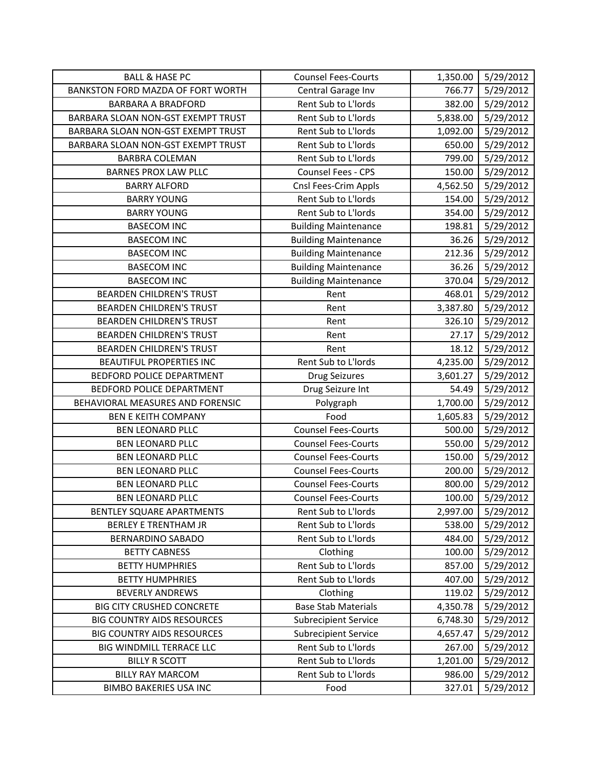| <b>BALL &amp; HASE PC</b>          | <b>Counsel Fees-Courts</b>  | 1,350.00 | 5/29/2012 |
|------------------------------------|-----------------------------|----------|-----------|
| BANKSTON FORD MAZDA OF FORT WORTH  | Central Garage Inv          | 766.77   | 5/29/2012 |
| <b>BARBARA A BRADFORD</b>          | Rent Sub to L'Iords         | 382.00   | 5/29/2012 |
| BARBARA SLOAN NON-GST EXEMPT TRUST | Rent Sub to L'Iords         | 5,838.00 | 5/29/2012 |
| BARBARA SLOAN NON-GST EXEMPT TRUST | Rent Sub to L'Iords         | 1,092.00 | 5/29/2012 |
| BARBARA SLOAN NON-GST EXEMPT TRUST | Rent Sub to L'Iords         | 650.00   | 5/29/2012 |
| <b>BARBRA COLEMAN</b>              | Rent Sub to L'Iords         | 799.00   | 5/29/2012 |
| <b>BARNES PROX LAW PLLC</b>        | Counsel Fees - CPS          | 150.00   | 5/29/2012 |
| <b>BARRY ALFORD</b>                | Cnsl Fees-Crim Appls        | 4,562.50 | 5/29/2012 |
| <b>BARRY YOUNG</b>                 | Rent Sub to L'Iords         | 154.00   | 5/29/2012 |
| <b>BARRY YOUNG</b>                 | Rent Sub to L'Iords         | 354.00   | 5/29/2012 |
| <b>BASECOM INC</b>                 | <b>Building Maintenance</b> | 198.81   | 5/29/2012 |
| <b>BASECOM INC</b>                 | <b>Building Maintenance</b> | 36.26    | 5/29/2012 |
| <b>BASECOM INC</b>                 | <b>Building Maintenance</b> | 212.36   | 5/29/2012 |
| <b>BASECOM INC</b>                 | <b>Building Maintenance</b> | 36.26    | 5/29/2012 |
| <b>BASECOM INC</b>                 | <b>Building Maintenance</b> | 370.04   | 5/29/2012 |
| <b>BEARDEN CHILDREN'S TRUST</b>    | Rent                        | 468.01   | 5/29/2012 |
| <b>BEARDEN CHILDREN'S TRUST</b>    | Rent                        | 3,387.80 | 5/29/2012 |
| <b>BEARDEN CHILDREN'S TRUST</b>    | Rent                        | 326.10   | 5/29/2012 |
| <b>BEARDEN CHILDREN'S TRUST</b>    | Rent                        | 27.17    | 5/29/2012 |
| <b>BEARDEN CHILDREN'S TRUST</b>    | Rent                        | 18.12    | 5/29/2012 |
| <b>BEAUTIFUL PROPERTIES INC</b>    | Rent Sub to L'Iords         | 4,235.00 | 5/29/2012 |
| BEDFORD POLICE DEPARTMENT          | Drug Seizures               | 3,601.27 | 5/29/2012 |
| BEDFORD POLICE DEPARTMENT          | Drug Seizure Int            | 54.49    | 5/29/2012 |
| BEHAVIORAL MEASURES AND FORENSIC   | Polygraph                   | 1,700.00 | 5/29/2012 |
| <b>BEN E KEITH COMPANY</b>         | Food                        | 1,605.83 | 5/29/2012 |
| <b>BEN LEONARD PLLC</b>            | <b>Counsel Fees-Courts</b>  | 500.00   | 5/29/2012 |
| <b>BEN LEONARD PLLC</b>            | <b>Counsel Fees-Courts</b>  | 550.00   | 5/29/2012 |
| <b>BEN LEONARD PLLC</b>            | <b>Counsel Fees-Courts</b>  | 150.00   | 5/29/2012 |
| <b>BEN LEONARD PLLC</b>            | <b>Counsel Fees-Courts</b>  | 200.00   | 5/29/2012 |
| <b>BEN LEONARD PLLC</b>            | <b>Counsel Fees-Courts</b>  | 800.00   | 5/29/2012 |
| <b>BEN LEONARD PLLC</b>            | <b>Counsel Fees-Courts</b>  | 100.00   | 5/29/2012 |
| BENTLEY SQUARE APARTMENTS          | Rent Sub to L'Iords         | 2,997.00 | 5/29/2012 |
| <b>BERLEY E TRENTHAM JR</b>        | Rent Sub to L'Iords         | 538.00   | 5/29/2012 |
| <b>BERNARDINO SABADO</b>           | Rent Sub to L'Iords         | 484.00   | 5/29/2012 |
| <b>BETTY CABNESS</b>               | Clothing                    | 100.00   | 5/29/2012 |
| <b>BETTY HUMPHRIES</b>             | Rent Sub to L'Iords         | 857.00   | 5/29/2012 |
| <b>BETTY HUMPHRIES</b>             | Rent Sub to L'Iords         | 407.00   | 5/29/2012 |
| <b>BEVERLY ANDREWS</b>             | Clothing                    | 119.02   | 5/29/2012 |
| <b>BIG CITY CRUSHED CONCRETE</b>   | <b>Base Stab Materials</b>  | 4,350.78 | 5/29/2012 |
| <b>BIG COUNTRY AIDS RESOURCES</b>  | <b>Subrecipient Service</b> | 6,748.30 | 5/29/2012 |
| <b>BIG COUNTRY AIDS RESOURCES</b>  | <b>Subrecipient Service</b> | 4,657.47 | 5/29/2012 |
| BIG WINDMILL TERRACE LLC           | Rent Sub to L'Iords         | 267.00   | 5/29/2012 |
| <b>BILLY R SCOTT</b>               | Rent Sub to L'Iords         | 1,201.00 | 5/29/2012 |
| <b>BILLY RAY MARCOM</b>            | Rent Sub to L'Iords         | 986.00   | 5/29/2012 |
| <b>BIMBO BAKERIES USA INC</b>      | Food                        | 327.01   | 5/29/2012 |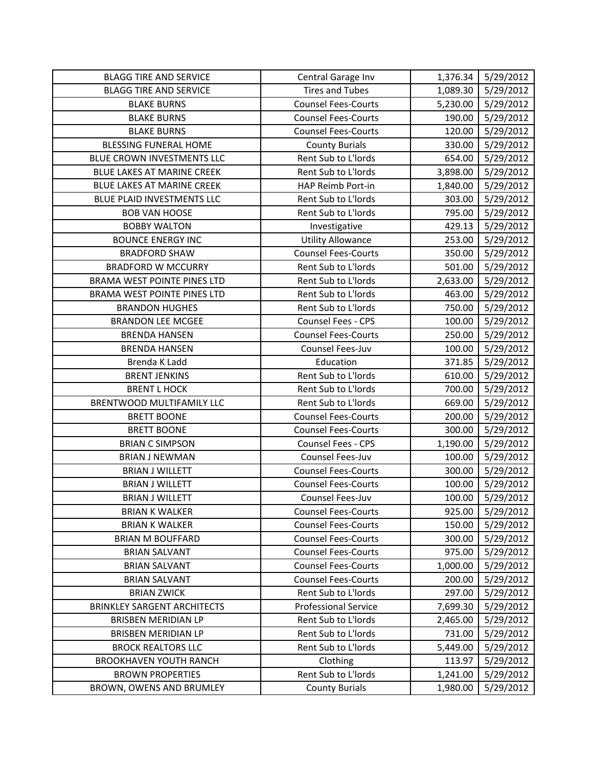| <b>BLAGG TIRE AND SERVICE</b>      | Central Garage Inv          | 1,376.34 | 5/29/2012 |
|------------------------------------|-----------------------------|----------|-----------|
| <b>BLAGG TIRE AND SERVICE</b>      | <b>Tires and Tubes</b>      | 1,089.30 | 5/29/2012 |
| <b>BLAKE BURNS</b>                 | <b>Counsel Fees-Courts</b>  | 5,230.00 | 5/29/2012 |
| <b>BLAKE BURNS</b>                 | <b>Counsel Fees-Courts</b>  | 190.00   | 5/29/2012 |
| <b>BLAKE BURNS</b>                 | <b>Counsel Fees-Courts</b>  | 120.00   | 5/29/2012 |
| <b>BLESSING FUNERAL HOME</b>       | <b>County Burials</b>       | 330.00   | 5/29/2012 |
| BLUE CROWN INVESTMENTS LLC         | Rent Sub to L'Iords         | 654.00   | 5/29/2012 |
| BLUE LAKES AT MARINE CREEK         | Rent Sub to L'Iords         | 3,898.00 | 5/29/2012 |
| BLUE LAKES AT MARINE CREEK         | HAP Reimb Port-in           | 1,840.00 | 5/29/2012 |
| BLUE PLAID INVESTMENTS LLC         | Rent Sub to L'Iords         | 303.00   | 5/29/2012 |
| <b>BOB VAN HOOSE</b>               | Rent Sub to L'Iords         | 795.00   | 5/29/2012 |
| <b>BOBBY WALTON</b>                | Investigative               | 429.13   | 5/29/2012 |
| <b>BOUNCE ENERGY INC</b>           | <b>Utility Allowance</b>    | 253.00   | 5/29/2012 |
| <b>BRADFORD SHAW</b>               | <b>Counsel Fees-Courts</b>  | 350.00   | 5/29/2012 |
| <b>BRADFORD W MCCURRY</b>          | Rent Sub to L'Iords         | 501.00   | 5/29/2012 |
| BRAMA WEST POINTE PINES LTD        | Rent Sub to L'Iords         | 2,633.00 | 5/29/2012 |
| <b>BRAMA WEST POINTE PINES LTD</b> | Rent Sub to L'Iords         | 463.00   | 5/29/2012 |
| <b>BRANDON HUGHES</b>              | Rent Sub to L'Iords         | 750.00   | 5/29/2012 |
| <b>BRANDON LEE MCGEE</b>           | Counsel Fees - CPS          | 100.00   | 5/29/2012 |
| <b>BRENDA HANSEN</b>               | <b>Counsel Fees-Courts</b>  | 250.00   | 5/29/2012 |
| <b>BRENDA HANSEN</b>               | Counsel Fees-Juv            | 100.00   | 5/29/2012 |
| Brenda K Ladd                      | Education                   | 371.85   | 5/29/2012 |
| <b>BRENT JENKINS</b>               | Rent Sub to L'Iords         | 610.00   | 5/29/2012 |
| <b>BRENT L HOCK</b>                | Rent Sub to L'Iords         | 700.00   | 5/29/2012 |
| BRENTWOOD MULTIFAMILY LLC          | Rent Sub to L'Iords         | 669.00   | 5/29/2012 |
| <b>BRETT BOONE</b>                 | <b>Counsel Fees-Courts</b>  | 200.00   | 5/29/2012 |
| <b>BRETT BOONE</b>                 | <b>Counsel Fees-Courts</b>  | 300.00   | 5/29/2012 |
| <b>BRIAN C SIMPSON</b>             | Counsel Fees - CPS          | 1,190.00 | 5/29/2012 |
| <b>BRIAN J NEWMAN</b>              | Counsel Fees-Juv            | 100.00   | 5/29/2012 |
| <b>BRIAN J WILLETT</b>             | <b>Counsel Fees-Courts</b>  | 300.00   | 5/29/2012 |
| <b>BRIAN J WILLETT</b>             | <b>Counsel Fees-Courts</b>  | 100.00   | 5/29/2012 |
| <b>BRIAN J WILLETT</b>             | Counsel Fees-Juv            | 100.00   | 5/29/2012 |
| <b>BRIAN K WALKER</b>              | <b>Counsel Fees-Courts</b>  | 925.00   | 5/29/2012 |
| <b>BRIAN K WALKER</b>              | <b>Counsel Fees-Courts</b>  | 150.00   | 5/29/2012 |
| <b>BRIAN M BOUFFARD</b>            | <b>Counsel Fees-Courts</b>  | 300.00   | 5/29/2012 |
| <b>BRIAN SALVANT</b>               | <b>Counsel Fees-Courts</b>  | 975.00   | 5/29/2012 |
| <b>BRIAN SALVANT</b>               | <b>Counsel Fees-Courts</b>  | 1,000.00 | 5/29/2012 |
| <b>BRIAN SALVANT</b>               | <b>Counsel Fees-Courts</b>  | 200.00   | 5/29/2012 |
| <b>BRIAN ZWICK</b>                 | Rent Sub to L'Iords         | 297.00   | 5/29/2012 |
| <b>BRINKLEY SARGENT ARCHITECTS</b> | <b>Professional Service</b> | 7,699.30 | 5/29/2012 |
| <b>BRISBEN MERIDIAN LP</b>         | Rent Sub to L'Iords         | 2,465.00 | 5/29/2012 |
| <b>BRISBEN MERIDIAN LP</b>         | Rent Sub to L'Iords         | 731.00   | 5/29/2012 |
| <b>BROCK REALTORS LLC</b>          | Rent Sub to L'Iords         | 5,449.00 | 5/29/2012 |
| <b>BROOKHAVEN YOUTH RANCH</b>      | Clothing                    | 113.97   | 5/29/2012 |
| <b>BROWN PROPERTIES</b>            | Rent Sub to L'Iords         | 1,241.00 | 5/29/2012 |
| BROWN, OWENS AND BRUMLEY           | <b>County Burials</b>       | 1,980.00 | 5/29/2012 |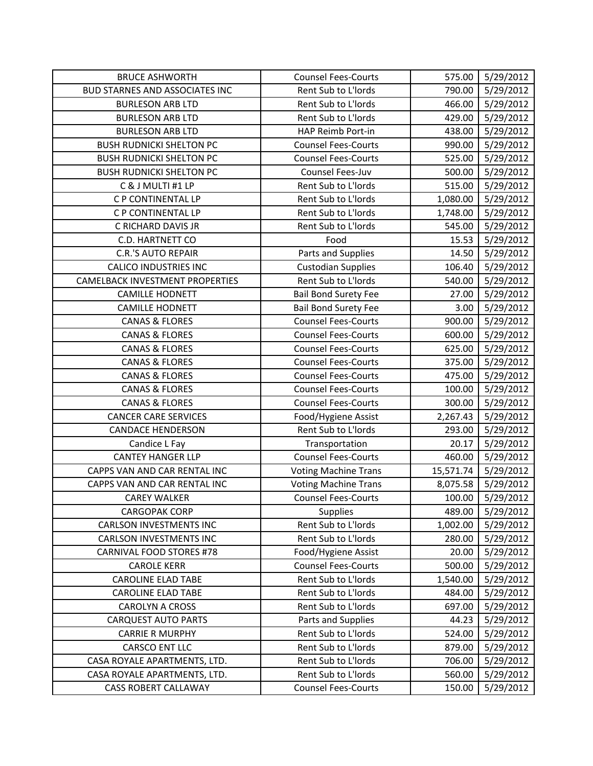| <b>BRUCE ASHWORTH</b>                 | <b>Counsel Fees-Courts</b>  | 575.00    | 5/29/2012 |
|---------------------------------------|-----------------------------|-----------|-----------|
| <b>BUD STARNES AND ASSOCIATES INC</b> | Rent Sub to L'Iords         | 790.00    | 5/29/2012 |
| <b>BURLESON ARB LTD</b>               | Rent Sub to L'Iords         | 466.00    | 5/29/2012 |
| <b>BURLESON ARB LTD</b>               | Rent Sub to L'Iords         | 429.00    | 5/29/2012 |
| <b>BURLESON ARB LTD</b>               | HAP Reimb Port-in           | 438.00    | 5/29/2012 |
| <b>BUSH RUDNICKI SHELTON PC</b>       | <b>Counsel Fees-Courts</b>  | 990.00    | 5/29/2012 |
| <b>BUSH RUDNICKI SHELTON PC</b>       | <b>Counsel Fees-Courts</b>  | 525.00    | 5/29/2012 |
| <b>BUSH RUDNICKI SHELTON PC</b>       | Counsel Fees-Juv            | 500.00    | 5/29/2012 |
| C & J MULTI #1 LP                     | Rent Sub to L'Iords         | 515.00    | 5/29/2012 |
| C P CONTINENTAL LP                    | Rent Sub to L'Iords         | 1,080.00  | 5/29/2012 |
| C P CONTINENTAL LP                    | Rent Sub to L'Iords         | 1,748.00  | 5/29/2012 |
| C RICHARD DAVIS JR                    | Rent Sub to L'Iords         | 545.00    | 5/29/2012 |
| C.D. HARTNETT CO                      | Food                        | 15.53     | 5/29/2012 |
| <b>C.R.'S AUTO REPAIR</b>             | Parts and Supplies          | 14.50     | 5/29/2012 |
| <b>CALICO INDUSTRIES INC</b>          | <b>Custodian Supplies</b>   | 106.40    | 5/29/2012 |
| CAMELBACK INVESTMENT PROPERTIES       | Rent Sub to L'Iords         | 540.00    | 5/29/2012 |
| <b>CAMILLE HODNETT</b>                | <b>Bail Bond Surety Fee</b> | 27.00     | 5/29/2012 |
| <b>CAMILLE HODNETT</b>                | <b>Bail Bond Surety Fee</b> | 3.00      | 5/29/2012 |
| <b>CANAS &amp; FLORES</b>             | <b>Counsel Fees-Courts</b>  | 900.00    | 5/29/2012 |
| <b>CANAS &amp; FLORES</b>             | <b>Counsel Fees-Courts</b>  | 600.00    | 5/29/2012 |
| <b>CANAS &amp; FLORES</b>             | <b>Counsel Fees-Courts</b>  | 625.00    | 5/29/2012 |
| <b>CANAS &amp; FLORES</b>             | <b>Counsel Fees-Courts</b>  | 375.00    | 5/29/2012 |
| <b>CANAS &amp; FLORES</b>             | <b>Counsel Fees-Courts</b>  | 475.00    | 5/29/2012 |
| <b>CANAS &amp; FLORES</b>             | <b>Counsel Fees-Courts</b>  | 100.00    | 5/29/2012 |
| <b>CANAS &amp; FLORES</b>             | <b>Counsel Fees-Courts</b>  | 300.00    | 5/29/2012 |
| <b>CANCER CARE SERVICES</b>           | Food/Hygiene Assist         | 2,267.43  | 5/29/2012 |
| <b>CANDACE HENDERSON</b>              | Rent Sub to L'Iords         | 293.00    | 5/29/2012 |
| Candice L Fay                         | Transportation              | 20.17     | 5/29/2012 |
| <b>CANTEY HANGER LLP</b>              | <b>Counsel Fees-Courts</b>  | 460.00    | 5/29/2012 |
| CAPPS VAN AND CAR RENTAL INC          | <b>Voting Machine Trans</b> | 15,571.74 | 5/29/2012 |
| CAPPS VAN AND CAR RENTAL INC          | <b>Voting Machine Trans</b> | 8,075.58  | 5/29/2012 |
| <b>CAREY WALKER</b>                   | <b>Counsel Fees-Courts</b>  | 100.00    | 5/29/2012 |
| <b>CARGOPAK CORP</b>                  | Supplies                    | 489.00    | 5/29/2012 |
| <b>CARLSON INVESTMENTS INC</b>        | Rent Sub to L'Iords         | 1,002.00  | 5/29/2012 |
| <b>CARLSON INVESTMENTS INC</b>        | Rent Sub to L'Iords         | 280.00    | 5/29/2012 |
| <b>CARNIVAL FOOD STORES #78</b>       | Food/Hygiene Assist         | 20.00     | 5/29/2012 |
| <b>CAROLE KERR</b>                    | <b>Counsel Fees-Courts</b>  | 500.00    | 5/29/2012 |
| <b>CAROLINE ELAD TABE</b>             | Rent Sub to L'Iords         | 1,540.00  | 5/29/2012 |
| <b>CAROLINE ELAD TABE</b>             | Rent Sub to L'Iords         | 484.00    | 5/29/2012 |
| <b>CAROLYN A CROSS</b>                | Rent Sub to L'Iords         | 697.00    | 5/29/2012 |
| <b>CARQUEST AUTO PARTS</b>            | Parts and Supplies          | 44.23     | 5/29/2012 |
| <b>CARRIE R MURPHY</b>                | Rent Sub to L'Iords         | 524.00    | 5/29/2012 |
| CARSCO ENT LLC                        | Rent Sub to L'Iords         | 879.00    | 5/29/2012 |
| CASA ROYALE APARTMENTS, LTD.          | Rent Sub to L'Iords         | 706.00    | 5/29/2012 |
| CASA ROYALE APARTMENTS, LTD.          | Rent Sub to L'Iords         | 560.00    | 5/29/2012 |
| <b>CASS ROBERT CALLAWAY</b>           | <b>Counsel Fees-Courts</b>  | 150.00    | 5/29/2012 |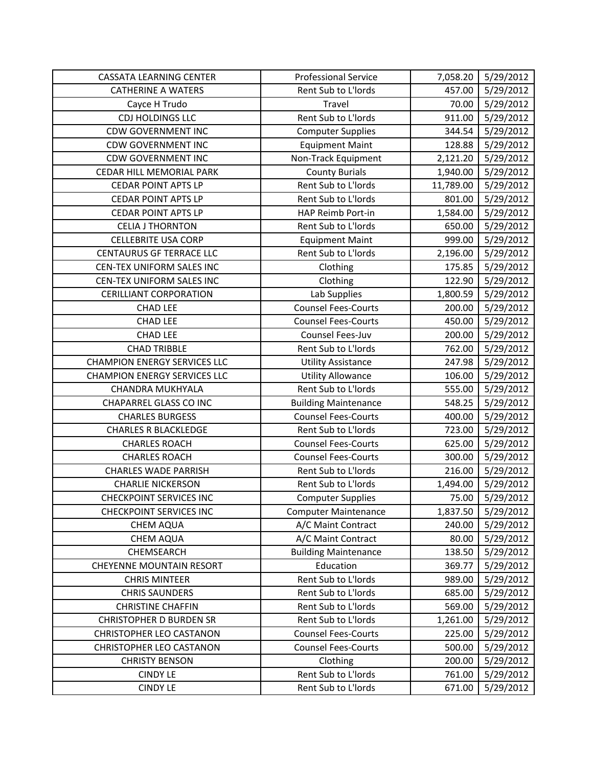| <b>CASSATA LEARNING CENTER</b>      | <b>Professional Service</b> | 7,058.20  | 5/29/2012 |
|-------------------------------------|-----------------------------|-----------|-----------|
| <b>CATHERINE A WATERS</b>           | Rent Sub to L'Iords         | 457.00    | 5/29/2012 |
| Cayce H Trudo                       | Travel                      | 70.00     | 5/29/2012 |
| CDJ HOLDINGS LLC                    | Rent Sub to L'Iords         | 911.00    | 5/29/2012 |
| <b>CDW GOVERNMENT INC</b>           | <b>Computer Supplies</b>    | 344.54    | 5/29/2012 |
| <b>CDW GOVERNMENT INC</b>           | <b>Equipment Maint</b>      | 128.88    | 5/29/2012 |
| <b>CDW GOVERNMENT INC</b>           | Non-Track Equipment         | 2,121.20  | 5/29/2012 |
| CEDAR HILL MEMORIAL PARK            | <b>County Burials</b>       | 1,940.00  | 5/29/2012 |
| <b>CEDAR POINT APTS LP</b>          | Rent Sub to L'Iords         | 11,789.00 | 5/29/2012 |
| <b>CEDAR POINT APTS LP</b>          | Rent Sub to L'Iords         | 801.00    | 5/29/2012 |
| <b>CEDAR POINT APTS LP</b>          | HAP Reimb Port-in           | 1,584.00  | 5/29/2012 |
| <b>CELIA J THORNTON</b>             | Rent Sub to L'Iords         | 650.00    | 5/29/2012 |
| <b>CELLEBRITE USA CORP</b>          | <b>Equipment Maint</b>      | 999.00    | 5/29/2012 |
| <b>CENTAURUS GF TERRACE LLC</b>     | Rent Sub to L'Iords         | 2,196.00  | 5/29/2012 |
| CEN-TEX UNIFORM SALES INC           | Clothing                    | 175.85    | 5/29/2012 |
| <b>CEN-TEX UNIFORM SALES INC</b>    | Clothing                    | 122.90    | 5/29/2012 |
| <b>CERILLIANT CORPORATION</b>       | Lab Supplies                | 1,800.59  | 5/29/2012 |
| <b>CHAD LEE</b>                     | <b>Counsel Fees-Courts</b>  | 200.00    | 5/29/2012 |
| <b>CHAD LEE</b>                     | <b>Counsel Fees-Courts</b>  | 450.00    | 5/29/2012 |
| <b>CHAD LEE</b>                     | Counsel Fees-Juv            | 200.00    | 5/29/2012 |
| <b>CHAD TRIBBLE</b>                 | Rent Sub to L'Iords         | 762.00    | 5/29/2012 |
| <b>CHAMPION ENERGY SERVICES LLC</b> | <b>Utility Assistance</b>   | 247.98    | 5/29/2012 |
| <b>CHAMPION ENERGY SERVICES LLC</b> | <b>Utility Allowance</b>    | 106.00    | 5/29/2012 |
| CHANDRA MUKHYALA                    | Rent Sub to L'Iords         | 555.00    | 5/29/2012 |
| <b>CHAPARREL GLASS CO INC</b>       | <b>Building Maintenance</b> | 548.25    | 5/29/2012 |
| <b>CHARLES BURGESS</b>              | <b>Counsel Fees-Courts</b>  | 400.00    | 5/29/2012 |
| <b>CHARLES R BLACKLEDGE</b>         | Rent Sub to L'Iords         | 723.00    | 5/29/2012 |
| <b>CHARLES ROACH</b>                | <b>Counsel Fees-Courts</b>  | 625.00    | 5/29/2012 |
| <b>CHARLES ROACH</b>                | <b>Counsel Fees-Courts</b>  | 300.00    | 5/29/2012 |
| <b>CHARLES WADE PARRISH</b>         | Rent Sub to L'Iords         | 216.00    | 5/29/2012 |
| <b>CHARLIE NICKERSON</b>            | Rent Sub to L'Iords         | 1,494.00  | 5/29/2012 |
| <b>CHECKPOINT SERVICES INC</b>      | <b>Computer Supplies</b>    | 75.00     | 5/29/2012 |
| <b>CHECKPOINT SERVICES INC</b>      | <b>Computer Maintenance</b> | 1,837.50  | 5/29/2012 |
| CHEM AQUA                           | A/C Maint Contract          | 240.00    | 5/29/2012 |
| <b>CHEM AQUA</b>                    | A/C Maint Contract          | 80.00     | 5/29/2012 |
| CHEMSEARCH                          | <b>Building Maintenance</b> | 138.50    | 5/29/2012 |
| <b>CHEYENNE MOUNTAIN RESORT</b>     | Education                   | 369.77    | 5/29/2012 |
| <b>CHRIS MINTEER</b>                | Rent Sub to L'Iords         | 989.00    | 5/29/2012 |
| <b>CHRIS SAUNDERS</b>               | Rent Sub to L'Iords         | 685.00    | 5/29/2012 |
| <b>CHRISTINE CHAFFIN</b>            | Rent Sub to L'Iords         | 569.00    | 5/29/2012 |
| <b>CHRISTOPHER D BURDEN SR</b>      | Rent Sub to L'Iords         | 1,261.00  | 5/29/2012 |
| <b>CHRISTOPHER LEO CASTANON</b>     | <b>Counsel Fees-Courts</b>  | 225.00    | 5/29/2012 |
| <b>CHRISTOPHER LEO CASTANON</b>     | <b>Counsel Fees-Courts</b>  | 500.00    | 5/29/2012 |
| <b>CHRISTY BENSON</b>               | Clothing                    | 200.00    | 5/29/2012 |
| <b>CINDY LE</b>                     | Rent Sub to L'Iords         | 761.00    | 5/29/2012 |
| <b>CINDY LE</b>                     | Rent Sub to L'Iords         | 671.00    | 5/29/2012 |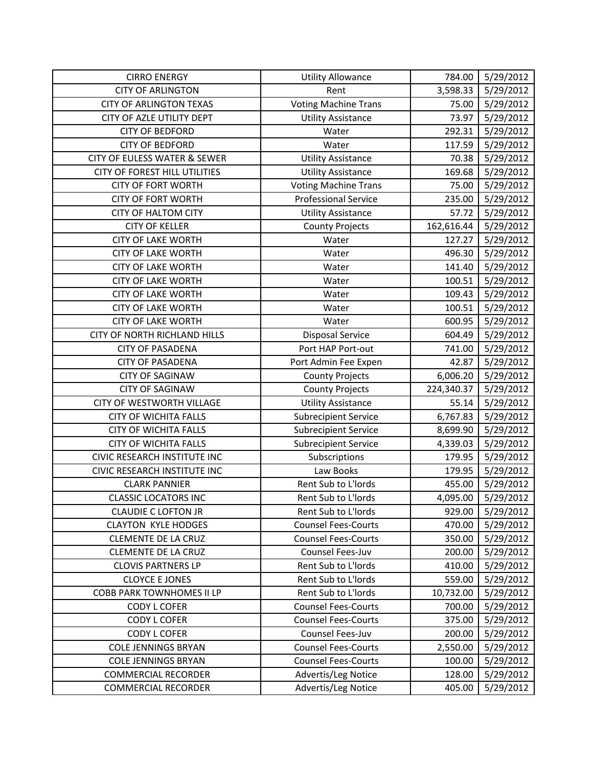| <b>CIRRO ENERGY</b>              | <b>Utility Allowance</b>    | 784.00     | 5/29/2012 |
|----------------------------------|-----------------------------|------------|-----------|
| <b>CITY OF ARLINGTON</b>         | Rent                        | 3,598.33   | 5/29/2012 |
| <b>CITY OF ARLINGTON TEXAS</b>   | <b>Voting Machine Trans</b> | 75.00      | 5/29/2012 |
| CITY OF AZLE UTILITY DEPT        | <b>Utility Assistance</b>   | 73.97      | 5/29/2012 |
| <b>CITY OF BEDFORD</b>           | Water                       | 292.31     | 5/29/2012 |
| <b>CITY OF BEDFORD</b>           | Water                       | 117.59     | 5/29/2012 |
| CITY OF EULESS WATER & SEWER     | <b>Utility Assistance</b>   | 70.38      | 5/29/2012 |
| CITY OF FOREST HILL UTILITIES    | <b>Utility Assistance</b>   | 169.68     | 5/29/2012 |
| <b>CITY OF FORT WORTH</b>        | <b>Voting Machine Trans</b> | 75.00      | 5/29/2012 |
| <b>CITY OF FORT WORTH</b>        | <b>Professional Service</b> | 235.00     | 5/29/2012 |
| <b>CITY OF HALTOM CITY</b>       | <b>Utility Assistance</b>   | 57.72      | 5/29/2012 |
| <b>CITY OF KELLER</b>            | <b>County Projects</b>      | 162,616.44 | 5/29/2012 |
| <b>CITY OF LAKE WORTH</b>        | Water                       | 127.27     | 5/29/2012 |
| <b>CITY OF LAKE WORTH</b>        | Water                       | 496.30     | 5/29/2012 |
| <b>CITY OF LAKE WORTH</b>        | Water                       | 141.40     | 5/29/2012 |
| <b>CITY OF LAKE WORTH</b>        | Water                       | 100.51     | 5/29/2012 |
| <b>CITY OF LAKE WORTH</b>        | Water                       | 109.43     | 5/29/2012 |
| <b>CITY OF LAKE WORTH</b>        | Water                       | 100.51     | 5/29/2012 |
| <b>CITY OF LAKE WORTH</b>        | Water                       | 600.95     | 5/29/2012 |
| CITY OF NORTH RICHLAND HILLS     | <b>Disposal Service</b>     | 604.49     | 5/29/2012 |
| <b>CITY OF PASADENA</b>          | Port HAP Port-out           | 741.00     | 5/29/2012 |
| <b>CITY OF PASADENA</b>          | Port Admin Fee Expen        | 42.87      | 5/29/2012 |
| <b>CITY OF SAGINAW</b>           | <b>County Projects</b>      | 6,006.20   | 5/29/2012 |
| <b>CITY OF SAGINAW</b>           | <b>County Projects</b>      | 224,340.37 | 5/29/2012 |
| CITY OF WESTWORTH VILLAGE        | <b>Utility Assistance</b>   | 55.14      | 5/29/2012 |
| <b>CITY OF WICHITA FALLS</b>     | <b>Subrecipient Service</b> | 6,767.83   | 5/29/2012 |
| <b>CITY OF WICHITA FALLS</b>     | <b>Subrecipient Service</b> | 8,699.90   | 5/29/2012 |
| <b>CITY OF WICHITA FALLS</b>     | <b>Subrecipient Service</b> | 4,339.03   | 5/29/2012 |
| CIVIC RESEARCH INSTITUTE INC     | Subscriptions               | 179.95     | 5/29/2012 |
| CIVIC RESEARCH INSTITUTE INC     | Law Books                   | 179.95     | 5/29/2012 |
| <b>CLARK PANNIER</b>             | Rent Sub to L'Iords         | 455.00     | 5/29/2012 |
| <b>CLASSIC LOCATORS INC</b>      | Rent Sub to L'Iords         | 4,095.00   | 5/29/2012 |
| <b>CLAUDIE C LOFTON JR</b>       | Rent Sub to L'Iords         | 929.00     | 5/29/2012 |
| <b>CLAYTON KYLE HODGES</b>       | <b>Counsel Fees-Courts</b>  | 470.00     | 5/29/2012 |
| <b>CLEMENTE DE LA CRUZ</b>       | <b>Counsel Fees-Courts</b>  | 350.00     | 5/29/2012 |
| <b>CLEMENTE DE LA CRUZ</b>       | Counsel Fees-Juv            | 200.00     | 5/29/2012 |
| <b>CLOVIS PARTNERS LP</b>        | Rent Sub to L'Iords         | 410.00     | 5/29/2012 |
| <b>CLOYCE E JONES</b>            | Rent Sub to L'Iords         | 559.00     | 5/29/2012 |
| <b>COBB PARK TOWNHOMES II LP</b> | Rent Sub to L'Iords         | 10,732.00  | 5/29/2012 |
| <b>CODY L COFER</b>              | <b>Counsel Fees-Courts</b>  | 700.00     | 5/29/2012 |
| <b>CODY L COFER</b>              | <b>Counsel Fees-Courts</b>  | 375.00     | 5/29/2012 |
| <b>CODY L COFER</b>              | Counsel Fees-Juv            | 200.00     | 5/29/2012 |
| <b>COLE JENNINGS BRYAN</b>       | <b>Counsel Fees-Courts</b>  | 2,550.00   | 5/29/2012 |
| <b>COLE JENNINGS BRYAN</b>       | <b>Counsel Fees-Courts</b>  | 100.00     | 5/29/2012 |
| <b>COMMERCIAL RECORDER</b>       | Advertis/Leg Notice         | 128.00     | 5/29/2012 |
| <b>COMMERCIAL RECORDER</b>       | Advertis/Leg Notice         | 405.00     | 5/29/2012 |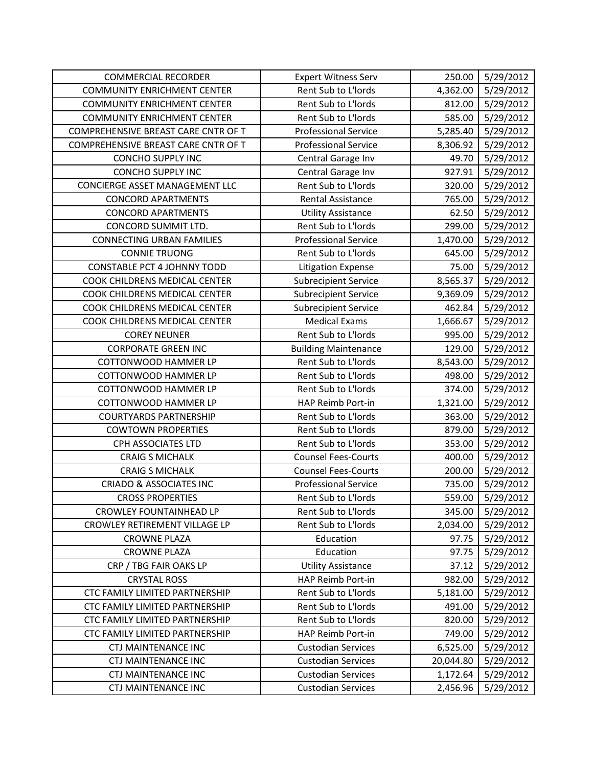| <b>COMMERCIAL RECORDER</b>          | <b>Expert Witness Serv</b>  | 250.00    | 5/29/2012 |
|-------------------------------------|-----------------------------|-----------|-----------|
| <b>COMMUNITY ENRICHMENT CENTER</b>  | Rent Sub to L'Iords         | 4,362.00  | 5/29/2012 |
| <b>COMMUNITY ENRICHMENT CENTER</b>  | Rent Sub to L'Iords         | 812.00    | 5/29/2012 |
| <b>COMMUNITY ENRICHMENT CENTER</b>  | Rent Sub to L'Iords         | 585.00    | 5/29/2012 |
| COMPREHENSIVE BREAST CARE CNTR OF T | <b>Professional Service</b> | 5,285.40  | 5/29/2012 |
| COMPREHENSIVE BREAST CARE CNTR OF T | <b>Professional Service</b> | 8,306.92  | 5/29/2012 |
| <b>CONCHO SUPPLY INC</b>            | Central Garage Inv          | 49.70     | 5/29/2012 |
| <b>CONCHO SUPPLY INC</b>            | Central Garage Inv          | 927.91    | 5/29/2012 |
| CONCIERGE ASSET MANAGEMENT LLC      | Rent Sub to L'Iords         | 320.00    | 5/29/2012 |
| <b>CONCORD APARTMENTS</b>           | <b>Rental Assistance</b>    | 765.00    | 5/29/2012 |
| <b>CONCORD APARTMENTS</b>           | <b>Utility Assistance</b>   | 62.50     | 5/29/2012 |
| CONCORD SUMMIT LTD.                 | Rent Sub to L'Iords         | 299.00    | 5/29/2012 |
| <b>CONNECTING URBAN FAMILIES</b>    | <b>Professional Service</b> | 1,470.00  | 5/29/2012 |
| <b>CONNIE TRUONG</b>                | Rent Sub to L'Iords         | 645.00    | 5/29/2012 |
| <b>CONSTABLE PCT 4 JOHNNY TODD</b>  | <b>Litigation Expense</b>   | 75.00     | 5/29/2012 |
| COOK CHILDRENS MEDICAL CENTER       | <b>Subrecipient Service</b> | 8,565.37  | 5/29/2012 |
| COOK CHILDRENS MEDICAL CENTER       | <b>Subrecipient Service</b> | 9,369.09  | 5/29/2012 |
| COOK CHILDRENS MEDICAL CENTER       | <b>Subrecipient Service</b> | 462.84    | 5/29/2012 |
| COOK CHILDRENS MEDICAL CENTER       | <b>Medical Exams</b>        | 1,666.67  | 5/29/2012 |
| <b>COREY NEUNER</b>                 | Rent Sub to L'Iords         | 995.00    | 5/29/2012 |
| <b>CORPORATE GREEN INC</b>          | <b>Building Maintenance</b> | 129.00    | 5/29/2012 |
| COTTONWOOD HAMMER LP                | Rent Sub to L'Iords         | 8,543.00  | 5/29/2012 |
| <b>COTTONWOOD HAMMER LP</b>         | Rent Sub to L'Iords         | 498.00    | 5/29/2012 |
| <b>COTTONWOOD HAMMER LP</b>         | Rent Sub to L'Iords         | 374.00    | 5/29/2012 |
| COTTONWOOD HAMMER LP                | HAP Reimb Port-in           | 1,321.00  | 5/29/2012 |
| <b>COURTYARDS PARTNERSHIP</b>       | Rent Sub to L'Iords         | 363.00    | 5/29/2012 |
| <b>COWTOWN PROPERTIES</b>           | Rent Sub to L'Iords         | 879.00    | 5/29/2012 |
| CPH ASSOCIATES LTD                  | Rent Sub to L'Iords         | 353.00    | 5/29/2012 |
| <b>CRAIG S MICHALK</b>              | <b>Counsel Fees-Courts</b>  | 400.00    | 5/29/2012 |
| <b>CRAIG S MICHALK</b>              | <b>Counsel Fees-Courts</b>  | 200.00    | 5/29/2012 |
| <b>CRIADO &amp; ASSOCIATES INC</b>  | <b>Professional Service</b> | 735.00    | 5/29/2012 |
| <b>CROSS PROPERTIES</b>             | Rent Sub to L'Iords         | 559.00    | 5/29/2012 |
| <b>CROWLEY FOUNTAINHEAD LP</b>      | Rent Sub to L'Iords         | 345.00    | 5/29/2012 |
| CROWLEY RETIREMENT VILLAGE LP       | Rent Sub to L'Iords         | 2,034.00  | 5/29/2012 |
| <b>CROWNE PLAZA</b>                 | Education                   | 97.75     | 5/29/2012 |
| <b>CROWNE PLAZA</b>                 | Education                   | 97.75     | 5/29/2012 |
| CRP / TBG FAIR OAKS LP              | <b>Utility Assistance</b>   | 37.12     | 5/29/2012 |
| <b>CRYSTAL ROSS</b>                 | HAP Reimb Port-in           | 982.00    | 5/29/2012 |
| CTC FAMILY LIMITED PARTNERSHIP      | Rent Sub to L'Iords         | 5,181.00  | 5/29/2012 |
| CTC FAMILY LIMITED PARTNERSHIP      | Rent Sub to L'Iords         | 491.00    | 5/29/2012 |
| CTC FAMILY LIMITED PARTNERSHIP      | Rent Sub to L'Iords         | 820.00    | 5/29/2012 |
| CTC FAMILY LIMITED PARTNERSHIP      | HAP Reimb Port-in           | 749.00    | 5/29/2012 |
| <b>CTJ MAINTENANCE INC</b>          | <b>Custodian Services</b>   | 6,525.00  | 5/29/2012 |
| CTJ MAINTENANCE INC                 | <b>Custodian Services</b>   | 20,044.80 | 5/29/2012 |
| <b>CTJ MAINTENANCE INC</b>          | <b>Custodian Services</b>   | 1,172.64  | 5/29/2012 |
| <b>CTJ MAINTENANCE INC</b>          | <b>Custodian Services</b>   | 2,456.96  | 5/29/2012 |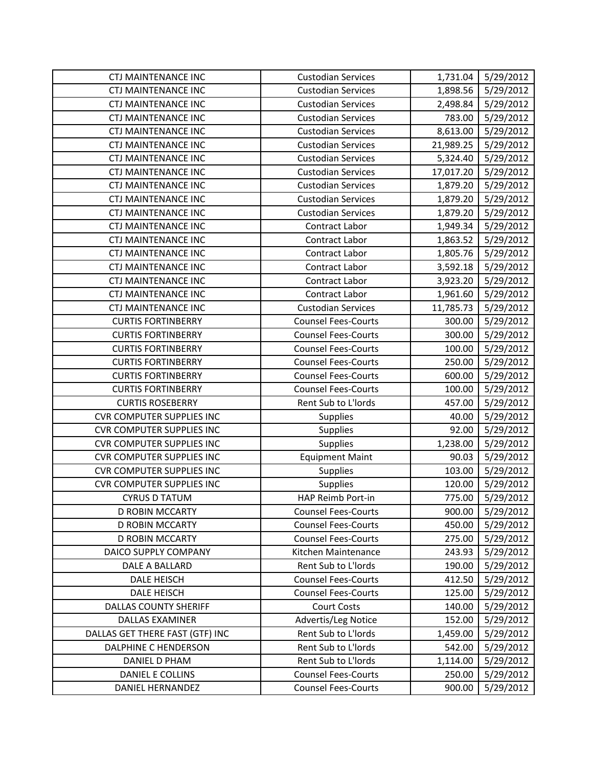| <b>CTJ MAINTENANCE INC</b>       | <b>Custodian Services</b>  | 1,731.04  | 5/29/2012 |
|----------------------------------|----------------------------|-----------|-----------|
| <b>CTJ MAINTENANCE INC</b>       | <b>Custodian Services</b>  | 1,898.56  | 5/29/2012 |
| <b>CTJ MAINTENANCE INC</b>       | <b>Custodian Services</b>  | 2,498.84  | 5/29/2012 |
| CTJ MAINTENANCE INC              | <b>Custodian Services</b>  | 783.00    | 5/29/2012 |
| <b>CTJ MAINTENANCE INC</b>       | <b>Custodian Services</b>  | 8,613.00  | 5/29/2012 |
| <b>CTJ MAINTENANCE INC</b>       | <b>Custodian Services</b>  | 21,989.25 | 5/29/2012 |
| CTJ MAINTENANCE INC              | <b>Custodian Services</b>  | 5,324.40  | 5/29/2012 |
| <b>CTJ MAINTENANCE INC</b>       | <b>Custodian Services</b>  | 17,017.20 | 5/29/2012 |
| <b>CTJ MAINTENANCE INC</b>       | <b>Custodian Services</b>  | 1,879.20  | 5/29/2012 |
| CTJ MAINTENANCE INC              | <b>Custodian Services</b>  | 1,879.20  | 5/29/2012 |
| <b>CTJ MAINTENANCE INC</b>       | <b>Custodian Services</b>  | 1,879.20  | 5/29/2012 |
| <b>CTJ MAINTENANCE INC</b>       | Contract Labor             | 1,949.34  | 5/29/2012 |
| CTJ MAINTENANCE INC              | Contract Labor             | 1,863.52  | 5/29/2012 |
| CTJ MAINTENANCE INC              | Contract Labor             | 1,805.76  | 5/29/2012 |
| <b>CTJ MAINTENANCE INC</b>       | Contract Labor             | 3,592.18  | 5/29/2012 |
| CTJ MAINTENANCE INC              | Contract Labor             | 3,923.20  | 5/29/2012 |
| <b>CTJ MAINTENANCE INC</b>       | Contract Labor             | 1,961.60  | 5/29/2012 |
| <b>CTJ MAINTENANCE INC</b>       | <b>Custodian Services</b>  | 11,785.73 | 5/29/2012 |
| <b>CURTIS FORTINBERRY</b>        | <b>Counsel Fees-Courts</b> | 300.00    | 5/29/2012 |
| <b>CURTIS FORTINBERRY</b>        | <b>Counsel Fees-Courts</b> | 300.00    | 5/29/2012 |
| <b>CURTIS FORTINBERRY</b>        | <b>Counsel Fees-Courts</b> | 100.00    | 5/29/2012 |
| <b>CURTIS FORTINBERRY</b>        | <b>Counsel Fees-Courts</b> | 250.00    | 5/29/2012 |
| <b>CURTIS FORTINBERRY</b>        | <b>Counsel Fees-Courts</b> | 600.00    | 5/29/2012 |
| <b>CURTIS FORTINBERRY</b>        | <b>Counsel Fees-Courts</b> | 100.00    | 5/29/2012 |
| <b>CURTIS ROSEBERRY</b>          | Rent Sub to L'Iords        | 457.00    | 5/29/2012 |
| <b>CVR COMPUTER SUPPLIES INC</b> | Supplies                   | 40.00     | 5/29/2012 |
| <b>CVR COMPUTER SUPPLIES INC</b> | Supplies                   | 92.00     | 5/29/2012 |
| <b>CVR COMPUTER SUPPLIES INC</b> | Supplies                   | 1,238.00  | 5/29/2012 |
| <b>CVR COMPUTER SUPPLIES INC</b> | <b>Equipment Maint</b>     | 90.03     | 5/29/2012 |
| <b>CVR COMPUTER SUPPLIES INC</b> | Supplies                   | 103.00    | 5/29/2012 |
| <b>CVR COMPUTER SUPPLIES INC</b> | Supplies                   | 120.00    | 5/29/2012 |
| <b>CYRUS D TATUM</b>             | HAP Reimb Port-in          | 775.00    | 5/29/2012 |
| D ROBIN MCCARTY                  | <b>Counsel Fees-Courts</b> | 900.00    | 5/29/2012 |
| <b>D ROBIN MCCARTY</b>           | <b>Counsel Fees-Courts</b> | 450.00    | 5/29/2012 |
| D ROBIN MCCARTY                  | <b>Counsel Fees-Courts</b> | 275.00    | 5/29/2012 |
| DAICO SUPPLY COMPANY             | Kitchen Maintenance        | 243.93    | 5/29/2012 |
| DALE A BALLARD                   | Rent Sub to L'Iords        | 190.00    | 5/29/2012 |
| DALE HEISCH                      | <b>Counsel Fees-Courts</b> | 412.50    | 5/29/2012 |
| DALE HEISCH                      | <b>Counsel Fees-Courts</b> | 125.00    | 5/29/2012 |
| <b>DALLAS COUNTY SHERIFF</b>     | <b>Court Costs</b>         | 140.00    | 5/29/2012 |
| <b>DALLAS EXAMINER</b>           | Advertis/Leg Notice        | 152.00    | 5/29/2012 |
| DALLAS GET THERE FAST (GTF) INC  | Rent Sub to L'Iords        | 1,459.00  | 5/29/2012 |
| DALPHINE C HENDERSON             | Rent Sub to L'Iords        | 542.00    | 5/29/2012 |
| DANIEL D PHAM                    | Rent Sub to L'Iords        | 1,114.00  | 5/29/2012 |
| DANIEL E COLLINS                 | <b>Counsel Fees-Courts</b> | 250.00    | 5/29/2012 |
| DANIEL HERNANDEZ                 | <b>Counsel Fees-Courts</b> | 900.00    | 5/29/2012 |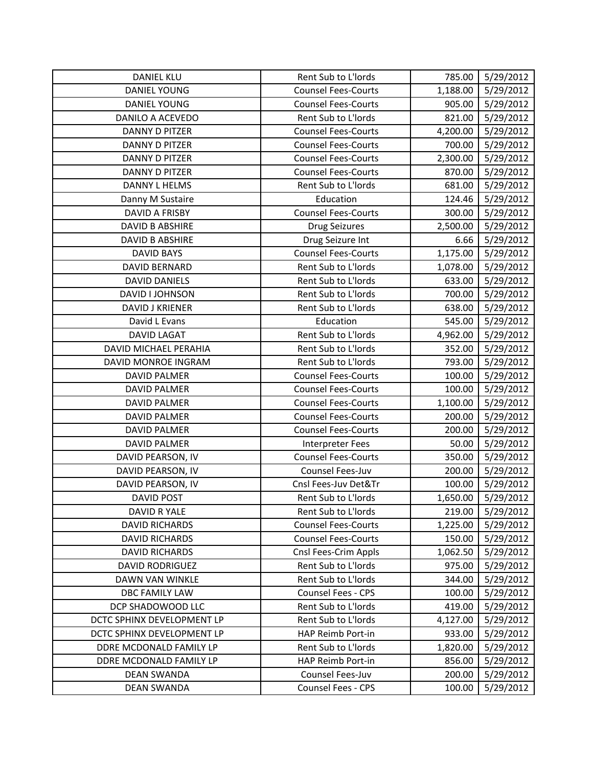| <b>DANIEL KLU</b>          | Rent Sub to L'Iords        | 785.00   | 5/29/2012 |
|----------------------------|----------------------------|----------|-----------|
| DANIEL YOUNG               | <b>Counsel Fees-Courts</b> | 1,188.00 | 5/29/2012 |
| <b>DANIEL YOUNG</b>        | <b>Counsel Fees-Courts</b> | 905.00   | 5/29/2012 |
| DANILO A ACEVEDO           | Rent Sub to L'Iords        | 821.00   | 5/29/2012 |
| <b>DANNY D PITZER</b>      | <b>Counsel Fees-Courts</b> | 4,200.00 | 5/29/2012 |
| <b>DANNY D PITZER</b>      | <b>Counsel Fees-Courts</b> | 700.00   | 5/29/2012 |
| DANNY D PITZER             | <b>Counsel Fees-Courts</b> | 2,300.00 | 5/29/2012 |
| DANNY D PITZER             | <b>Counsel Fees-Courts</b> | 870.00   | 5/29/2012 |
| <b>DANNY L HELMS</b>       | Rent Sub to L'Iords        | 681.00   | 5/29/2012 |
| Danny M Sustaire           | Education                  | 124.46   | 5/29/2012 |
| <b>DAVID A FRISBY</b>      | <b>Counsel Fees-Courts</b> | 300.00   | 5/29/2012 |
| <b>DAVID B ABSHIRE</b>     | <b>Drug Seizures</b>       | 2,500.00 | 5/29/2012 |
| DAVID B ABSHIRE            | Drug Seizure Int           | 6.66     | 5/29/2012 |
| <b>DAVID BAYS</b>          | <b>Counsel Fees-Courts</b> | 1,175.00 | 5/29/2012 |
| DAVID BERNARD              | Rent Sub to L'Iords        | 1,078.00 | 5/29/2012 |
| <b>DAVID DANIELS</b>       | Rent Sub to L'Iords        | 633.00   | 5/29/2012 |
| DAVID I JOHNSON            | Rent Sub to L'Iords        | 700.00   | 5/29/2012 |
| <b>DAVID J KRIENER</b>     | Rent Sub to L'Iords        | 638.00   | 5/29/2012 |
| David L Evans              | Education                  | 545.00   | 5/29/2012 |
| <b>DAVID LAGAT</b>         | Rent Sub to L'Iords        | 4,962.00 | 5/29/2012 |
| DAVID MICHAEL PERAHIA      | Rent Sub to L'Iords        | 352.00   | 5/29/2012 |
| DAVID MONROE INGRAM        | Rent Sub to L'Iords        | 793.00   | 5/29/2012 |
| <b>DAVID PALMER</b>        | <b>Counsel Fees-Courts</b> | 100.00   | 5/29/2012 |
| <b>DAVID PALMER</b>        | <b>Counsel Fees-Courts</b> | 100.00   | 5/29/2012 |
| <b>DAVID PALMER</b>        | <b>Counsel Fees-Courts</b> | 1,100.00 | 5/29/2012 |
| <b>DAVID PALMER</b>        | <b>Counsel Fees-Courts</b> | 200.00   | 5/29/2012 |
| <b>DAVID PALMER</b>        | <b>Counsel Fees-Courts</b> | 200.00   | 5/29/2012 |
| <b>DAVID PALMER</b>        | <b>Interpreter Fees</b>    | 50.00    | 5/29/2012 |
| DAVID PEARSON, IV          | <b>Counsel Fees-Courts</b> | 350.00   | 5/29/2012 |
| DAVID PEARSON, IV          | Counsel Fees-Juv           | 200.00   | 5/29/2012 |
| DAVID PEARSON, IV          | Cnsl Fees-Juv Det&Tr       | 100.00   | 5/29/2012 |
| <b>DAVID POST</b>          | Rent Sub to L'Iords        | 1,650.00 | 5/29/2012 |
| DAVID R YALE               | Rent Sub to L'Iords        | 219.00   | 5/29/2012 |
| <b>DAVID RICHARDS</b>      | <b>Counsel Fees-Courts</b> | 1,225.00 | 5/29/2012 |
| <b>DAVID RICHARDS</b>      | <b>Counsel Fees-Courts</b> | 150.00   | 5/29/2012 |
| <b>DAVID RICHARDS</b>      | Cnsl Fees-Crim Appls       | 1,062.50 | 5/29/2012 |
| <b>DAVID RODRIGUEZ</b>     | Rent Sub to L'Iords        | 975.00   | 5/29/2012 |
| DAWN VAN WINKLE            | Rent Sub to L'Iords        | 344.00   | 5/29/2012 |
| <b>DBC FAMILY LAW</b>      | Counsel Fees - CPS         | 100.00   | 5/29/2012 |
| DCP SHADOWOOD LLC          | Rent Sub to L'Iords        | 419.00   | 5/29/2012 |
| DCTC SPHINX DEVELOPMENT LP | Rent Sub to L'Iords        | 4,127.00 | 5/29/2012 |
| DCTC SPHINX DEVELOPMENT LP | HAP Reimb Port-in          | 933.00   | 5/29/2012 |
| DDRE MCDONALD FAMILY LP    | Rent Sub to L'Iords        | 1,820.00 | 5/29/2012 |
| DDRE MCDONALD FAMILY LP    | HAP Reimb Port-in          | 856.00   | 5/29/2012 |
| <b>DEAN SWANDA</b>         | Counsel Fees-Juv           | 200.00   | 5/29/2012 |
| <b>DEAN SWANDA</b>         | Counsel Fees - CPS         | 100.00   | 5/29/2012 |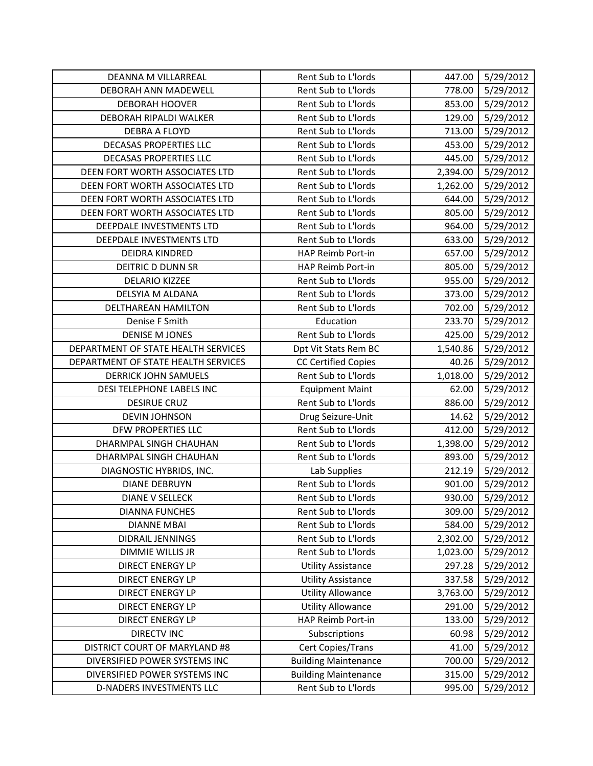| DEANNA M VILLARREAL                 | Rent Sub to L'Iords         | 447.00   | 5/29/2012 |
|-------------------------------------|-----------------------------|----------|-----------|
| DEBORAH ANN MADEWELL                | Rent Sub to L'Iords         | 778.00   | 5/29/2012 |
| <b>DEBORAH HOOVER</b>               | Rent Sub to L'Iords         | 853.00   | 5/29/2012 |
| DEBORAH RIPALDI WALKER              | Rent Sub to L'Iords         | 129.00   | 5/29/2012 |
| <b>DEBRA A FLOYD</b>                | Rent Sub to L'Iords         | 713.00   | 5/29/2012 |
| <b>DECASAS PROPERTIES LLC</b>       | Rent Sub to L'Iords         | 453.00   | 5/29/2012 |
| <b>DECASAS PROPERTIES LLC</b>       | Rent Sub to L'Iords         | 445.00   | 5/29/2012 |
| DEEN FORT WORTH ASSOCIATES LTD      | Rent Sub to L'Iords         | 2,394.00 | 5/29/2012 |
| DEEN FORT WORTH ASSOCIATES LTD      | Rent Sub to L'Iords         | 1,262.00 | 5/29/2012 |
| DEEN FORT WORTH ASSOCIATES LTD      | Rent Sub to L'Iords         | 644.00   | 5/29/2012 |
| DEEN FORT WORTH ASSOCIATES LTD      | Rent Sub to L'Iords         | 805.00   | 5/29/2012 |
| DEEPDALE INVESTMENTS LTD            | Rent Sub to L'Iords         | 964.00   | 5/29/2012 |
| DEEPDALE INVESTMENTS LTD            | Rent Sub to L'Iords         | 633.00   | 5/29/2012 |
| <b>DEIDRA KINDRED</b>               | HAP Reimb Port-in           | 657.00   | 5/29/2012 |
| <b>DEITRIC D DUNN SR</b>            | HAP Reimb Port-in           | 805.00   | 5/29/2012 |
| <b>DELARIO KIZZEE</b>               | Rent Sub to L'Iords         | 955.00   | 5/29/2012 |
| DELSYIA M ALDANA                    | Rent Sub to L'Iords         | 373.00   | 5/29/2012 |
| DELTHAREAN HAMILTON                 | Rent Sub to L'Iords         | 702.00   | 5/29/2012 |
| Denise F Smith                      | Education                   | 233.70   | 5/29/2012 |
| <b>DENISE M JONES</b>               | Rent Sub to L'Iords         | 425.00   | 5/29/2012 |
| DEPARTMENT OF STATE HEALTH SERVICES | Dpt Vit Stats Rem BC        | 1,540.86 | 5/29/2012 |
| DEPARTMENT OF STATE HEALTH SERVICES | <b>CC Certified Copies</b>  | 40.26    | 5/29/2012 |
| <b>DERRICK JOHN SAMUELS</b>         | Rent Sub to L'Iords         | 1,018.00 | 5/29/2012 |
| DESI TELEPHONE LABELS INC           | <b>Equipment Maint</b>      | 62.00    | 5/29/2012 |
| <b>DESIRUE CRUZ</b>                 | Rent Sub to L'Iords         | 886.00   | 5/29/2012 |
| <b>DEVIN JOHNSON</b>                | Drug Seizure-Unit           | 14.62    | 5/29/2012 |
| DFW PROPERTIES LLC                  | Rent Sub to L'Iords         | 412.00   | 5/29/2012 |
| DHARMPAL SINGH CHAUHAN              | Rent Sub to L'Iords         | 1,398.00 | 5/29/2012 |
| DHARMPAL SINGH CHAUHAN              | Rent Sub to L'Iords         | 893.00   | 5/29/2012 |
| DIAGNOSTIC HYBRIDS, INC.            | Lab Supplies                | 212.19   | 5/29/2012 |
| <b>DIANE DEBRUYN</b>                | Rent Sub to L'Iords         | 901.00   | 5/29/2012 |
| <b>DIANE V SELLECK</b>              | Rent Sub to L'Iords         | 930.00   | 5/29/2012 |
| <b>DIANNA FUNCHES</b>               | Rent Sub to L'Iords         | 309.00   | 5/29/2012 |
| <b>DIANNE MBAI</b>                  | Rent Sub to L'Iords         | 584.00   | 5/29/2012 |
| DIDRAIL JENNINGS                    | Rent Sub to L'Iords         | 2,302.00 | 5/29/2012 |
| DIMMIE WILLIS JR                    | Rent Sub to L'Iords         | 1,023.00 | 5/29/2012 |
| <b>DIRECT ENERGY LP</b>             | <b>Utility Assistance</b>   | 297.28   | 5/29/2012 |
| <b>DIRECT ENERGY LP</b>             | <b>Utility Assistance</b>   | 337.58   | 5/29/2012 |
| <b>DIRECT ENERGY LP</b>             | <b>Utility Allowance</b>    | 3,763.00 | 5/29/2012 |
| <b>DIRECT ENERGY LP</b>             | <b>Utility Allowance</b>    | 291.00   | 5/29/2012 |
| <b>DIRECT ENERGY LP</b>             | HAP Reimb Port-in           | 133.00   | 5/29/2012 |
| <b>DIRECTV INC</b>                  | Subscriptions               | 60.98    | 5/29/2012 |
| DISTRICT COURT OF MARYLAND #8       | Cert Copies/Trans           | 41.00    | 5/29/2012 |
| DIVERSIFIED POWER SYSTEMS INC       | <b>Building Maintenance</b> | 700.00   | 5/29/2012 |
| DIVERSIFIED POWER SYSTEMS INC       | <b>Building Maintenance</b> | 315.00   | 5/29/2012 |
| D-NADERS INVESTMENTS LLC            | Rent Sub to L'Iords         | 995.00   | 5/29/2012 |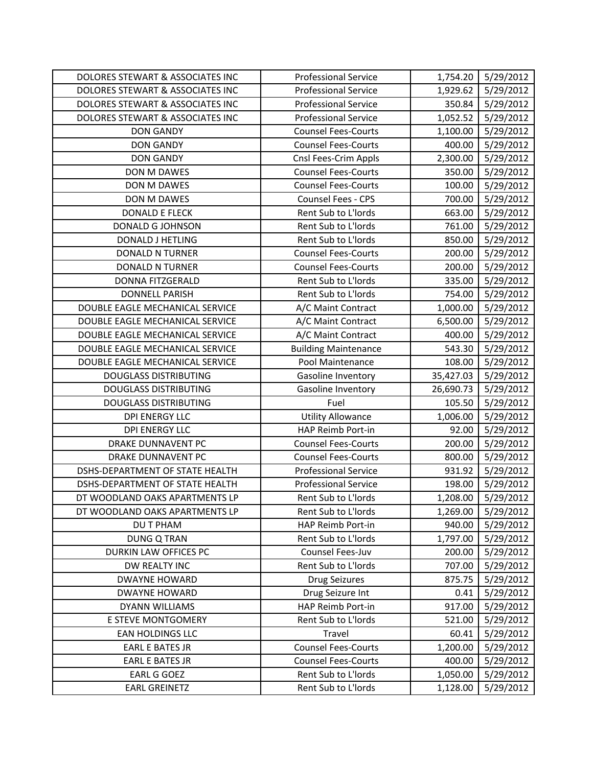| DOLORES STEWART & ASSOCIATES INC | <b>Professional Service</b> | 1,754.20  | 5/29/2012 |
|----------------------------------|-----------------------------|-----------|-----------|
| DOLORES STEWART & ASSOCIATES INC | <b>Professional Service</b> | 1,929.62  | 5/29/2012 |
| DOLORES STEWART & ASSOCIATES INC | <b>Professional Service</b> | 350.84    | 5/29/2012 |
| DOLORES STEWART & ASSOCIATES INC | <b>Professional Service</b> | 1,052.52  | 5/29/2012 |
| <b>DON GANDY</b>                 | <b>Counsel Fees-Courts</b>  | 1,100.00  | 5/29/2012 |
| <b>DON GANDY</b>                 | <b>Counsel Fees-Courts</b>  | 400.00    | 5/29/2012 |
| <b>DON GANDY</b>                 | Cnsl Fees-Crim Appls        | 2,300.00  | 5/29/2012 |
| DON M DAWES                      | <b>Counsel Fees-Courts</b>  | 350.00    | 5/29/2012 |
| DON M DAWES                      | <b>Counsel Fees-Courts</b>  | 100.00    | 5/29/2012 |
| DON M DAWES                      | Counsel Fees - CPS          | 700.00    | 5/29/2012 |
| <b>DONALD E FLECK</b>            | Rent Sub to L'Iords         | 663.00    | 5/29/2012 |
| DONALD G JOHNSON                 | Rent Sub to L'Iords         | 761.00    | 5/29/2012 |
| DONALD J HETLING                 | Rent Sub to L'Iords         | 850.00    | 5/29/2012 |
| <b>DONALD N TURNER</b>           | <b>Counsel Fees-Courts</b>  | 200.00    | 5/29/2012 |
| <b>DONALD N TURNER</b>           | <b>Counsel Fees-Courts</b>  | 200.00    | 5/29/2012 |
| DONNA FITZGERALD                 | Rent Sub to L'Iords         | 335.00    | 5/29/2012 |
| <b>DONNELL PARISH</b>            | Rent Sub to L'Iords         | 754.00    | 5/29/2012 |
| DOUBLE EAGLE MECHANICAL SERVICE  | A/C Maint Contract          | 1,000.00  | 5/29/2012 |
| DOUBLE EAGLE MECHANICAL SERVICE  | A/C Maint Contract          | 6,500.00  | 5/29/2012 |
| DOUBLE EAGLE MECHANICAL SERVICE  | A/C Maint Contract          | 400.00    | 5/29/2012 |
| DOUBLE EAGLE MECHANICAL SERVICE  | <b>Building Maintenance</b> | 543.30    | 5/29/2012 |
| DOUBLE EAGLE MECHANICAL SERVICE  | Pool Maintenance            | 108.00    | 5/29/2012 |
| <b>DOUGLASS DISTRIBUTING</b>     | Gasoline Inventory          | 35,427.03 | 5/29/2012 |
| <b>DOUGLASS DISTRIBUTING</b>     | Gasoline Inventory          | 26,690.73 | 5/29/2012 |
| <b>DOUGLASS DISTRIBUTING</b>     | Fuel                        | 105.50    | 5/29/2012 |
| DPI ENERGY LLC                   | <b>Utility Allowance</b>    | 1,006.00  | 5/29/2012 |
| <b>DPI ENERGY LLC</b>            | HAP Reimb Port-in           | 92.00     | 5/29/2012 |
| <b>DRAKE DUNNAVENT PC</b>        | <b>Counsel Fees-Courts</b>  | 200.00    | 5/29/2012 |
| <b>DRAKE DUNNAVENT PC</b>        | <b>Counsel Fees-Courts</b>  | 800.00    | 5/29/2012 |
| DSHS-DEPARTMENT OF STATE HEALTH  | <b>Professional Service</b> | 931.92    | 5/29/2012 |
| DSHS-DEPARTMENT OF STATE HEALTH  | <b>Professional Service</b> | 198.00    | 5/29/2012 |
| DT WOODLAND OAKS APARTMENTS LP   | Rent Sub to L'Iords         | 1,208.00  | 5/29/2012 |
| DT WOODLAND OAKS APARTMENTS LP   | Rent Sub to L'Iords         | 1,269.00  | 5/29/2012 |
| DU T PHAM                        | HAP Reimb Port-in           | 940.00    | 5/29/2012 |
| <b>DUNG Q TRAN</b>               | Rent Sub to L'Iords         | 1,797.00  | 5/29/2012 |
| DURKIN LAW OFFICES PC            | Counsel Fees-Juv            | 200.00    | 5/29/2012 |
| DW REALTY INC                    | Rent Sub to L'Iords         | 707.00    | 5/29/2012 |
| <b>DWAYNE HOWARD</b>             | <b>Drug Seizures</b>        | 875.75    | 5/29/2012 |
| <b>DWAYNE HOWARD</b>             | Drug Seizure Int            | 0.41      | 5/29/2012 |
| <b>DYANN WILLIAMS</b>            | HAP Reimb Port-in           | 917.00    | 5/29/2012 |
| E STEVE MONTGOMERY               | Rent Sub to L'Iords         | 521.00    | 5/29/2012 |
| EAN HOLDINGS LLC                 | Travel                      | 60.41     | 5/29/2012 |
| <b>EARL E BATES JR</b>           | <b>Counsel Fees-Courts</b>  | 1,200.00  | 5/29/2012 |
| <b>EARL E BATES JR</b>           | <b>Counsel Fees-Courts</b>  | 400.00    | 5/29/2012 |
| EARL G GOEZ                      | Rent Sub to L'Iords         | 1,050.00  | 5/29/2012 |
| <b>EARL GREINETZ</b>             | Rent Sub to L'Iords         | 1,128.00  | 5/29/2012 |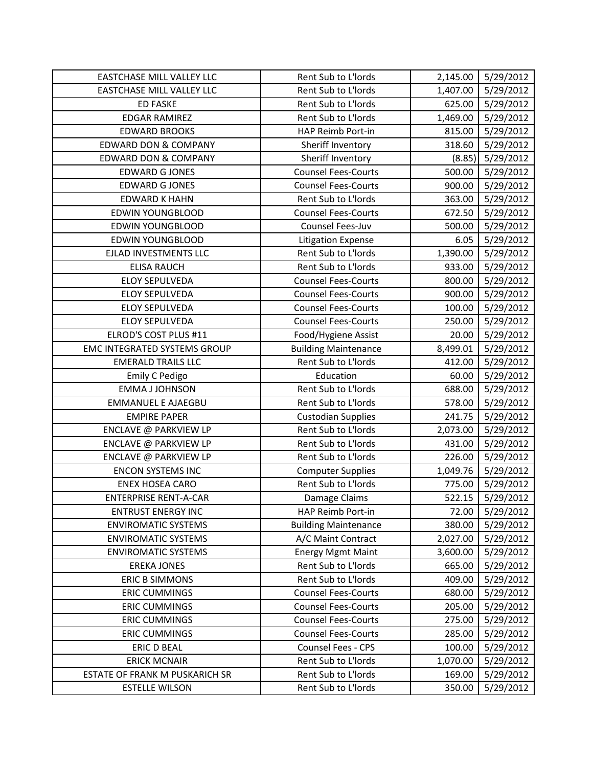| <b>EASTCHASE MILL VALLEY LLC</b>    | Rent Sub to L'Iords         | 2,145.00 | 5/29/2012 |
|-------------------------------------|-----------------------------|----------|-----------|
| EASTCHASE MILL VALLEY LLC           | Rent Sub to L'Iords         | 1,407.00 | 5/29/2012 |
| <b>ED FASKE</b>                     | Rent Sub to L'Iords         | 625.00   | 5/29/2012 |
| <b>EDGAR RAMIREZ</b>                | Rent Sub to L'Iords         | 1,469.00 | 5/29/2012 |
| <b>EDWARD BROOKS</b>                | HAP Reimb Port-in           | 815.00   | 5/29/2012 |
| <b>EDWARD DON &amp; COMPANY</b>     | Sheriff Inventory           | 318.60   | 5/29/2012 |
| <b>EDWARD DON &amp; COMPANY</b>     | Sheriff Inventory           | (8.85)   | 5/29/2012 |
| <b>EDWARD G JONES</b>               | <b>Counsel Fees-Courts</b>  | 500.00   | 5/29/2012 |
| <b>EDWARD G JONES</b>               | <b>Counsel Fees-Courts</b>  | 900.00   | 5/29/2012 |
| <b>EDWARD K HAHN</b>                | Rent Sub to L'Iords         | 363.00   | 5/29/2012 |
| <b>EDWIN YOUNGBLOOD</b>             | <b>Counsel Fees-Courts</b>  | 672.50   | 5/29/2012 |
| <b>EDWIN YOUNGBLOOD</b>             | Counsel Fees-Juv            | 500.00   | 5/29/2012 |
| <b>EDWIN YOUNGBLOOD</b>             | <b>Litigation Expense</b>   | 6.05     | 5/29/2012 |
| EJLAD INVESTMENTS LLC               | Rent Sub to L'Iords         | 1,390.00 | 5/29/2012 |
| <b>ELISA RAUCH</b>                  | Rent Sub to L'Iords         | 933.00   | 5/29/2012 |
| <b>ELOY SEPULVEDA</b>               | <b>Counsel Fees-Courts</b>  | 800.00   | 5/29/2012 |
| <b>ELOY SEPULVEDA</b>               | <b>Counsel Fees-Courts</b>  | 900.00   | 5/29/2012 |
| <b>ELOY SEPULVEDA</b>               | <b>Counsel Fees-Courts</b>  | 100.00   | 5/29/2012 |
| <b>ELOY SEPULVEDA</b>               | <b>Counsel Fees-Courts</b>  | 250.00   | 5/29/2012 |
| ELROD'S COST PLUS #11               | Food/Hygiene Assist         | 20.00    | 5/29/2012 |
| <b>EMC INTEGRATED SYSTEMS GROUP</b> | <b>Building Maintenance</b> | 8,499.01 | 5/29/2012 |
| <b>EMERALD TRAILS LLC</b>           | Rent Sub to L'Iords         | 412.00   | 5/29/2012 |
| Emily C Pedigo                      | Education                   | 60.00    | 5/29/2012 |
| <b>EMMA J JOHNSON</b>               | Rent Sub to L'Iords         | 688.00   | 5/29/2012 |
| <b>EMMANUEL E AJAEGBU</b>           | Rent Sub to L'Iords         | 578.00   | 5/29/2012 |
| <b>EMPIRE PAPER</b>                 | <b>Custodian Supplies</b>   | 241.75   | 5/29/2012 |
| ENCLAVE @ PARKVIEW LP               | Rent Sub to L'Iords         | 2,073.00 | 5/29/2012 |
| ENCLAVE @ PARKVIEW LP               | Rent Sub to L'Iords         | 431.00   | 5/29/2012 |
| ENCLAVE @ PARKVIEW LP               | Rent Sub to L'Iords         | 226.00   | 5/29/2012 |
| <b>ENCON SYSTEMS INC</b>            | <b>Computer Supplies</b>    | 1,049.76 | 5/29/2012 |
| <b>ENEX HOSEA CARO</b>              | Rent Sub to L'Iords         | 775.00   | 5/29/2012 |
| <b>ENTERPRISE RENT-A-CAR</b>        | Damage Claims               | 522.15   | 5/29/2012 |
| <b>ENTRUST ENERGY INC</b>           | HAP Reimb Port-in           | 72.00    | 5/29/2012 |
| <b>ENVIROMATIC SYSTEMS</b>          | <b>Building Maintenance</b> | 380.00   | 5/29/2012 |
| <b>ENVIROMATIC SYSTEMS</b>          | A/C Maint Contract          | 2,027.00 | 5/29/2012 |
| <b>ENVIROMATIC SYSTEMS</b>          | <b>Energy Mgmt Maint</b>    | 3,600.00 | 5/29/2012 |
| <b>EREKA JONES</b>                  | Rent Sub to L'Iords         | 665.00   | 5/29/2012 |
| <b>ERIC B SIMMONS</b>               | Rent Sub to L'Iords         | 409.00   | 5/29/2012 |
| <b>ERIC CUMMINGS</b>                | <b>Counsel Fees-Courts</b>  | 680.00   | 5/29/2012 |
| <b>ERIC CUMMINGS</b>                | <b>Counsel Fees-Courts</b>  | 205.00   | 5/29/2012 |
| <b>ERIC CUMMINGS</b>                | <b>Counsel Fees-Courts</b>  | 275.00   | 5/29/2012 |
| <b>ERIC CUMMINGS</b>                | <b>Counsel Fees-Courts</b>  | 285.00   | 5/29/2012 |
| <b>ERIC D BEAL</b>                  | Counsel Fees - CPS          | 100.00   | 5/29/2012 |
| <b>ERICK MCNAIR</b>                 | Rent Sub to L'Iords         | 1,070.00 | 5/29/2012 |
| ESTATE OF FRANK M PUSKARICH SR      | Rent Sub to L'Iords         | 169.00   | 5/29/2012 |
| <b>ESTELLE WILSON</b>               | Rent Sub to L'Iords         | 350.00   | 5/29/2012 |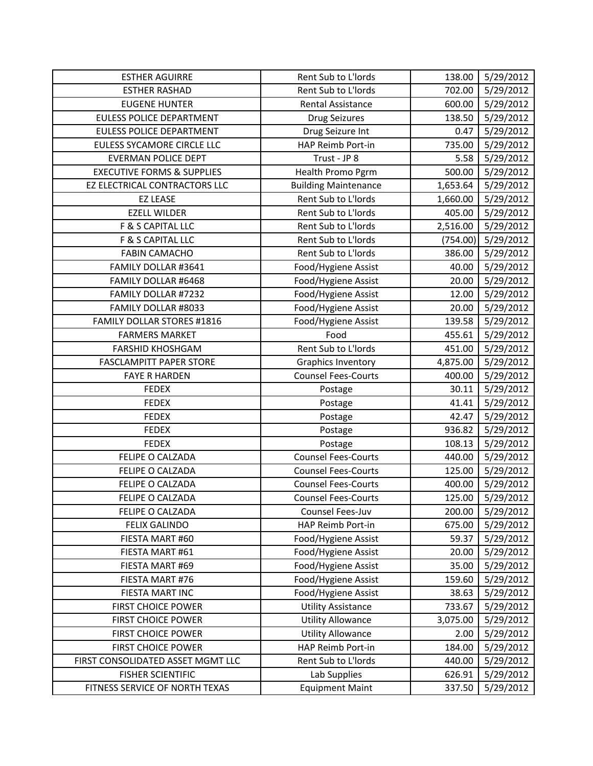| <b>ESTHER AGUIRRE</b>                 | Rent Sub to L'Iords         | 138.00   | 5/29/2012 |
|---------------------------------------|-----------------------------|----------|-----------|
| <b>ESTHER RASHAD</b>                  | Rent Sub to L'Iords         | 702.00   | 5/29/2012 |
| <b>EUGENE HUNTER</b>                  | Rental Assistance           | 600.00   | 5/29/2012 |
| <b>EULESS POLICE DEPARTMENT</b>       | <b>Drug Seizures</b>        | 138.50   | 5/29/2012 |
| <b>EULESS POLICE DEPARTMENT</b>       | Drug Seizure Int            | 0.47     | 5/29/2012 |
| EULESS SYCAMORE CIRCLE LLC            | HAP Reimb Port-in           | 735.00   | 5/29/2012 |
| <b>EVERMAN POLICE DEPT</b>            | Trust - JP 8                | 5.58     | 5/29/2012 |
| <b>EXECUTIVE FORMS &amp; SUPPLIES</b> | Health Promo Pgrm           | 500.00   | 5/29/2012 |
| EZ ELECTRICAL CONTRACTORS LLC         | <b>Building Maintenance</b> | 1,653.64 | 5/29/2012 |
| <b>EZ LEASE</b>                       | Rent Sub to L'Iords         | 1,660.00 | 5/29/2012 |
| <b>EZELL WILDER</b>                   | Rent Sub to L'Iords         | 405.00   | 5/29/2012 |
| F & S CAPITAL LLC                     | Rent Sub to L'Iords         | 2,516.00 | 5/29/2012 |
| F & S CAPITAL LLC                     | Rent Sub to L'Iords         | (754.00) | 5/29/2012 |
| <b>FABIN CAMACHO</b>                  | Rent Sub to L'Iords         | 386.00   | 5/29/2012 |
| FAMILY DOLLAR #3641                   | Food/Hygiene Assist         | 40.00    | 5/29/2012 |
| FAMILY DOLLAR #6468                   | Food/Hygiene Assist         | 20.00    | 5/29/2012 |
| FAMILY DOLLAR #7232                   | Food/Hygiene Assist         | 12.00    | 5/29/2012 |
| FAMILY DOLLAR #8033                   | Food/Hygiene Assist         | 20.00    | 5/29/2012 |
| <b>FAMILY DOLLAR STORES #1816</b>     | Food/Hygiene Assist         | 139.58   | 5/29/2012 |
| <b>FARMERS MARKET</b>                 | Food                        | 455.61   | 5/29/2012 |
| <b>FARSHID KHOSHGAM</b>               | Rent Sub to L'Iords         | 451.00   | 5/29/2012 |
| <b>FASCLAMPITT PAPER STORE</b>        | <b>Graphics Inventory</b>   | 4,875.00 | 5/29/2012 |
| <b>FAYE R HARDEN</b>                  | <b>Counsel Fees-Courts</b>  | 400.00   | 5/29/2012 |
| <b>FEDEX</b>                          | Postage                     | 30.11    | 5/29/2012 |
| <b>FEDEX</b>                          | Postage                     | 41.41    | 5/29/2012 |
| <b>FEDEX</b>                          | Postage                     | 42.47    | 5/29/2012 |
| <b>FEDEX</b>                          | Postage                     | 936.82   | 5/29/2012 |
| <b>FEDEX</b>                          | Postage                     | 108.13   | 5/29/2012 |
| FELIPE O CALZADA                      | <b>Counsel Fees-Courts</b>  | 440.00   | 5/29/2012 |
| FELIPE O CALZADA                      | <b>Counsel Fees-Courts</b>  | 125.00   | 5/29/2012 |
| FELIPE O CALZADA                      | <b>Counsel Fees-Courts</b>  | 400.00   | 5/29/2012 |
| <b>FELIPE O CALZADA</b>               | <b>Counsel Fees-Courts</b>  | 125.00   | 5/29/2012 |
| FELIPE O CALZADA                      | Counsel Fees-Juv            | 200.00   | 5/29/2012 |
| <b>FELIX GALINDO</b>                  | HAP Reimb Port-in           | 675.00   | 5/29/2012 |
| FIESTA MART #60                       | Food/Hygiene Assist         | 59.37    | 5/29/2012 |
| FIESTA MART #61                       | Food/Hygiene Assist         | 20.00    | 5/29/2012 |
| FIESTA MART #69                       | Food/Hygiene Assist         | 35.00    | 5/29/2012 |
| FIESTA MART #76                       | Food/Hygiene Assist         | 159.60   | 5/29/2012 |
| FIESTA MART INC                       | Food/Hygiene Assist         | 38.63    | 5/29/2012 |
| <b>FIRST CHOICE POWER</b>             | <b>Utility Assistance</b>   | 733.67   | 5/29/2012 |
| <b>FIRST CHOICE POWER</b>             | <b>Utility Allowance</b>    | 3,075.00 | 5/29/2012 |
| <b>FIRST CHOICE POWER</b>             | <b>Utility Allowance</b>    | 2.00     | 5/29/2012 |
| <b>FIRST CHOICE POWER</b>             | HAP Reimb Port-in           | 184.00   | 5/29/2012 |
| FIRST CONSOLIDATED ASSET MGMT LLC     | Rent Sub to L'Iords         | 440.00   | 5/29/2012 |
| <b>FISHER SCIENTIFIC</b>              | Lab Supplies                | 626.91   | 5/29/2012 |
| FITNESS SERVICE OF NORTH TEXAS        | <b>Equipment Maint</b>      | 337.50   | 5/29/2012 |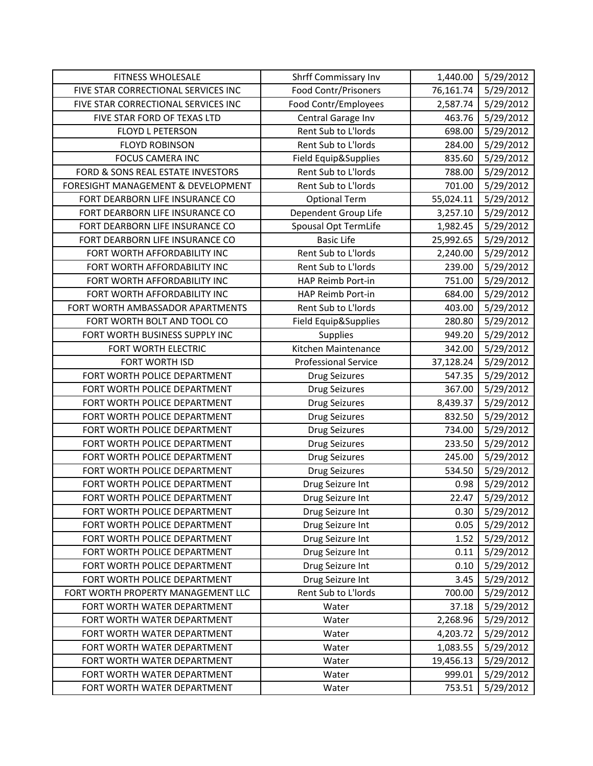| <b>FITNESS WHOLESALE</b>            | Shrff Commissary Inv        | 1,440.00  | 5/29/2012 |
|-------------------------------------|-----------------------------|-----------|-----------|
| FIVE STAR CORRECTIONAL SERVICES INC | <b>Food Contr/Prisoners</b> | 76,161.74 | 5/29/2012 |
| FIVE STAR CORRECTIONAL SERVICES INC | Food Contr/Employees        | 2,587.74  | 5/29/2012 |
| FIVE STAR FORD OF TEXAS LTD         | Central Garage Inv          | 463.76    | 5/29/2012 |
| <b>FLOYD L PETERSON</b>             | Rent Sub to L'Iords         | 698.00    | 5/29/2012 |
| <b>FLOYD ROBINSON</b>               | Rent Sub to L'Iords         | 284.00    | 5/29/2012 |
| <b>FOCUS CAMERA INC</b>             | Field Equip&Supplies        | 835.60    | 5/29/2012 |
| FORD & SONS REAL ESTATE INVESTORS   | Rent Sub to L'Iords         | 788.00    | 5/29/2012 |
| FORESIGHT MANAGEMENT & DEVELOPMENT  | Rent Sub to L'Iords         | 701.00    | 5/29/2012 |
| FORT DEARBORN LIFE INSURANCE CO     | <b>Optional Term</b>        | 55,024.11 | 5/29/2012 |
| FORT DEARBORN LIFE INSURANCE CO     | Dependent Group Life        | 3,257.10  | 5/29/2012 |
| FORT DEARBORN LIFE INSURANCE CO     | Spousal Opt TermLife        | 1,982.45  | 5/29/2012 |
| FORT DEARBORN LIFE INSURANCE CO     | <b>Basic Life</b>           | 25,992.65 | 5/29/2012 |
| FORT WORTH AFFORDABILITY INC        | Rent Sub to L'Iords         | 2,240.00  | 5/29/2012 |
| FORT WORTH AFFORDABILITY INC        | Rent Sub to L'Iords         | 239.00    | 5/29/2012 |
| FORT WORTH AFFORDABILITY INC        | HAP Reimb Port-in           | 751.00    | 5/29/2012 |
| FORT WORTH AFFORDABILITY INC        | HAP Reimb Port-in           | 684.00    | 5/29/2012 |
| FORT WORTH AMBASSADOR APARTMENTS    | Rent Sub to L'Iords         | 403.00    | 5/29/2012 |
| FORT WORTH BOLT AND TOOL CO         | Field Equip&Supplies        | 280.80    | 5/29/2012 |
| FORT WORTH BUSINESS SUPPLY INC      | Supplies                    | 949.20    | 5/29/2012 |
| FORT WORTH ELECTRIC                 | Kitchen Maintenance         | 342.00    | 5/29/2012 |
| FORT WORTH ISD                      | <b>Professional Service</b> | 37,128.24 | 5/29/2012 |
| FORT WORTH POLICE DEPARTMENT        | <b>Drug Seizures</b>        | 547.35    | 5/29/2012 |
| FORT WORTH POLICE DEPARTMENT        | <b>Drug Seizures</b>        | 367.00    | 5/29/2012 |
| FORT WORTH POLICE DEPARTMENT        | <b>Drug Seizures</b>        | 8,439.37  | 5/29/2012 |
| FORT WORTH POLICE DEPARTMENT        | <b>Drug Seizures</b>        | 832.50    | 5/29/2012 |
| FORT WORTH POLICE DEPARTMENT        | <b>Drug Seizures</b>        | 734.00    | 5/29/2012 |
| FORT WORTH POLICE DEPARTMENT        | <b>Drug Seizures</b>        | 233.50    | 5/29/2012 |
| FORT WORTH POLICE DEPARTMENT        | <b>Drug Seizures</b>        | 245.00    | 5/29/2012 |
| FORT WORTH POLICE DEPARTMENT        | <b>Drug Seizures</b>        | 534.50    | 5/29/2012 |
| FORT WORTH POLICE DEPARTMENT        | Drug Seizure Int            | 0.98      | 5/29/2012 |
| FORT WORTH POLICE DEPARTMENT        | Drug Seizure Int            | 22.47     | 5/29/2012 |
| FORT WORTH POLICE DEPARTMENT        | Drug Seizure Int            | 0.30      | 5/29/2012 |
| FORT WORTH POLICE DEPARTMENT        | Drug Seizure Int            | 0.05      | 5/29/2012 |
| FORT WORTH POLICE DEPARTMENT        | Drug Seizure Int            | 1.52      | 5/29/2012 |
| FORT WORTH POLICE DEPARTMENT        | Drug Seizure Int            | 0.11      | 5/29/2012 |
| FORT WORTH POLICE DEPARTMENT        | Drug Seizure Int            | 0.10      | 5/29/2012 |
| FORT WORTH POLICE DEPARTMENT        | Drug Seizure Int            | 3.45      | 5/29/2012 |
| FORT WORTH PROPERTY MANAGEMENT LLC  | Rent Sub to L'Iords         | 700.00    | 5/29/2012 |
| FORT WORTH WATER DEPARTMENT         | Water                       | 37.18     | 5/29/2012 |
| FORT WORTH WATER DEPARTMENT         | Water                       | 2,268.96  | 5/29/2012 |
| FORT WORTH WATER DEPARTMENT         | Water                       | 4,203.72  | 5/29/2012 |
| FORT WORTH WATER DEPARTMENT         | Water                       | 1,083.55  | 5/29/2012 |
| FORT WORTH WATER DEPARTMENT         | Water                       | 19,456.13 | 5/29/2012 |
| FORT WORTH WATER DEPARTMENT         | Water                       | 999.01    | 5/29/2012 |
| FORT WORTH WATER DEPARTMENT         | Water                       | 753.51    | 5/29/2012 |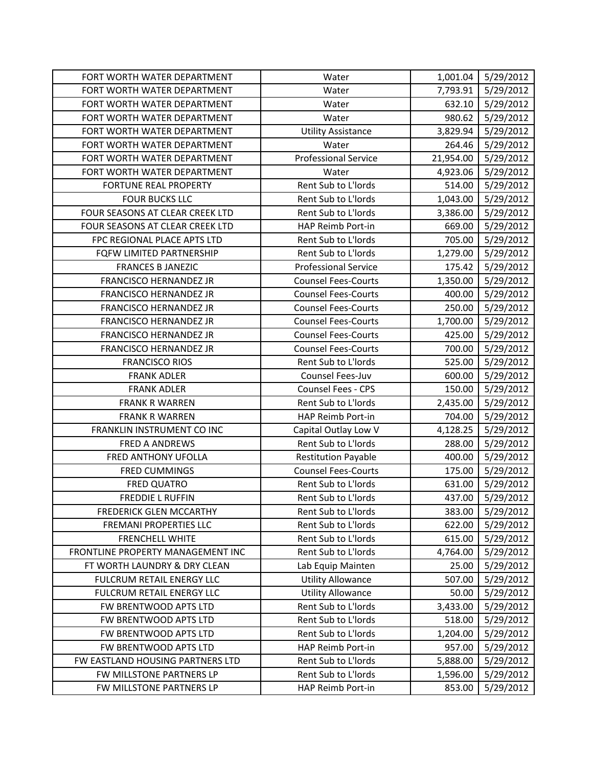| FORT WORTH WATER DEPARTMENT       | Water                       | 1,001.04  | 5/29/2012 |
|-----------------------------------|-----------------------------|-----------|-----------|
| FORT WORTH WATER DEPARTMENT       | Water                       | 7,793.91  | 5/29/2012 |
| FORT WORTH WATER DEPARTMENT       | Water                       | 632.10    | 5/29/2012 |
| FORT WORTH WATER DEPARTMENT       | Water                       | 980.62    | 5/29/2012 |
| FORT WORTH WATER DEPARTMENT       | <b>Utility Assistance</b>   | 3,829.94  | 5/29/2012 |
| FORT WORTH WATER DEPARTMENT       | Water                       | 264.46    | 5/29/2012 |
| FORT WORTH WATER DEPARTMENT       | <b>Professional Service</b> | 21,954.00 | 5/29/2012 |
| FORT WORTH WATER DEPARTMENT       | Water                       | 4,923.06  | 5/29/2012 |
| <b>FORTUNE REAL PROPERTY</b>      | Rent Sub to L'Iords         | 514.00    | 5/29/2012 |
| <b>FOUR BUCKS LLC</b>             | Rent Sub to L'Iords         | 1,043.00  | 5/29/2012 |
| FOUR SEASONS AT CLEAR CREEK LTD   | Rent Sub to L'Iords         | 3,386.00  | 5/29/2012 |
| FOUR SEASONS AT CLEAR CREEK LTD   | HAP Reimb Port-in           | 669.00    | 5/29/2012 |
| FPC REGIONAL PLACE APTS LTD       | Rent Sub to L'Iords         | 705.00    | 5/29/2012 |
| FQFW LIMITED PARTNERSHIP          | Rent Sub to L'Iords         | 1,279.00  | 5/29/2012 |
| <b>FRANCES B JANEZIC</b>          | <b>Professional Service</b> | 175.42    | 5/29/2012 |
| <b>FRANCISCO HERNANDEZ JR</b>     | <b>Counsel Fees-Courts</b>  | 1,350.00  | 5/29/2012 |
| <b>FRANCISCO HERNANDEZ JR</b>     | <b>Counsel Fees-Courts</b>  | 400.00    | 5/29/2012 |
| FRANCISCO HERNANDEZ JR            | <b>Counsel Fees-Courts</b>  | 250.00    | 5/29/2012 |
| <b>FRANCISCO HERNANDEZ JR</b>     | <b>Counsel Fees-Courts</b>  | 1,700.00  | 5/29/2012 |
| FRANCISCO HERNANDEZ JR            | <b>Counsel Fees-Courts</b>  | 425.00    | 5/29/2012 |
| FRANCISCO HERNANDEZ JR            | <b>Counsel Fees-Courts</b>  | 700.00    | 5/29/2012 |
| <b>FRANCISCO RIOS</b>             | Rent Sub to L'Iords         | 525.00    | 5/29/2012 |
| <b>FRANK ADLER</b>                | Counsel Fees-Juv            | 600.00    | 5/29/2012 |
| <b>FRANK ADLER</b>                | <b>Counsel Fees - CPS</b>   | 150.00    | 5/29/2012 |
| <b>FRANK R WARREN</b>             | Rent Sub to L'Iords         | 2,435.00  | 5/29/2012 |
| <b>FRANK R WARREN</b>             | HAP Reimb Port-in           | 704.00    | 5/29/2012 |
| FRANKLIN INSTRUMENT CO INC        | Capital Outlay Low V        | 4,128.25  | 5/29/2012 |
| <b>FRED A ANDREWS</b>             | Rent Sub to L'Iords         | 288.00    | 5/29/2012 |
| FRED ANTHONY UFOLLA               | <b>Restitution Payable</b>  | 400.00    | 5/29/2012 |
| <b>FRED CUMMINGS</b>              | <b>Counsel Fees-Courts</b>  | 175.00    | 5/29/2012 |
| <b>FRED QUATRO</b>                | Rent Sub to L'Iords         | 631.00    | 5/29/2012 |
| <b>FREDDIE L RUFFIN</b>           | Rent Sub to L'Iords         | 437.00    | 5/29/2012 |
| FREDERICK GLEN MCCARTHY           | Rent Sub to L'Iords         | 383.00    | 5/29/2012 |
| <b>FREMANI PROPERTIES LLC</b>     | Rent Sub to L'Iords         | 622.00    | 5/29/2012 |
| <b>FRENCHELL WHITE</b>            | Rent Sub to L'Iords         | 615.00    | 5/29/2012 |
| FRONTLINE PROPERTY MANAGEMENT INC | Rent Sub to L'Iords         | 4,764.00  | 5/29/2012 |
| FT WORTH LAUNDRY & DRY CLEAN      | Lab Equip Mainten           | 25.00     | 5/29/2012 |
| FULCRUM RETAIL ENERGY LLC         | <b>Utility Allowance</b>    | 507.00    | 5/29/2012 |
| FULCRUM RETAIL ENERGY LLC         | <b>Utility Allowance</b>    | 50.00     | 5/29/2012 |
| FW BRENTWOOD APTS LTD             | Rent Sub to L'Iords         | 3,433.00  | 5/29/2012 |
| FW BRENTWOOD APTS LTD             | Rent Sub to L'Iords         | 518.00    | 5/29/2012 |
| FW BRENTWOOD APTS LTD             | Rent Sub to L'Iords         | 1,204.00  | 5/29/2012 |
| FW BRENTWOOD APTS LTD             | HAP Reimb Port-in           | 957.00    | 5/29/2012 |
| FW EASTLAND HOUSING PARTNERS LTD  | Rent Sub to L'Iords         | 5,888.00  | 5/29/2012 |
| FW MILLSTONE PARTNERS LP          | Rent Sub to L'Iords         | 1,596.00  | 5/29/2012 |
| FW MILLSTONE PARTNERS LP          | HAP Reimb Port-in           | 853.00    | 5/29/2012 |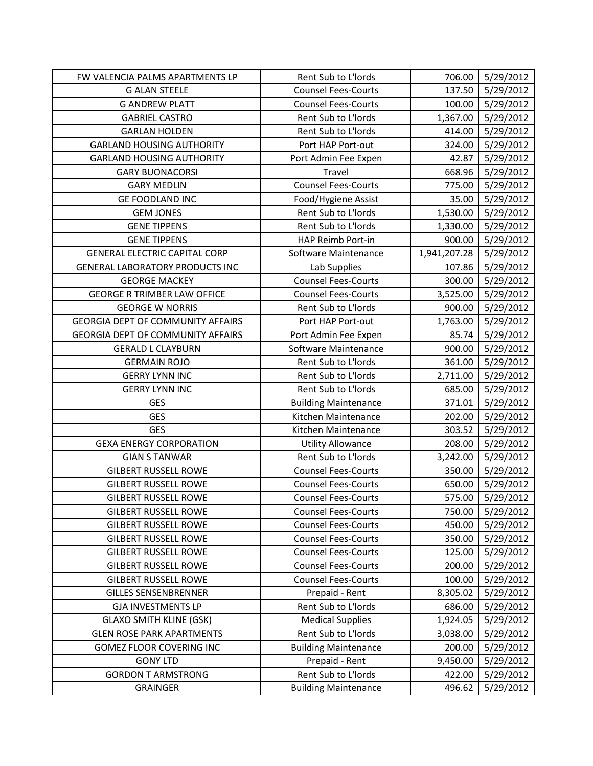| FW VALENCIA PALMS APARTMENTS LP          | Rent Sub to L'Iords         | 706.00       | 5/29/2012 |
|------------------------------------------|-----------------------------|--------------|-----------|
| <b>G ALAN STEELE</b>                     | <b>Counsel Fees-Courts</b>  | 137.50       | 5/29/2012 |
| <b>G ANDREW PLATT</b>                    | <b>Counsel Fees-Courts</b>  | 100.00       | 5/29/2012 |
| <b>GABRIEL CASTRO</b>                    | Rent Sub to L'Iords         | 1,367.00     | 5/29/2012 |
| <b>GARLAN HOLDEN</b>                     | Rent Sub to L'Iords         | 414.00       | 5/29/2012 |
| <b>GARLAND HOUSING AUTHORITY</b>         | Port HAP Port-out           | 324.00       | 5/29/2012 |
| <b>GARLAND HOUSING AUTHORITY</b>         | Port Admin Fee Expen        | 42.87        | 5/29/2012 |
| <b>GARY BUONACORSI</b>                   | Travel                      | 668.96       | 5/29/2012 |
| <b>GARY MEDLIN</b>                       | <b>Counsel Fees-Courts</b>  | 775.00       | 5/29/2012 |
| <b>GE FOODLAND INC</b>                   | Food/Hygiene Assist         | 35.00        | 5/29/2012 |
| <b>GEM JONES</b>                         | Rent Sub to L'Iords         | 1,530.00     | 5/29/2012 |
| <b>GENE TIPPENS</b>                      | Rent Sub to L'Iords         | 1,330.00     | 5/29/2012 |
| <b>GENE TIPPENS</b>                      | HAP Reimb Port-in           | 900.00       | 5/29/2012 |
| <b>GENERAL ELECTRIC CAPITAL CORP</b>     | Software Maintenance        | 1,941,207.28 | 5/29/2012 |
| <b>GENERAL LABORATORY PRODUCTS INC</b>   | Lab Supplies                | 107.86       | 5/29/2012 |
| <b>GEORGE MACKEY</b>                     | <b>Counsel Fees-Courts</b>  | 300.00       | 5/29/2012 |
| <b>GEORGE R TRIMBER LAW OFFICE</b>       | <b>Counsel Fees-Courts</b>  | 3,525.00     | 5/29/2012 |
| <b>GEORGE W NORRIS</b>                   | Rent Sub to L'Iords         | 900.00       | 5/29/2012 |
| <b>GEORGIA DEPT OF COMMUNITY AFFAIRS</b> | Port HAP Port-out           | 1,763.00     | 5/29/2012 |
| <b>GEORGIA DEPT OF COMMUNITY AFFAIRS</b> | Port Admin Fee Expen        | 85.74        | 5/29/2012 |
| <b>GERALD L CLAYBURN</b>                 | Software Maintenance        | 900.00       | 5/29/2012 |
| <b>GERMAIN ROJO</b>                      | Rent Sub to L'Iords         | 361.00       | 5/29/2012 |
| <b>GERRY LYNN INC</b>                    | Rent Sub to L'Iords         | 2,711.00     | 5/29/2012 |
| <b>GERRY LYNN INC</b>                    | Rent Sub to L'Iords         | 685.00       | 5/29/2012 |
| <b>GES</b>                               | <b>Building Maintenance</b> | 371.01       | 5/29/2012 |
| <b>GES</b>                               | Kitchen Maintenance         | 202.00       | 5/29/2012 |
| <b>GES</b>                               | Kitchen Maintenance         | 303.52       | 5/29/2012 |
| <b>GEXA ENERGY CORPORATION</b>           | <b>Utility Allowance</b>    | 208.00       | 5/29/2012 |
| <b>GIAN S TANWAR</b>                     | Rent Sub to L'Iords         | 3,242.00     | 5/29/2012 |
| <b>GILBERT RUSSELL ROWE</b>              | <b>Counsel Fees-Courts</b>  | 350.00       | 5/29/2012 |
| <b>GILBERT RUSSELL ROWE</b>              | <b>Counsel Fees-Courts</b>  | 650.00       | 5/29/2012 |
| <b>GILBERT RUSSELL ROWE</b>              | <b>Counsel Fees-Courts</b>  | 575.00       | 5/29/2012 |
| <b>GILBERT RUSSELL ROWE</b>              | <b>Counsel Fees-Courts</b>  | 750.00       | 5/29/2012 |
| <b>GILBERT RUSSELL ROWE</b>              | <b>Counsel Fees-Courts</b>  | 450.00       | 5/29/2012 |
| <b>GILBERT RUSSELL ROWE</b>              | <b>Counsel Fees-Courts</b>  | 350.00       | 5/29/2012 |
| <b>GILBERT RUSSELL ROWE</b>              | <b>Counsel Fees-Courts</b>  | 125.00       | 5/29/2012 |
| <b>GILBERT RUSSELL ROWE</b>              | <b>Counsel Fees-Courts</b>  | 200.00       | 5/29/2012 |
| <b>GILBERT RUSSELL ROWE</b>              | <b>Counsel Fees-Courts</b>  | 100.00       | 5/29/2012 |
| <b>GILLES SENSENBRENNER</b>              | Prepaid - Rent              | 8,305.02     | 5/29/2012 |
| <b>GJA INVESTMENTS LP</b>                | Rent Sub to L'Iords         | 686.00       | 5/29/2012 |
| <b>GLAXO SMITH KLINE (GSK)</b>           | <b>Medical Supplies</b>     | 1,924.05     | 5/29/2012 |
| <b>GLEN ROSE PARK APARTMENTS</b>         | Rent Sub to L'Iords         | 3,038.00     | 5/29/2012 |
| GOMEZ FLOOR COVERING INC                 | <b>Building Maintenance</b> | 200.00       | 5/29/2012 |
| <b>GONY LTD</b>                          | Prepaid - Rent              | 9,450.00     | 5/29/2012 |
| <b>GORDON T ARMSTRONG</b>                | Rent Sub to L'Iords         | 422.00       | 5/29/2012 |
| <b>GRAINGER</b>                          | <b>Building Maintenance</b> | 496.62       | 5/29/2012 |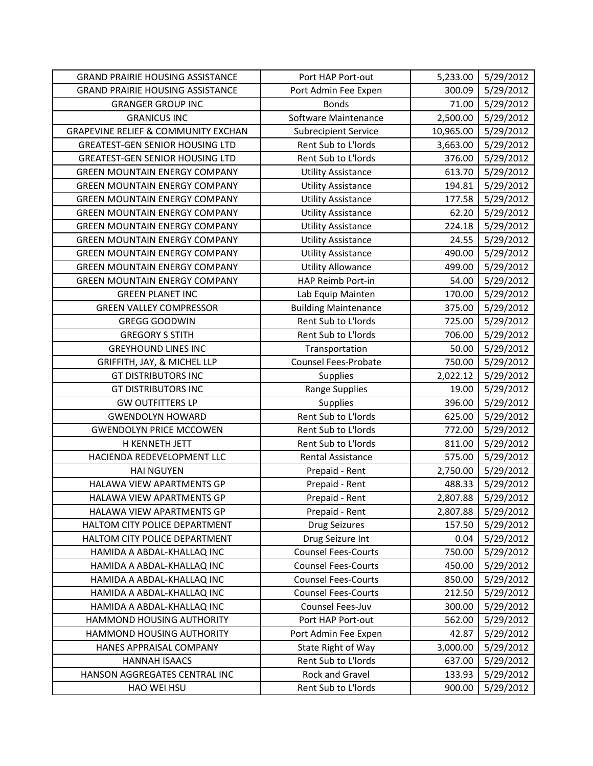| <b>GRAND PRAIRIE HOUSING ASSISTANCE</b>        | Port HAP Port-out           | 5,233.00  | 5/29/2012 |
|------------------------------------------------|-----------------------------|-----------|-----------|
| <b>GRAND PRAIRIE HOUSING ASSISTANCE</b>        | Port Admin Fee Expen        | 300.09    | 5/29/2012 |
| <b>GRANGER GROUP INC</b>                       | <b>Bonds</b>                | 71.00     | 5/29/2012 |
| <b>GRANICUS INC</b>                            | Software Maintenance        | 2,500.00  | 5/29/2012 |
| <b>GRAPEVINE RELIEF &amp; COMMUNITY EXCHAN</b> | <b>Subrecipient Service</b> | 10,965.00 | 5/29/2012 |
| <b>GREATEST-GEN SENIOR HOUSING LTD</b>         | Rent Sub to L'Iords         | 3,663.00  | 5/29/2012 |
| <b>GREATEST-GEN SENIOR HOUSING LTD</b>         | Rent Sub to L'Iords         | 376.00    | 5/29/2012 |
| <b>GREEN MOUNTAIN ENERGY COMPANY</b>           | <b>Utility Assistance</b>   | 613.70    | 5/29/2012 |
| <b>GREEN MOUNTAIN ENERGY COMPANY</b>           | <b>Utility Assistance</b>   | 194.81    | 5/29/2012 |
| <b>GREEN MOUNTAIN ENERGY COMPANY</b>           | <b>Utility Assistance</b>   | 177.58    | 5/29/2012 |
| <b>GREEN MOUNTAIN ENERGY COMPANY</b>           | <b>Utility Assistance</b>   | 62.20     | 5/29/2012 |
| <b>GREEN MOUNTAIN ENERGY COMPANY</b>           | <b>Utility Assistance</b>   | 224.18    | 5/29/2012 |
| <b>GREEN MOUNTAIN ENERGY COMPANY</b>           | <b>Utility Assistance</b>   | 24.55     | 5/29/2012 |
| <b>GREEN MOUNTAIN ENERGY COMPANY</b>           | <b>Utility Assistance</b>   | 490.00    | 5/29/2012 |
| <b>GREEN MOUNTAIN ENERGY COMPANY</b>           | <b>Utility Allowance</b>    | 499.00    | 5/29/2012 |
| <b>GREEN MOUNTAIN ENERGY COMPANY</b>           | HAP Reimb Port-in           | 54.00     | 5/29/2012 |
| <b>GREEN PLANET INC</b>                        | Lab Equip Mainten           | 170.00    | 5/29/2012 |
| <b>GREEN VALLEY COMPRESSOR</b>                 | <b>Building Maintenance</b> | 375.00    | 5/29/2012 |
| <b>GREGG GOODWIN</b>                           | Rent Sub to L'Iords         | 725.00    | 5/29/2012 |
| <b>GREGORY S STITH</b>                         | Rent Sub to L'Iords         | 706.00    | 5/29/2012 |
| <b>GREYHOUND LINES INC</b>                     | Transportation              | 50.00     | 5/29/2012 |
| GRIFFITH, JAY, & MICHEL LLP                    | <b>Counsel Fees-Probate</b> | 750.00    | 5/29/2012 |
| <b>GT DISTRIBUTORS INC</b>                     | Supplies                    | 2,022.12  | 5/29/2012 |
| <b>GT DISTRIBUTORS INC</b>                     | <b>Range Supplies</b>       | 19.00     | 5/29/2012 |
| <b>GW OUTFITTERS LP</b>                        | Supplies                    | 396.00    | 5/29/2012 |
| <b>GWENDOLYN HOWARD</b>                        | Rent Sub to L'Iords         | 625.00    | 5/29/2012 |
| <b>GWENDOLYN PRICE MCCOWEN</b>                 | Rent Sub to L'Iords         | 772.00    | 5/29/2012 |
| H KENNETH JETT                                 | Rent Sub to L'Iords         | 811.00    | 5/29/2012 |
| HACIENDA REDEVELOPMENT LLC                     | Rental Assistance           | 575.00    | 5/29/2012 |
| <b>HAI NGUYEN</b>                              | Prepaid - Rent              | 2,750.00  | 5/29/2012 |
| HALAWA VIEW APARTMENTS GP                      | Prepaid - Rent              | 488.33    | 5/29/2012 |
| HALAWA VIEW APARTMENTS GP                      | Prepaid - Rent              | 2,807.88  | 5/29/2012 |
| HALAWA VIEW APARTMENTS GP                      | Prepaid - Rent              | 2,807.88  | 5/29/2012 |
| HALTOM CITY POLICE DEPARTMENT                  | <b>Drug Seizures</b>        | 157.50    | 5/29/2012 |
| HALTOM CITY POLICE DEPARTMENT                  | Drug Seizure Int            | 0.04      | 5/29/2012 |
| HAMIDA A ABDAL-KHALLAQ INC                     | <b>Counsel Fees-Courts</b>  | 750.00    | 5/29/2012 |
| HAMIDA A ABDAL-KHALLAQ INC                     | <b>Counsel Fees-Courts</b>  | 450.00    | 5/29/2012 |
| HAMIDA A ABDAL-KHALLAQ INC                     | <b>Counsel Fees-Courts</b>  | 850.00    | 5/29/2012 |
| HAMIDA A ABDAL-KHALLAQ INC                     | <b>Counsel Fees-Courts</b>  | 212.50    | 5/29/2012 |
| HAMIDA A ABDAL-KHALLAQ INC                     | Counsel Fees-Juv            | 300.00    | 5/29/2012 |
| HAMMOND HOUSING AUTHORITY                      | Port HAP Port-out           | 562.00    | 5/29/2012 |
| HAMMOND HOUSING AUTHORITY                      | Port Admin Fee Expen        | 42.87     | 5/29/2012 |
| HANES APPRAISAL COMPANY                        | State Right of Way          | 3,000.00  | 5/29/2012 |
| <b>HANNAH ISAACS</b>                           | Rent Sub to L'Iords         | 637.00    | 5/29/2012 |
| HANSON AGGREGATES CENTRAL INC                  | Rock and Gravel             | 133.93    | 5/29/2012 |
| HAO WEI HSU                                    | Rent Sub to L'Iords         | 900.00    | 5/29/2012 |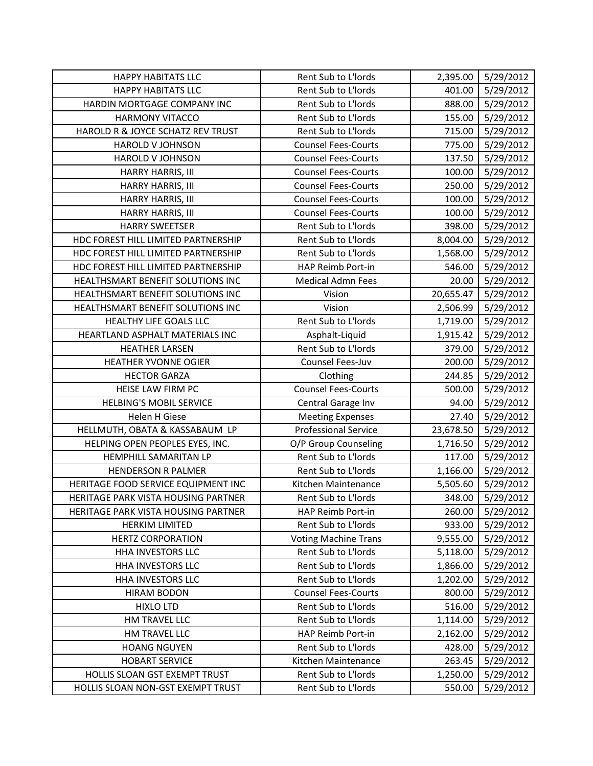| <b>HAPPY HABITATS LLC</b>           | Rent Sub to L'Iords         | 2,395.00  | 5/29/2012 |
|-------------------------------------|-----------------------------|-----------|-----------|
| <b>HAPPY HABITATS LLC</b>           | Rent Sub to L'Iords         | 401.00    | 5/29/2012 |
| HARDIN MORTGAGE COMPANY INC         | Rent Sub to L'Iords         | 888.00    | 5/29/2012 |
| <b>HARMONY VITACCO</b>              | Rent Sub to L'Iords         | 155.00    | 5/29/2012 |
| HAROLD R & JOYCE SCHATZ REV TRUST   | Rent Sub to L'Iords         | 715.00    | 5/29/2012 |
| <b>HAROLD V JOHNSON</b>             | <b>Counsel Fees-Courts</b>  | 775.00    | 5/29/2012 |
| HAROLD V JOHNSON                    | <b>Counsel Fees-Courts</b>  | 137.50    | 5/29/2012 |
| HARRY HARRIS, III                   | <b>Counsel Fees-Courts</b>  | 100.00    | 5/29/2012 |
| HARRY HARRIS, III                   | <b>Counsel Fees-Courts</b>  | 250.00    | 5/29/2012 |
| HARRY HARRIS, III                   | <b>Counsel Fees-Courts</b>  | 100.00    | 5/29/2012 |
| HARRY HARRIS, III                   | <b>Counsel Fees-Courts</b>  | 100.00    | 5/29/2012 |
| <b>HARRY SWEETSER</b>               | Rent Sub to L'Iords         | 398.00    | 5/29/2012 |
| HDC FOREST HILL LIMITED PARTNERSHIP | Rent Sub to L'Iords         | 8,004.00  | 5/29/2012 |
| HDC FOREST HILL LIMITED PARTNERSHIP | Rent Sub to L'Iords         | 1,568.00  | 5/29/2012 |
| HDC FOREST HILL LIMITED PARTNERSHIP | HAP Reimb Port-in           | 546.00    | 5/29/2012 |
| HEALTHSMART BENEFIT SOLUTIONS INC   | <b>Medical Admn Fees</b>    | 20.00     | 5/29/2012 |
| HEALTHSMART BENEFIT SOLUTIONS INC   | Vision                      | 20,655.47 | 5/29/2012 |
| HEALTHSMART BENEFIT SOLUTIONS INC   | Vision                      | 2,506.99  | 5/29/2012 |
| HEALTHY LIFE GOALS LLC              | Rent Sub to L'Iords         | 1,719.00  | 5/29/2012 |
| HEARTLAND ASPHALT MATERIALS INC     | Asphalt-Liquid              | 1,915.42  | 5/29/2012 |
| <b>HEATHER LARSEN</b>               | Rent Sub to L'Iords         | 379.00    | 5/29/2012 |
| <b>HEATHER YVONNE OGIER</b>         | Counsel Fees-Juv            | 200.00    | 5/29/2012 |
| <b>HECTOR GARZA</b>                 | Clothing                    | 244.85    | 5/29/2012 |
| HEISE LAW FIRM PC                   | <b>Counsel Fees-Courts</b>  | 500.00    | 5/29/2012 |
| <b>HELBING'S MOBIL SERVICE</b>      | Central Garage Inv          | 94.00     | 5/29/2012 |
| Helen H Giese                       | <b>Meeting Expenses</b>     | 27.40     | 5/29/2012 |
| HELLMUTH, OBATA & KASSABAUM LP      | <b>Professional Service</b> | 23,678.50 | 5/29/2012 |
| HELPING OPEN PEOPLES EYES, INC.     | O/P Group Counseling        | 1,716.50  | 5/29/2012 |
| HEMPHILL SAMARITAN LP               | Rent Sub to L'Iords         | 117.00    | 5/29/2012 |
| <b>HENDERSON R PALMER</b>           | Rent Sub to L'Iords         | 1,166.00  | 5/29/2012 |
| HERITAGE FOOD SERVICE EQUIPMENT INC | Kitchen Maintenance         | 5,505.60  | 5/29/2012 |
| HERITAGE PARK VISTA HOUSING PARTNER | Rent Sub to L'Iords         | 348.00    | 5/29/2012 |
| HERITAGE PARK VISTA HOUSING PARTNER | HAP Reimb Port-in           | 260.00    | 5/29/2012 |
| <b>HERKIM LIMITED</b>               | Rent Sub to L'Iords         | 933.00    | 5/29/2012 |
| <b>HERTZ CORPORATION</b>            | <b>Voting Machine Trans</b> | 9,555.00  | 5/29/2012 |
| <b>HHA INVESTORS LLC</b>            | Rent Sub to L'Iords         | 5,118.00  | 5/29/2012 |
| <b>HHA INVESTORS LLC</b>            | Rent Sub to L'Iords         | 1,866.00  | 5/29/2012 |
| <b>HHA INVESTORS LLC</b>            | Rent Sub to L'Iords         | 1,202.00  | 5/29/2012 |
| <b>HIRAM BODON</b>                  | <b>Counsel Fees-Courts</b>  | 800.00    | 5/29/2012 |
| <b>HIXLO LTD</b>                    | Rent Sub to L'Iords         | 516.00    | 5/29/2012 |
| HM TRAVEL LLC                       | Rent Sub to L'Iords         | 1,114.00  | 5/29/2012 |
| HM TRAVEL LLC                       | HAP Reimb Port-in           | 2,162.00  | 5/29/2012 |
| <b>HOANG NGUYEN</b>                 | Rent Sub to L'Iords         | 428.00    | 5/29/2012 |
| <b>HOBART SERVICE</b>               | Kitchen Maintenance         | 263.45    | 5/29/2012 |
| HOLLIS SLOAN GST EXEMPT TRUST       | Rent Sub to L'Iords         | 1,250.00  | 5/29/2012 |
| HOLLIS SLOAN NON-GST EXEMPT TRUST   | Rent Sub to L'Iords         | 550.00    | 5/29/2012 |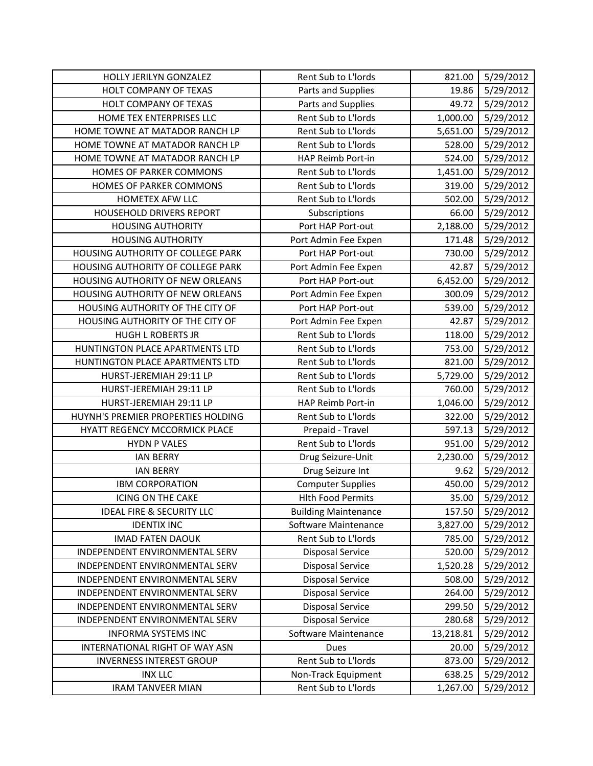| HOLLY JERILYN GONZALEZ               | Rent Sub to L'Iords         | 821.00    | 5/29/2012 |
|--------------------------------------|-----------------------------|-----------|-----------|
| HOLT COMPANY OF TEXAS                | Parts and Supplies          | 19.86     | 5/29/2012 |
| HOLT COMPANY OF TEXAS                | Parts and Supplies          | 49.72     | 5/29/2012 |
| HOME TEX ENTERPRISES LLC             | Rent Sub to L'Iords         | 1,000.00  | 5/29/2012 |
| HOME TOWNE AT MATADOR RANCH LP       | Rent Sub to L'Iords         | 5,651.00  | 5/29/2012 |
| HOME TOWNE AT MATADOR RANCH LP       | Rent Sub to L'Iords         | 528.00    | 5/29/2012 |
| HOME TOWNE AT MATADOR RANCH LP       | HAP Reimb Port-in           | 524.00    | 5/29/2012 |
| HOMES OF PARKER COMMONS              | Rent Sub to L'Iords         | 1,451.00  | 5/29/2012 |
| HOMES OF PARKER COMMONS              | Rent Sub to L'Iords         | 319.00    | 5/29/2012 |
| HOMETEX AFW LLC                      | Rent Sub to L'Iords         | 502.00    | 5/29/2012 |
| HOUSEHOLD DRIVERS REPORT             | Subscriptions               | 66.00     | 5/29/2012 |
| <b>HOUSING AUTHORITY</b>             | Port HAP Port-out           | 2,188.00  | 5/29/2012 |
| <b>HOUSING AUTHORITY</b>             | Port Admin Fee Expen        | 171.48    | 5/29/2012 |
| HOUSING AUTHORITY OF COLLEGE PARK    | Port HAP Port-out           | 730.00    | 5/29/2012 |
| HOUSING AUTHORITY OF COLLEGE PARK    | Port Admin Fee Expen        | 42.87     | 5/29/2012 |
| HOUSING AUTHORITY OF NEW ORLEANS     | Port HAP Port-out           | 6,452.00  | 5/29/2012 |
| HOUSING AUTHORITY OF NEW ORLEANS     | Port Admin Fee Expen        | 300.09    | 5/29/2012 |
| HOUSING AUTHORITY OF THE CITY OF     | Port HAP Port-out           | 539.00    | 5/29/2012 |
| HOUSING AUTHORITY OF THE CITY OF     | Port Admin Fee Expen        | 42.87     | 5/29/2012 |
| <b>HUGH L ROBERTS JR</b>             | Rent Sub to L'Iords         | 118.00    | 5/29/2012 |
| HUNTINGTON PLACE APARTMENTS LTD      | Rent Sub to L'Iords         | 753.00    | 5/29/2012 |
| HUNTINGTON PLACE APARTMENTS LTD      | Rent Sub to L'Iords         | 821.00    | 5/29/2012 |
| HURST-JEREMIAH 29:11 LP              | Rent Sub to L'Iords         | 5,729.00  | 5/29/2012 |
| HURST-JEREMIAH 29:11 LP              | Rent Sub to L'Iords         | 760.00    | 5/29/2012 |
| HURST-JEREMIAH 29:11 LP              | HAP Reimb Port-in           | 1,046.00  | 5/29/2012 |
| HUYNH'S PREMIER PROPERTIES HOLDING   | Rent Sub to L'Iords         | 322.00    | 5/29/2012 |
| HYATT REGENCY MCCORMICK PLACE        | Prepaid - Travel            | 597.13    | 5/29/2012 |
| <b>HYDN P VALES</b>                  | Rent Sub to L'Iords         | 951.00    | 5/29/2012 |
| <b>IAN BERRY</b>                     | Drug Seizure-Unit           | 2,230.00  | 5/29/2012 |
| <b>IAN BERRY</b>                     | Drug Seizure Int            | 9.62      | 5/29/2012 |
| <b>IBM CORPORATION</b>               | <b>Computer Supplies</b>    | 450.00    | 5/29/2012 |
| <b>ICING ON THE CAKE</b>             | <b>Hlth Food Permits</b>    | 35.00     | 5/29/2012 |
| <b>IDEAL FIRE &amp; SECURITY LLC</b> | <b>Building Maintenance</b> | 157.50    | 5/29/2012 |
| <b>IDENTIX INC</b>                   | Software Maintenance        | 3,827.00  | 5/29/2012 |
| <b>IMAD FATEN DAOUK</b>              | Rent Sub to L'Iords         | 785.00    | 5/29/2012 |
| INDEPENDENT ENVIRONMENTAL SERV       | <b>Disposal Service</b>     | 520.00    | 5/29/2012 |
| INDEPENDENT ENVIRONMENTAL SERV       | Disposal Service            | 1,520.28  | 5/29/2012 |
| INDEPENDENT ENVIRONMENTAL SERV       | <b>Disposal Service</b>     | 508.00    | 5/29/2012 |
| INDEPENDENT ENVIRONMENTAL SERV       | Disposal Service            | 264.00    | 5/29/2012 |
| INDEPENDENT ENVIRONMENTAL SERV       | <b>Disposal Service</b>     | 299.50    | 5/29/2012 |
| INDEPENDENT ENVIRONMENTAL SERV       | <b>Disposal Service</b>     | 280.68    | 5/29/2012 |
| <b>INFORMA SYSTEMS INC</b>           | Software Maintenance        | 13,218.81 | 5/29/2012 |
| INTERNATIONAL RIGHT OF WAY ASN       | Dues                        | 20.00     | 5/29/2012 |
| <b>INVERNESS INTEREST GROUP</b>      | Rent Sub to L'Iords         | 873.00    | 5/29/2012 |
| <b>INX LLC</b>                       | Non-Track Equipment         | 638.25    | 5/29/2012 |
| <b>IRAM TANVEER MIAN</b>             | Rent Sub to L'Iords         | 1,267.00  | 5/29/2012 |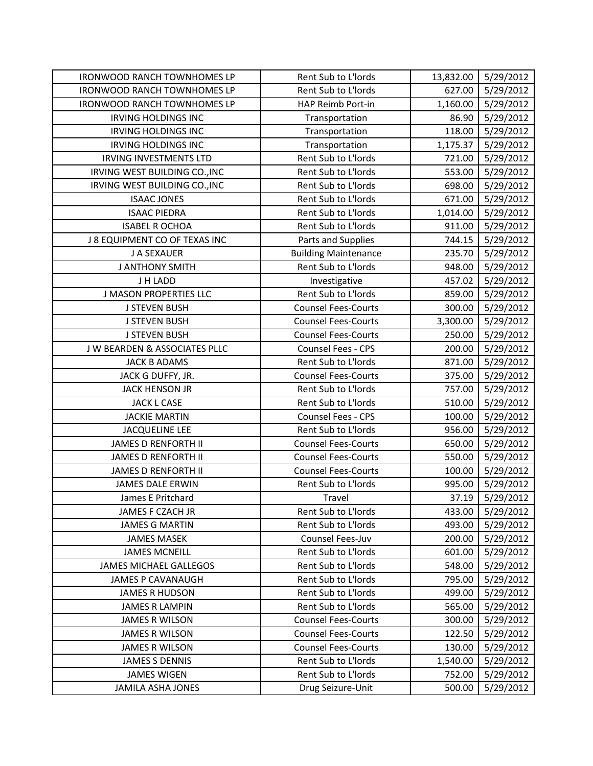| <b>IRONWOOD RANCH TOWNHOMES LP</b> | Rent Sub to L'Iords         | 13,832.00 | 5/29/2012 |
|------------------------------------|-----------------------------|-----------|-----------|
| <b>IRONWOOD RANCH TOWNHOMES LP</b> | Rent Sub to L'Iords         | 627.00    | 5/29/2012 |
| <b>IRONWOOD RANCH TOWNHOMES LP</b> | HAP Reimb Port-in           | 1,160.00  | 5/29/2012 |
| <b>IRVING HOLDINGS INC</b>         | Transportation              | 86.90     | 5/29/2012 |
| <b>IRVING HOLDINGS INC</b>         | Transportation              | 118.00    | 5/29/2012 |
| <b>IRVING HOLDINGS INC</b>         | Transportation              | 1,175.37  | 5/29/2012 |
| <b>IRVING INVESTMENTS LTD</b>      | Rent Sub to L'Iords         | 721.00    | 5/29/2012 |
| IRVING WEST BUILDING CO., INC      | Rent Sub to L'Iords         | 553.00    | 5/29/2012 |
| IRVING WEST BUILDING CO., INC      | Rent Sub to L'Iords         | 698.00    | 5/29/2012 |
| <b>ISAAC JONES</b>                 | Rent Sub to L'Iords         | 671.00    | 5/29/2012 |
| <b>ISAAC PIEDRA</b>                | Rent Sub to L'Iords         | 1,014.00  | 5/29/2012 |
| <b>ISABEL R OCHOA</b>              | Rent Sub to L'Iords         | 911.00    | 5/29/2012 |
| J 8 EQUIPMENT CO OF TEXAS INC      | Parts and Supplies          | 744.15    | 5/29/2012 |
| J A SEXAUER                        | <b>Building Maintenance</b> | 235.70    | 5/29/2012 |
| <b>J ANTHONY SMITH</b>             | Rent Sub to L'Iords         | 948.00    | 5/29/2012 |
| J H LADD                           | Investigative               | 457.02    | 5/29/2012 |
| <b>J MASON PROPERTIES LLC</b>      | Rent Sub to L'Iords         | 859.00    | 5/29/2012 |
| <b>J STEVEN BUSH</b>               | <b>Counsel Fees-Courts</b>  | 300.00    | 5/29/2012 |
| <b>J STEVEN BUSH</b>               | <b>Counsel Fees-Courts</b>  | 3,300.00  | 5/29/2012 |
| <b>J STEVEN BUSH</b>               | <b>Counsel Fees-Courts</b>  | 250.00    | 5/29/2012 |
| J W BEARDEN & ASSOCIATES PLLC      | Counsel Fees - CPS          | 200.00    | 5/29/2012 |
| <b>JACK B ADAMS</b>                | Rent Sub to L'Iords         | 871.00    | 5/29/2012 |
| JACK G DUFFY, JR.                  | <b>Counsel Fees-Courts</b>  | 375.00    | 5/29/2012 |
| <b>JACK HENSON JR</b>              | Rent Sub to L'Iords         | 757.00    | 5/29/2012 |
| <b>JACK L CASE</b>                 | Rent Sub to L'Iords         | 510.00    | 5/29/2012 |
| <b>JACKIE MARTIN</b>               | Counsel Fees - CPS          | 100.00    | 5/29/2012 |
| <b>JACQUELINE LEE</b>              | Rent Sub to L'Iords         | 956.00    | 5/29/2012 |
| <b>JAMES D RENFORTH II</b>         | <b>Counsel Fees-Courts</b>  | 650.00    | 5/29/2012 |
| <b>JAMES D RENFORTH II</b>         | <b>Counsel Fees-Courts</b>  | 550.00    | 5/29/2012 |
| <b>JAMES D RENFORTH II</b>         | <b>Counsel Fees-Courts</b>  | 100.00    | 5/29/2012 |
| <b>JAMES DALE ERWIN</b>            | Rent Sub to L'Iords         | 995.00    | 5/29/2012 |
| James E Pritchard                  | Travel                      | 37.19     | 5/29/2012 |
| JAMES F CZACH JR                   | Rent Sub to L'Iords         | 433.00    | 5/29/2012 |
| <b>JAMES G MARTIN</b>              | Rent Sub to L'Iords         | 493.00    | 5/29/2012 |
| <b>JAMES MASEK</b>                 | Counsel Fees-Juv            | 200.00    | 5/29/2012 |
| <b>JAMES MCNEILL</b>               | Rent Sub to L'Iords         | 601.00    | 5/29/2012 |
| <b>JAMES MICHAEL GALLEGOS</b>      | Rent Sub to L'Iords         | 548.00    | 5/29/2012 |
| <b>JAMES P CAVANAUGH</b>           | Rent Sub to L'Iords         | 795.00    | 5/29/2012 |
| <b>JAMES R HUDSON</b>              | Rent Sub to L'Iords         | 499.00    | 5/29/2012 |
| <b>JAMES R LAMPIN</b>              | Rent Sub to L'Iords         | 565.00    | 5/29/2012 |
| <b>JAMES R WILSON</b>              | <b>Counsel Fees-Courts</b>  | 300.00    | 5/29/2012 |
| <b>JAMES R WILSON</b>              | <b>Counsel Fees-Courts</b>  | 122.50    | 5/29/2012 |
| <b>JAMES R WILSON</b>              | <b>Counsel Fees-Courts</b>  | 130.00    | 5/29/2012 |
| <b>JAMES S DENNIS</b>              | Rent Sub to L'Iords         | 1,540.00  | 5/29/2012 |
| <b>JAMES WIGEN</b>                 | Rent Sub to L'Iords         | 752.00    | 5/29/2012 |
| <b>JAMILA ASHA JONES</b>           | Drug Seizure-Unit           | 500.00    | 5/29/2012 |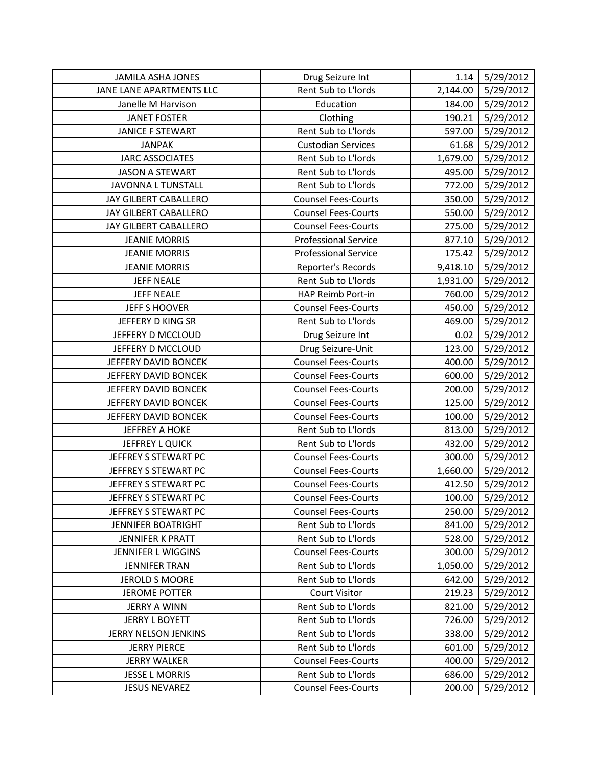| <b>JAMILA ASHA JONES</b> | Drug Seizure Int            | 1.14     | 5/29/2012 |
|--------------------------|-----------------------------|----------|-----------|
| JANE LANE APARTMENTS LLC | Rent Sub to L'Iords         | 2,144.00 | 5/29/2012 |
| Janelle M Harvison       | Education                   | 184.00   | 5/29/2012 |
| <b>JANET FOSTER</b>      | Clothing                    | 190.21   | 5/29/2012 |
| <b>JANICE F STEWART</b>  | Rent Sub to L'Iords         | 597.00   | 5/29/2012 |
| <b>JANPAK</b>            | <b>Custodian Services</b>   | 61.68    | 5/29/2012 |
| <b>JARC ASSOCIATES</b>   | Rent Sub to L'Iords         | 1,679.00 | 5/29/2012 |
| <b>JASON A STEWART</b>   | Rent Sub to L'Iords         | 495.00   | 5/29/2012 |
| JAVONNA L TUNSTALL       | Rent Sub to L'Iords         | 772.00   | 5/29/2012 |
| JAY GILBERT CABALLERO    | <b>Counsel Fees-Courts</b>  | 350.00   | 5/29/2012 |
| JAY GILBERT CABALLERO    | <b>Counsel Fees-Courts</b>  | 550.00   | 5/29/2012 |
| JAY GILBERT CABALLERO    | <b>Counsel Fees-Courts</b>  | 275.00   | 5/29/2012 |
| <b>JEANIE MORRIS</b>     | <b>Professional Service</b> | 877.10   | 5/29/2012 |
| <b>JEANIE MORRIS</b>     | <b>Professional Service</b> | 175.42   | 5/29/2012 |
| <b>JEANIE MORRIS</b>     | Reporter's Records          | 9,418.10 | 5/29/2012 |
| <b>JEFF NEALE</b>        | Rent Sub to L'Iords         | 1,931.00 | 5/29/2012 |
| <b>JEFF NEALE</b>        | HAP Reimb Port-in           | 760.00   | 5/29/2012 |
| <b>JEFF S HOOVER</b>     | <b>Counsel Fees-Courts</b>  | 450.00   | 5/29/2012 |
| JEFFERY D KING SR        | Rent Sub to L'Iords         | 469.00   | 5/29/2012 |
| JEFFERY D MCCLOUD        | Drug Seizure Int            | 0.02     | 5/29/2012 |
| JEFFERY D MCCLOUD        | Drug Seizure-Unit           | 123.00   | 5/29/2012 |
| JEFFERY DAVID BONCEK     | <b>Counsel Fees-Courts</b>  | 400.00   | 5/29/2012 |
| JEFFERY DAVID BONCEK     | <b>Counsel Fees-Courts</b>  | 600.00   | 5/29/2012 |
| JEFFERY DAVID BONCEK     | <b>Counsel Fees-Courts</b>  | 200.00   | 5/29/2012 |
| JEFFERY DAVID BONCEK     | <b>Counsel Fees-Courts</b>  | 125.00   | 5/29/2012 |
| JEFFERY DAVID BONCEK     | <b>Counsel Fees-Courts</b>  | 100.00   | 5/29/2012 |
| <b>JEFFREY A HOKE</b>    | Rent Sub to L'Iords         | 813.00   | 5/29/2012 |
| JEFFREY L QUICK          | Rent Sub to L'Iords         | 432.00   | 5/29/2012 |
| JEFFREY S STEWART PC     | <b>Counsel Fees-Courts</b>  | 300.00   | 5/29/2012 |
| JEFFREY S STEWART PC     | <b>Counsel Fees-Courts</b>  | 1,660.00 | 5/29/2012 |
| JEFFREY S STEWART PC     | <b>Counsel Fees-Courts</b>  | 412.50   | 5/29/2012 |
| JEFFREY S STEWART PC     | <b>Counsel Fees-Courts</b>  | 100.00   | 5/29/2012 |
| JEFFREY S STEWART PC     | <b>Counsel Fees-Courts</b>  | 250.00   | 5/29/2012 |
| JENNIFER BOATRIGHT       | Rent Sub to L'Iords         | 841.00   | 5/29/2012 |
| JENNIFER K PRATT         | Rent Sub to L'Iords         | 528.00   | 5/29/2012 |
| JENNIFER L WIGGINS       | <b>Counsel Fees-Courts</b>  | 300.00   | 5/29/2012 |
| <b>JENNIFER TRAN</b>     | Rent Sub to L'Iords         | 1,050.00 | 5/29/2012 |
| <b>JEROLD S MOORE</b>    | Rent Sub to L'Iords         | 642.00   | 5/29/2012 |
| <b>JEROME POTTER</b>     | <b>Court Visitor</b>        | 219.23   | 5/29/2012 |
| <b>JERRY A WINN</b>      | Rent Sub to L'Iords         | 821.00   | 5/29/2012 |
| <b>JERRY L BOYETT</b>    | Rent Sub to L'Iords         | 726.00   | 5/29/2012 |
| JERRY NELSON JENKINS     | Rent Sub to L'Iords         | 338.00   | 5/29/2012 |
| <b>JERRY PIERCE</b>      | Rent Sub to L'Iords         | 601.00   | 5/29/2012 |
| <b>JERRY WALKER</b>      | <b>Counsel Fees-Courts</b>  | 400.00   | 5/29/2012 |
| <b>JESSE L MORRIS</b>    | Rent Sub to L'Iords         | 686.00   | 5/29/2012 |
| <b>JESUS NEVAREZ</b>     | <b>Counsel Fees-Courts</b>  | 200.00   | 5/29/2012 |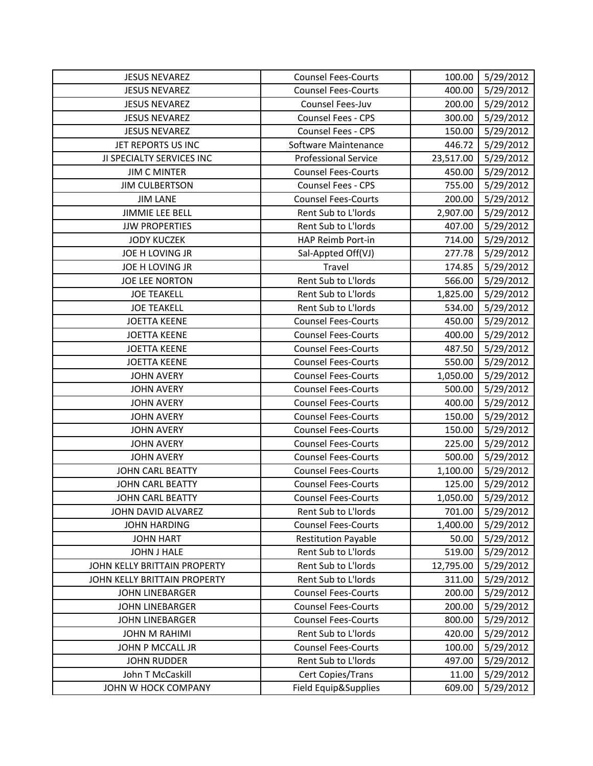| <b>JESUS NEVAREZ</b>         | <b>Counsel Fees-Courts</b>  | 100.00    | 5/29/2012 |
|------------------------------|-----------------------------|-----------|-----------|
| <b>JESUS NEVAREZ</b>         | <b>Counsel Fees-Courts</b>  | 400.00    | 5/29/2012 |
| <b>JESUS NEVAREZ</b>         | Counsel Fees-Juv            | 200.00    | 5/29/2012 |
| <b>JESUS NEVAREZ</b>         | <b>Counsel Fees - CPS</b>   | 300.00    | 5/29/2012 |
| <b>JESUS NEVAREZ</b>         | Counsel Fees - CPS          | 150.00    | 5/29/2012 |
| JET REPORTS US INC           | Software Maintenance        | 446.72    | 5/29/2012 |
| JI SPECIALTY SERVICES INC    | <b>Professional Service</b> | 23,517.00 | 5/29/2012 |
| <b>JIM C MINTER</b>          | <b>Counsel Fees-Courts</b>  | 450.00    | 5/29/2012 |
| <b>JIM CULBERTSON</b>        | Counsel Fees - CPS          | 755.00    | 5/29/2012 |
| <b>JIM LANE</b>              | <b>Counsel Fees-Courts</b>  | 200.00    | 5/29/2012 |
| <b>JIMMIE LEE BELL</b>       | Rent Sub to L'Iords         | 2,907.00  | 5/29/2012 |
| <b>JJW PROPERTIES</b>        | Rent Sub to L'Iords         | 407.00    | 5/29/2012 |
| <b>JODY KUCZEK</b>           | HAP Reimb Port-in           | 714.00    | 5/29/2012 |
| JOE H LOVING JR              | Sal-Appted Off(VJ)          | 277.78    | 5/29/2012 |
| JOE H LOVING JR              | Travel                      | 174.85    | 5/29/2012 |
| <b>JOE LEE NORTON</b>        | Rent Sub to L'Iords         | 566.00    | 5/29/2012 |
| <b>JOE TEAKELL</b>           | Rent Sub to L'Iords         | 1,825.00  | 5/29/2012 |
| <b>JOE TEAKELL</b>           | Rent Sub to L'Iords         | 534.00    | 5/29/2012 |
| <b>JOETTA KEENE</b>          | <b>Counsel Fees-Courts</b>  | 450.00    | 5/29/2012 |
| <b>JOETTA KEENE</b>          | <b>Counsel Fees-Courts</b>  | 400.00    | 5/29/2012 |
| <b>JOETTA KEENE</b>          | <b>Counsel Fees-Courts</b>  | 487.50    | 5/29/2012 |
| <b>JOETTA KEENE</b>          | <b>Counsel Fees-Courts</b>  | 550.00    | 5/29/2012 |
| <b>JOHN AVERY</b>            | <b>Counsel Fees-Courts</b>  | 1,050.00  | 5/29/2012 |
| <b>JOHN AVERY</b>            | <b>Counsel Fees-Courts</b>  | 500.00    | 5/29/2012 |
| <b>JOHN AVERY</b>            | <b>Counsel Fees-Courts</b>  | 400.00    | 5/29/2012 |
| <b>JOHN AVERY</b>            | <b>Counsel Fees-Courts</b>  | 150.00    | 5/29/2012 |
| <b>JOHN AVERY</b>            | <b>Counsel Fees-Courts</b>  | 150.00    | 5/29/2012 |
| <b>JOHN AVERY</b>            | <b>Counsel Fees-Courts</b>  | 225.00    | 5/29/2012 |
| <b>JOHN AVERY</b>            | <b>Counsel Fees-Courts</b>  | 500.00    | 5/29/2012 |
| JOHN CARL BEATTY             | <b>Counsel Fees-Courts</b>  | 1,100.00  | 5/29/2012 |
| <b>JOHN CARL BEATTY</b>      | <b>Counsel Fees-Courts</b>  | 125.00    | 5/29/2012 |
| <b>JOHN CARL BEATTY</b>      | <b>Counsel Fees-Courts</b>  | 1,050.00  | 5/29/2012 |
| JOHN DAVID ALVAREZ           | Rent Sub to L'Iords         | 701.00    | 5/29/2012 |
| <b>JOHN HARDING</b>          | <b>Counsel Fees-Courts</b>  | 1,400.00  | 5/29/2012 |
| <b>JOHN HART</b>             | <b>Restitution Payable</b>  | 50.00     | 5/29/2012 |
| JOHN J HALE                  | Rent Sub to L'Iords         | 519.00    | 5/29/2012 |
| JOHN KELLY BRITTAIN PROPERTY | Rent Sub to L'Iords         | 12,795.00 | 5/29/2012 |
| JOHN KELLY BRITTAIN PROPERTY | Rent Sub to L'Iords         | 311.00    | 5/29/2012 |
| <b>JOHN LINEBARGER</b>       | <b>Counsel Fees-Courts</b>  | 200.00    | 5/29/2012 |
| <b>JOHN LINEBARGER</b>       | <b>Counsel Fees-Courts</b>  | 200.00    | 5/29/2012 |
| <b>JOHN LINEBARGER</b>       | <b>Counsel Fees-Courts</b>  | 800.00    | 5/29/2012 |
| <b>JOHN M RAHIMI</b>         | Rent Sub to L'Iords         | 420.00    | 5/29/2012 |
| JOHN P MCCALL JR             | <b>Counsel Fees-Courts</b>  | 100.00    | 5/29/2012 |
| <b>JOHN RUDDER</b>           | Rent Sub to L'Iords         | 497.00    | 5/29/2012 |
| John T McCaskill             | Cert Copies/Trans           | 11.00     | 5/29/2012 |
| JOHN W HOCK COMPANY          | Field Equip&Supplies        | 609.00    | 5/29/2012 |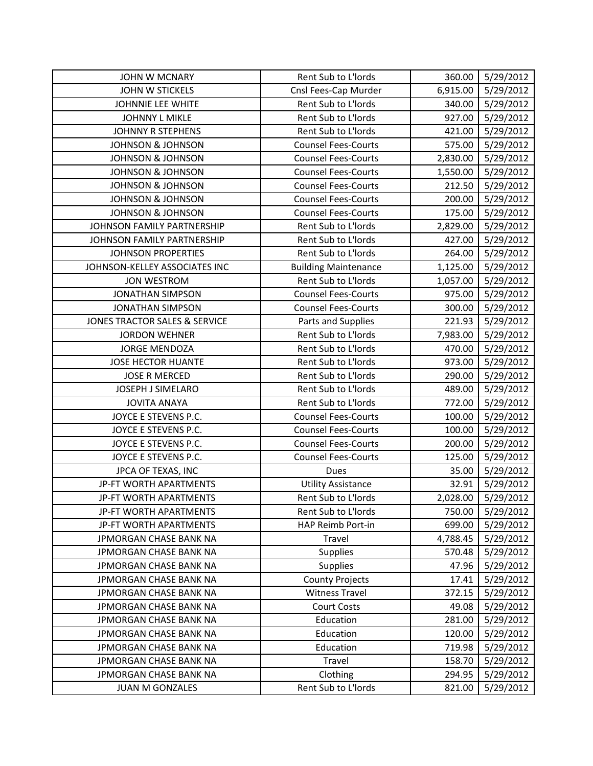| <b>JOHN W MCNARY</b>          | Rent Sub to L'Iords         | 360.00   | 5/29/2012 |
|-------------------------------|-----------------------------|----------|-----------|
| JOHN W STICKELS               | Cnsl Fees-Cap Murder        | 6,915.00 | 5/29/2012 |
| JOHNNIE LEE WHITE             | Rent Sub to L'Iords         | 340.00   | 5/29/2012 |
| <b>JOHNNY L MIKLE</b>         | Rent Sub to L'Iords         | 927.00   | 5/29/2012 |
| <b>JOHNNY R STEPHENS</b>      | Rent Sub to L'Iords         | 421.00   | 5/29/2012 |
| <b>JOHNSON &amp; JOHNSON</b>  | <b>Counsel Fees-Courts</b>  | 575.00   | 5/29/2012 |
| <b>JOHNSON &amp; JOHNSON</b>  | <b>Counsel Fees-Courts</b>  | 2,830.00 | 5/29/2012 |
| <b>JOHNSON &amp; JOHNSON</b>  | <b>Counsel Fees-Courts</b>  | 1,550.00 | 5/29/2012 |
| <b>JOHNSON &amp; JOHNSON</b>  | <b>Counsel Fees-Courts</b>  | 212.50   | 5/29/2012 |
| <b>JOHNSON &amp; JOHNSON</b>  | <b>Counsel Fees-Courts</b>  | 200.00   | 5/29/2012 |
| <b>JOHNSON &amp; JOHNSON</b>  | <b>Counsel Fees-Courts</b>  | 175.00   | 5/29/2012 |
| JOHNSON FAMILY PARTNERSHIP    | Rent Sub to L'Iords         | 2,829.00 | 5/29/2012 |
| JOHNSON FAMILY PARTNERSHIP    | Rent Sub to L'Iords         | 427.00   | 5/29/2012 |
| <b>JOHNSON PROPERTIES</b>     | Rent Sub to L'Iords         | 264.00   | 5/29/2012 |
| JOHNSON-KELLEY ASSOCIATES INC | <b>Building Maintenance</b> | 1,125.00 | 5/29/2012 |
| <b>JON WESTROM</b>            | Rent Sub to L'Iords         | 1,057.00 | 5/29/2012 |
| <b>JONATHAN SIMPSON</b>       | <b>Counsel Fees-Courts</b>  | 975.00   | 5/29/2012 |
| <b>JONATHAN SIMPSON</b>       | <b>Counsel Fees-Courts</b>  | 300.00   | 5/29/2012 |
| JONES TRACTOR SALES & SERVICE | Parts and Supplies          | 221.93   | 5/29/2012 |
| <b>JORDON WEHNER</b>          | Rent Sub to L'Iords         | 7,983.00 | 5/29/2012 |
| <b>JORGE MENDOZA</b>          | Rent Sub to L'Iords         | 470.00   | 5/29/2012 |
| <b>JOSE HECTOR HUANTE</b>     | Rent Sub to L'Iords         | 973.00   | 5/29/2012 |
| <b>JOSE R MERCED</b>          | Rent Sub to L'Iords         | 290.00   | 5/29/2012 |
| JOSEPH J SIMELARO             | Rent Sub to L'Iords         | 489.00   | 5/29/2012 |
| <b>JOVITA ANAYA</b>           | Rent Sub to L'Iords         | 772.00   | 5/29/2012 |
| JOYCE E STEVENS P.C.          | <b>Counsel Fees-Courts</b>  | 100.00   | 5/29/2012 |
| JOYCE E STEVENS P.C.          | <b>Counsel Fees-Courts</b>  | 100.00   | 5/29/2012 |
| JOYCE E STEVENS P.C.          | <b>Counsel Fees-Courts</b>  | 200.00   | 5/29/2012 |
| JOYCE E STEVENS P.C.          | <b>Counsel Fees-Courts</b>  | 125.00   | 5/29/2012 |
| JPCA OF TEXAS, INC            | <b>Dues</b>                 | 35.00    | 5/29/2012 |
| JP-FT WORTH APARTMENTS        | <b>Utility Assistance</b>   | 32.91    | 5/29/2012 |
| JP-FT WORTH APARTMENTS        | Rent Sub to L'Iords         | 2,028.00 | 5/29/2012 |
| JP-FT WORTH APARTMENTS        | Rent Sub to L'Iords         | 750.00   | 5/29/2012 |
| JP-FT WORTH APARTMENTS        | HAP Reimb Port-in           | 699.00   | 5/29/2012 |
| JPMORGAN CHASE BANK NA        | Travel                      | 4,788.45 | 5/29/2012 |
| JPMORGAN CHASE BANK NA        | <b>Supplies</b>             | 570.48   | 5/29/2012 |
| JPMORGAN CHASE BANK NA        | Supplies                    | 47.96    | 5/29/2012 |
| JPMORGAN CHASE BANK NA        | <b>County Projects</b>      | 17.41    | 5/29/2012 |
| JPMORGAN CHASE BANK NA        | <b>Witness Travel</b>       | 372.15   | 5/29/2012 |
| JPMORGAN CHASE BANK NA        | <b>Court Costs</b>          | 49.08    | 5/29/2012 |
| JPMORGAN CHASE BANK NA        | Education                   | 281.00   | 5/29/2012 |
| JPMORGAN CHASE BANK NA        | Education                   | 120.00   | 5/29/2012 |
| JPMORGAN CHASE BANK NA        | Education                   | 719.98   | 5/29/2012 |
| JPMORGAN CHASE BANK NA        | Travel                      | 158.70   | 5/29/2012 |
| JPMORGAN CHASE BANK NA        | Clothing                    | 294.95   | 5/29/2012 |
| <b>JUAN M GONZALES</b>        | Rent Sub to L'Iords         | 821.00   | 5/29/2012 |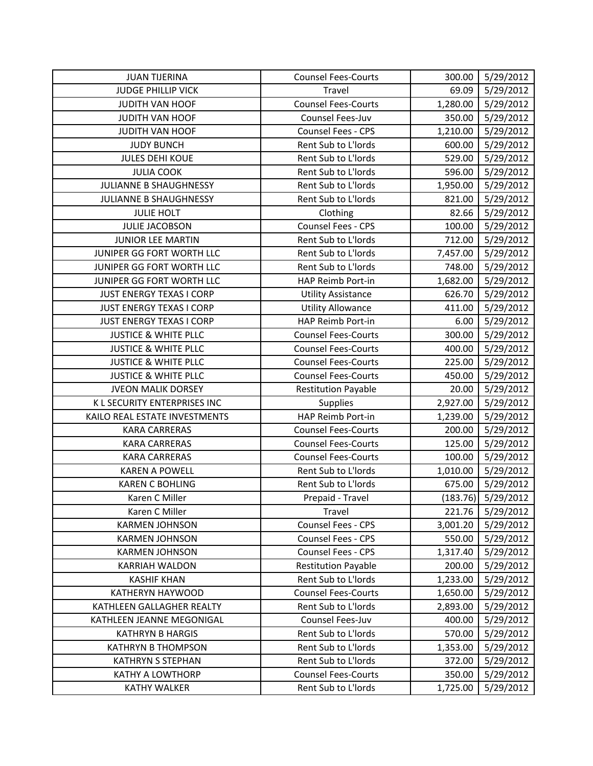| <b>JUAN TIJERINA</b>            | <b>Counsel Fees-Courts</b> | 300.00   | 5/29/2012 |
|---------------------------------|----------------------------|----------|-----------|
| <b>JUDGE PHILLIP VICK</b>       | Travel                     | 69.09    | 5/29/2012 |
| <b>JUDITH VAN HOOF</b>          | <b>Counsel Fees-Courts</b> | 1,280.00 | 5/29/2012 |
| <b>JUDITH VAN HOOF</b>          | Counsel Fees-Juv           | 350.00   | 5/29/2012 |
| JUDITH VAN HOOF                 | Counsel Fees - CPS         | 1,210.00 | 5/29/2012 |
| <b>JUDY BUNCH</b>               | Rent Sub to L'Iords        | 600.00   | 5/29/2012 |
| <b>JULES DEHI KOUE</b>          | Rent Sub to L'Iords        | 529.00   | 5/29/2012 |
| <b>JULIA COOK</b>               | Rent Sub to L'Iords        | 596.00   | 5/29/2012 |
| JULIANNE B SHAUGHNESSY          | Rent Sub to L'Iords        | 1,950.00 | 5/29/2012 |
| <b>JULIANNE B SHAUGHNESSY</b>   | Rent Sub to L'Iords        | 821.00   | 5/29/2012 |
| <b>JULIE HOLT</b>               | Clothing                   | 82.66    | 5/29/2012 |
| <b>JULIE JACOBSON</b>           | Counsel Fees - CPS         | 100.00   | 5/29/2012 |
| <b>JUNIOR LEE MARTIN</b>        | Rent Sub to L'Iords        | 712.00   | 5/29/2012 |
| JUNIPER GG FORT WORTH LLC       | Rent Sub to L'Iords        | 7,457.00 | 5/29/2012 |
| JUNIPER GG FORT WORTH LLC       | Rent Sub to L'Iords        | 748.00   | 5/29/2012 |
| JUNIPER GG FORT WORTH LLC       | HAP Reimb Port-in          | 1,682.00 | 5/29/2012 |
| <b>JUST ENERGY TEXAS I CORP</b> | <b>Utility Assistance</b>  | 626.70   | 5/29/2012 |
| <b>JUST ENERGY TEXAS I CORP</b> | <b>Utility Allowance</b>   | 411.00   | 5/29/2012 |
| <b>JUST ENERGY TEXAS I CORP</b> | HAP Reimb Port-in          | 6.00     | 5/29/2012 |
| <b>JUSTICE &amp; WHITE PLLC</b> | <b>Counsel Fees-Courts</b> | 300.00   | 5/29/2012 |
| <b>JUSTICE &amp; WHITE PLLC</b> | <b>Counsel Fees-Courts</b> | 400.00   | 5/29/2012 |
| <b>JUSTICE &amp; WHITE PLLC</b> | <b>Counsel Fees-Courts</b> | 225.00   | 5/29/2012 |
| <b>JUSTICE &amp; WHITE PLLC</b> | <b>Counsel Fees-Courts</b> | 450.00   | 5/29/2012 |
| <b>JVEON MALIK DORSEY</b>       | <b>Restitution Payable</b> | 20.00    | 5/29/2012 |
| K L SECURITY ENTERPRISES INC    | Supplies                   | 2,927.00 | 5/29/2012 |
| KAILO REAL ESTATE INVESTMENTS   | HAP Reimb Port-in          | 1,239.00 | 5/29/2012 |
| <b>KARA CARRERAS</b>            | <b>Counsel Fees-Courts</b> | 200.00   | 5/29/2012 |
| <b>KARA CARRERAS</b>            | <b>Counsel Fees-Courts</b> | 125.00   | 5/29/2012 |
| <b>KARA CARRERAS</b>            | <b>Counsel Fees-Courts</b> | 100.00   | 5/29/2012 |
| <b>KAREN A POWELL</b>           | Rent Sub to L'Iords        | 1,010.00 | 5/29/2012 |
| <b>KAREN C BOHLING</b>          | Rent Sub to L'Iords        | 675.00   | 5/29/2012 |
| Karen C Miller                  | Prepaid - Travel           | (183.76) | 5/29/2012 |
| Karen C Miller                  | Travel                     | 221.76   | 5/29/2012 |
| <b>KARMEN JOHNSON</b>           | Counsel Fees - CPS         | 3,001.20 | 5/29/2012 |
| <b>KARMEN JOHNSON</b>           | Counsel Fees - CPS         | 550.00   | 5/29/2012 |
| <b>KARMEN JOHNSON</b>           | Counsel Fees - CPS         | 1,317.40 | 5/29/2012 |
| <b>KARRIAH WALDON</b>           | <b>Restitution Payable</b> | 200.00   | 5/29/2012 |
| <b>KASHIF KHAN</b>              | Rent Sub to L'Iords        | 1,233.00 | 5/29/2012 |
| <b>KATHERYN HAYWOOD</b>         | <b>Counsel Fees-Courts</b> | 1,650.00 | 5/29/2012 |
| KATHLEEN GALLAGHER REALTY       | Rent Sub to L'Iords        | 2,893.00 | 5/29/2012 |
| KATHLEEN JEANNE MEGONIGAL       | Counsel Fees-Juv           | 400.00   | 5/29/2012 |
| <b>KATHRYN B HARGIS</b>         | Rent Sub to L'Iords        | 570.00   | 5/29/2012 |
| <b>KATHRYN B THOMPSON</b>       | Rent Sub to L'Iords        | 1,353.00 | 5/29/2012 |
| <b>KATHRYN S STEPHAN</b>        | Rent Sub to L'Iords        | 372.00   | 5/29/2012 |
| <b>KATHY A LOWTHORP</b>         | <b>Counsel Fees-Courts</b> | 350.00   | 5/29/2012 |
| <b>KATHY WALKER</b>             | Rent Sub to L'Iords        | 1,725.00 | 5/29/2012 |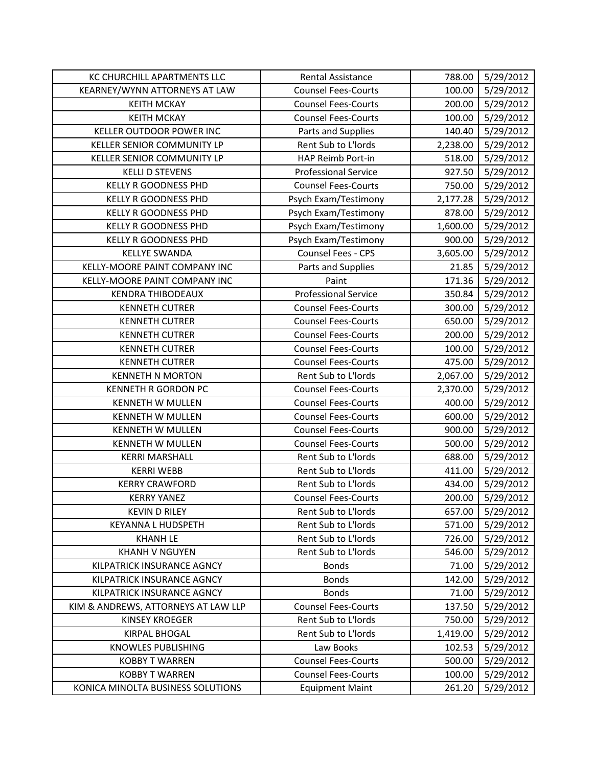| KC CHURCHILL APARTMENTS LLC         | <b>Rental Assistance</b>    | 788.00   | 5/29/2012 |
|-------------------------------------|-----------------------------|----------|-----------|
| KEARNEY/WYNN ATTORNEYS AT LAW       | <b>Counsel Fees-Courts</b>  | 100.00   | 5/29/2012 |
| <b>KEITH MCKAY</b>                  | <b>Counsel Fees-Courts</b>  | 200.00   | 5/29/2012 |
| <b>KEITH MCKAY</b>                  | <b>Counsel Fees-Courts</b>  | 100.00   | 5/29/2012 |
| <b>KELLER OUTDOOR POWER INC</b>     | Parts and Supplies          | 140.40   | 5/29/2012 |
| KELLER SENIOR COMMUNITY LP          | Rent Sub to L'Iords         | 2,238.00 | 5/29/2012 |
| KELLER SENIOR COMMUNITY LP          | HAP Reimb Port-in           | 518.00   | 5/29/2012 |
| <b>KELLI D STEVENS</b>              | <b>Professional Service</b> | 927.50   | 5/29/2012 |
| <b>KELLY R GOODNESS PHD</b>         | <b>Counsel Fees-Courts</b>  | 750.00   | 5/29/2012 |
| <b>KELLY R GOODNESS PHD</b>         | Psych Exam/Testimony        | 2,177.28 | 5/29/2012 |
| <b>KELLY R GOODNESS PHD</b>         | Psych Exam/Testimony        | 878.00   | 5/29/2012 |
| KELLY R GOODNESS PHD                | Psych Exam/Testimony        | 1,600.00 | 5/29/2012 |
| <b>KELLY R GOODNESS PHD</b>         | Psych Exam/Testimony        | 900.00   | 5/29/2012 |
| <b>KELLYE SWANDA</b>                | Counsel Fees - CPS          | 3,605.00 | 5/29/2012 |
| KELLY-MOORE PAINT COMPANY INC       | Parts and Supplies          | 21.85    | 5/29/2012 |
| KELLY-MOORE PAINT COMPANY INC       | Paint                       | 171.36   | 5/29/2012 |
| <b>KENDRA THIBODEAUX</b>            | <b>Professional Service</b> | 350.84   | 5/29/2012 |
| <b>KENNETH CUTRER</b>               | <b>Counsel Fees-Courts</b>  | 300.00   | 5/29/2012 |
| <b>KENNETH CUTRER</b>               | <b>Counsel Fees-Courts</b>  | 650.00   | 5/29/2012 |
| <b>KENNETH CUTRER</b>               | <b>Counsel Fees-Courts</b>  | 200.00   | 5/29/2012 |
| <b>KENNETH CUTRER</b>               | <b>Counsel Fees-Courts</b>  | 100.00   | 5/29/2012 |
| <b>KENNETH CUTRER</b>               | <b>Counsel Fees-Courts</b>  | 475.00   | 5/29/2012 |
| <b>KENNETH N MORTON</b>             | Rent Sub to L'Iords         | 2,067.00 | 5/29/2012 |
| <b>KENNETH R GORDON PC</b>          | <b>Counsel Fees-Courts</b>  | 2,370.00 | 5/29/2012 |
| <b>KENNETH W MULLEN</b>             | <b>Counsel Fees-Courts</b>  | 400.00   | 5/29/2012 |
| <b>KENNETH W MULLEN</b>             | <b>Counsel Fees-Courts</b>  | 600.00   | 5/29/2012 |
| <b>KENNETH W MULLEN</b>             | <b>Counsel Fees-Courts</b>  | 900.00   | 5/29/2012 |
| <b>KENNETH W MULLEN</b>             | <b>Counsel Fees-Courts</b>  | 500.00   | 5/29/2012 |
| <b>KERRI MARSHALL</b>               | Rent Sub to L'Iords         | 688.00   | 5/29/2012 |
| <b>KERRI WEBB</b>                   | Rent Sub to L'Iords         | 411.00   | 5/29/2012 |
| <b>KERRY CRAWFORD</b>               | Rent Sub to L'Iords         | 434.00   | 5/29/2012 |
| <b>KERRY YANEZ</b>                  | <b>Counsel Fees-Courts</b>  | 200.00   | 5/29/2012 |
| <b>KEVIN D RILEY</b>                | Rent Sub to L'Iords         | 657.00   | 5/29/2012 |
| <b>KEYANNA L HUDSPETH</b>           | Rent Sub to L'Iords         | 571.00   | 5/29/2012 |
| <b>KHANH LE</b>                     | Rent Sub to L'Iords         | 726.00   | 5/29/2012 |
| <b>KHANH V NGUYEN</b>               | Rent Sub to L'Iords         | 546.00   | 5/29/2012 |
| KILPATRICK INSURANCE AGNCY          | <b>Bonds</b>                | 71.00    | 5/29/2012 |
| KILPATRICK INSURANCE AGNCY          | <b>Bonds</b>                | 142.00   | 5/29/2012 |
| KILPATRICK INSURANCE AGNCY          | <b>Bonds</b>                | 71.00    | 5/29/2012 |
| KIM & ANDREWS, ATTORNEYS AT LAW LLP | <b>Counsel Fees-Courts</b>  | 137.50   | 5/29/2012 |
| <b>KINSEY KROEGER</b>               | Rent Sub to L'Iords         | 750.00   | 5/29/2012 |
| <b>KIRPAL BHOGAL</b>                | Rent Sub to L'Iords         | 1,419.00 | 5/29/2012 |
| <b>KNOWLES PUBLISHING</b>           | Law Books                   | 102.53   | 5/29/2012 |
| <b>KOBBY T WARREN</b>               | <b>Counsel Fees-Courts</b>  | 500.00   | 5/29/2012 |
| <b>KOBBY T WARREN</b>               | <b>Counsel Fees-Courts</b>  | 100.00   | 5/29/2012 |
| KONICA MINOLTA BUSINESS SOLUTIONS   | <b>Equipment Maint</b>      | 261.20   | 5/29/2012 |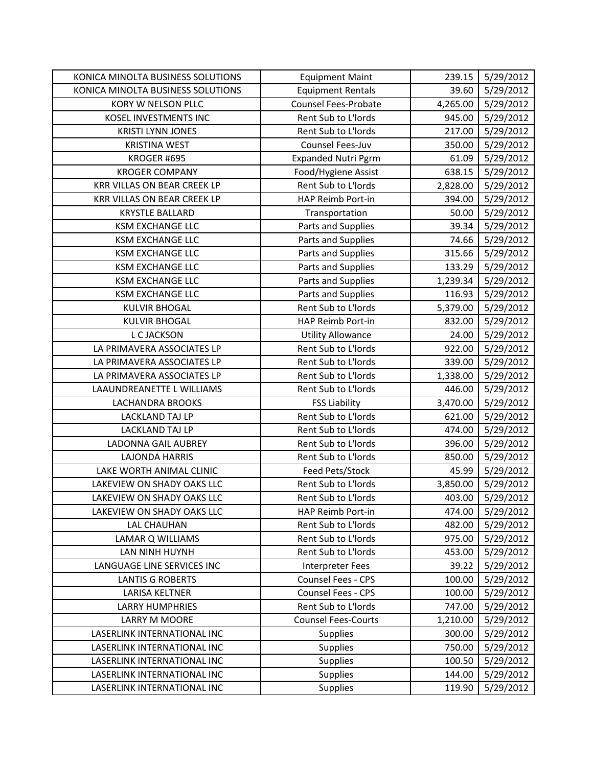| KONICA MINOLTA BUSINESS SOLUTIONS | <b>Equipment Maint</b>      | 239.15   | 5/29/2012 |
|-----------------------------------|-----------------------------|----------|-----------|
| KONICA MINOLTA BUSINESS SOLUTIONS | <b>Equipment Rentals</b>    | 39.60    | 5/29/2012 |
| KORY W NELSON PLLC                | <b>Counsel Fees-Probate</b> | 4,265.00 | 5/29/2012 |
| KOSEL INVESTMENTS INC             | Rent Sub to L'Iords         | 945.00   | 5/29/2012 |
| <b>KRISTI LYNN JONES</b>          | Rent Sub to L'Iords         | 217.00   | 5/29/2012 |
| <b>KRISTINA WEST</b>              | Counsel Fees-Juv            | 350.00   | 5/29/2012 |
| KROGER #695                       | <b>Expanded Nutri Pgrm</b>  | 61.09    | 5/29/2012 |
| <b>KROGER COMPANY</b>             | Food/Hygiene Assist         | 638.15   | 5/29/2012 |
| KRR VILLAS ON BEAR CREEK LP       | Rent Sub to L'Iords         | 2,828.00 | 5/29/2012 |
| KRR VILLAS ON BEAR CREEK LP       | HAP Reimb Port-in           | 394.00   | 5/29/2012 |
| <b>KRYSTLE BALLARD</b>            | Transportation              | 50.00    | 5/29/2012 |
| <b>KSM EXCHANGE LLC</b>           | Parts and Supplies          | 39.34    | 5/29/2012 |
| <b>KSM EXCHANGE LLC</b>           | Parts and Supplies          | 74.66    | 5/29/2012 |
| <b>KSM EXCHANGE LLC</b>           | Parts and Supplies          | 315.66   | 5/29/2012 |
| <b>KSM EXCHANGE LLC</b>           | Parts and Supplies          | 133.29   | 5/29/2012 |
| <b>KSM EXCHANGE LLC</b>           | Parts and Supplies          | 1,239.34 | 5/29/2012 |
| <b>KSM EXCHANGE LLC</b>           | Parts and Supplies          | 116.93   | 5/29/2012 |
| <b>KULVIR BHOGAL</b>              | Rent Sub to L'Iords         | 5,379.00 | 5/29/2012 |
| <b>KULVIR BHOGAL</b>              | HAP Reimb Port-in           | 832.00   | 5/29/2012 |
| L C JACKSON                       | <b>Utility Allowance</b>    | 24.00    | 5/29/2012 |
| LA PRIMAVERA ASSOCIATES LP        | Rent Sub to L'Iords         | 922.00   | 5/29/2012 |
| LA PRIMAVERA ASSOCIATES LP        | Rent Sub to L'Iords         | 339.00   | 5/29/2012 |
| LA PRIMAVERA ASSOCIATES LP        | Rent Sub to L'Iords         | 1,338.00 | 5/29/2012 |
| LAAUNDREANETTE L WILLIAMS         | Rent Sub to L'Iords         | 446.00   | 5/29/2012 |
| <b>LACHANDRA BROOKS</b>           | <b>FSS Liability</b>        | 3,470.00 | 5/29/2012 |
| LACKLAND TAJ LP                   | Rent Sub to L'Iords         | 621.00   | 5/29/2012 |
| LACKLAND TAJ LP                   | Rent Sub to L'Iords         | 474.00   | 5/29/2012 |
| LADONNA GAIL AUBREY               | Rent Sub to L'Iords         | 396.00   | 5/29/2012 |
| <b>LAJONDA HARRIS</b>             | Rent Sub to L'Iords         | 850.00   | 5/29/2012 |
| LAKE WORTH ANIMAL CLINIC          | Feed Pets/Stock             | 45.99    | 5/29/2012 |
| LAKEVIEW ON SHADY OAKS LLC        | Rent Sub to L'Iords         | 3,850.00 | 5/29/2012 |
| LAKEVIEW ON SHADY OAKS LLC        | Rent Sub to L'Iords         | 403.00   | 5/29/2012 |
| LAKEVIEW ON SHADY OAKS LLC        | HAP Reimb Port-in           | 474.00   | 5/29/2012 |
| <b>LAL CHAUHAN</b>                | Rent Sub to L'Iords         | 482.00   | 5/29/2012 |
| LAMAR Q WILLIAMS                  | Rent Sub to L'Iords         | 975.00   | 5/29/2012 |
| LAN NINH HUYNH                    | Rent Sub to L'Iords         | 453.00   | 5/29/2012 |
| LANGUAGE LINE SERVICES INC        | Interpreter Fees            | 39.22    | 5/29/2012 |
| <b>LANTIS G ROBERTS</b>           | Counsel Fees - CPS          | 100.00   | 5/29/2012 |
| LARISA KELTNER                    | Counsel Fees - CPS          | 100.00   | 5/29/2012 |
| <b>LARRY HUMPHRIES</b>            | Rent Sub to L'Iords         | 747.00   | 5/29/2012 |
| LARRY M MOORE                     | <b>Counsel Fees-Courts</b>  | 1,210.00 | 5/29/2012 |
| LASERLINK INTERNATIONAL INC       | Supplies                    | 300.00   | 5/29/2012 |
| LASERLINK INTERNATIONAL INC       | Supplies                    | 750.00   | 5/29/2012 |
| LASERLINK INTERNATIONAL INC       | Supplies                    | 100.50   | 5/29/2012 |
| LASERLINK INTERNATIONAL INC       | <b>Supplies</b>             | 144.00   | 5/29/2012 |
| LASERLINK INTERNATIONAL INC       | Supplies                    | 119.90   | 5/29/2012 |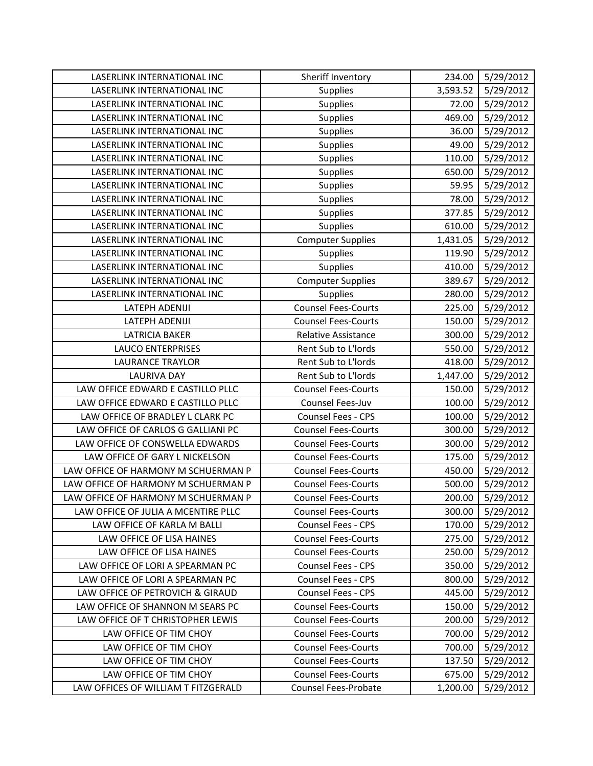| LASERLINK INTERNATIONAL INC         | Sheriff Inventory          | 234.00   | 5/29/2012 |
|-------------------------------------|----------------------------|----------|-----------|
| <b>LASERLINK INTERNATIONAL INC</b>  | Supplies                   | 3,593.52 | 5/29/2012 |
| LASERLINK INTERNATIONAL INC         | Supplies                   | 72.00    | 5/29/2012 |
| LASERLINK INTERNATIONAL INC         | Supplies                   | 469.00   | 5/29/2012 |
| LASERLINK INTERNATIONAL INC         | Supplies                   | 36.00    | 5/29/2012 |
| LASERLINK INTERNATIONAL INC         | <b>Supplies</b>            | 49.00    | 5/29/2012 |
| LASERLINK INTERNATIONAL INC         | Supplies                   | 110.00   | 5/29/2012 |
| LASERLINK INTERNATIONAL INC         | Supplies                   | 650.00   | 5/29/2012 |
| LASERLINK INTERNATIONAL INC         | Supplies                   | 59.95    | 5/29/2012 |
| LASERLINK INTERNATIONAL INC         | Supplies                   | 78.00    | 5/29/2012 |
| LASERLINK INTERNATIONAL INC         | Supplies                   | 377.85   | 5/29/2012 |
| LASERLINK INTERNATIONAL INC         | Supplies                   | 610.00   | 5/29/2012 |
| LASERLINK INTERNATIONAL INC         | <b>Computer Supplies</b>   | 1,431.05 | 5/29/2012 |
| LASERLINK INTERNATIONAL INC         | Supplies                   | 119.90   | 5/29/2012 |
| LASERLINK INTERNATIONAL INC         | Supplies                   | 410.00   | 5/29/2012 |
| LASERLINK INTERNATIONAL INC         | <b>Computer Supplies</b>   | 389.67   | 5/29/2012 |
| LASERLINK INTERNATIONAL INC         | <b>Supplies</b>            | 280.00   | 5/29/2012 |
| LATEPH ADENIJI                      | <b>Counsel Fees-Courts</b> | 225.00   | 5/29/2012 |
| <b>LATEPH ADENIJI</b>               | <b>Counsel Fees-Courts</b> | 150.00   | 5/29/2012 |
| <b>LATRICIA BAKER</b>               | Relative Assistance        | 300.00   | 5/29/2012 |
| <b>LAUCO ENTERPRISES</b>            | Rent Sub to L'Iords        | 550.00   | 5/29/2012 |
| <b>LAURANCE TRAYLOR</b>             | Rent Sub to L'Iords        | 418.00   | 5/29/2012 |
| <b>LAURIVA DAY</b>                  | Rent Sub to L'Iords        | 1,447.00 | 5/29/2012 |
| LAW OFFICE EDWARD E CASTILLO PLLC   | <b>Counsel Fees-Courts</b> | 150.00   | 5/29/2012 |
| LAW OFFICE EDWARD E CASTILLO PLLC   | Counsel Fees-Juv           | 100.00   | 5/29/2012 |
| LAW OFFICE OF BRADLEY L CLARK PC    | Counsel Fees - CPS         | 100.00   | 5/29/2012 |
| LAW OFFICE OF CARLOS G GALLIANI PC  | <b>Counsel Fees-Courts</b> | 300.00   | 5/29/2012 |
| LAW OFFICE OF CONSWELLA EDWARDS     | <b>Counsel Fees-Courts</b> | 300.00   | 5/29/2012 |
| LAW OFFICE OF GARY L NICKELSON      | <b>Counsel Fees-Courts</b> | 175.00   | 5/29/2012 |
| LAW OFFICE OF HARMONY M SCHUERMAN P | <b>Counsel Fees-Courts</b> | 450.00   | 5/29/2012 |
| LAW OFFICE OF HARMONY M SCHUERMAN P | <b>Counsel Fees-Courts</b> | 500.00   | 5/29/2012 |
| LAW OFFICE OF HARMONY M SCHUERMAN P | <b>Counsel Fees-Courts</b> | 200.00   | 5/29/2012 |
| LAW OFFICE OF JULIA A MCENTIRE PLLC | <b>Counsel Fees-Courts</b> | 300.00   | 5/29/2012 |
| LAW OFFICE OF KARLA M BALLI         | <b>Counsel Fees - CPS</b>  | 170.00   | 5/29/2012 |
| LAW OFFICE OF LISA HAINES           | <b>Counsel Fees-Courts</b> | 275.00   | 5/29/2012 |
| LAW OFFICE OF LISA HAINES           | <b>Counsel Fees-Courts</b> | 250.00   | 5/29/2012 |
| LAW OFFICE OF LORI A SPEARMAN PC    | Counsel Fees - CPS         | 350.00   | 5/29/2012 |
| LAW OFFICE OF LORI A SPEARMAN PC    | Counsel Fees - CPS         | 800.00   | 5/29/2012 |
| LAW OFFICE OF PETROVICH & GIRAUD    | <b>Counsel Fees - CPS</b>  | 445.00   | 5/29/2012 |
| LAW OFFICE OF SHANNON M SEARS PC    | <b>Counsel Fees-Courts</b> | 150.00   | 5/29/2012 |
| LAW OFFICE OF T CHRISTOPHER LEWIS   | <b>Counsel Fees-Courts</b> | 200.00   | 5/29/2012 |
| LAW OFFICE OF TIM CHOY              | <b>Counsel Fees-Courts</b> | 700.00   | 5/29/2012 |
| LAW OFFICE OF TIM CHOY              | <b>Counsel Fees-Courts</b> | 700.00   | 5/29/2012 |
| LAW OFFICE OF TIM CHOY              | <b>Counsel Fees-Courts</b> | 137.50   | 5/29/2012 |
| LAW OFFICE OF TIM CHOY              | <b>Counsel Fees-Courts</b> | 675.00   | 5/29/2012 |
| LAW OFFICES OF WILLIAM T FITZGERALD | Counsel Fees-Probate       | 1,200.00 | 5/29/2012 |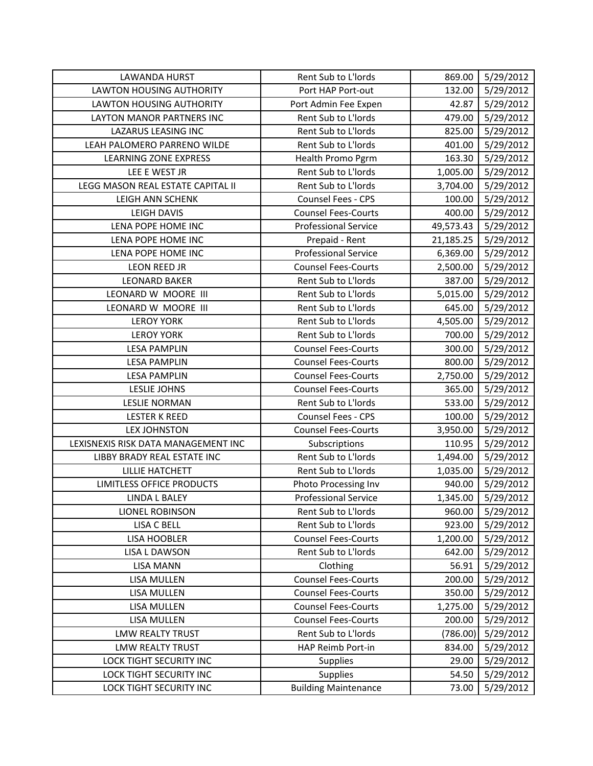| <b>LAWANDA HURST</b>                | Rent Sub to L'Iords         | 869.00    | 5/29/2012 |
|-------------------------------------|-----------------------------|-----------|-----------|
| <b>LAWTON HOUSING AUTHORITY</b>     | Port HAP Port-out           | 132.00    | 5/29/2012 |
| LAWTON HOUSING AUTHORITY            | Port Admin Fee Expen        | 42.87     | 5/29/2012 |
| <b>LAYTON MANOR PARTNERS INC</b>    | Rent Sub to L'Iords         | 479.00    | 5/29/2012 |
| <b>LAZARUS LEASING INC</b>          | Rent Sub to L'Iords         | 825.00    | 5/29/2012 |
| LEAH PALOMERO PARRENO WILDE         | Rent Sub to L'Iords         | 401.00    | 5/29/2012 |
| <b>LEARNING ZONE EXPRESS</b>        | Health Promo Pgrm           | 163.30    | 5/29/2012 |
| LEE E WEST JR                       | Rent Sub to L'Iords         | 1,005.00  | 5/29/2012 |
| LEGG MASON REAL ESTATE CAPITAL II   | Rent Sub to L'Iords         | 3,704.00  | 5/29/2012 |
| LEIGH ANN SCHENK                    | Counsel Fees - CPS          | 100.00    | 5/29/2012 |
| <b>LEIGH DAVIS</b>                  | <b>Counsel Fees-Courts</b>  | 400.00    | 5/29/2012 |
| LENA POPE HOME INC                  | <b>Professional Service</b> | 49,573.43 | 5/29/2012 |
| LENA POPE HOME INC                  | Prepaid - Rent              | 21,185.25 | 5/29/2012 |
| LENA POPE HOME INC                  | <b>Professional Service</b> | 6,369.00  | 5/29/2012 |
| <b>LEON REED JR</b>                 | <b>Counsel Fees-Courts</b>  | 2,500.00  | 5/29/2012 |
| <b>LEONARD BAKER</b>                | Rent Sub to L'Iords         | 387.00    | 5/29/2012 |
| LEONARD W MOORE III                 | Rent Sub to L'Iords         | 5,015.00  | 5/29/2012 |
| LEONARD W MOORE III                 | Rent Sub to L'Iords         | 645.00    | 5/29/2012 |
| <b>LEROY YORK</b>                   | Rent Sub to L'Iords         | 4,505.00  | 5/29/2012 |
| <b>LEROY YORK</b>                   | Rent Sub to L'Iords         | 700.00    | 5/29/2012 |
| <b>LESA PAMPLIN</b>                 | <b>Counsel Fees-Courts</b>  | 300.00    | 5/29/2012 |
| <b>LESA PAMPLIN</b>                 | <b>Counsel Fees-Courts</b>  | 800.00    | 5/29/2012 |
| <b>LESA PAMPLIN</b>                 | <b>Counsel Fees-Courts</b>  | 2,750.00  | 5/29/2012 |
| <b>LESLIE JOHNS</b>                 | <b>Counsel Fees-Courts</b>  | 365.00    | 5/29/2012 |
| <b>LESLIE NORMAN</b>                | Rent Sub to L'Iords         | 533.00    | 5/29/2012 |
| <b>LESTER K REED</b>                | Counsel Fees - CPS          | 100.00    | 5/29/2012 |
| <b>LEX JOHNSTON</b>                 | <b>Counsel Fees-Courts</b>  | 3,950.00  | 5/29/2012 |
| LEXISNEXIS RISK DATA MANAGEMENT INC | Subscriptions               | 110.95    | 5/29/2012 |
| LIBBY BRADY REAL ESTATE INC         | Rent Sub to L'Iords         | 1,494.00  | 5/29/2012 |
| <b>LILLIE HATCHETT</b>              | Rent Sub to L'Iords         | 1,035.00  | 5/29/2012 |
| LIMITLESS OFFICE PRODUCTS           | Photo Processing Inv        | 940.00    | 5/29/2012 |
| <b>LINDA L BALEY</b>                | <b>Professional Service</b> | 1,345.00  | 5/29/2012 |
| LIONEL ROBINSON                     | Rent Sub to L'Iords         | 960.00    | 5/29/2012 |
| LISA C BELL                         | Rent Sub to L'Iords         | 923.00    | 5/29/2012 |
| <b>LISA HOOBLER</b>                 | <b>Counsel Fees-Courts</b>  | 1,200.00  | 5/29/2012 |
| LISA L DAWSON                       | Rent Sub to L'Iords         | 642.00    | 5/29/2012 |
| <b>LISA MANN</b>                    | Clothing                    | 56.91     | 5/29/2012 |
| LISA MULLEN                         | <b>Counsel Fees-Courts</b>  | 200.00    | 5/29/2012 |
| LISA MULLEN                         | <b>Counsel Fees-Courts</b>  | 350.00    | 5/29/2012 |
| LISA MULLEN                         | <b>Counsel Fees-Courts</b>  | 1,275.00  | 5/29/2012 |
| LISA MULLEN                         | <b>Counsel Fees-Courts</b>  | 200.00    | 5/29/2012 |
| <b>LMW REALTY TRUST</b>             | Rent Sub to L'Iords         | (786.00)  | 5/29/2012 |
| <b>LMW REALTY TRUST</b>             | HAP Reimb Port-in           | 834.00    | 5/29/2012 |
| LOCK TIGHT SECURITY INC             | <b>Supplies</b>             | 29.00     | 5/29/2012 |
| <b>LOCK TIGHT SECURITY INC</b>      | <b>Supplies</b>             | 54.50     | 5/29/2012 |
| LOCK TIGHT SECURITY INC             | <b>Building Maintenance</b> | 73.00     | 5/29/2012 |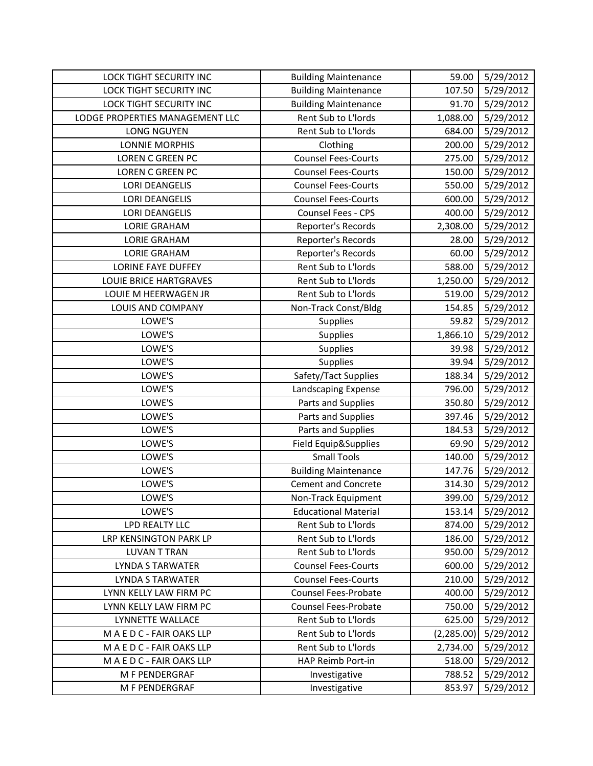| <b>LOCK TIGHT SECURITY INC</b>  | <b>Building Maintenance</b> | 59.00      | 5/29/2012 |
|---------------------------------|-----------------------------|------------|-----------|
| <b>LOCK TIGHT SECURITY INC</b>  | <b>Building Maintenance</b> | 107.50     | 5/29/2012 |
| LOCK TIGHT SECURITY INC         | <b>Building Maintenance</b> | 91.70      | 5/29/2012 |
| LODGE PROPERTIES MANAGEMENT LLC | Rent Sub to L'Iords         | 1,088.00   | 5/29/2012 |
| <b>LONG NGUYEN</b>              | Rent Sub to L'Iords         | 684.00     | 5/29/2012 |
| <b>LONNIE MORPHIS</b>           | Clothing                    | 200.00     | 5/29/2012 |
| <b>LOREN C GREEN PC</b>         | <b>Counsel Fees-Courts</b>  | 275.00     | 5/29/2012 |
| LOREN C GREEN PC                | <b>Counsel Fees-Courts</b>  | 150.00     | 5/29/2012 |
| <b>LORI DEANGELIS</b>           | <b>Counsel Fees-Courts</b>  | 550.00     | 5/29/2012 |
| <b>LORI DEANGELIS</b>           | <b>Counsel Fees-Courts</b>  | 600.00     | 5/29/2012 |
| <b>LORI DEANGELIS</b>           | Counsel Fees - CPS          | 400.00     | 5/29/2012 |
| <b>LORIE GRAHAM</b>             | Reporter's Records          | 2,308.00   | 5/29/2012 |
| <b>LORIE GRAHAM</b>             | Reporter's Records          | 28.00      | 5/29/2012 |
| <b>LORIE GRAHAM</b>             | Reporter's Records          | 60.00      | 5/29/2012 |
| <b>LORINE FAYE DUFFEY</b>       | Rent Sub to L'Iords         | 588.00     | 5/29/2012 |
| <b>LOUIE BRICE HARTGRAVES</b>   | Rent Sub to L'Iords         | 1,250.00   | 5/29/2012 |
| LOUIE M HEERWAGEN JR            | Rent Sub to L'Iords         | 519.00     | 5/29/2012 |
| LOUIS AND COMPANY               | Non-Track Const/Bldg        | 154.85     | 5/29/2012 |
| LOWE'S                          | <b>Supplies</b>             | 59.82      | 5/29/2012 |
| LOWE'S                          | Supplies                    | 1,866.10   | 5/29/2012 |
| LOWE'S                          | <b>Supplies</b>             | 39.98      | 5/29/2012 |
| LOWE'S                          | Supplies                    | 39.94      | 5/29/2012 |
| LOWE'S                          | Safety/Tact Supplies        | 188.34     | 5/29/2012 |
| LOWE'S                          | Landscaping Expense         | 796.00     | 5/29/2012 |
| LOWE'S                          | Parts and Supplies          | 350.80     | 5/29/2012 |
| LOWE'S                          | Parts and Supplies          | 397.46     | 5/29/2012 |
| LOWE'S                          | Parts and Supplies          | 184.53     | 5/29/2012 |
| LOWE'S                          | Field Equip&Supplies        | 69.90      | 5/29/2012 |
| LOWE'S                          | <b>Small Tools</b>          | 140.00     | 5/29/2012 |
| LOWE'S                          | <b>Building Maintenance</b> | 147.76     | 5/29/2012 |
| LOWE'S                          | <b>Cement and Concrete</b>  | 314.30     | 5/29/2012 |
| LOWE'S                          | Non-Track Equipment         | 399.00     | 5/29/2012 |
| LOWE'S                          | <b>Educational Material</b> | 153.14     | 5/29/2012 |
| LPD REALTY LLC                  | Rent Sub to L'Iords         | 874.00     | 5/29/2012 |
| <b>LRP KENSINGTON PARK LP</b>   | Rent Sub to L'Iords         | 186.00     | 5/29/2012 |
| <b>LUVAN T TRAN</b>             | Rent Sub to L'Iords         | 950.00     | 5/29/2012 |
| LYNDA S TARWATER                | <b>Counsel Fees-Courts</b>  | 600.00     | 5/29/2012 |
| <b>LYNDA S TARWATER</b>         | <b>Counsel Fees-Courts</b>  | 210.00     | 5/29/2012 |
| LYNN KELLY LAW FIRM PC          | Counsel Fees-Probate        | 400.00     | 5/29/2012 |
| LYNN KELLY LAW FIRM PC          | <b>Counsel Fees-Probate</b> | 750.00     | 5/29/2012 |
| LYNNETTE WALLACE                | Rent Sub to L'Iords         | 625.00     | 5/29/2012 |
| M A E D C - FAIR OAKS LLP       | Rent Sub to L'Iords         | (2,285.00) | 5/29/2012 |
| MAEDC-FAIR OAKS LLP             | Rent Sub to L'Iords         | 2,734.00   | 5/29/2012 |
| M A E D C - FAIR OAKS LLP       | HAP Reimb Port-in           | 518.00     | 5/29/2012 |
| M F PENDERGRAF                  | Investigative               | 788.52     | 5/29/2012 |
| M F PENDERGRAF                  | Investigative               | 853.97     | 5/29/2012 |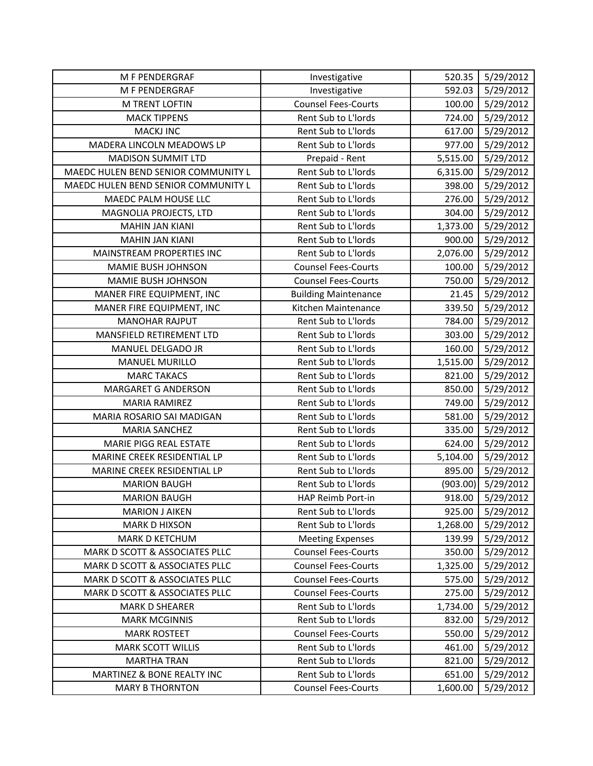| M F PENDERGRAF                      | Investigative               | 520.35   | 5/29/2012 |
|-------------------------------------|-----------------------------|----------|-----------|
| M F PENDERGRAF                      | Investigative               | 592.03   | 5/29/2012 |
| M TRENT LOFTIN                      | <b>Counsel Fees-Courts</b>  | 100.00   | 5/29/2012 |
| <b>MACK TIPPENS</b>                 | Rent Sub to L'Iords         | 724.00   | 5/29/2012 |
| <b>MACKJ INC</b>                    | Rent Sub to L'Iords         | 617.00   | 5/29/2012 |
| MADERA LINCOLN MEADOWS LP           | Rent Sub to L'Iords         | 977.00   | 5/29/2012 |
| <b>MADISON SUMMIT LTD</b>           | Prepaid - Rent              | 5,515.00 | 5/29/2012 |
| MAEDC HULEN BEND SENIOR COMMUNITY L | Rent Sub to L'Iords         | 6,315.00 | 5/29/2012 |
| MAEDC HULEN BEND SENIOR COMMUNITY L | Rent Sub to L'Iords         | 398.00   | 5/29/2012 |
| MAEDC PALM HOUSE LLC                | Rent Sub to L'Iords         | 276.00   | 5/29/2012 |
| MAGNOLIA PROJECTS, LTD              | Rent Sub to L'Iords         | 304.00   | 5/29/2012 |
| <b>MAHIN JAN KIANI</b>              | Rent Sub to L'Iords         | 1,373.00 | 5/29/2012 |
| <b>MAHIN JAN KIANI</b>              | Rent Sub to L'Iords         | 900.00   | 5/29/2012 |
| MAINSTREAM PROPERTIES INC           | Rent Sub to L'Iords         | 2,076.00 | 5/29/2012 |
| MAMIE BUSH JOHNSON                  | <b>Counsel Fees-Courts</b>  | 100.00   | 5/29/2012 |
| MAMIE BUSH JOHNSON                  | <b>Counsel Fees-Courts</b>  | 750.00   | 5/29/2012 |
| MANER FIRE EQUIPMENT, INC           | <b>Building Maintenance</b> | 21.45    | 5/29/2012 |
| MANER FIRE EQUIPMENT, INC           | Kitchen Maintenance         | 339.50   | 5/29/2012 |
| <b>MANOHAR RAJPUT</b>               | Rent Sub to L'Iords         | 784.00   | 5/29/2012 |
| MANSFIELD RETIREMENT LTD            | Rent Sub to L'Iords         | 303.00   | 5/29/2012 |
| MANUEL DELGADO JR                   | Rent Sub to L'Iords         | 160.00   | 5/29/2012 |
| <b>MANUEL MURILLO</b>               | Rent Sub to L'Iords         | 1,515.00 | 5/29/2012 |
| <b>MARC TAKACS</b>                  | Rent Sub to L'Iords         | 821.00   | 5/29/2012 |
| MARGARET G ANDERSON                 | Rent Sub to L'Iords         | 850.00   | 5/29/2012 |
| <b>MARIA RAMIREZ</b>                | Rent Sub to L'Iords         | 749.00   | 5/29/2012 |
| MARIA ROSARIO SAI MADIGAN           | Rent Sub to L'Iords         | 581.00   | 5/29/2012 |
| <b>MARIA SANCHEZ</b>                | Rent Sub to L'Iords         | 335.00   | 5/29/2012 |
| <b>MARIE PIGG REAL ESTATE</b>       | Rent Sub to L'Iords         | 624.00   | 5/29/2012 |
| MARINE CREEK RESIDENTIAL LP         | Rent Sub to L'Iords         | 5,104.00 | 5/29/2012 |
| MARINE CREEK RESIDENTIAL LP         | Rent Sub to L'Iords         | 895.00   | 5/29/2012 |
| <b>MARION BAUGH</b>                 | Rent Sub to L'Iords         | (903.00) | 5/29/2012 |
| <b>MARION BAUGH</b>                 | HAP Reimb Port-in           | 918.00   | 5/29/2012 |
| <b>MARION J AIKEN</b>               | Rent Sub to L'Iords         | 925.00   | 5/29/2012 |
| <b>MARK D HIXSON</b>                | Rent Sub to L'Iords         | 1,268.00 | 5/29/2012 |
| <b>MARK D KETCHUM</b>               | <b>Meeting Expenses</b>     | 139.99   | 5/29/2012 |
| MARK D SCOTT & ASSOCIATES PLLC      | <b>Counsel Fees-Courts</b>  | 350.00   | 5/29/2012 |
| MARK D SCOTT & ASSOCIATES PLLC      | <b>Counsel Fees-Courts</b>  | 1,325.00 | 5/29/2012 |
| MARK D SCOTT & ASSOCIATES PLLC      | <b>Counsel Fees-Courts</b>  | 575.00   | 5/29/2012 |
| MARK D SCOTT & ASSOCIATES PLLC      | <b>Counsel Fees-Courts</b>  | 275.00   | 5/29/2012 |
| <b>MARK D SHEARER</b>               | Rent Sub to L'Iords         | 1,734.00 | 5/29/2012 |
| <b>MARK MCGINNIS</b>                | Rent Sub to L'Iords         | 832.00   | 5/29/2012 |
| <b>MARK ROSTEET</b>                 | <b>Counsel Fees-Courts</b>  | 550.00   | 5/29/2012 |
| <b>MARK SCOTT WILLIS</b>            | Rent Sub to L'Iords         | 461.00   | 5/29/2012 |
| <b>MARTHA TRAN</b>                  | Rent Sub to L'Iords         | 821.00   | 5/29/2012 |
| MARTINEZ & BONE REALTY INC          | Rent Sub to L'Iords         | 651.00   | 5/29/2012 |
| <b>MARY B THORNTON</b>              | <b>Counsel Fees-Courts</b>  | 1,600.00 | 5/29/2012 |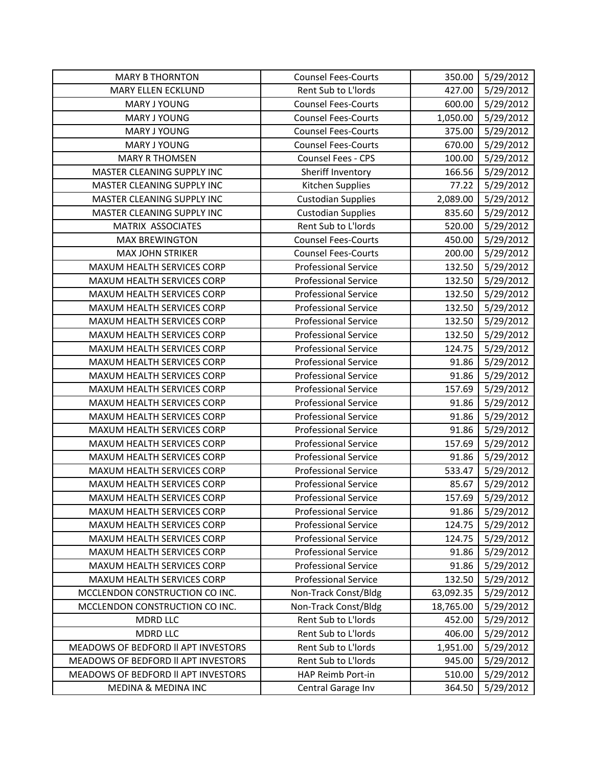| <b>MARY B THORNTON</b>              | <b>Counsel Fees-Courts</b>  | 350.00    | 5/29/2012 |
|-------------------------------------|-----------------------------|-----------|-----------|
| <b>MARY ELLEN ECKLUND</b>           | Rent Sub to L'Iords         | 427.00    | 5/29/2012 |
| <b>MARY J YOUNG</b>                 | <b>Counsel Fees-Courts</b>  | 600.00    | 5/29/2012 |
| <b>MARY J YOUNG</b>                 | <b>Counsel Fees-Courts</b>  | 1,050.00  | 5/29/2012 |
| MARY J YOUNG                        | <b>Counsel Fees-Courts</b>  | 375.00    | 5/29/2012 |
| MARY J YOUNG                        | <b>Counsel Fees-Courts</b>  | 670.00    | 5/29/2012 |
| <b>MARY R THOMSEN</b>               | Counsel Fees - CPS          | 100.00    | 5/29/2012 |
| MASTER CLEANING SUPPLY INC          | Sheriff Inventory           | 166.56    | 5/29/2012 |
| MASTER CLEANING SUPPLY INC          | Kitchen Supplies            | 77.22     | 5/29/2012 |
| MASTER CLEANING SUPPLY INC          | <b>Custodian Supplies</b>   | 2,089.00  | 5/29/2012 |
| MASTER CLEANING SUPPLY INC          | <b>Custodian Supplies</b>   | 835.60    | 5/29/2012 |
| MATRIX ASSOCIATES                   | Rent Sub to L'Iords         | 520.00    | 5/29/2012 |
| <b>MAX BREWINGTON</b>               | <b>Counsel Fees-Courts</b>  | 450.00    | 5/29/2012 |
| <b>MAX JOHN STRIKER</b>             | <b>Counsel Fees-Courts</b>  | 200.00    | 5/29/2012 |
| MAXUM HEALTH SERVICES CORP          | <b>Professional Service</b> | 132.50    | 5/29/2012 |
| MAXUM HEALTH SERVICES CORP          | <b>Professional Service</b> | 132.50    | 5/29/2012 |
| MAXUM HEALTH SERVICES CORP          | <b>Professional Service</b> | 132.50    | 5/29/2012 |
| MAXUM HEALTH SERVICES CORP          | <b>Professional Service</b> | 132.50    | 5/29/2012 |
| MAXUM HEALTH SERVICES CORP          | <b>Professional Service</b> | 132.50    | 5/29/2012 |
| MAXUM HEALTH SERVICES CORP          | <b>Professional Service</b> | 132.50    | 5/29/2012 |
| MAXUM HEALTH SERVICES CORP          | <b>Professional Service</b> | 124.75    | 5/29/2012 |
| MAXUM HEALTH SERVICES CORP          | <b>Professional Service</b> | 91.86     | 5/29/2012 |
| MAXUM HEALTH SERVICES CORP          | <b>Professional Service</b> | 91.86     | 5/29/2012 |
| MAXUM HEALTH SERVICES CORP          | <b>Professional Service</b> | 157.69    | 5/29/2012 |
| MAXUM HEALTH SERVICES CORP          | <b>Professional Service</b> | 91.86     | 5/29/2012 |
| MAXUM HEALTH SERVICES CORP          | <b>Professional Service</b> | 91.86     | 5/29/2012 |
| MAXUM HEALTH SERVICES CORP          | <b>Professional Service</b> | 91.86     | 5/29/2012 |
| MAXUM HEALTH SERVICES CORP          | <b>Professional Service</b> | 157.69    | 5/29/2012 |
| MAXUM HEALTH SERVICES CORP          | <b>Professional Service</b> | 91.86     | 5/29/2012 |
| MAXUM HEALTH SERVICES CORP          | <b>Professional Service</b> | 533.47    | 5/29/2012 |
| MAXUM HEALTH SERVICES CORP          | <b>Professional Service</b> | 85.67     | 5/29/2012 |
| MAXUM HEALTH SERVICES CORP          | <b>Professional Service</b> | 157.69    | 5/29/2012 |
| MAXUM HEALTH SERVICES CORP          | <b>Professional Service</b> | 91.86     | 5/29/2012 |
| MAXUM HEALTH SERVICES CORP          | <b>Professional Service</b> | 124.75    | 5/29/2012 |
| MAXUM HEALTH SERVICES CORP          | <b>Professional Service</b> | 124.75    | 5/29/2012 |
| MAXUM HEALTH SERVICES CORP          | <b>Professional Service</b> | 91.86     | 5/29/2012 |
| MAXUM HEALTH SERVICES CORP          | <b>Professional Service</b> | 91.86     | 5/29/2012 |
| MAXUM HEALTH SERVICES CORP          | <b>Professional Service</b> | 132.50    | 5/29/2012 |
| MCCLENDON CONSTRUCTION CO INC.      | Non-Track Const/Bldg        | 63,092.35 | 5/29/2012 |
| MCCLENDON CONSTRUCTION CO INC.      | Non-Track Const/Bldg        | 18,765.00 | 5/29/2012 |
| <b>MDRD LLC</b>                     | Rent Sub to L'Iords         | 452.00    | 5/29/2012 |
| <b>MDRD LLC</b>                     | Rent Sub to L'Iords         | 406.00    | 5/29/2012 |
| MEADOWS OF BEDFORD II APT INVESTORS | Rent Sub to L'Iords         | 1,951.00  | 5/29/2012 |
| MEADOWS OF BEDFORD II APT INVESTORS | Rent Sub to L'Iords         | 945.00    | 5/29/2012 |
| MEADOWS OF BEDFORD II APT INVESTORS | HAP Reimb Port-in           | 510.00    | 5/29/2012 |
| MEDINA & MEDINA INC                 | Central Garage Inv          | 364.50    | 5/29/2012 |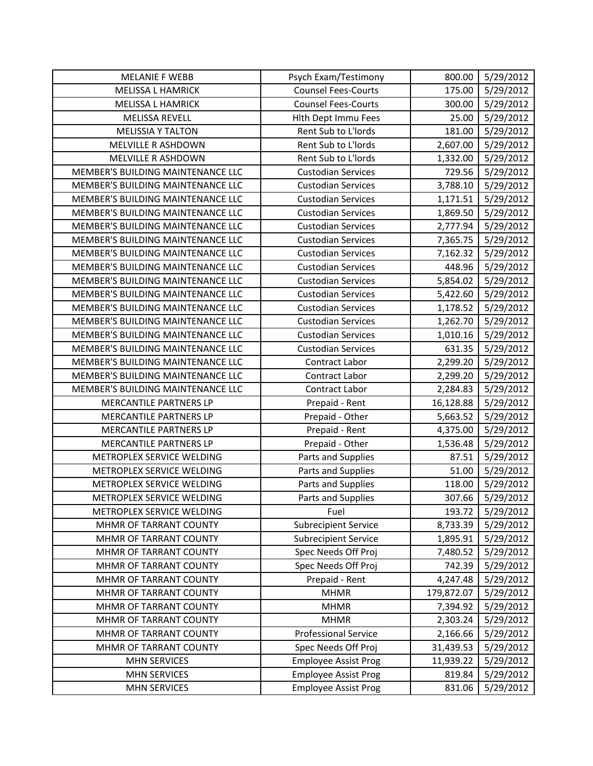| <b>MELANIE F WEBB</b>             | Psych Exam/Testimony        | 800.00     | 5/29/2012 |
|-----------------------------------|-----------------------------|------------|-----------|
| <b>MELISSA L HAMRICK</b>          | <b>Counsel Fees-Courts</b>  | 175.00     | 5/29/2012 |
| <b>MELISSA L HAMRICK</b>          | <b>Counsel Fees-Courts</b>  | 300.00     | 5/29/2012 |
| <b>MELISSA REVELL</b>             | Hlth Dept Immu Fees         | 25.00      | 5/29/2012 |
| <b>MELISSIA Y TALTON</b>          | Rent Sub to L'Iords         | 181.00     | 5/29/2012 |
| MELVILLE R ASHDOWN                | Rent Sub to L'Iords         | 2,607.00   | 5/29/2012 |
| MELVILLE R ASHDOWN                | Rent Sub to L'Iords         | 1,332.00   | 5/29/2012 |
| MEMBER'S BUILDING MAINTENANCE LLC | <b>Custodian Services</b>   | 729.56     | 5/29/2012 |
| MEMBER'S BUILDING MAINTENANCE LLC | <b>Custodian Services</b>   | 3,788.10   | 5/29/2012 |
| MEMBER'S BUILDING MAINTENANCE LLC | <b>Custodian Services</b>   | 1,171.51   | 5/29/2012 |
| MEMBER'S BUILDING MAINTENANCE LLC | <b>Custodian Services</b>   | 1,869.50   | 5/29/2012 |
| MEMBER'S BUILDING MAINTENANCE LLC | <b>Custodian Services</b>   | 2,777.94   | 5/29/2012 |
| MEMBER'S BUILDING MAINTENANCE LLC | <b>Custodian Services</b>   | 7,365.75   | 5/29/2012 |
| MEMBER'S BUILDING MAINTENANCE LLC | <b>Custodian Services</b>   | 7,162.32   | 5/29/2012 |
| MEMBER'S BUILDING MAINTENANCE LLC | <b>Custodian Services</b>   | 448.96     | 5/29/2012 |
| MEMBER'S BUILDING MAINTENANCE LLC | <b>Custodian Services</b>   | 5,854.02   | 5/29/2012 |
| MEMBER'S BUILDING MAINTENANCE LLC | <b>Custodian Services</b>   | 5,422.60   | 5/29/2012 |
| MEMBER'S BUILDING MAINTENANCE LLC | <b>Custodian Services</b>   | 1,178.52   | 5/29/2012 |
| MEMBER'S BUILDING MAINTENANCE LLC | <b>Custodian Services</b>   | 1,262.70   | 5/29/2012 |
| MEMBER'S BUILDING MAINTENANCE LLC | <b>Custodian Services</b>   | 1,010.16   | 5/29/2012 |
| MEMBER'S BUILDING MAINTENANCE LLC | <b>Custodian Services</b>   | 631.35     | 5/29/2012 |
| MEMBER'S BUILDING MAINTENANCE LLC | Contract Labor              | 2,299.20   | 5/29/2012 |
| MEMBER'S BUILDING MAINTENANCE LLC | Contract Labor              | 2,299.20   | 5/29/2012 |
| MEMBER'S BUILDING MAINTENANCE LLC | Contract Labor              | 2,284.83   | 5/29/2012 |
| MERCANTILE PARTNERS LP            | Prepaid - Rent              | 16,128.88  | 5/29/2012 |
| MERCANTILE PARTNERS LP            | Prepaid - Other             | 5,663.52   | 5/29/2012 |
| MERCANTILE PARTNERS LP            | Prepaid - Rent              | 4,375.00   | 5/29/2012 |
| MERCANTILE PARTNERS LP            | Prepaid - Other             | 1,536.48   | 5/29/2012 |
| METROPLEX SERVICE WELDING         | Parts and Supplies          | 87.51      | 5/29/2012 |
| METROPLEX SERVICE WELDING         | Parts and Supplies          | 51.00      | 5/29/2012 |
| METROPLEX SERVICE WELDING         | Parts and Supplies          | 118.00     | 5/29/2012 |
| METROPLEX SERVICE WELDING         | Parts and Supplies          | 307.66     | 5/29/2012 |
| METROPLEX SERVICE WELDING         | Fuel                        | 193.72     | 5/29/2012 |
| MHMR OF TARRANT COUNTY            | <b>Subrecipient Service</b> | 8,733.39   | 5/29/2012 |
| MHMR OF TARRANT COUNTY            | <b>Subrecipient Service</b> | 1,895.91   | 5/29/2012 |
| MHMR OF TARRANT COUNTY            | Spec Needs Off Proj         | 7,480.52   | 5/29/2012 |
| MHMR OF TARRANT COUNTY            | Spec Needs Off Proj         | 742.39     | 5/29/2012 |
| MHMR OF TARRANT COUNTY            | Prepaid - Rent              | 4,247.48   | 5/29/2012 |
| MHMR OF TARRANT COUNTY            | <b>MHMR</b>                 | 179,872.07 | 5/29/2012 |
| MHMR OF TARRANT COUNTY            | <b>MHMR</b>                 | 7,394.92   | 5/29/2012 |
| MHMR OF TARRANT COUNTY            | <b>MHMR</b>                 | 2,303.24   | 5/29/2012 |
| MHMR OF TARRANT COUNTY            | <b>Professional Service</b> | 2,166.66   | 5/29/2012 |
| MHMR OF TARRANT COUNTY            | Spec Needs Off Proj         | 31,439.53  | 5/29/2012 |
| <b>MHN SERVICES</b>               | <b>Employee Assist Prog</b> | 11,939.22  | 5/29/2012 |
| <b>MHN SERVICES</b>               | <b>Employee Assist Prog</b> | 819.84     | 5/29/2012 |
| <b>MHN SERVICES</b>               | <b>Employee Assist Prog</b> | 831.06     | 5/29/2012 |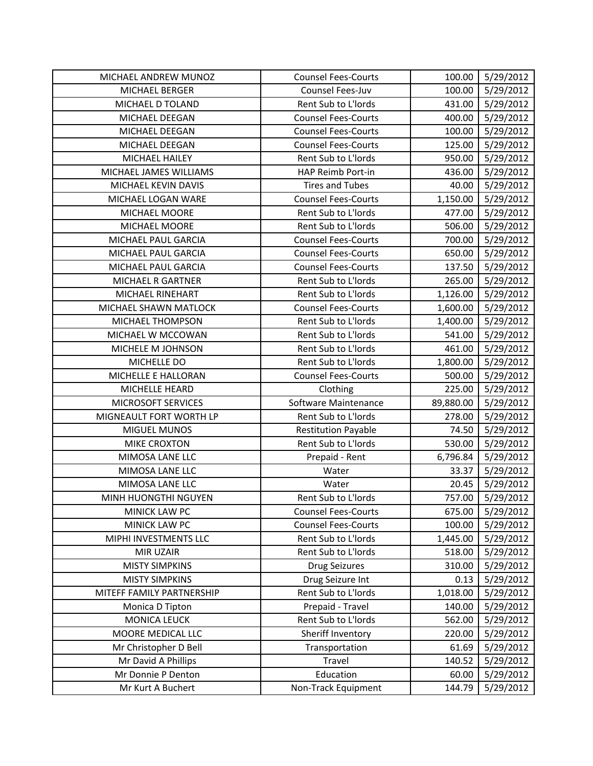| MICHAEL ANDREW MUNOZ      | <b>Counsel Fees-Courts</b> | 100.00    | 5/29/2012 |
|---------------------------|----------------------------|-----------|-----------|
| MICHAEL BERGER            | Counsel Fees-Juv           | 100.00    | 5/29/2012 |
| MICHAEL D TOLAND          | Rent Sub to L'Iords        | 431.00    | 5/29/2012 |
| MICHAEL DEEGAN            | <b>Counsel Fees-Courts</b> | 400.00    | 5/29/2012 |
| MICHAEL DEEGAN            | <b>Counsel Fees-Courts</b> | 100.00    | 5/29/2012 |
| MICHAEL DEEGAN            | <b>Counsel Fees-Courts</b> | 125.00    | 5/29/2012 |
| MICHAEL HAILEY            | Rent Sub to L'Iords        | 950.00    | 5/29/2012 |
| MICHAEL JAMES WILLIAMS    | HAP Reimb Port-in          | 436.00    | 5/29/2012 |
| MICHAEL KEVIN DAVIS       | <b>Tires and Tubes</b>     | 40.00     | 5/29/2012 |
| MICHAEL LOGAN WARE        | <b>Counsel Fees-Courts</b> | 1,150.00  | 5/29/2012 |
| MICHAEL MOORE             | Rent Sub to L'Iords        | 477.00    | 5/29/2012 |
| MICHAEL MOORE             | Rent Sub to L'Iords        | 506.00    | 5/29/2012 |
| MICHAEL PAUL GARCIA       | <b>Counsel Fees-Courts</b> | 700.00    | 5/29/2012 |
| MICHAEL PAUL GARCIA       | <b>Counsel Fees-Courts</b> | 650.00    | 5/29/2012 |
| MICHAEL PAUL GARCIA       | <b>Counsel Fees-Courts</b> | 137.50    | 5/29/2012 |
| MICHAEL R GARTNER         | Rent Sub to L'Iords        | 265.00    | 5/29/2012 |
| MICHAEL RINEHART          | Rent Sub to L'Iords        | 1,126.00  | 5/29/2012 |
| MICHAEL SHAWN MATLOCK     | <b>Counsel Fees-Courts</b> | 1,600.00  | 5/29/2012 |
| MICHAEL THOMPSON          | Rent Sub to L'Iords        | 1,400.00  | 5/29/2012 |
| MICHAEL W MCCOWAN         | Rent Sub to L'Iords        | 541.00    | 5/29/2012 |
| MICHELE M JOHNSON         | Rent Sub to L'Iords        | 461.00    | 5/29/2012 |
| MICHELLE DO               | Rent Sub to L'Iords        | 1,800.00  | 5/29/2012 |
| MICHELLE E HALLORAN       | <b>Counsel Fees-Courts</b> | 500.00    | 5/29/2012 |
| MICHELLE HEARD            | Clothing                   | 225.00    | 5/29/2012 |
| MICROSOFT SERVICES        | Software Maintenance       | 89,880.00 | 5/29/2012 |
| MIGNEAULT FORT WORTH LP   | Rent Sub to L'Iords        | 278.00    | 5/29/2012 |
| MIGUEL MUNOS              | <b>Restitution Payable</b> | 74.50     | 5/29/2012 |
| <b>MIKE CROXTON</b>       | Rent Sub to L'Iords        | 530.00    | 5/29/2012 |
| MIMOSA LANE LLC           | Prepaid - Rent             | 6,796.84  | 5/29/2012 |
| MIMOSA LANE LLC           | Water                      | 33.37     | 5/29/2012 |
| MIMOSA LANE LLC           | Water                      | 20.45     | 5/29/2012 |
| MINH HUONGTHI NGUYEN      | Rent Sub to L'Iords        | 757.00    | 5/29/2012 |
| MINICK LAW PC             | <b>Counsel Fees-Courts</b> | 675.00    | 5/29/2012 |
| MINICK LAW PC             | <b>Counsel Fees-Courts</b> | 100.00    | 5/29/2012 |
| MIPHI INVESTMENTS LLC     | Rent Sub to L'Iords        | 1,445.00  | 5/29/2012 |
| <b>MIR UZAIR</b>          | Rent Sub to L'Iords        | 518.00    | 5/29/2012 |
| <b>MISTY SIMPKINS</b>     | <b>Drug Seizures</b>       | 310.00    | 5/29/2012 |
| <b>MISTY SIMPKINS</b>     | Drug Seizure Int           | 0.13      | 5/29/2012 |
| MITEFF FAMILY PARTNERSHIP | Rent Sub to L'Iords        | 1,018.00  | 5/29/2012 |
| Monica D Tipton           | Prepaid - Travel           | 140.00    | 5/29/2012 |
| <b>MONICA LEUCK</b>       |                            |           | 5/29/2012 |
|                           | Rent Sub to L'Iords        | 562.00    |           |
| MOORE MEDICAL LLC         | Sheriff Inventory          | 220.00    | 5/29/2012 |
| Mr Christopher D Bell     | Transportation             | 61.69     | 5/29/2012 |
| Mr David A Phillips       | Travel                     | 140.52    | 5/29/2012 |
| Mr Donnie P Denton        | Education                  | 60.00     | 5/29/2012 |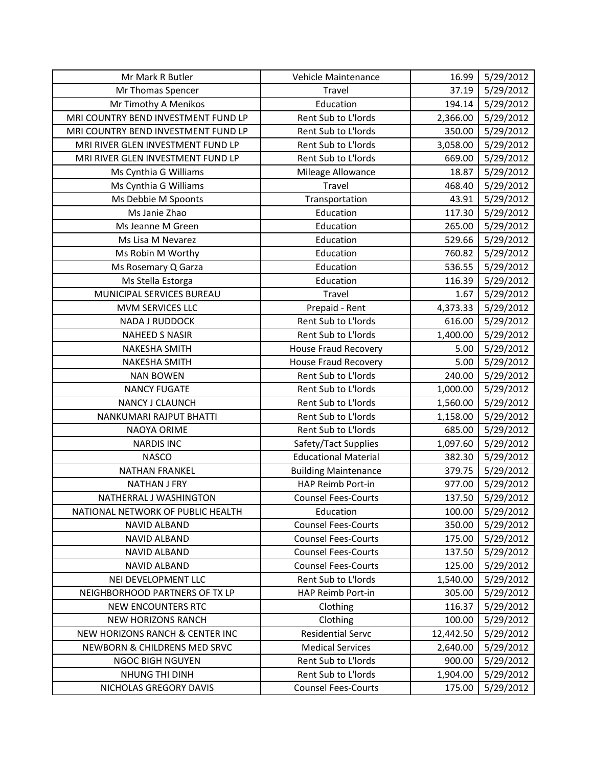| Mr Mark R Butler                    | Vehicle Maintenance         | 16.99     | 5/29/2012 |
|-------------------------------------|-----------------------------|-----------|-----------|
| Mr Thomas Spencer                   | Travel                      | 37.19     | 5/29/2012 |
| Mr Timothy A Menikos                | Education                   | 194.14    | 5/29/2012 |
| MRI COUNTRY BEND INVESTMENT FUND LP | Rent Sub to L'Iords         | 2,366.00  | 5/29/2012 |
| MRI COUNTRY BEND INVESTMENT FUND LP | Rent Sub to L'Iords         | 350.00    | 5/29/2012 |
| MRI RIVER GLEN INVESTMENT FUND LP   | Rent Sub to L'Iords         | 3,058.00  | 5/29/2012 |
| MRI RIVER GLEN INVESTMENT FUND LP   | Rent Sub to L'Iords         | 669.00    | 5/29/2012 |
| Ms Cynthia G Williams               | Mileage Allowance           | 18.87     | 5/29/2012 |
| Ms Cynthia G Williams               | Travel                      | 468.40    | 5/29/2012 |
| Ms Debbie M Spoonts                 | Transportation              | 43.91     | 5/29/2012 |
| Ms Janie Zhao                       | Education                   | 117.30    | 5/29/2012 |
| Ms Jeanne M Green                   | Education                   | 265.00    | 5/29/2012 |
| Ms Lisa M Nevarez                   | Education                   | 529.66    | 5/29/2012 |
| Ms Robin M Worthy                   | Education                   | 760.82    | 5/29/2012 |
| Ms Rosemary Q Garza                 | Education                   | 536.55    | 5/29/2012 |
| Ms Stella Estorga                   | Education                   | 116.39    | 5/29/2012 |
| MUNICIPAL SERVICES BUREAU           | Travel                      | 1.67      | 5/29/2012 |
| MVM SERVICES LLC                    | Prepaid - Rent              | 4,373.33  | 5/29/2012 |
| <b>NADA J RUDDOCK</b>               | Rent Sub to L'Iords         | 616.00    | 5/29/2012 |
| <b>NAHEED S NASIR</b>               | Rent Sub to L'Iords         | 1,400.00  | 5/29/2012 |
| <b>NAKESHA SMITH</b>                | House Fraud Recovery        | 5.00      | 5/29/2012 |
| NAKESHA SMITH                       | <b>House Fraud Recovery</b> | 5.00      | 5/29/2012 |
| <b>NAN BOWEN</b>                    | Rent Sub to L'Iords         | 240.00    | 5/29/2012 |
| <b>NANCY FUGATE</b>                 | Rent Sub to L'Iords         | 1,000.00  | 5/29/2012 |
| NANCY J CLAUNCH                     | Rent Sub to L'Iords         | 1,560.00  | 5/29/2012 |
| NANKUMARI RAJPUT BHATTI             | Rent Sub to L'Iords         | 1,158.00  | 5/29/2012 |
| NAOYA ORIME                         | Rent Sub to L'Iords         | 685.00    | 5/29/2012 |
| <b>NARDIS INC</b>                   | Safety/Tact Supplies        | 1,097.60  | 5/29/2012 |
| <b>NASCO</b>                        | <b>Educational Material</b> | 382.30    | 5/29/2012 |
| <b>NATHAN FRANKEL</b>               | <b>Building Maintenance</b> | 379.75    | 5/29/2012 |
| <b>NATHAN J FRY</b>                 | HAP Reimb Port-in           | 977.00    | 5/29/2012 |
| NATHERRAL J WASHINGTON              | <b>Counsel Fees-Courts</b>  | 137.50    | 5/29/2012 |
| NATIONAL NETWORK OF PUBLIC HEALTH   | Education                   | 100.00    | 5/29/2012 |
| <b>NAVID ALBAND</b>                 | <b>Counsel Fees-Courts</b>  | 350.00    | 5/29/2012 |
| <b>NAVID ALBAND</b>                 | <b>Counsel Fees-Courts</b>  | 175.00    | 5/29/2012 |
| NAVID ALBAND                        | <b>Counsel Fees-Courts</b>  | 137.50    | 5/29/2012 |
| NAVID ALBAND                        | <b>Counsel Fees-Courts</b>  | 125.00    | 5/29/2012 |
| NEI DEVELOPMENT LLC                 | Rent Sub to L'Iords         | 1,540.00  | 5/29/2012 |
| NEIGHBORHOOD PARTNERS OF TX LP      | HAP Reimb Port-in           | 305.00    | 5/29/2012 |
| <b>NEW ENCOUNTERS RTC</b>           | Clothing                    | 116.37    | 5/29/2012 |
| <b>NEW HORIZONS RANCH</b>           | Clothing                    | 100.00    | 5/29/2012 |
| NEW HORIZONS RANCH & CENTER INC     | <b>Residential Servc</b>    | 12,442.50 | 5/29/2012 |
| NEWBORN & CHILDRENS MED SRVC        | <b>Medical Services</b>     | 2,640.00  | 5/29/2012 |
| <b>NGOC BIGH NGUYEN</b>             | Rent Sub to L'Iords         | 900.00    | 5/29/2012 |
| NHUNG THI DINH                      | Rent Sub to L'Iords         | 1,904.00  | 5/29/2012 |
| NICHOLAS GREGORY DAVIS              | <b>Counsel Fees-Courts</b>  | 175.00    | 5/29/2012 |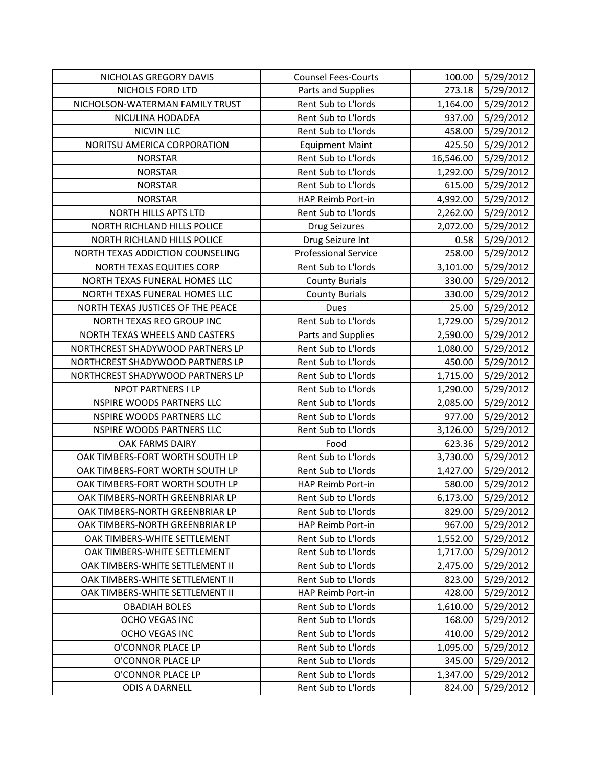| NICHOLAS GREGORY DAVIS            | <b>Counsel Fees-Courts</b>  | 100.00    | 5/29/2012 |
|-----------------------------------|-----------------------------|-----------|-----------|
| NICHOLS FORD LTD                  | Parts and Supplies          | 273.18    | 5/29/2012 |
| NICHOLSON-WATERMAN FAMILY TRUST   | Rent Sub to L'Iords         | 1,164.00  | 5/29/2012 |
| NICULINA HODADEA                  | Rent Sub to L'Iords         | 937.00    | 5/29/2012 |
| <b>NICVIN LLC</b>                 | Rent Sub to L'Iords         | 458.00    | 5/29/2012 |
| NORITSU AMERICA CORPORATION       | <b>Equipment Maint</b>      | 425.50    | 5/29/2012 |
| <b>NORSTAR</b>                    | Rent Sub to L'Iords         | 16,546.00 | 5/29/2012 |
| <b>NORSTAR</b>                    | Rent Sub to L'Iords         | 1,292.00  | 5/29/2012 |
| <b>NORSTAR</b>                    | Rent Sub to L'Iords         | 615.00    | 5/29/2012 |
| <b>NORSTAR</b>                    | HAP Reimb Port-in           | 4,992.00  | 5/29/2012 |
| NORTH HILLS APTS LTD              | Rent Sub to L'Iords         | 2,262.00  | 5/29/2012 |
| NORTH RICHLAND HILLS POLICE       | <b>Drug Seizures</b>        | 2,072.00  | 5/29/2012 |
| NORTH RICHLAND HILLS POLICE       | Drug Seizure Int            | 0.58      | 5/29/2012 |
| NORTH TEXAS ADDICTION COUNSELING  | <b>Professional Service</b> | 258.00    | 5/29/2012 |
| NORTH TEXAS EQUITIES CORP         | Rent Sub to L'Iords         | 3,101.00  | 5/29/2012 |
| NORTH TEXAS FUNERAL HOMES LLC     | <b>County Burials</b>       | 330.00    | 5/29/2012 |
| NORTH TEXAS FUNERAL HOMES LLC     | <b>County Burials</b>       | 330.00    | 5/29/2012 |
| NORTH TEXAS JUSTICES OF THE PEACE | <b>Dues</b>                 | 25.00     | 5/29/2012 |
| NORTH TEXAS REO GROUP INC         | Rent Sub to L'Iords         | 1,729.00  | 5/29/2012 |
| NORTH TEXAS WHEELS AND CASTERS    | Parts and Supplies          | 2,590.00  | 5/29/2012 |
| NORTHCREST SHADYWOOD PARTNERS LP  | Rent Sub to L'Iords         | 1,080.00  | 5/29/2012 |
| NORTHCREST SHADYWOOD PARTNERS LP  | Rent Sub to L'Iords         | 450.00    | 5/29/2012 |
| NORTHCREST SHADYWOOD PARTNERS LP  | Rent Sub to L'Iords         | 1,715.00  | 5/29/2012 |
| NPOT PARTNERS I LP                | Rent Sub to L'Iords         | 1,290.00  | 5/29/2012 |
| NSPIRE WOODS PARTNERS LLC         | Rent Sub to L'Iords         | 2,085.00  | 5/29/2012 |
| NSPIRE WOODS PARTNERS LLC         | Rent Sub to L'Iords         | 977.00    | 5/29/2012 |
| NSPIRE WOODS PARTNERS LLC         | Rent Sub to L'Iords         | 3,126.00  | 5/29/2012 |
| OAK FARMS DAIRY                   | Food                        | 623.36    | 5/29/2012 |
| OAK TIMBERS-FORT WORTH SOUTH LP   | Rent Sub to L'Iords         | 3,730.00  | 5/29/2012 |
| OAK TIMBERS-FORT WORTH SOUTH LP   | Rent Sub to L'Iords         | 1,427.00  | 5/29/2012 |
| OAK TIMBERS-FORT WORTH SOUTH LP   | HAP Reimb Port-in           | 580.00    | 5/29/2012 |
| OAK TIMBERS-NORTH GREENBRIAR LP   | Rent Sub to L'Iords         | 6,173.00  | 5/29/2012 |
| OAK TIMBERS-NORTH GREENBRIAR LP   | Rent Sub to L'Iords         | 829.00    | 5/29/2012 |
| OAK TIMBERS-NORTH GREENBRIAR LP   | HAP Reimb Port-in           | 967.00    | 5/29/2012 |
| OAK TIMBERS-WHITE SETTLEMENT      | Rent Sub to L'Iords         | 1,552.00  | 5/29/2012 |
| OAK TIMBERS-WHITE SETTLEMENT      | Rent Sub to L'Iords         | 1,717.00  | 5/29/2012 |
| OAK TIMBERS-WHITE SETTLEMENT II   | Rent Sub to L'Iords         | 2,475.00  | 5/29/2012 |
| OAK TIMBERS-WHITE SETTLEMENT II   | Rent Sub to L'Iords         | 823.00    | 5/29/2012 |
| OAK TIMBERS-WHITE SETTLEMENT II   | HAP Reimb Port-in           | 428.00    | 5/29/2012 |
| <b>OBADIAH BOLES</b>              | Rent Sub to L'Iords         | 1,610.00  | 5/29/2012 |
| <b>OCHO VEGAS INC</b>             | Rent Sub to L'Iords         | 168.00    | 5/29/2012 |
| OCHO VEGAS INC                    | Rent Sub to L'Iords         | 410.00    | 5/29/2012 |
| O'CONNOR PLACE LP                 | Rent Sub to L'Iords         | 1,095.00  | 5/29/2012 |
| O'CONNOR PLACE LP                 | Rent Sub to L'Iords         | 345.00    | 5/29/2012 |
| O'CONNOR PLACE LP                 | Rent Sub to L'Iords         | 1,347.00  | 5/29/2012 |
| <b>ODIS A DARNELL</b>             | Rent Sub to L'Iords         | 824.00    | 5/29/2012 |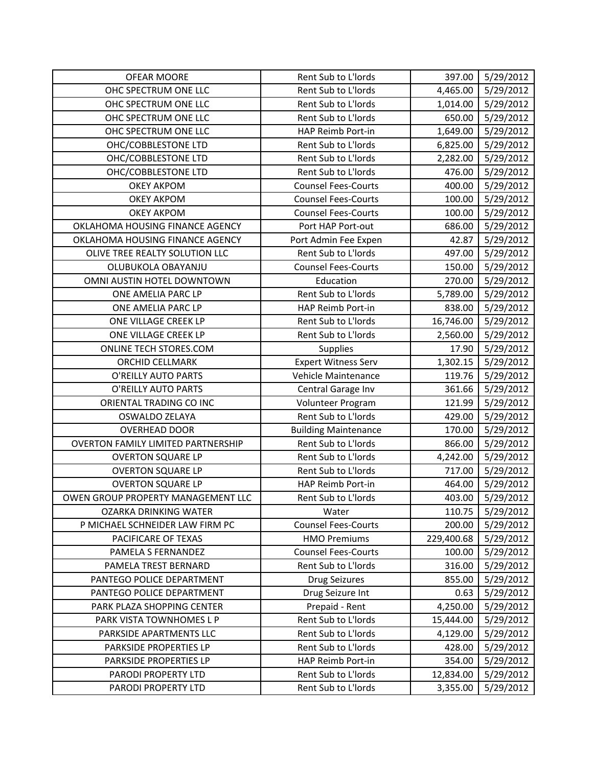| <b>OFEAR MOORE</b>                        | Rent Sub to L'Iords         | 397.00     | 5/29/2012 |
|-------------------------------------------|-----------------------------|------------|-----------|
| OHC SPECTRUM ONE LLC                      | Rent Sub to L'Iords         | 4,465.00   | 5/29/2012 |
| OHC SPECTRUM ONE LLC                      | Rent Sub to L'Iords         | 1,014.00   | 5/29/2012 |
| OHC SPECTRUM ONE LLC                      | Rent Sub to L'Iords         | 650.00     | 5/29/2012 |
| OHC SPECTRUM ONE LLC                      | HAP Reimb Port-in           | 1,649.00   | 5/29/2012 |
| OHC/COBBLESTONE LTD                       | Rent Sub to L'Iords         | 6,825.00   | 5/29/2012 |
| OHC/COBBLESTONE LTD                       | Rent Sub to L'Iords         | 2,282.00   | 5/29/2012 |
| OHC/COBBLESTONE LTD                       | Rent Sub to L'Iords         | 476.00     | 5/29/2012 |
| <b>OKEY AKPOM</b>                         | <b>Counsel Fees-Courts</b>  | 400.00     | 5/29/2012 |
| <b>OKEY AKPOM</b>                         | <b>Counsel Fees-Courts</b>  | 100.00     | 5/29/2012 |
| <b>OKEY AKPOM</b>                         | <b>Counsel Fees-Courts</b>  | 100.00     | 5/29/2012 |
| OKLAHOMA HOUSING FINANCE AGENCY           | Port HAP Port-out           | 686.00     | 5/29/2012 |
| OKLAHOMA HOUSING FINANCE AGENCY           | Port Admin Fee Expen        | 42.87      | 5/29/2012 |
| OLIVE TREE REALTY SOLUTION LLC            | Rent Sub to L'Iords         | 497.00     | 5/29/2012 |
| OLUBUKOLA OBAYANJU                        | <b>Counsel Fees-Courts</b>  | 150.00     | 5/29/2012 |
| OMNI AUSTIN HOTEL DOWNTOWN                | Education                   | 270.00     | 5/29/2012 |
| ONE AMELIA PARC LP                        | Rent Sub to L'Iords         | 5,789.00   | 5/29/2012 |
| ONE AMELIA PARC LP                        | HAP Reimb Port-in           | 838.00     | 5/29/2012 |
| ONE VILLAGE CREEK LP                      | Rent Sub to L'Iords         | 16,746.00  | 5/29/2012 |
| ONE VILLAGE CREEK LP                      | Rent Sub to L'Iords         | 2,560.00   | 5/29/2012 |
| ONLINE TECH STORES.COM                    | Supplies                    | 17.90      | 5/29/2012 |
| ORCHID CELLMARK                           | <b>Expert Witness Serv</b>  | 1,302.15   | 5/29/2012 |
| O'REILLY AUTO PARTS                       | Vehicle Maintenance         | 119.76     | 5/29/2012 |
| O'REILLY AUTO PARTS                       | Central Garage Inv          | 361.66     | 5/29/2012 |
| ORIENTAL TRADING CO INC                   | Volunteer Program           | 121.99     | 5/29/2012 |
| OSWALDO ZELAYA                            | Rent Sub to L'Iords         | 429.00     | 5/29/2012 |
| <b>OVERHEAD DOOR</b>                      | <b>Building Maintenance</b> | 170.00     | 5/29/2012 |
| <b>OVERTON FAMILY LIMITED PARTNERSHIP</b> | Rent Sub to L'Iords         | 866.00     | 5/29/2012 |
| <b>OVERTON SQUARE LP</b>                  | Rent Sub to L'Iords         | 4,242.00   | 5/29/2012 |
| <b>OVERTON SQUARE LP</b>                  | Rent Sub to L'Iords         | 717.00     | 5/29/2012 |
| <b>OVERTON SQUARE LP</b>                  | HAP Reimb Port-in           | 464.00     | 5/29/2012 |
| OWEN GROUP PROPERTY MANAGEMENT LLC        | Rent Sub to L'Iords         | 403.00     | 5/29/2012 |
| <b>OZARKA DRINKING WATER</b>              | Water                       | 110.75     | 5/29/2012 |
| P MICHAEL SCHNEIDER LAW FIRM PC           | <b>Counsel Fees-Courts</b>  | 200.00     | 5/29/2012 |
| PACIFICARE OF TEXAS                       | <b>HMO Premiums</b>         | 229,400.68 | 5/29/2012 |
| PAMELA S FERNANDEZ                        | <b>Counsel Fees-Courts</b>  | 100.00     | 5/29/2012 |
| PAMELA TREST BERNARD                      | Rent Sub to L'Iords         | 316.00     | 5/29/2012 |
| PANTEGO POLICE DEPARTMENT                 | <b>Drug Seizures</b>        | 855.00     | 5/29/2012 |
| PANTEGO POLICE DEPARTMENT                 | Drug Seizure Int            | 0.63       | 5/29/2012 |
| PARK PLAZA SHOPPING CENTER                | Prepaid - Rent              | 4,250.00   | 5/29/2012 |
| PARK VISTA TOWNHOMES L P                  | Rent Sub to L'Iords         | 15,444.00  | 5/29/2012 |
| PARKSIDE APARTMENTS LLC                   | Rent Sub to L'Iords         | 4,129.00   | 5/29/2012 |
| PARKSIDE PROPERTIES LP                    | Rent Sub to L'Iords         | 428.00     | 5/29/2012 |
| PARKSIDE PROPERTIES LP                    | HAP Reimb Port-in           | 354.00     | 5/29/2012 |
| PARODI PROPERTY LTD                       | Rent Sub to L'Iords         | 12,834.00  | 5/29/2012 |
| PARODI PROPERTY LTD                       | Rent Sub to L'Iords         | 3,355.00   | 5/29/2012 |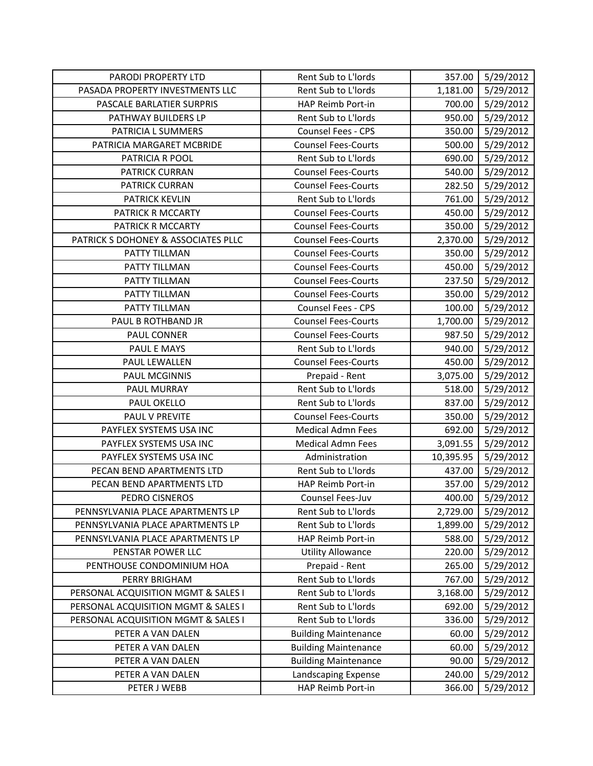| PARODI PROPERTY LTD                 | Rent Sub to L'Iords         | 357.00    | 5/29/2012 |
|-------------------------------------|-----------------------------|-----------|-----------|
| PASADA PROPERTY INVESTMENTS LLC     | Rent Sub to L'Iords         | 1,181.00  | 5/29/2012 |
| PASCALE BARLATIER SURPRIS           | HAP Reimb Port-in           | 700.00    | 5/29/2012 |
| PATHWAY BUILDERS LP                 | Rent Sub to L'Iords         | 950.00    | 5/29/2012 |
| PATRICIA L SUMMERS                  | Counsel Fees - CPS          | 350.00    | 5/29/2012 |
| PATRICIA MARGARET MCBRIDE           | <b>Counsel Fees-Courts</b>  | 500.00    | 5/29/2012 |
| PATRICIA R POOL                     | Rent Sub to L'Iords         | 690.00    | 5/29/2012 |
| PATRICK CURRAN                      | <b>Counsel Fees-Courts</b>  | 540.00    | 5/29/2012 |
| PATRICK CURRAN                      | <b>Counsel Fees-Courts</b>  | 282.50    | 5/29/2012 |
| <b>PATRICK KEVLIN</b>               | Rent Sub to L'Iords         | 761.00    | 5/29/2012 |
| PATRICK R MCCARTY                   | <b>Counsel Fees-Courts</b>  | 450.00    | 5/29/2012 |
| PATRICK R MCCARTY                   | <b>Counsel Fees-Courts</b>  | 350.00    | 5/29/2012 |
| PATRICK S DOHONEY & ASSOCIATES PLLC | <b>Counsel Fees-Courts</b>  | 2,370.00  | 5/29/2012 |
| PATTY TILLMAN                       | <b>Counsel Fees-Courts</b>  | 350.00    | 5/29/2012 |
| PATTY TILLMAN                       | <b>Counsel Fees-Courts</b>  | 450.00    | 5/29/2012 |
| PATTY TILLMAN                       | <b>Counsel Fees-Courts</b>  | 237.50    | 5/29/2012 |
| PATTY TILLMAN                       | <b>Counsel Fees-Courts</b>  | 350.00    | 5/29/2012 |
| PATTY TILLMAN                       | <b>Counsel Fees - CPS</b>   | 100.00    | 5/29/2012 |
| PAUL B ROTHBAND JR                  | <b>Counsel Fees-Courts</b>  | 1,700.00  | 5/29/2012 |
| PAUL CONNER                         | <b>Counsel Fees-Courts</b>  | 987.50    | 5/29/2012 |
| PAUL E MAYS                         | Rent Sub to L'Iords         | 940.00    | 5/29/2012 |
| PAUL LEWALLEN                       | <b>Counsel Fees-Courts</b>  | 450.00    | 5/29/2012 |
| <b>PAUL MCGINNIS</b>                | Prepaid - Rent              | 3,075.00  | 5/29/2012 |
| PAUL MURRAY                         | Rent Sub to L'Iords         | 518.00    | 5/29/2012 |
| PAUL OKELLO                         | Rent Sub to L'Iords         | 837.00    | 5/29/2012 |
| PAUL V PREVITE                      | <b>Counsel Fees-Courts</b>  | 350.00    | 5/29/2012 |
| PAYFLEX SYSTEMS USA INC             | <b>Medical Admn Fees</b>    | 692.00    | 5/29/2012 |
| PAYFLEX SYSTEMS USA INC             | <b>Medical Admn Fees</b>    | 3,091.55  | 5/29/2012 |
| PAYFLEX SYSTEMS USA INC             | Administration              | 10,395.95 | 5/29/2012 |
| PECAN BEND APARTMENTS LTD           | Rent Sub to L'Iords         | 437.00    | 5/29/2012 |
| PECAN BEND APARTMENTS LTD           | HAP Reimb Port-in           | 357.00    | 5/29/2012 |
| PEDRO CISNEROS                      | Counsel Fees-Juv            | 400.00    | 5/29/2012 |
| PENNSYLVANIA PLACE APARTMENTS LP    | Rent Sub to L'Iords         | 2,729.00  | 5/29/2012 |
| PENNSYLVANIA PLACE APARTMENTS LP    | Rent Sub to L'Iords         | 1,899.00  | 5/29/2012 |
| PENNSYLVANIA PLACE APARTMENTS LP    | HAP Reimb Port-in           | 588.00    | 5/29/2012 |
| PENSTAR POWER LLC                   | <b>Utility Allowance</b>    | 220.00    | 5/29/2012 |
| PENTHOUSE CONDOMINIUM HOA           | Prepaid - Rent              | 265.00    | 5/29/2012 |
| PERRY BRIGHAM                       | Rent Sub to L'Iords         | 767.00    | 5/29/2012 |
| PERSONAL ACQUISITION MGMT & SALES I | Rent Sub to L'Iords         | 3,168.00  | 5/29/2012 |
| PERSONAL ACQUISITION MGMT & SALES I | Rent Sub to L'Iords         | 692.00    | 5/29/2012 |
| PERSONAL ACQUISITION MGMT & SALES I | Rent Sub to L'Iords         | 336.00    | 5/29/2012 |
| PETER A VAN DALEN                   | <b>Building Maintenance</b> | 60.00     | 5/29/2012 |
| PETER A VAN DALEN                   | <b>Building Maintenance</b> | 60.00     | 5/29/2012 |
| PETER A VAN DALEN                   | <b>Building Maintenance</b> | 90.00     | 5/29/2012 |
| PETER A VAN DALEN                   | Landscaping Expense         | 240.00    | 5/29/2012 |
| PETER J WEBB                        | HAP Reimb Port-in           | 366.00    | 5/29/2012 |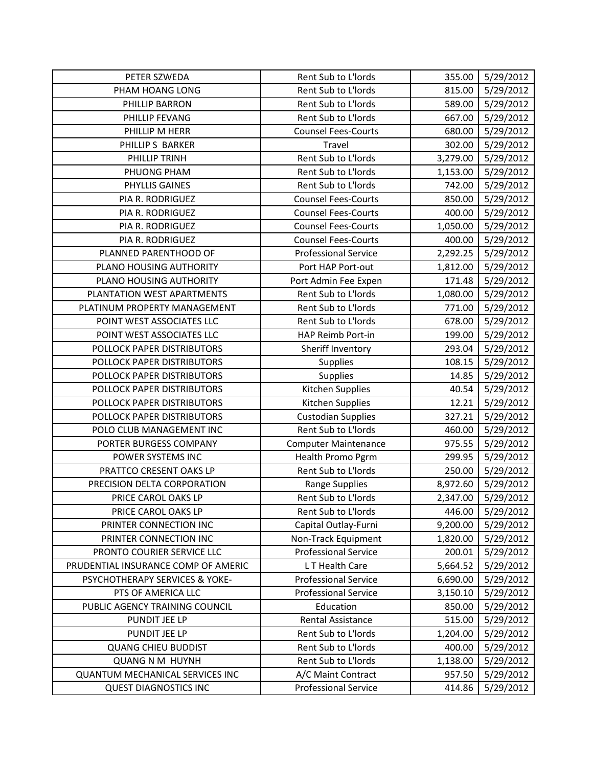| PETER SZWEDA                           | Rent Sub to L'Iords         | 355.00   | 5/29/2012 |
|----------------------------------------|-----------------------------|----------|-----------|
| PHAM HOANG LONG                        | Rent Sub to L'Iords         | 815.00   | 5/29/2012 |
| PHILLIP BARRON                         | Rent Sub to L'Iords         | 589.00   | 5/29/2012 |
| PHILLIP FEVANG                         | Rent Sub to L'Iords         | 667.00   | 5/29/2012 |
| PHILLIP M HERR                         | <b>Counsel Fees-Courts</b>  | 680.00   | 5/29/2012 |
| PHILLIP S BARKER                       | Travel                      | 302.00   | 5/29/2012 |
| PHILLIP TRINH                          | Rent Sub to L'Iords         | 3,279.00 | 5/29/2012 |
| PHUONG PHAM                            | Rent Sub to L'Iords         | 1,153.00 | 5/29/2012 |
| PHYLLIS GAINES                         | Rent Sub to L'Iords         | 742.00   | 5/29/2012 |
| PIA R. RODRIGUEZ                       | <b>Counsel Fees-Courts</b>  | 850.00   | 5/29/2012 |
| PIA R. RODRIGUEZ                       | <b>Counsel Fees-Courts</b>  | 400.00   | 5/29/2012 |
| PIA R. RODRIGUEZ                       | <b>Counsel Fees-Courts</b>  | 1,050.00 | 5/29/2012 |
| PIA R. RODRIGUEZ                       | <b>Counsel Fees-Courts</b>  | 400.00   | 5/29/2012 |
| PLANNED PARENTHOOD OF                  | <b>Professional Service</b> | 2,292.25 | 5/29/2012 |
| PLANO HOUSING AUTHORITY                | Port HAP Port-out           | 1,812.00 | 5/29/2012 |
| PLANO HOUSING AUTHORITY                | Port Admin Fee Expen        | 171.48   | 5/29/2012 |
| PLANTATION WEST APARTMENTS             | Rent Sub to L'Iords         | 1,080.00 | 5/29/2012 |
| PLATINUM PROPERTY MANAGEMENT           | Rent Sub to L'Iords         | 771.00   | 5/29/2012 |
| POINT WEST ASSOCIATES LLC              | Rent Sub to L'Iords         | 678.00   | 5/29/2012 |
| POINT WEST ASSOCIATES LLC              | HAP Reimb Port-in           | 199.00   | 5/29/2012 |
| POLLOCK PAPER DISTRIBUTORS             | Sheriff Inventory           | 293.04   | 5/29/2012 |
| POLLOCK PAPER DISTRIBUTORS             | Supplies                    | 108.15   | 5/29/2012 |
| POLLOCK PAPER DISTRIBUTORS             | Supplies                    | 14.85    | 5/29/2012 |
| POLLOCK PAPER DISTRIBUTORS             | Kitchen Supplies            | 40.54    | 5/29/2012 |
| POLLOCK PAPER DISTRIBUTORS             | Kitchen Supplies            | 12.21    | 5/29/2012 |
| POLLOCK PAPER DISTRIBUTORS             | <b>Custodian Supplies</b>   | 327.21   | 5/29/2012 |
| POLO CLUB MANAGEMENT INC               | Rent Sub to L'Iords         | 460.00   | 5/29/2012 |
| PORTER BURGESS COMPANY                 | <b>Computer Maintenance</b> | 975.55   | 5/29/2012 |
| POWER SYSTEMS INC                      | <b>Health Promo Pgrm</b>    | 299.95   | 5/29/2012 |
| PRATTCO CRESENT OAKS LP                | Rent Sub to L'Iords         | 250.00   | 5/29/2012 |
| PRECISION DELTA CORPORATION            | <b>Range Supplies</b>       | 8,972.60 | 5/29/2012 |
| PRICE CAROL OAKS LP                    | Rent Sub to L'Iords         | 2,347.00 | 5/29/2012 |
| PRICE CAROL OAKS LP                    | Rent Sub to L'Iords         | 446.00   | 5/29/2012 |
| PRINTER CONNECTION INC                 | Capital Outlay-Furni        | 9,200.00 | 5/29/2012 |
| PRINTER CONNECTION INC                 | Non-Track Equipment         | 1,820.00 | 5/29/2012 |
| PRONTO COURIER SERVICE LLC             | <b>Professional Service</b> | 200.01   | 5/29/2012 |
| PRUDENTIAL INSURANCE COMP OF AMERIC    | L T Health Care             | 5,664.52 | 5/29/2012 |
| PSYCHOTHERAPY SERVICES & YOKE-         | <b>Professional Service</b> | 6,690.00 | 5/29/2012 |
| PTS OF AMERICA LLC                     | <b>Professional Service</b> | 3,150.10 | 5/29/2012 |
| PUBLIC AGENCY TRAINING COUNCIL         | Education                   | 850.00   | 5/29/2012 |
| PUNDIT JEE LP                          | Rental Assistance           | 515.00   | 5/29/2012 |
| PUNDIT JEE LP                          | Rent Sub to L'Iords         | 1,204.00 | 5/29/2012 |
| <b>QUANG CHIEU BUDDIST</b>             | Rent Sub to L'Iords         | 400.00   | 5/29/2012 |
| <b>QUANG N M HUYNH</b>                 | Rent Sub to L'Iords         | 1,138.00 | 5/29/2012 |
| <b>QUANTUM MECHANICAL SERVICES INC</b> | A/C Maint Contract          | 957.50   | 5/29/2012 |
| <b>QUEST DIAGNOSTICS INC</b>           | <b>Professional Service</b> | 414.86   | 5/29/2012 |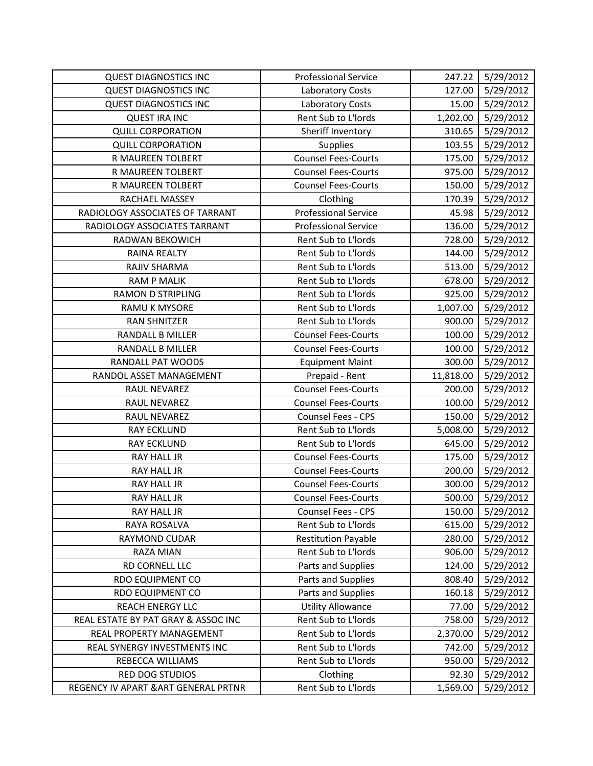| <b>QUEST DIAGNOSTICS INC</b>         | <b>Professional Service</b> | 247.22    | 5/29/2012 |
|--------------------------------------|-----------------------------|-----------|-----------|
| <b>QUEST DIAGNOSTICS INC</b>         | Laboratory Costs            | 127.00    | 5/29/2012 |
| <b>QUEST DIAGNOSTICS INC</b>         | Laboratory Costs            | 15.00     | 5/29/2012 |
| <b>QUEST IRA INC</b>                 | Rent Sub to L'Iords         | 1,202.00  | 5/29/2012 |
| <b>QUILL CORPORATION</b>             | Sheriff Inventory           | 310.65    | 5/29/2012 |
| <b>QUILL CORPORATION</b>             | Supplies                    | 103.55    | 5/29/2012 |
| R MAUREEN TOLBERT                    | <b>Counsel Fees-Courts</b>  | 175.00    | 5/29/2012 |
| R MAUREEN TOLBERT                    | <b>Counsel Fees-Courts</b>  | 975.00    | 5/29/2012 |
| R MAUREEN TOLBERT                    | <b>Counsel Fees-Courts</b>  | 150.00    | 5/29/2012 |
| RACHAEL MASSEY                       | Clothing                    | 170.39    | 5/29/2012 |
| RADIOLOGY ASSOCIATES OF TARRANT      | <b>Professional Service</b> | 45.98     | 5/29/2012 |
| RADIOLOGY ASSOCIATES TARRANT         | <b>Professional Service</b> | 136.00    | 5/29/2012 |
| RADWAN BEKOWICH                      | Rent Sub to L'Iords         | 728.00    | 5/29/2012 |
| RAINA REALTY                         | Rent Sub to L'Iords         | 144.00    | 5/29/2012 |
| RAJIV SHARMA                         | Rent Sub to L'Iords         | 513.00    | 5/29/2012 |
| <b>RAM P MALIK</b>                   | Rent Sub to L'Iords         | 678.00    | 5/29/2012 |
| <b>RAMON D STRIPLING</b>             | Rent Sub to L'Iords         | 925.00    | 5/29/2012 |
| <b>RAMU K MYSORE</b>                 | Rent Sub to L'Iords         | 1,007.00  | 5/29/2012 |
| <b>RAN SHNITZER</b>                  | Rent Sub to L'Iords         | 900.00    | 5/29/2012 |
| <b>RANDALL B MILLER</b>              | <b>Counsel Fees-Courts</b>  | 100.00    | 5/29/2012 |
| RANDALL B MILLER                     | <b>Counsel Fees-Courts</b>  | 100.00    | 5/29/2012 |
| RANDALL PAT WOODS                    | <b>Equipment Maint</b>      | 300.00    | 5/29/2012 |
| RANDOL ASSET MANAGEMENT              | Prepaid - Rent              | 11,818.00 | 5/29/2012 |
| RAUL NEVAREZ                         | <b>Counsel Fees-Courts</b>  | 200.00    | 5/29/2012 |
| RAUL NEVAREZ                         | <b>Counsel Fees-Courts</b>  | 100.00    | 5/29/2012 |
| RAUL NEVAREZ                         | Counsel Fees - CPS          | 150.00    | 5/29/2012 |
| <b>RAY ECKLUND</b>                   | Rent Sub to L'Iords         | 5,008.00  | 5/29/2012 |
| <b>RAY ECKLUND</b>                   | Rent Sub to L'Iords         | 645.00    | 5/29/2012 |
| <b>RAY HALL JR</b>                   | <b>Counsel Fees-Courts</b>  | 175.00    | 5/29/2012 |
| RAY HALL JR                          | <b>Counsel Fees-Courts</b>  | 200.00    | 5/29/2012 |
| RAY HALL JR                          | <b>Counsel Fees-Courts</b>  | 300.00    | 5/29/2012 |
| RAY HALL JR                          | <b>Counsel Fees-Courts</b>  | 500.00    | 5/29/2012 |
| <b>RAY HALL JR</b>                   | Counsel Fees - CPS          | 150.00    | 5/29/2012 |
| RAYA ROSALVA                         | Rent Sub to L'Iords         | 615.00    | 5/29/2012 |
| RAYMOND CUDAR                        | <b>Restitution Payable</b>  | 280.00    | 5/29/2012 |
| RAZA MIAN                            | Rent Sub to L'Iords         | 906.00    | 5/29/2012 |
| RD CORNELL LLC                       | Parts and Supplies          | 124.00    | 5/29/2012 |
| <b>RDO EQUIPMENT CO</b>              | Parts and Supplies          | 808.40    | 5/29/2012 |
| RDO EQUIPMENT CO                     | Parts and Supplies          | 160.18    | 5/29/2012 |
| <b>REACH ENERGY LLC</b>              | <b>Utility Allowance</b>    | 77.00     | 5/29/2012 |
| REAL ESTATE BY PAT GRAY & ASSOC INC  | Rent Sub to L'Iords         | 758.00    | 5/29/2012 |
| REAL PROPERTY MANAGEMENT             | Rent Sub to L'Iords         | 2,370.00  | 5/29/2012 |
| REAL SYNERGY INVESTMENTS INC         | Rent Sub to L'Iords         | 742.00    | 5/29/2012 |
| REBECCA WILLIAMS                     | Rent Sub to L'Iords         | 950.00    | 5/29/2012 |
| <b>RED DOG STUDIOS</b>               | Clothing                    | 92.30     | 5/29/2012 |
| REGENCY IV APART & ART GENERAL PRTNR | Rent Sub to L'Iords         | 1,569.00  | 5/29/2012 |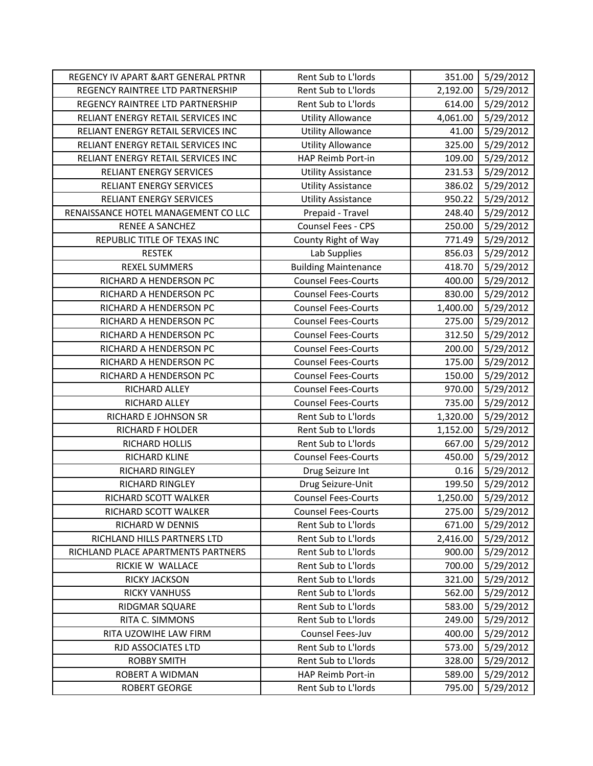| REGENCY IV APART & ART GENERAL PRTNR | Rent Sub to L'Iords         | 351.00   | 5/29/2012 |
|--------------------------------------|-----------------------------|----------|-----------|
| REGENCY RAINTREE LTD PARTNERSHIP     | Rent Sub to L'Iords         | 2,192.00 | 5/29/2012 |
| REGENCY RAINTREE LTD PARTNERSHIP     | Rent Sub to L'Iords         | 614.00   | 5/29/2012 |
| RELIANT ENERGY RETAIL SERVICES INC   | <b>Utility Allowance</b>    | 4,061.00 | 5/29/2012 |
| RELIANT ENERGY RETAIL SERVICES INC   | <b>Utility Allowance</b>    | 41.00    | 5/29/2012 |
| RELIANT ENERGY RETAIL SERVICES INC   | <b>Utility Allowance</b>    | 325.00   | 5/29/2012 |
| RELIANT ENERGY RETAIL SERVICES INC   | HAP Reimb Port-in           | 109.00   | 5/29/2012 |
| RELIANT ENERGY SERVICES              | <b>Utility Assistance</b>   | 231.53   | 5/29/2012 |
| RELIANT ENERGY SERVICES              | <b>Utility Assistance</b>   | 386.02   | 5/29/2012 |
| <b>RELIANT ENERGY SERVICES</b>       | <b>Utility Assistance</b>   | 950.22   | 5/29/2012 |
| RENAISSANCE HOTEL MANAGEMENT CO LLC  | Prepaid - Travel            | 248.40   | 5/29/2012 |
| RENEE A SANCHEZ                      | Counsel Fees - CPS          | 250.00   | 5/29/2012 |
| REPUBLIC TITLE OF TEXAS INC          | County Right of Way         | 771.49   | 5/29/2012 |
| <b>RESTEK</b>                        | Lab Supplies                | 856.03   | 5/29/2012 |
| <b>REXEL SUMMERS</b>                 | <b>Building Maintenance</b> | 418.70   | 5/29/2012 |
| RICHARD A HENDERSON PC               | <b>Counsel Fees-Courts</b>  | 400.00   | 5/29/2012 |
| RICHARD A HENDERSON PC               | <b>Counsel Fees-Courts</b>  | 830.00   | 5/29/2012 |
| RICHARD A HENDERSON PC               | <b>Counsel Fees-Courts</b>  | 1,400.00 | 5/29/2012 |
| RICHARD A HENDERSON PC               | <b>Counsel Fees-Courts</b>  | 275.00   | 5/29/2012 |
| RICHARD A HENDERSON PC               | <b>Counsel Fees-Courts</b>  | 312.50   | 5/29/2012 |
| RICHARD A HENDERSON PC               | <b>Counsel Fees-Courts</b>  | 200.00   | 5/29/2012 |
| RICHARD A HENDERSON PC               | <b>Counsel Fees-Courts</b>  | 175.00   | 5/29/2012 |
| RICHARD A HENDERSON PC               | <b>Counsel Fees-Courts</b>  | 150.00   | 5/29/2012 |
| RICHARD ALLEY                        | <b>Counsel Fees-Courts</b>  | 970.00   | 5/29/2012 |
| RICHARD ALLEY                        | <b>Counsel Fees-Courts</b>  | 735.00   | 5/29/2012 |
| RICHARD E JOHNSON SR                 | Rent Sub to L'Iords         | 1,320.00 | 5/29/2012 |
| RICHARD F HOLDER                     | Rent Sub to L'Iords         | 1,152.00 | 5/29/2012 |
| RICHARD HOLLIS                       | Rent Sub to L'Iords         | 667.00   | 5/29/2012 |
| RICHARD KLINE                        | <b>Counsel Fees-Courts</b>  | 450.00   | 5/29/2012 |
| RICHARD RINGLEY                      | Drug Seizure Int            | 0.16     | 5/29/2012 |
| <b>RICHARD RINGLEY</b>               | Drug Seizure-Unit           | 199.50   | 5/29/2012 |
| RICHARD SCOTT WALKER                 | <b>Counsel Fees-Courts</b>  | 1,250.00 | 5/29/2012 |
| RICHARD SCOTT WALKER                 | <b>Counsel Fees-Courts</b>  | 275.00   | 5/29/2012 |
| RICHARD W DENNIS                     | Rent Sub to L'Iords         | 671.00   | 5/29/2012 |
| RICHLAND HILLS PARTNERS LTD          | Rent Sub to L'Iords         | 2,416.00 | 5/29/2012 |
| RICHLAND PLACE APARTMENTS PARTNERS   | Rent Sub to L'Iords         | 900.00   | 5/29/2012 |
| RICKIE W WALLACE                     | Rent Sub to L'Iords         | 700.00   | 5/29/2012 |
| <b>RICKY JACKSON</b>                 | Rent Sub to L'Iords         | 321.00   | 5/29/2012 |
| <b>RICKY VANHUSS</b>                 | Rent Sub to L'Iords         | 562.00   | 5/29/2012 |
| RIDGMAR SQUARE                       | Rent Sub to L'Iords         | 583.00   | 5/29/2012 |
| RITA C. SIMMONS                      | Rent Sub to L'Iords         | 249.00   | 5/29/2012 |
| RITA UZOWIHE LAW FIRM                | Counsel Fees-Juv            | 400.00   | 5/29/2012 |
| RJD ASSOCIATES LTD                   | Rent Sub to L'Iords         | 573.00   | 5/29/2012 |
| <b>ROBBY SMITH</b>                   | Rent Sub to L'Iords         | 328.00   | 5/29/2012 |
| ROBERT A WIDMAN                      | HAP Reimb Port-in           | 589.00   | 5/29/2012 |
| <b>ROBERT GEORGE</b>                 | Rent Sub to L'Iords         | 795.00   | 5/29/2012 |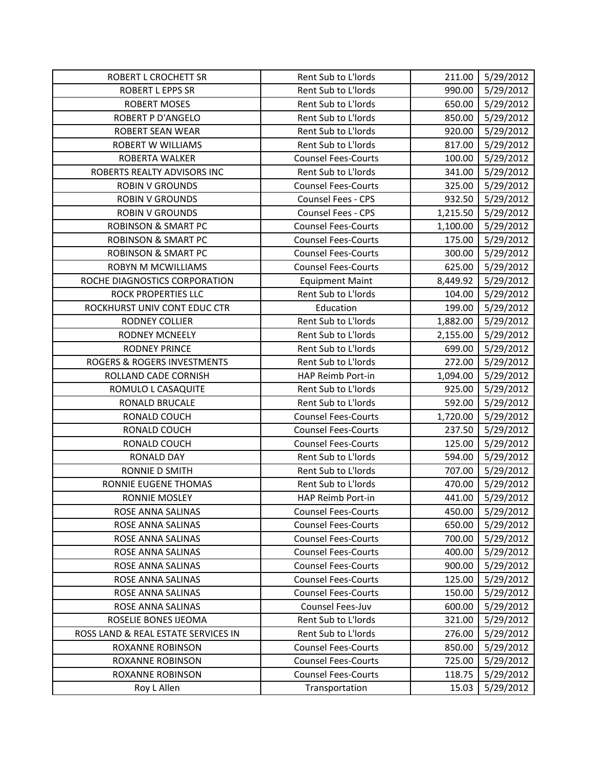| ROBERT L CROCHETT SR                | Rent Sub to L'Iords        | 211.00   | 5/29/2012 |
|-------------------------------------|----------------------------|----------|-----------|
| ROBERT L EPPS SR                    | Rent Sub to L'Iords        | 990.00   | 5/29/2012 |
| <b>ROBERT MOSES</b>                 | Rent Sub to L'Iords        | 650.00   | 5/29/2012 |
| <b>ROBERT P D'ANGELO</b>            | Rent Sub to L'Iords        | 850.00   | 5/29/2012 |
| <b>ROBERT SEAN WEAR</b>             | Rent Sub to L'Iords        | 920.00   | 5/29/2012 |
| <b>ROBERT W WILLIAMS</b>            | Rent Sub to L'Iords        | 817.00   | 5/29/2012 |
| ROBERTA WALKER                      | <b>Counsel Fees-Courts</b> | 100.00   | 5/29/2012 |
| ROBERTS REALTY ADVISORS INC         | Rent Sub to L'Iords        | 341.00   | 5/29/2012 |
| <b>ROBIN V GROUNDS</b>              | <b>Counsel Fees-Courts</b> | 325.00   | 5/29/2012 |
| <b>ROBIN V GROUNDS</b>              | Counsel Fees - CPS         | 932.50   | 5/29/2012 |
| <b>ROBIN V GROUNDS</b>              | Counsel Fees - CPS         | 1,215.50 | 5/29/2012 |
| <b>ROBINSON &amp; SMART PC</b>      | <b>Counsel Fees-Courts</b> | 1,100.00 | 5/29/2012 |
| <b>ROBINSON &amp; SMART PC</b>      | <b>Counsel Fees-Courts</b> | 175.00   | 5/29/2012 |
| <b>ROBINSON &amp; SMART PC</b>      | <b>Counsel Fees-Courts</b> | 300.00   | 5/29/2012 |
| <b>ROBYN M MCWILLIAMS</b>           | <b>Counsel Fees-Courts</b> | 625.00   | 5/29/2012 |
| ROCHE DIAGNOSTICS CORPORATION       | <b>Equipment Maint</b>     | 8,449.92 | 5/29/2012 |
| <b>ROCK PROPERTIES LLC</b>          | Rent Sub to L'Iords        | 104.00   | 5/29/2012 |
| ROCKHURST UNIV CONT EDUC CTR        | Education                  | 199.00   | 5/29/2012 |
| <b>RODNEY COLLIER</b>               | Rent Sub to L'Iords        | 1,882.00 | 5/29/2012 |
| <b>RODNEY MCNEELY</b>               | Rent Sub to L'Iords        | 2,155.00 | 5/29/2012 |
| <b>RODNEY PRINCE</b>                | Rent Sub to L'Iords        | 699.00   | 5/29/2012 |
| ROGERS & ROGERS INVESTMENTS         | Rent Sub to L'Iords        | 272.00   | 5/29/2012 |
| ROLLAND CADE CORNISH                | HAP Reimb Port-in          | 1,094.00 | 5/29/2012 |
| ROMULO L CASAQUITE                  | Rent Sub to L'Iords        | 925.00   | 5/29/2012 |
| RONALD BRUCALE                      | Rent Sub to L'Iords        | 592.00   | 5/29/2012 |
| RONALD COUCH                        | <b>Counsel Fees-Courts</b> | 1,720.00 | 5/29/2012 |
| RONALD COUCH                        | <b>Counsel Fees-Courts</b> | 237.50   | 5/29/2012 |
| RONALD COUCH                        | <b>Counsel Fees-Courts</b> | 125.00   | 5/29/2012 |
| <b>RONALD DAY</b>                   | Rent Sub to L'Iords        | 594.00   | 5/29/2012 |
| RONNIE D SMITH                      | Rent Sub to L'Iords        | 707.00   | 5/29/2012 |
| RONNIE EUGENE THOMAS                | Rent Sub to L'Iords        | 470.00   | 5/29/2012 |
| <b>RONNIE MOSLEY</b>                | HAP Reimb Port-in          | 441.00   | 5/29/2012 |
| ROSE ANNA SALINAS                   | <b>Counsel Fees-Courts</b> | 450.00   | 5/29/2012 |
| ROSE ANNA SALINAS                   | <b>Counsel Fees-Courts</b> | 650.00   | 5/29/2012 |
| ROSE ANNA SALINAS                   | <b>Counsel Fees-Courts</b> | 700.00   | 5/29/2012 |
| ROSE ANNA SALINAS                   | <b>Counsel Fees-Courts</b> | 400.00   | 5/29/2012 |
| ROSE ANNA SALINAS                   | <b>Counsel Fees-Courts</b> | 900.00   | 5/29/2012 |
| ROSE ANNA SALINAS                   | <b>Counsel Fees-Courts</b> | 125.00   | 5/29/2012 |
| ROSE ANNA SALINAS                   | <b>Counsel Fees-Courts</b> | 150.00   | 5/29/2012 |
| ROSE ANNA SALINAS                   | Counsel Fees-Juv           | 600.00   | 5/29/2012 |
| ROSELIE BONES IJEOMA                | Rent Sub to L'Iords        | 321.00   | 5/29/2012 |
| ROSS LAND & REAL ESTATE SERVICES IN | Rent Sub to L'Iords        | 276.00   | 5/29/2012 |
| <b>ROXANNE ROBINSON</b>             | <b>Counsel Fees-Courts</b> | 850.00   | 5/29/2012 |
| ROXANNE ROBINSON                    | <b>Counsel Fees-Courts</b> | 725.00   | 5/29/2012 |
| ROXANNE ROBINSON                    | <b>Counsel Fees-Courts</b> | 118.75   | 5/29/2012 |
| Roy L Allen                         | Transportation             | 15.03    | 5/29/2012 |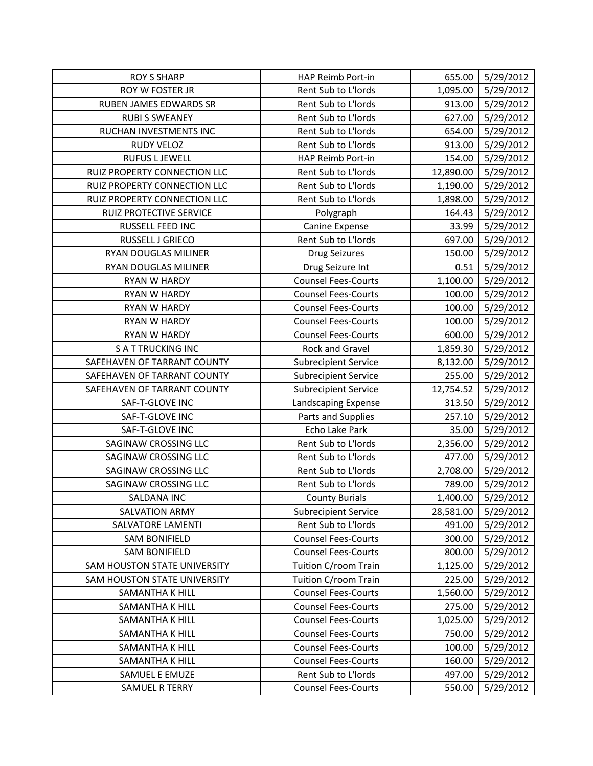| <b>ROY S SHARP</b>            | HAP Reimb Port-in           | 655.00    | 5/29/2012 |
|-------------------------------|-----------------------------|-----------|-----------|
| ROY W FOSTER JR               | Rent Sub to L'Iords         | 1,095.00  | 5/29/2012 |
| <b>RUBEN JAMES EDWARDS SR</b> | Rent Sub to L'Iords         | 913.00    | 5/29/2012 |
| <b>RUBI S SWEANEY</b>         | Rent Sub to L'Iords         | 627.00    | 5/29/2012 |
| RUCHAN INVESTMENTS INC        | Rent Sub to L'Iords         | 654.00    | 5/29/2012 |
| <b>RUDY VELOZ</b>             | Rent Sub to L'Iords         | 913.00    | 5/29/2012 |
| <b>RUFUS L JEWELL</b>         | HAP Reimb Port-in           | 154.00    | 5/29/2012 |
| RUIZ PROPERTY CONNECTION LLC  | Rent Sub to L'Iords         | 12,890.00 | 5/29/2012 |
| RUIZ PROPERTY CONNECTION LLC  | Rent Sub to L'Iords         | 1,190.00  | 5/29/2012 |
| RUIZ PROPERTY CONNECTION LLC  | Rent Sub to L'Iords         | 1,898.00  | 5/29/2012 |
| RUIZ PROTECTIVE SERVICE       | Polygraph                   | 164.43    | 5/29/2012 |
| RUSSELL FEED INC              | Canine Expense              | 33.99     | 5/29/2012 |
| RUSSELL J GRIECO              | Rent Sub to L'Iords         | 697.00    | 5/29/2012 |
| RYAN DOUGLAS MILINER          | <b>Drug Seizures</b>        | 150.00    | 5/29/2012 |
| RYAN DOUGLAS MILINER          | Drug Seizure Int            | 0.51      | 5/29/2012 |
| RYAN W HARDY                  | <b>Counsel Fees-Courts</b>  | 1,100.00  | 5/29/2012 |
| <b>RYAN W HARDY</b>           | <b>Counsel Fees-Courts</b>  | 100.00    | 5/29/2012 |
| <b>RYAN W HARDY</b>           | <b>Counsel Fees-Courts</b>  | 100.00    | 5/29/2012 |
| <b>RYAN W HARDY</b>           | <b>Counsel Fees-Courts</b>  | 100.00    | 5/29/2012 |
| <b>RYAN W HARDY</b>           | <b>Counsel Fees-Courts</b>  | 600.00    | 5/29/2012 |
| <b>SATTRUCKING INC</b>        | Rock and Gravel             | 1,859.30  | 5/29/2012 |
| SAFEHAVEN OF TARRANT COUNTY   | <b>Subrecipient Service</b> | 8,132.00  | 5/29/2012 |
| SAFEHAVEN OF TARRANT COUNTY   | <b>Subrecipient Service</b> | 255.00    | 5/29/2012 |
| SAFEHAVEN OF TARRANT COUNTY   | <b>Subrecipient Service</b> | 12,754.52 | 5/29/2012 |
| SAF-T-GLOVE INC               | Landscaping Expense         | 313.50    | 5/29/2012 |
| SAF-T-GLOVE INC               | Parts and Supplies          | 257.10    | 5/29/2012 |
| SAF-T-GLOVE INC               | Echo Lake Park              | 35.00     | 5/29/2012 |
| SAGINAW CROSSING LLC          | Rent Sub to L'Iords         | 2,356.00  | 5/29/2012 |
| <b>SAGINAW CROSSING LLC</b>   | Rent Sub to L'Iords         | 477.00    | 5/29/2012 |
| SAGINAW CROSSING LLC          | Rent Sub to L'Iords         | 2,708.00  | 5/29/2012 |
| SAGINAW CROSSING LLC          | Rent Sub to L'Iords         | 789.00    | 5/29/2012 |
| SALDANA INC                   | <b>County Burials</b>       | 1,400.00  | 5/29/2012 |
| <b>SALVATION ARMY</b>         | <b>Subrecipient Service</b> | 28,581.00 | 5/29/2012 |
| <b>SALVATORE LAMENTI</b>      | Rent Sub to L'Iords         | 491.00    | 5/29/2012 |
| <b>SAM BONIFIELD</b>          | <b>Counsel Fees-Courts</b>  | 300.00    | 5/29/2012 |
| <b>SAM BONIFIELD</b>          | <b>Counsel Fees-Courts</b>  | 800.00    | 5/29/2012 |
| SAM HOUSTON STATE UNIVERSITY  | Tuition C/room Train        | 1,125.00  | 5/29/2012 |
| SAM HOUSTON STATE UNIVERSITY  |                             |           |           |
| <b>SAMANTHA K HILL</b>        | Tuition C/room Train        | 225.00    | 5/29/2012 |
|                               | <b>Counsel Fees-Courts</b>  | 1,560.00  | 5/29/2012 |
| SAMANTHA K HILL               | <b>Counsel Fees-Courts</b>  | 275.00    | 5/29/2012 |
| <b>SAMANTHA K HILL</b>        | <b>Counsel Fees-Courts</b>  | 1,025.00  | 5/29/2012 |
| SAMANTHA K HILL               | <b>Counsel Fees-Courts</b>  | 750.00    | 5/29/2012 |
| <b>SAMANTHA K HILL</b>        | <b>Counsel Fees-Courts</b>  | 100.00    | 5/29/2012 |
| SAMANTHA K HILL               | <b>Counsel Fees-Courts</b>  | 160.00    | 5/29/2012 |
| SAMUEL E EMUZE                | Rent Sub to L'Iords         | 497.00    | 5/29/2012 |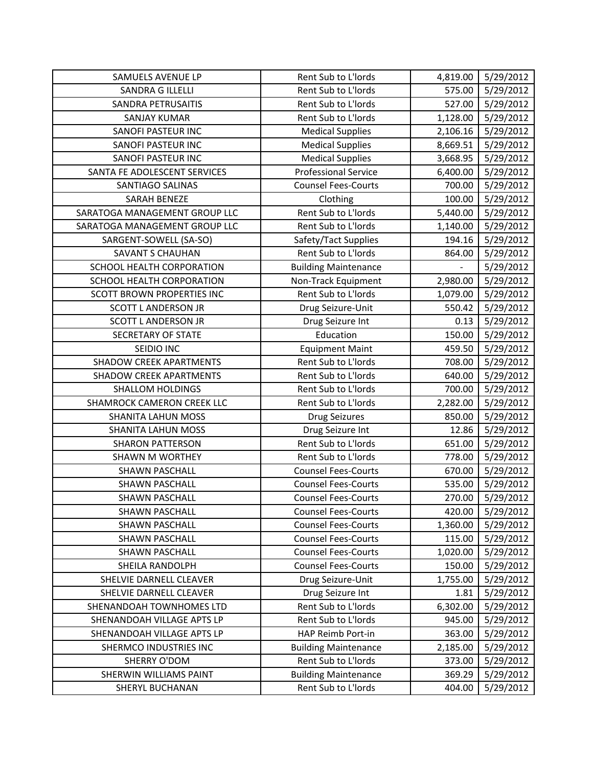| <b>SAMUELS AVENUE LP</b>       | Rent Sub to L'Iords         | 4,819.00 | 5/29/2012 |
|--------------------------------|-----------------------------|----------|-----------|
| <b>SANDRA G ILLELLI</b>        | Rent Sub to L'Iords         | 575.00   | 5/29/2012 |
| SANDRA PETRUSAITIS             | Rent Sub to L'Iords         | 527.00   | 5/29/2012 |
| <b>SANJAY KUMAR</b>            | Rent Sub to L'Iords         | 1,128.00 | 5/29/2012 |
| <b>SANOFI PASTEUR INC</b>      | <b>Medical Supplies</b>     | 2,106.16 | 5/29/2012 |
| <b>SANOFI PASTEUR INC</b>      | <b>Medical Supplies</b>     | 8,669.51 | 5/29/2012 |
| SANOFI PASTEUR INC             | <b>Medical Supplies</b>     | 3,668.95 | 5/29/2012 |
| SANTA FE ADOLESCENT SERVICES   | <b>Professional Service</b> | 6,400.00 | 5/29/2012 |
| SANTIAGO SALINAS               | <b>Counsel Fees-Courts</b>  | 700.00   | 5/29/2012 |
| <b>SARAH BENEZE</b>            | Clothing                    | 100.00   | 5/29/2012 |
| SARATOGA MANAGEMENT GROUP LLC  | Rent Sub to L'Iords         | 5,440.00 | 5/29/2012 |
| SARATOGA MANAGEMENT GROUP LLC  | Rent Sub to L'Iords         | 1,140.00 | 5/29/2012 |
| SARGENT-SOWELL (SA-SO)         | Safety/Tact Supplies        | 194.16   | 5/29/2012 |
| <b>SAVANT S CHAUHAN</b>        | Rent Sub to L'Iords         | 864.00   | 5/29/2012 |
| SCHOOL HEALTH CORPORATION      | <b>Building Maintenance</b> | ÷,       | 5/29/2012 |
| SCHOOL HEALTH CORPORATION      | Non-Track Equipment         | 2,980.00 | 5/29/2012 |
| SCOTT BROWN PROPERTIES INC     | Rent Sub to L'Iords         | 1,079.00 | 5/29/2012 |
| <b>SCOTT L ANDERSON JR</b>     | Drug Seizure-Unit           | 550.42   | 5/29/2012 |
| <b>SCOTT L ANDERSON JR</b>     | Drug Seizure Int            | 0.13     | 5/29/2012 |
| <b>SECRETARY OF STATE</b>      | Education                   | 150.00   | 5/29/2012 |
| SEIDIO INC                     | <b>Equipment Maint</b>      | 459.50   | 5/29/2012 |
| <b>SHADOW CREEK APARTMENTS</b> | Rent Sub to L'Iords         | 708.00   | 5/29/2012 |
| <b>SHADOW CREEK APARTMENTS</b> | Rent Sub to L'Iords         | 640.00   | 5/29/2012 |
| <b>SHALLOM HOLDINGS</b>        | Rent Sub to L'Iords         | 700.00   | 5/29/2012 |
| SHAMROCK CAMERON CREEK LLC     | Rent Sub to L'Iords         | 2,282.00 | 5/29/2012 |
| <b>SHANITA LAHUN MOSS</b>      | <b>Drug Seizures</b>        | 850.00   | 5/29/2012 |
| <b>SHANITA LAHUN MOSS</b>      | Drug Seizure Int            | 12.86    | 5/29/2012 |
| <b>SHARON PATTERSON</b>        | Rent Sub to L'Iords         | 651.00   | 5/29/2012 |
| <b>SHAWN M WORTHEY</b>         | Rent Sub to L'Iords         | 778.00   | 5/29/2012 |
| <b>SHAWN PASCHALL</b>          | <b>Counsel Fees-Courts</b>  | 670.00   | 5/29/2012 |
| <b>SHAWN PASCHALL</b>          | <b>Counsel Fees-Courts</b>  | 535.00   | 5/29/2012 |
| <b>SHAWN PASCHALL</b>          | <b>Counsel Fees-Courts</b>  | 270.00   | 5/29/2012 |
| <b>SHAWN PASCHALL</b>          | <b>Counsel Fees-Courts</b>  | 420.00   | 5/29/2012 |
| <b>SHAWN PASCHALL</b>          | <b>Counsel Fees-Courts</b>  | 1,360.00 | 5/29/2012 |
| <b>SHAWN PASCHALL</b>          | <b>Counsel Fees-Courts</b>  | 115.00   | 5/29/2012 |
| <b>SHAWN PASCHALL</b>          | <b>Counsel Fees-Courts</b>  | 1,020.00 | 5/29/2012 |
| SHEILA RANDOLPH                | <b>Counsel Fees-Courts</b>  | 150.00   | 5/29/2012 |
| SHELVIE DARNELL CLEAVER        | Drug Seizure-Unit           | 1,755.00 | 5/29/2012 |
| SHELVIE DARNELL CLEAVER        | Drug Seizure Int            | 1.81     | 5/29/2012 |
| SHENANDOAH TOWNHOMES LTD       | Rent Sub to L'Iords         | 6,302.00 | 5/29/2012 |
| SHENANDOAH VILLAGE APTS LP     | Rent Sub to L'Iords         | 945.00   | 5/29/2012 |
| SHENANDOAH VILLAGE APTS LP     | HAP Reimb Port-in           | 363.00   | 5/29/2012 |
| SHERMCO INDUSTRIES INC         | <b>Building Maintenance</b> | 2,185.00 | 5/29/2012 |
| SHERRY O'DOM                   | Rent Sub to L'Iords         | 373.00   | 5/29/2012 |
| SHERWIN WILLIAMS PAINT         | <b>Building Maintenance</b> | 369.29   | 5/29/2012 |
| SHERYL BUCHANAN                | Rent Sub to L'Iords         | 404.00   | 5/29/2012 |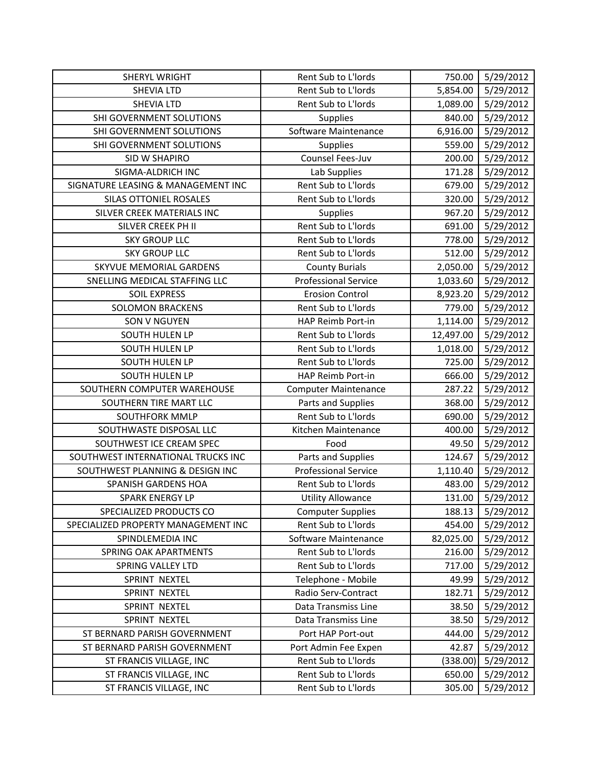| SHERYL WRIGHT                       | Rent Sub to L'Iords         | 750.00    | 5/29/2012 |
|-------------------------------------|-----------------------------|-----------|-----------|
| <b>SHEVIA LTD</b>                   | Rent Sub to L'Iords         | 5,854.00  | 5/29/2012 |
| <b>SHEVIA LTD</b>                   | Rent Sub to L'Iords         | 1,089.00  | 5/29/2012 |
| SHI GOVERNMENT SOLUTIONS            | Supplies                    | 840.00    | 5/29/2012 |
| SHI GOVERNMENT SOLUTIONS            | Software Maintenance        | 6,916.00  | 5/29/2012 |
| SHI GOVERNMENT SOLUTIONS            | <b>Supplies</b>             | 559.00    | 5/29/2012 |
| SID W SHAPIRO                       | Counsel Fees-Juv            | 200.00    | 5/29/2012 |
| SIGMA-ALDRICH INC                   | Lab Supplies                | 171.28    | 5/29/2012 |
| SIGNATURE LEASING & MANAGEMENT INC  | Rent Sub to L'Iords         | 679.00    | 5/29/2012 |
| SILAS OTTONIEL ROSALES              | Rent Sub to L'Iords         | 320.00    | 5/29/2012 |
| SILVER CREEK MATERIALS INC          | Supplies                    | 967.20    | 5/29/2012 |
| SILVER CREEK PH II                  | Rent Sub to L'Iords         | 691.00    | 5/29/2012 |
| <b>SKY GROUP LLC</b>                | Rent Sub to L'Iords         | 778.00    | 5/29/2012 |
| <b>SKY GROUP LLC</b>                | Rent Sub to L'Iords         | 512.00    | 5/29/2012 |
| SKYVUE MEMORIAL GARDENS             | <b>County Burials</b>       | 2,050.00  | 5/29/2012 |
| SNELLING MEDICAL STAFFING LLC       | <b>Professional Service</b> | 1,033.60  | 5/29/2012 |
| <b>SOIL EXPRESS</b>                 | <b>Erosion Control</b>      | 8,923.20  | 5/29/2012 |
| <b>SOLOMON BRACKENS</b>             | Rent Sub to L'Iords         | 779.00    | 5/29/2012 |
| SON V NGUYEN                        | HAP Reimb Port-in           | 1,114.00  | 5/29/2012 |
| <b>SOUTH HULEN LP</b>               | Rent Sub to L'Iords         | 12,497.00 | 5/29/2012 |
| SOUTH HULEN LP                      | Rent Sub to L'Iords         | 1,018.00  | 5/29/2012 |
| SOUTH HULEN LP                      | Rent Sub to L'Iords         | 725.00    | 5/29/2012 |
| SOUTH HULEN LP                      | HAP Reimb Port-in           | 666.00    | 5/29/2012 |
| SOUTHERN COMPUTER WAREHOUSE         | <b>Computer Maintenance</b> | 287.22    | 5/29/2012 |
| SOUTHERN TIRE MART LLC              | Parts and Supplies          | 368.00    | 5/29/2012 |
| SOUTHFORK MMLP                      | Rent Sub to L'Iords         | 690.00    | 5/29/2012 |
| SOUTHWASTE DISPOSAL LLC             | Kitchen Maintenance         | 400.00    | 5/29/2012 |
| SOUTHWEST ICE CREAM SPEC            | Food                        | 49.50     | 5/29/2012 |
| SOUTHWEST INTERNATIONAL TRUCKS INC  | Parts and Supplies          | 124.67    | 5/29/2012 |
| SOUTHWEST PLANNING & DESIGN INC     | <b>Professional Service</b> | 1,110.40  | 5/29/2012 |
| <b>SPANISH GARDENS HOA</b>          | Rent Sub to L'Iords         | 483.00    | 5/29/2012 |
| <b>SPARK ENERGY LP</b>              | <b>Utility Allowance</b>    | 131.00    | 5/29/2012 |
| SPECIALIZED PRODUCTS CO             | <b>Computer Supplies</b>    | 188.13    | 5/29/2012 |
| SPECIALIZED PROPERTY MANAGEMENT INC | Rent Sub to L'Iords         | 454.00    | 5/29/2012 |
| SPINDLEMEDIA INC                    | Software Maintenance        | 82,025.00 | 5/29/2012 |
| <b>SPRING OAK APARTMENTS</b>        | Rent Sub to L'Iords         | 216.00    | 5/29/2012 |
| <b>SPRING VALLEY LTD</b>            | Rent Sub to L'Iords         | 717.00    | 5/29/2012 |
| SPRINT NEXTEL                       | Telephone - Mobile          | 49.99     | 5/29/2012 |
| SPRINT NEXTEL                       | Radio Serv-Contract         | 182.71    | 5/29/2012 |
| SPRINT NEXTEL                       | Data Transmiss Line         | 38.50     | 5/29/2012 |
| SPRINT NEXTEL                       | Data Transmiss Line         | 38.50     | 5/29/2012 |
| ST BERNARD PARISH GOVERNMENT        | Port HAP Port-out           | 444.00    | 5/29/2012 |
| ST BERNARD PARISH GOVERNMENT        | Port Admin Fee Expen        | 42.87     | 5/29/2012 |
| ST FRANCIS VILLAGE, INC             | Rent Sub to L'Iords         | (338.00)  | 5/29/2012 |
| ST FRANCIS VILLAGE, INC             | Rent Sub to L'Iords         | 650.00    | 5/29/2012 |
| ST FRANCIS VILLAGE, INC             | Rent Sub to L'Iords         | 305.00    | 5/29/2012 |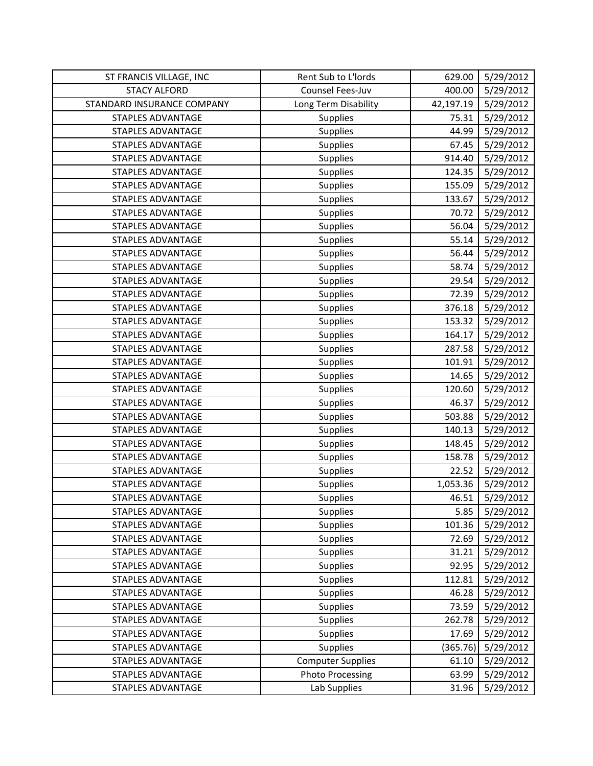| ST FRANCIS VILLAGE, INC    | Rent Sub to L'Iords      | 629.00    | 5/29/2012 |
|----------------------------|--------------------------|-----------|-----------|
| <b>STACY ALFORD</b>        | Counsel Fees-Juv         | 400.00    | 5/29/2012 |
| STANDARD INSURANCE COMPANY | Long Term Disability     | 42,197.19 | 5/29/2012 |
| STAPLES ADVANTAGE          | Supplies                 | 75.31     | 5/29/2012 |
| <b>STAPLES ADVANTAGE</b>   | Supplies                 | 44.99     | 5/29/2012 |
| <b>STAPLES ADVANTAGE</b>   | <b>Supplies</b>          | 67.45     | 5/29/2012 |
| <b>STAPLES ADVANTAGE</b>   | <b>Supplies</b>          | 914.40    | 5/29/2012 |
| <b>STAPLES ADVANTAGE</b>   | Supplies                 | 124.35    | 5/29/2012 |
| <b>STAPLES ADVANTAGE</b>   | Supplies                 | 155.09    | 5/29/2012 |
| <b>STAPLES ADVANTAGE</b>   | <b>Supplies</b>          | 133.67    | 5/29/2012 |
| <b>STAPLES ADVANTAGE</b>   | Supplies                 | 70.72     | 5/29/2012 |
| <b>STAPLES ADVANTAGE</b>   | Supplies                 | 56.04     | 5/29/2012 |
| STAPLES ADVANTAGE          | <b>Supplies</b>          | 55.14     | 5/29/2012 |
| <b>STAPLES ADVANTAGE</b>   | Supplies                 | 56.44     | 5/29/2012 |
| <b>STAPLES ADVANTAGE</b>   | Supplies                 | 58.74     | 5/29/2012 |
| <b>STAPLES ADVANTAGE</b>   | Supplies                 | 29.54     | 5/29/2012 |
| <b>STAPLES ADVANTAGE</b>   | Supplies                 | 72.39     | 5/29/2012 |
| <b>STAPLES ADVANTAGE</b>   | Supplies                 | 376.18    | 5/29/2012 |
| <b>STAPLES ADVANTAGE</b>   | <b>Supplies</b>          | 153.32    | 5/29/2012 |
| <b>STAPLES ADVANTAGE</b>   | Supplies                 | 164.17    | 5/29/2012 |
| <b>STAPLES ADVANTAGE</b>   | Supplies                 | 287.58    | 5/29/2012 |
| <b>STAPLES ADVANTAGE</b>   | Supplies                 | 101.91    | 5/29/2012 |
| <b>STAPLES ADVANTAGE</b>   | Supplies                 | 14.65     | 5/29/2012 |
| <b>STAPLES ADVANTAGE</b>   | Supplies                 | 120.60    | 5/29/2012 |
| STAPLES ADVANTAGE          | Supplies                 | 46.37     | 5/29/2012 |
| STAPLES ADVANTAGE          | Supplies                 | 503.88    | 5/29/2012 |
| STAPLES ADVANTAGE          | Supplies                 | 140.13    | 5/29/2012 |
| <b>STAPLES ADVANTAGE</b>   | Supplies                 | 148.45    | 5/29/2012 |
| <b>STAPLES ADVANTAGE</b>   | Supplies                 | 158.78    | 5/29/2012 |
| <b>STAPLES ADVANTAGE</b>   | Supplies                 | 22.52     | 5/29/2012 |
| <b>STAPLES ADVANTAGE</b>   | Supplies                 | 1,053.36  | 5/29/2012 |
| <b>STAPLES ADVANTAGE</b>   | <b>Supplies</b>          | 46.51     | 5/29/2012 |
| <b>STAPLES ADVANTAGE</b>   | Supplies                 | 5.85      | 5/29/2012 |
| <b>STAPLES ADVANTAGE</b>   | <b>Supplies</b>          | 101.36    | 5/29/2012 |
| <b>STAPLES ADVANTAGE</b>   | <b>Supplies</b>          | 72.69     | 5/29/2012 |
| <b>STAPLES ADVANTAGE</b>   | Supplies                 | 31.21     | 5/29/2012 |
| <b>STAPLES ADVANTAGE</b>   | Supplies                 | 92.95     | 5/29/2012 |
| <b>STAPLES ADVANTAGE</b>   | <b>Supplies</b>          | 112.81    | 5/29/2012 |
| <b>STAPLES ADVANTAGE</b>   | Supplies                 | 46.28     | 5/29/2012 |
| <b>STAPLES ADVANTAGE</b>   | Supplies                 | 73.59     | 5/29/2012 |
| STAPLES ADVANTAGE          | <b>Supplies</b>          | 262.78    | 5/29/2012 |
| STAPLES ADVANTAGE          | <b>Supplies</b>          | 17.69     | 5/29/2012 |
| <b>STAPLES ADVANTAGE</b>   | Supplies                 | (365.76)  | 5/29/2012 |
| <b>STAPLES ADVANTAGE</b>   | <b>Computer Supplies</b> | 61.10     | 5/29/2012 |
| STAPLES ADVANTAGE          | <b>Photo Processing</b>  | 63.99     | 5/29/2012 |
| STAPLES ADVANTAGE          | Lab Supplies             | 31.96     | 5/29/2012 |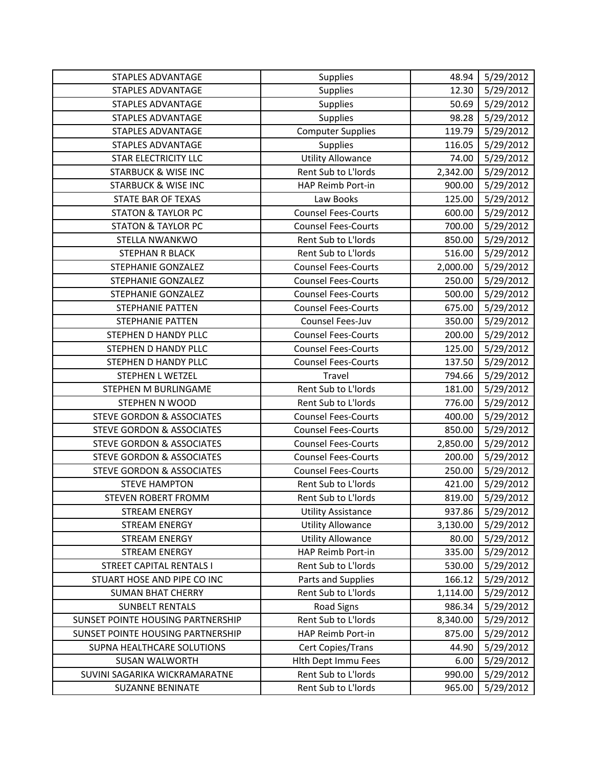| <b>STAPLES ADVANTAGE</b>             | Supplies                   | 48.94    | 5/29/2012 |
|--------------------------------------|----------------------------|----------|-----------|
| <b>STAPLES ADVANTAGE</b>             | Supplies                   | 12.30    | 5/29/2012 |
| <b>STAPLES ADVANTAGE</b>             | Supplies                   | 50.69    | 5/29/2012 |
| <b>STAPLES ADVANTAGE</b>             | Supplies                   | 98.28    | 5/29/2012 |
| <b>STAPLES ADVANTAGE</b>             | <b>Computer Supplies</b>   | 119.79   | 5/29/2012 |
| <b>STAPLES ADVANTAGE</b>             | <b>Supplies</b>            | 116.05   | 5/29/2012 |
| <b>STAR ELECTRICITY LLC</b>          | <b>Utility Allowance</b>   | 74.00    | 5/29/2012 |
| <b>STARBUCK &amp; WISE INC</b>       | Rent Sub to L'Iords        | 2,342.00 | 5/29/2012 |
| <b>STARBUCK &amp; WISE INC</b>       | HAP Reimb Port-in          | 900.00   | 5/29/2012 |
| <b>STATE BAR OF TEXAS</b>            | Law Books                  | 125.00   | 5/29/2012 |
| <b>STATON &amp; TAYLOR PC</b>        | <b>Counsel Fees-Courts</b> | 600.00   | 5/29/2012 |
| <b>STATON &amp; TAYLOR PC</b>        | <b>Counsel Fees-Courts</b> | 700.00   | 5/29/2012 |
| STELLA NWANKWO                       | Rent Sub to L'Iords        | 850.00   | 5/29/2012 |
| <b>STEPHAN R BLACK</b>               | Rent Sub to L'Iords        | 516.00   | 5/29/2012 |
| STEPHANIE GONZALEZ                   | <b>Counsel Fees-Courts</b> | 2,000.00 | 5/29/2012 |
| STEPHANIE GONZALEZ                   | <b>Counsel Fees-Courts</b> | 250.00   | 5/29/2012 |
| STEPHANIE GONZALEZ                   | <b>Counsel Fees-Courts</b> | 500.00   | 5/29/2012 |
| <b>STEPHANIE PATTEN</b>              | <b>Counsel Fees-Courts</b> | 675.00   | 5/29/2012 |
| <b>STEPHANIE PATTEN</b>              | Counsel Fees-Juv           | 350.00   | 5/29/2012 |
| STEPHEN D HANDY PLLC                 | <b>Counsel Fees-Courts</b> | 200.00   | 5/29/2012 |
| STEPHEN D HANDY PLLC                 | <b>Counsel Fees-Courts</b> | 125.00   | 5/29/2012 |
| STEPHEN D HANDY PLLC                 | <b>Counsel Fees-Courts</b> | 137.50   | 5/29/2012 |
| <b>STEPHEN L WETZEL</b>              | Travel                     | 794.66   | 5/29/2012 |
| STEPHEN M BURLINGAME                 | Rent Sub to L'Iords        | 181.00   | 5/29/2012 |
| <b>STEPHEN N WOOD</b>                | Rent Sub to L'Iords        | 776.00   | 5/29/2012 |
| <b>STEVE GORDON &amp; ASSOCIATES</b> | <b>Counsel Fees-Courts</b> | 400.00   | 5/29/2012 |
| <b>STEVE GORDON &amp; ASSOCIATES</b> | <b>Counsel Fees-Courts</b> | 850.00   | 5/29/2012 |
| <b>STEVE GORDON &amp; ASSOCIATES</b> | <b>Counsel Fees-Courts</b> | 2,850.00 | 5/29/2012 |
| <b>STEVE GORDON &amp; ASSOCIATES</b> | <b>Counsel Fees-Courts</b> | 200.00   | 5/29/2012 |
| <b>STEVE GORDON &amp; ASSOCIATES</b> | <b>Counsel Fees-Courts</b> | 250.00   | 5/29/2012 |
| <b>STEVE HAMPTON</b>                 | Rent Sub to L'Iords        | 421.00   | 5/29/2012 |
| STEVEN ROBERT FROMM                  | Rent Sub to L'Iords        | 819.00   | 5/29/2012 |
| <b>STREAM ENERGY</b>                 | <b>Utility Assistance</b>  | 937.86   | 5/29/2012 |
| <b>STREAM ENERGY</b>                 | <b>Utility Allowance</b>   | 3,130.00 | 5/29/2012 |
| <b>STREAM ENERGY</b>                 | <b>Utility Allowance</b>   | 80.00    | 5/29/2012 |
| <b>STREAM ENERGY</b>                 | HAP Reimb Port-in          | 335.00   | 5/29/2012 |
| <b>STREET CAPITAL RENTALS I</b>      | Rent Sub to L'Iords        | 530.00   | 5/29/2012 |
| STUART HOSE AND PIPE CO INC          | Parts and Supplies         | 166.12   | 5/29/2012 |
| <b>SUMAN BHAT CHERRY</b>             | Rent Sub to L'Iords        | 1,114.00 | 5/29/2012 |
| <b>SUNBELT RENTALS</b>               | <b>Road Signs</b>          | 986.34   | 5/29/2012 |
| SUNSET POINTE HOUSING PARTNERSHIP    | Rent Sub to L'Iords        | 8,340.00 | 5/29/2012 |
| SUNSET POINTE HOUSING PARTNERSHIP    | HAP Reimb Port-in          | 875.00   | 5/29/2012 |
| SUPNA HEALTHCARE SOLUTIONS           | Cert Copies/Trans          | 44.90    | 5/29/2012 |
| <b>SUSAN WALWORTH</b>                | <b>Hith Dept Immu Fees</b> | 6.00     | 5/29/2012 |
| SUVINI SAGARIKA WICKRAMARATNE        | Rent Sub to L'Iords        | 990.00   | 5/29/2012 |
| <b>SUZANNE BENINATE</b>              | Rent Sub to L'Iords        | 965.00   | 5/29/2012 |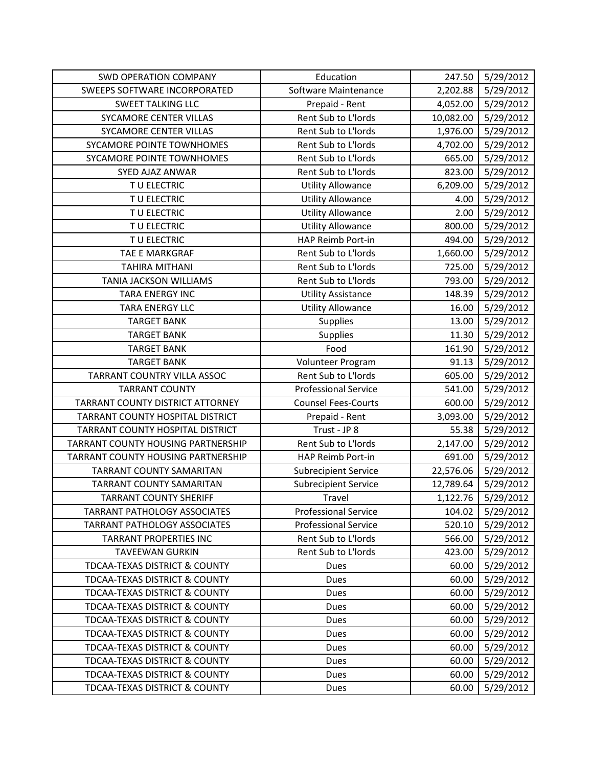| <b>SWD OPERATION COMPANY</b>             | Education                   | 247.50    | 5/29/2012 |
|------------------------------------------|-----------------------------|-----------|-----------|
| SWEEPS SOFTWARE INCORPORATED             | Software Maintenance        | 2,202.88  | 5/29/2012 |
| <b>SWEET TALKING LLC</b>                 | Prepaid - Rent              | 4,052.00  | 5/29/2012 |
| SYCAMORE CENTER VILLAS                   | Rent Sub to L'Iords         | 10,082.00 | 5/29/2012 |
| SYCAMORE CENTER VILLAS                   | Rent Sub to L'Iords         | 1,976.00  | 5/29/2012 |
| SYCAMORE POINTE TOWNHOMES                | Rent Sub to L'Iords         | 4,702.00  | 5/29/2012 |
| SYCAMORE POINTE TOWNHOMES                | Rent Sub to L'Iords         | 665.00    | 5/29/2012 |
| SYED AJAZ ANWAR                          | Rent Sub to L'Iords         | 823.00    | 5/29/2012 |
| TU ELECTRIC                              | <b>Utility Allowance</b>    | 6,209.00  | 5/29/2012 |
| TU ELECTRIC                              | <b>Utility Allowance</b>    | 4.00      | 5/29/2012 |
| TU ELECTRIC                              | <b>Utility Allowance</b>    | 2.00      | 5/29/2012 |
| T U ELECTRIC                             | <b>Utility Allowance</b>    | 800.00    | 5/29/2012 |
| TU ELECTRIC                              | HAP Reimb Port-in           | 494.00    | 5/29/2012 |
| TAE E MARKGRAF                           | Rent Sub to L'Iords         | 1,660.00  | 5/29/2012 |
| <b>TAHIRA MITHANI</b>                    | Rent Sub to L'Iords         | 725.00    | 5/29/2012 |
| TANIA JACKSON WILLIAMS                   | Rent Sub to L'Iords         | 793.00    | 5/29/2012 |
| <b>TARA ENERGY INC</b>                   | <b>Utility Assistance</b>   | 148.39    | 5/29/2012 |
| <b>TARA ENERGY LLC</b>                   | <b>Utility Allowance</b>    | 16.00     | 5/29/2012 |
| <b>TARGET BANK</b>                       | Supplies                    | 13.00     | 5/29/2012 |
| <b>TARGET BANK</b>                       | Supplies                    | 11.30     | 5/29/2012 |
| <b>TARGET BANK</b>                       | Food                        | 161.90    | 5/29/2012 |
| <b>TARGET BANK</b>                       | Volunteer Program           | 91.13     | 5/29/2012 |
| TARRANT COUNTRY VILLA ASSOC              | Rent Sub to L'Iords         | 605.00    | 5/29/2012 |
| <b>TARRANT COUNTY</b>                    | <b>Professional Service</b> | 541.00    | 5/29/2012 |
| TARRANT COUNTY DISTRICT ATTORNEY         | <b>Counsel Fees-Courts</b>  | 600.00    | 5/29/2012 |
| TARRANT COUNTY HOSPITAL DISTRICT         | Prepaid - Rent              | 3,093.00  | 5/29/2012 |
| TARRANT COUNTY HOSPITAL DISTRICT         | Trust - JP 8                | 55.38     | 5/29/2012 |
| TARRANT COUNTY HOUSING PARTNERSHIP       | Rent Sub to L'Iords         | 2,147.00  | 5/29/2012 |
| TARRANT COUNTY HOUSING PARTNERSHIP       | HAP Reimb Port-in           | 691.00    | 5/29/2012 |
| <b>TARRANT COUNTY SAMARITAN</b>          | <b>Subrecipient Service</b> | 22,576.06 | 5/29/2012 |
| TARRANT COUNTY SAMARITAN                 | <b>Subrecipient Service</b> | 12,789.64 | 5/29/2012 |
| <b>TARRANT COUNTY SHERIFF</b>            | Travel                      | 1,122.76  | 5/29/2012 |
| <b>TARRANT PATHOLOGY ASSOCIATES</b>      | <b>Professional Service</b> | 104.02    | 5/29/2012 |
| TARRANT PATHOLOGY ASSOCIATES             | <b>Professional Service</b> | 520.10    | 5/29/2012 |
| <b>TARRANT PROPERTIES INC</b>            | Rent Sub to L'Iords         | 566.00    | 5/29/2012 |
| <b>TAVEEWAN GURKIN</b>                   | Rent Sub to L'Iords         | 423.00    | 5/29/2012 |
| TDCAA-TEXAS DISTRICT & COUNTY            | Dues                        | 60.00     | 5/29/2012 |
| <b>TDCAA-TEXAS DISTRICT &amp; COUNTY</b> | Dues                        | 60.00     | 5/29/2012 |
| <b>TDCAA-TEXAS DISTRICT &amp; COUNTY</b> | Dues                        | 60.00     | 5/29/2012 |
| TDCAA-TEXAS DISTRICT & COUNTY            | Dues                        | 60.00     | 5/29/2012 |
| <b>TDCAA-TEXAS DISTRICT &amp; COUNTY</b> | Dues                        | 60.00     | 5/29/2012 |
| <b>TDCAA-TEXAS DISTRICT &amp; COUNTY</b> | Dues                        | 60.00     | 5/29/2012 |
| <b>TDCAA-TEXAS DISTRICT &amp; COUNTY</b> | <b>Dues</b>                 | 60.00     | 5/29/2012 |
| <b>TDCAA-TEXAS DISTRICT &amp; COUNTY</b> | Dues                        | 60.00     | 5/29/2012 |
| <b>TDCAA-TEXAS DISTRICT &amp; COUNTY</b> | Dues                        | 60.00     | 5/29/2012 |
| TDCAA-TEXAS DISTRICT & COUNTY            | Dues                        | 60.00     | 5/29/2012 |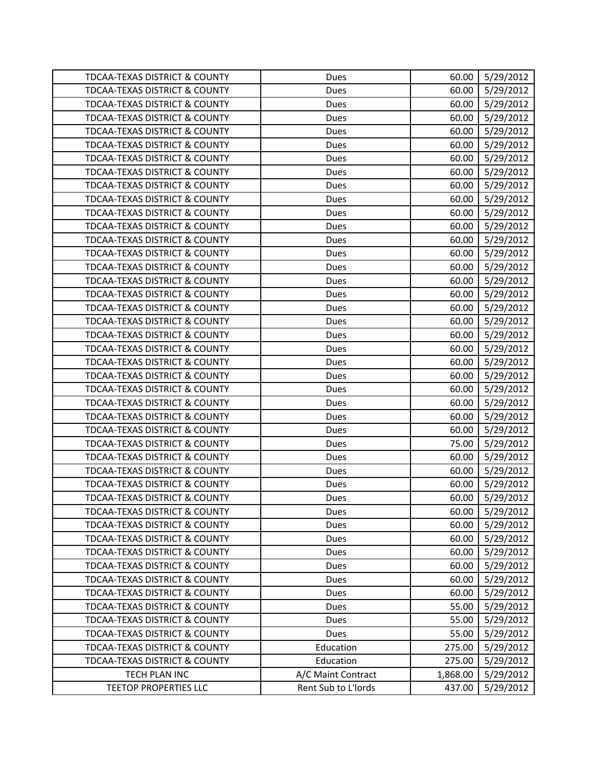| <b>TDCAA-TEXAS DISTRICT &amp; COUNTY</b> | Dues                | 60.00    | 5/29/2012 |
|------------------------------------------|---------------------|----------|-----------|
| <b>TDCAA-TEXAS DISTRICT &amp; COUNTY</b> | Dues                | 60.00    | 5/29/2012 |
| <b>TDCAA-TEXAS DISTRICT &amp; COUNTY</b> | Dues                | 60.00    | 5/29/2012 |
| <b>TDCAA-TEXAS DISTRICT &amp; COUNTY</b> | Dues                | 60.00    | 5/29/2012 |
| TDCAA-TEXAS DISTRICT & COUNTY            | Dues                | 60.00    | 5/29/2012 |
| <b>TDCAA-TEXAS DISTRICT &amp; COUNTY</b> | <b>Dues</b>         | 60.00    | 5/29/2012 |
| <b>TDCAA-TEXAS DISTRICT &amp; COUNTY</b> | Dues                | 60.00    | 5/29/2012 |
| TDCAA-TEXAS DISTRICT & COUNTY            | Dues                | 60.00    | 5/29/2012 |
| <b>TDCAA-TEXAS DISTRICT &amp; COUNTY</b> | <b>Dues</b>         | 60.00    | 5/29/2012 |
| <b>TDCAA-TEXAS DISTRICT &amp; COUNTY</b> | Dues                | 60.00    | 5/29/2012 |
| TDCAA-TEXAS DISTRICT & COUNTY            | <b>Dues</b>         | 60.00    | 5/29/2012 |
| <b>TDCAA-TEXAS DISTRICT &amp; COUNTY</b> | Dues                | 60.00    | 5/29/2012 |
| <b>TDCAA-TEXAS DISTRICT &amp; COUNTY</b> | Dues                | 60.00    | 5/29/2012 |
| TDCAA-TEXAS DISTRICT & COUNTY            | Dues                | 60.00    | 5/29/2012 |
| TDCAA-TEXAS DISTRICT & COUNTY            | Dues                | 60.00    | 5/29/2012 |
| <b>TDCAA-TEXAS DISTRICT &amp; COUNTY</b> | Dues                | 60.00    | 5/29/2012 |
| TDCAA-TEXAS DISTRICT & COUNTY            | <b>Dues</b>         | 60.00    | 5/29/2012 |
| <b>TDCAA-TEXAS DISTRICT &amp; COUNTY</b> | Dues                | 60.00    | 5/29/2012 |
| <b>TDCAA-TEXAS DISTRICT &amp; COUNTY</b> | Dues                | 60.00    | 5/29/2012 |
| TDCAA-TEXAS DISTRICT & COUNTY            | Dues                | 60.00    | 5/29/2012 |
| <b>TDCAA-TEXAS DISTRICT &amp; COUNTY</b> | Dues                | 60.00    | 5/29/2012 |
| TDCAA-TEXAS DISTRICT & COUNTY            | Dues                | 60.00    | 5/29/2012 |
| <b>TDCAA-TEXAS DISTRICT &amp; COUNTY</b> | Dues                | 60.00    | 5/29/2012 |
| <b>TDCAA-TEXAS DISTRICT &amp; COUNTY</b> | Dues                | 60.00    | 5/29/2012 |
| TDCAA-TEXAS DISTRICT & COUNTY            | Dues                | 60.00    | 5/29/2012 |
| TDCAA-TEXAS DISTRICT & COUNTY            | Dues                | 60.00    | 5/29/2012 |
| TDCAA-TEXAS DISTRICT & COUNTY            | Dues                | 60.00    | 5/29/2012 |
| TDCAA-TEXAS DISTRICT & COUNTY            | Dues                | 75.00    | 5/29/2012 |
| <b>TDCAA-TEXAS DISTRICT &amp; COUNTY</b> | Dues                | 60.00    | 5/29/2012 |
| <b>TDCAA-TEXAS DISTRICT &amp; COUNTY</b> | Dues                | 60.00    | 5/29/2012 |
| <b>TDCAA-TEXAS DISTRICT &amp; COUNTY</b> | Dues                | 60.00    | 5/29/2012 |
| <b>TDCAA-TEXAS DISTRICT &amp; COUNTY</b> | Dues                | 60.00    | 5/29/2012 |
| <b>TDCAA-TEXAS DISTRICT &amp; COUNTY</b> | Dues                | 60.00    | 5/29/2012 |
| TDCAA-TEXAS DISTRICT & COUNTY            | <b>Dues</b>         | 60.00    | 5/29/2012 |
| TDCAA-TEXAS DISTRICT & COUNTY            | Dues                | 60.00    | 5/29/2012 |
| TDCAA-TEXAS DISTRICT & COUNTY            | Dues                | 60.00    | 5/29/2012 |
| <b>TDCAA-TEXAS DISTRICT &amp; COUNTY</b> | <b>Dues</b>         | 60.00    | 5/29/2012 |
| <b>TDCAA-TEXAS DISTRICT &amp; COUNTY</b> | Dues                | 60.00    | 5/29/2012 |
| <b>TDCAA-TEXAS DISTRICT &amp; COUNTY</b> | Dues                | 60.00    | 5/29/2012 |
| TDCAA-TEXAS DISTRICT & COUNTY            | Dues                | 55.00    | 5/29/2012 |
| TDCAA-TEXAS DISTRICT & COUNTY            | Dues                | 55.00    | 5/29/2012 |
| TDCAA-TEXAS DISTRICT & COUNTY            | Dues                | 55.00    | 5/29/2012 |
| TDCAA-TEXAS DISTRICT & COUNTY            | Education           | 275.00   | 5/29/2012 |
| <b>TDCAA-TEXAS DISTRICT &amp; COUNTY</b> | Education           | 275.00   | 5/29/2012 |
| TECH PLAN INC                            | A/C Maint Contract  | 1,868.00 | 5/29/2012 |
| <b>TEETOP PROPERTIES LLC</b>             | Rent Sub to L'Iords | 437.00   | 5/29/2012 |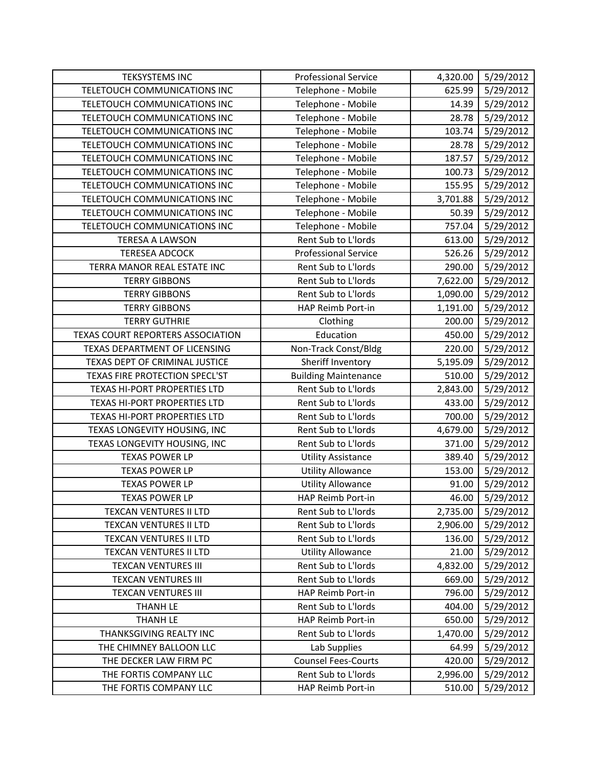| <b>TEKSYSTEMS INC</b>             | <b>Professional Service</b> | 4,320.00 | 5/29/2012 |
|-----------------------------------|-----------------------------|----------|-----------|
| TELETOUCH COMMUNICATIONS INC      | Telephone - Mobile          | 625.99   | 5/29/2012 |
| TELETOUCH COMMUNICATIONS INC      | Telephone - Mobile          | 14.39    | 5/29/2012 |
| TELETOUCH COMMUNICATIONS INC      | Telephone - Mobile          | 28.78    | 5/29/2012 |
| TELETOUCH COMMUNICATIONS INC      | Telephone - Mobile          | 103.74   | 5/29/2012 |
| TELETOUCH COMMUNICATIONS INC      | Telephone - Mobile          | 28.78    | 5/29/2012 |
| TELETOUCH COMMUNICATIONS INC      | Telephone - Mobile          | 187.57   | 5/29/2012 |
| TELETOUCH COMMUNICATIONS INC      | Telephone - Mobile          | 100.73   | 5/29/2012 |
| TELETOUCH COMMUNICATIONS INC      | Telephone - Mobile          | 155.95   | 5/29/2012 |
| TELETOUCH COMMUNICATIONS INC      | Telephone - Mobile          | 3,701.88 | 5/29/2012 |
| TELETOUCH COMMUNICATIONS INC      | Telephone - Mobile          | 50.39    | 5/29/2012 |
| TELETOUCH COMMUNICATIONS INC      | Telephone - Mobile          | 757.04   | 5/29/2012 |
| <b>TERESA A LAWSON</b>            | Rent Sub to L'Iords         | 613.00   | 5/29/2012 |
| <b>TERESEA ADCOCK</b>             | <b>Professional Service</b> | 526.26   | 5/29/2012 |
| TERRA MANOR REAL ESTATE INC       | Rent Sub to L'Iords         | 290.00   | 5/29/2012 |
| <b>TERRY GIBBONS</b>              | Rent Sub to L'Iords         | 7,622.00 | 5/29/2012 |
| <b>TERRY GIBBONS</b>              | Rent Sub to L'Iords         | 1,090.00 | 5/29/2012 |
| <b>TERRY GIBBONS</b>              | HAP Reimb Port-in           | 1,191.00 | 5/29/2012 |
| <b>TERRY GUTHRIE</b>              | Clothing                    | 200.00   | 5/29/2012 |
| TEXAS COURT REPORTERS ASSOCIATION | Education                   | 450.00   | 5/29/2012 |
| TEXAS DEPARTMENT OF LICENSING     | Non-Track Const/Bldg        | 220.00   | 5/29/2012 |
| TEXAS DEPT OF CRIMINAL JUSTICE    | Sheriff Inventory           | 5,195.09 | 5/29/2012 |
| TEXAS FIRE PROTECTION SPECL'ST    | <b>Building Maintenance</b> | 510.00   | 5/29/2012 |
| TEXAS HI-PORT PROPERTIES LTD      | Rent Sub to L'Iords         | 2,843.00 | 5/29/2012 |
| TEXAS HI-PORT PROPERTIES LTD      | Rent Sub to L'Iords         | 433.00   | 5/29/2012 |
| TEXAS HI-PORT PROPERTIES LTD      | Rent Sub to L'Iords         | 700.00   | 5/29/2012 |
| TEXAS LONGEVITY HOUSING, INC      | Rent Sub to L'Iords         | 4,679.00 | 5/29/2012 |
| TEXAS LONGEVITY HOUSING, INC      | Rent Sub to L'Iords         | 371.00   | 5/29/2012 |
| <b>TEXAS POWER LP</b>             | <b>Utility Assistance</b>   | 389.40   | 5/29/2012 |
| <b>TEXAS POWER LP</b>             | <b>Utility Allowance</b>    | 153.00   | 5/29/2012 |
| <b>TEXAS POWER LP</b>             | <b>Utility Allowance</b>    | 91.00    | 5/29/2012 |
| <b>TEXAS POWER LP</b>             | HAP Reimb Port-in           | 46.00    | 5/29/2012 |
| TEXCAN VENTURES II LTD            | Rent Sub to L'Iords         | 2,735.00 | 5/29/2012 |
| <b>TEXCAN VENTURES II LTD</b>     | Rent Sub to L'Iords         | 2,906.00 | 5/29/2012 |
| TEXCAN VENTURES II LTD            | Rent Sub to L'Iords         | 136.00   | 5/29/2012 |
| TEXCAN VENTURES II LTD            | <b>Utility Allowance</b>    | 21.00    | 5/29/2012 |
| <b>TEXCAN VENTURES III</b>        | Rent Sub to L'Iords         | 4,832.00 | 5/29/2012 |
| <b>TEXCAN VENTURES III</b>        | Rent Sub to L'Iords         | 669.00   | 5/29/2012 |
| TEXCAN VENTURES III               | HAP Reimb Port-in           | 796.00   | 5/29/2012 |
| <b>THANH LE</b>                   | Rent Sub to L'Iords         | 404.00   | 5/29/2012 |
| <b>THANH LE</b>                   | HAP Reimb Port-in           | 650.00   | 5/29/2012 |
| THANKSGIVING REALTY INC           | Rent Sub to L'Iords         | 1,470.00 | 5/29/2012 |
| THE CHIMNEY BALLOON LLC           | Lab Supplies                | 64.99    | 5/29/2012 |
| THE DECKER LAW FIRM PC            | <b>Counsel Fees-Courts</b>  | 420.00   | 5/29/2012 |
| THE FORTIS COMPANY LLC            | Rent Sub to L'Iords         | 2,996.00 | 5/29/2012 |
| THE FORTIS COMPANY LLC            | HAP Reimb Port-in           | 510.00   | 5/29/2012 |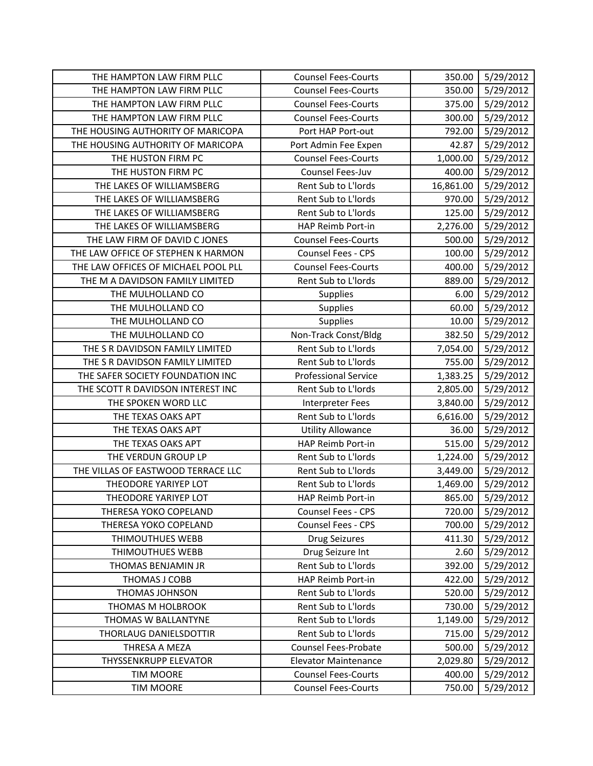| THE HAMPTON LAW FIRM PLLC           | <b>Counsel Fees-Courts</b>  | 350.00    | 5/29/2012 |
|-------------------------------------|-----------------------------|-----------|-----------|
| THE HAMPTON LAW FIRM PLLC           | <b>Counsel Fees-Courts</b>  | 350.00    | 5/29/2012 |
| THE HAMPTON LAW FIRM PLLC           | <b>Counsel Fees-Courts</b>  | 375.00    | 5/29/2012 |
| THE HAMPTON LAW FIRM PLLC           | <b>Counsel Fees-Courts</b>  | 300.00    | 5/29/2012 |
| THE HOUSING AUTHORITY OF MARICOPA   | Port HAP Port-out           | 792.00    | 5/29/2012 |
| THE HOUSING AUTHORITY OF MARICOPA   | Port Admin Fee Expen        | 42.87     | 5/29/2012 |
| THE HUSTON FIRM PC                  | <b>Counsel Fees-Courts</b>  | 1,000.00  | 5/29/2012 |
| THE HUSTON FIRM PC                  | Counsel Fees-Juv            | 400.00    | 5/29/2012 |
| THE LAKES OF WILLIAMSBERG           | Rent Sub to L'Iords         | 16,861.00 | 5/29/2012 |
| THE LAKES OF WILLIAMSBERG           | Rent Sub to L'Iords         | 970.00    | 5/29/2012 |
| THE LAKES OF WILLIAMSBERG           | Rent Sub to L'Iords         | 125.00    | 5/29/2012 |
| THE LAKES OF WILLIAMSBERG           | HAP Reimb Port-in           | 2,276.00  | 5/29/2012 |
| THE LAW FIRM OF DAVID C JONES       | <b>Counsel Fees-Courts</b>  | 500.00    | 5/29/2012 |
| THE LAW OFFICE OF STEPHEN K HARMON  | Counsel Fees - CPS          | 100.00    | 5/29/2012 |
| THE LAW OFFICES OF MICHAEL POOL PLL | <b>Counsel Fees-Courts</b>  | 400.00    | 5/29/2012 |
| THE M A DAVIDSON FAMILY LIMITED     | Rent Sub to L'Iords         | 889.00    | 5/29/2012 |
| THE MULHOLLAND CO                   | Supplies                    | 6.00      | 5/29/2012 |
| THE MULHOLLAND CO                   | Supplies                    | 60.00     | 5/29/2012 |
| THE MULHOLLAND CO                   | <b>Supplies</b>             | 10.00     | 5/29/2012 |
| THE MULHOLLAND CO                   | Non-Track Const/Bldg        | 382.50    | 5/29/2012 |
| THE S R DAVIDSON FAMILY LIMITED     | Rent Sub to L'Iords         | 7,054.00  | 5/29/2012 |
| THE S R DAVIDSON FAMILY LIMITED     | Rent Sub to L'Iords         | 755.00    | 5/29/2012 |
| THE SAFER SOCIETY FOUNDATION INC    | <b>Professional Service</b> | 1,383.25  | 5/29/2012 |
| THE SCOTT R DAVIDSON INTEREST INC   | Rent Sub to L'Iords         | 2,805.00  | 5/29/2012 |
| THE SPOKEN WORD LLC                 | <b>Interpreter Fees</b>     | 3,840.00  | 5/29/2012 |
| THE TEXAS OAKS APT                  | Rent Sub to L'Iords         | 6,616.00  | 5/29/2012 |
| THE TEXAS OAKS APT                  | <b>Utility Allowance</b>    | 36.00     | 5/29/2012 |
| THE TEXAS OAKS APT                  | HAP Reimb Port-in           | 515.00    | 5/29/2012 |
| THE VERDUN GROUP LP                 | Rent Sub to L'Iords         | 1,224.00  | 5/29/2012 |
| THE VILLAS OF EASTWOOD TERRACE LLC  | Rent Sub to L'Iords         | 3,449.00  | 5/29/2012 |
| THEODORE YARIYEP LOT                | Rent Sub to L'Iords         | 1,469.00  | 5/29/2012 |
| THEODORE YARIYEP LOT                | HAP Reimb Port-in           | 865.00    | 5/29/2012 |
| THERESA YOKO COPELAND               | Counsel Fees - CPS          | 720.00    | 5/29/2012 |
| THERESA YOKO COPELAND               | Counsel Fees - CPS          | 700.00    | 5/29/2012 |
| THIMOUTHUES WEBB                    | <b>Drug Seizures</b>        | 411.30    | 5/29/2012 |
| <b>THIMOUTHUES WEBB</b>             | Drug Seizure Int            | 2.60      | 5/29/2012 |
| THOMAS BENJAMIN JR                  | Rent Sub to L'Iords         | 392.00    | 5/29/2012 |
| THOMAS J COBB                       | HAP Reimb Port-in           | 422.00    | 5/29/2012 |
| <b>THOMAS JOHNSON</b>               | Rent Sub to L'Iords         | 520.00    | 5/29/2012 |
| THOMAS M HOLBROOK                   | Rent Sub to L'Iords         | 730.00    | 5/29/2012 |
| THOMAS W BALLANTYNE                 | Rent Sub to L'Iords         | 1,149.00  | 5/29/2012 |
| THORLAUG DANIELSDOTTIR              | Rent Sub to L'Iords         | 715.00    | 5/29/2012 |
| THRESA A MEZA                       | <b>Counsel Fees-Probate</b> | 500.00    | 5/29/2012 |
| <b>THYSSENKRUPP ELEVATOR</b>        | <b>Elevator Maintenance</b> | 2,029.80  | 5/29/2012 |
| <b>TIM MOORE</b>                    | <b>Counsel Fees-Courts</b>  | 400.00    | 5/29/2012 |
| <b>TIM MOORE</b>                    | <b>Counsel Fees-Courts</b>  | 750.00    | 5/29/2012 |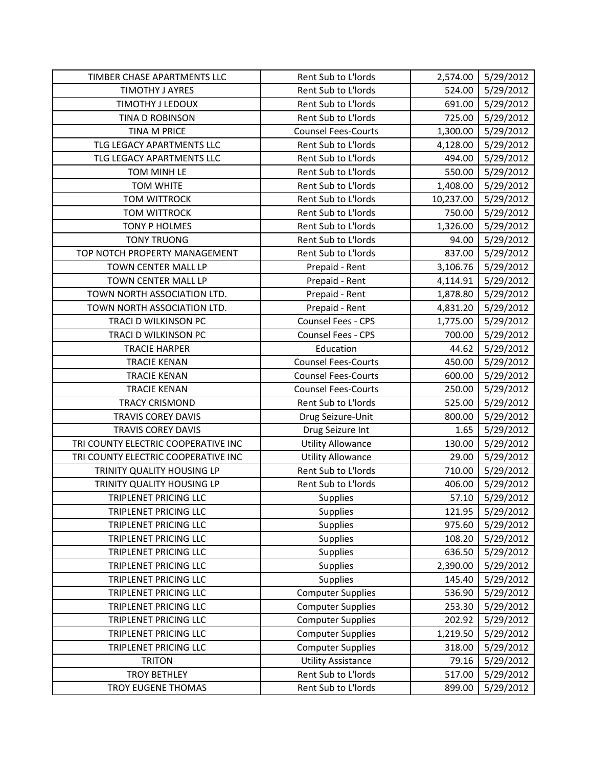| TIMBER CHASE APARTMENTS LLC         | Rent Sub to L'Iords        | 2,574.00  | 5/29/2012 |
|-------------------------------------|----------------------------|-----------|-----------|
| <b>TIMOTHY J AYRES</b>              | Rent Sub to L'Iords        | 524.00    | 5/29/2012 |
| TIMOTHY J LEDOUX                    | Rent Sub to L'Iords        | 691.00    | 5/29/2012 |
| TINA D ROBINSON                     | Rent Sub to L'Iords        | 725.00    | 5/29/2012 |
| <b>TINA M PRICE</b>                 | <b>Counsel Fees-Courts</b> | 1,300.00  | 5/29/2012 |
| TLG LEGACY APARTMENTS LLC           | Rent Sub to L'Iords        | 4,128.00  | 5/29/2012 |
| TLG LEGACY APARTMENTS LLC           | Rent Sub to L'Iords        | 494.00    | 5/29/2012 |
| TOM MINH LE                         | Rent Sub to L'Iords        | 550.00    | 5/29/2012 |
| <b>TOM WHITE</b>                    | Rent Sub to L'Iords        | 1,408.00  | 5/29/2012 |
| <b>TOM WITTROCK</b>                 | Rent Sub to L'Iords        | 10,237.00 | 5/29/2012 |
| <b>TOM WITTROCK</b>                 | Rent Sub to L'Iords        | 750.00    | 5/29/2012 |
| <b>TONY P HOLMES</b>                | Rent Sub to L'Iords        | 1,326.00  | 5/29/2012 |
| <b>TONY TRUONG</b>                  | Rent Sub to L'Iords        | 94.00     | 5/29/2012 |
| TOP NOTCH PROPERTY MANAGEMENT       | Rent Sub to L'Iords        | 837.00    | 5/29/2012 |
| TOWN CENTER MALL LP                 | Prepaid - Rent             | 3,106.76  | 5/29/2012 |
| TOWN CENTER MALL LP                 | Prepaid - Rent             | 4,114.91  | 5/29/2012 |
| TOWN NORTH ASSOCIATION LTD.         | Prepaid - Rent             | 1,878.80  | 5/29/2012 |
| TOWN NORTH ASSOCIATION LTD.         | Prepaid - Rent             | 4,831.20  | 5/29/2012 |
| TRACI D WILKINSON PC                | Counsel Fees - CPS         | 1,775.00  | 5/29/2012 |
| TRACI D WILKINSON PC                | Counsel Fees - CPS         | 700.00    | 5/29/2012 |
| <b>TRACIE HARPER</b>                | Education                  | 44.62     | 5/29/2012 |
| <b>TRACIE KENAN</b>                 | <b>Counsel Fees-Courts</b> | 450.00    | 5/29/2012 |
| <b>TRACIE KENAN</b>                 | <b>Counsel Fees-Courts</b> | 600.00    | 5/29/2012 |
| <b>TRACIE KENAN</b>                 | <b>Counsel Fees-Courts</b> | 250.00    | 5/29/2012 |
| <b>TRACY CRISMOND</b>               | Rent Sub to L'Iords        | 525.00    | 5/29/2012 |
| <b>TRAVIS COREY DAVIS</b>           | Drug Seizure-Unit          | 800.00    | 5/29/2012 |
| <b>TRAVIS COREY DAVIS</b>           | Drug Seizure Int           | 1.65      | 5/29/2012 |
| TRI COUNTY ELECTRIC COOPERATIVE INC | <b>Utility Allowance</b>   | 130.00    | 5/29/2012 |
| TRI COUNTY ELECTRIC COOPERATIVE INC | <b>Utility Allowance</b>   | 29.00     | 5/29/2012 |
| TRINITY QUALITY HOUSING LP          | Rent Sub to L'Iords        | 710.00    | 5/29/2012 |
| TRINITY QUALITY HOUSING LP          | Rent Sub to L'Iords        | 406.00    | 5/29/2012 |
| <b>TRIPLENET PRICING LLC</b>        | Supplies                   | 57.10     | 5/29/2012 |
| TRIPLENET PRICING LLC               | Supplies                   | 121.95    | 5/29/2012 |
| TRIPLENET PRICING LLC               | <b>Supplies</b>            | 975.60    | 5/29/2012 |
| TRIPLENET PRICING LLC               | Supplies                   | 108.20    | 5/29/2012 |
| TRIPLENET PRICING LLC               | Supplies                   | 636.50    | 5/29/2012 |
| TRIPLENET PRICING LLC               | Supplies                   | 2,390.00  | 5/29/2012 |
| TRIPLENET PRICING LLC               | Supplies                   | 145.40    | 5/29/2012 |
| TRIPLENET PRICING LLC               | <b>Computer Supplies</b>   | 536.90    | 5/29/2012 |
| TRIPLENET PRICING LLC               | <b>Computer Supplies</b>   | 253.30    | 5/29/2012 |
| <b>TRIPLENET PRICING LLC</b>        | <b>Computer Supplies</b>   | 202.92    | 5/29/2012 |
| TRIPLENET PRICING LLC               | <b>Computer Supplies</b>   | 1,219.50  | 5/29/2012 |
| TRIPLENET PRICING LLC               | <b>Computer Supplies</b>   | 318.00    | 5/29/2012 |
| <b>TRITON</b>                       | <b>Utility Assistance</b>  | 79.16     | 5/29/2012 |
| <b>TROY BETHLEY</b>                 | Rent Sub to L'Iords        | 517.00    | 5/29/2012 |
| <b>TROY EUGENE THOMAS</b>           | Rent Sub to L'Iords        | 899.00    | 5/29/2012 |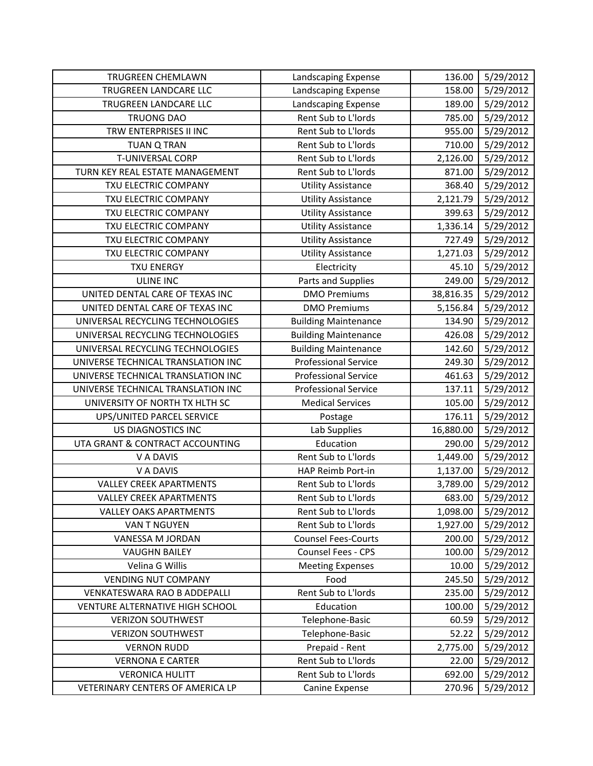| TRUGREEN CHEMLAWN                  | Landscaping Expense         | 136.00    | 5/29/2012 |
|------------------------------------|-----------------------------|-----------|-----------|
| TRUGREEN LANDCARE LLC              | Landscaping Expense         | 158.00    | 5/29/2012 |
| TRUGREEN LANDCARE LLC              | Landscaping Expense         | 189.00    | 5/29/2012 |
| <b>TRUONG DAO</b>                  | Rent Sub to L'Iords         | 785.00    | 5/29/2012 |
| TRW ENTERPRISES II INC             | Rent Sub to L'Iords         | 955.00    | 5/29/2012 |
| <b>TUAN Q TRAN</b>                 | Rent Sub to L'Iords         | 710.00    | 5/29/2012 |
| <b>T-UNIVERSAL CORP</b>            | Rent Sub to L'Iords         | 2,126.00  | 5/29/2012 |
| TURN KEY REAL ESTATE MANAGEMENT    | Rent Sub to L'Iords         | 871.00    | 5/29/2012 |
| TXU ELECTRIC COMPANY               | <b>Utility Assistance</b>   | 368.40    | 5/29/2012 |
| TXU ELECTRIC COMPANY               | <b>Utility Assistance</b>   | 2,121.79  | 5/29/2012 |
| TXU ELECTRIC COMPANY               | <b>Utility Assistance</b>   | 399.63    | 5/29/2012 |
| TXU ELECTRIC COMPANY               | <b>Utility Assistance</b>   | 1,336.14  | 5/29/2012 |
| TXU ELECTRIC COMPANY               | <b>Utility Assistance</b>   | 727.49    | 5/29/2012 |
| TXU ELECTRIC COMPANY               | <b>Utility Assistance</b>   | 1,271.03  | 5/29/2012 |
| <b>TXU ENERGY</b>                  | Electricity                 | 45.10     | 5/29/2012 |
| <b>ULINE INC</b>                   | Parts and Supplies          | 249.00    | 5/29/2012 |
| UNITED DENTAL CARE OF TEXAS INC    | <b>DMO Premiums</b>         | 38,816.35 | 5/29/2012 |
| UNITED DENTAL CARE OF TEXAS INC    | <b>DMO Premiums</b>         | 5,156.84  | 5/29/2012 |
| UNIVERSAL RECYCLING TECHNOLOGIES   | <b>Building Maintenance</b> | 134.90    | 5/29/2012 |
| UNIVERSAL RECYCLING TECHNOLOGIES   | <b>Building Maintenance</b> | 426.08    | 5/29/2012 |
| UNIVERSAL RECYCLING TECHNOLOGIES   | <b>Building Maintenance</b> | 142.60    | 5/29/2012 |
| UNIVERSE TECHNICAL TRANSLATION INC | <b>Professional Service</b> | 249.30    | 5/29/2012 |
| UNIVERSE TECHNICAL TRANSLATION INC | <b>Professional Service</b> | 461.63    | 5/29/2012 |
| UNIVERSE TECHNICAL TRANSLATION INC | <b>Professional Service</b> | 137.11    | 5/29/2012 |
| UNIVERSITY OF NORTH TX HLTH SC     | <b>Medical Services</b>     | 105.00    | 5/29/2012 |
| UPS/UNITED PARCEL SERVICE          | Postage                     | 176.11    | 5/29/2012 |
| US DIAGNOSTICS INC                 | Lab Supplies                | 16,880.00 | 5/29/2012 |
| UTA GRANT & CONTRACT ACCOUNTING    | Education                   | 290.00    | 5/29/2012 |
| V A DAVIS                          | Rent Sub to L'Iords         | 1,449.00  | 5/29/2012 |
| V A DAVIS                          | HAP Reimb Port-in           | 1,137.00  | 5/29/2012 |
| <b>VALLEY CREEK APARTMENTS</b>     | Rent Sub to L'Iords         | 3,789.00  | 5/29/2012 |
| <b>VALLEY CREEK APARTMENTS</b>     | Rent Sub to L'Iords         | 683.00    | 5/29/2012 |
| <b>VALLEY OAKS APARTMENTS</b>      | Rent Sub to L'Iords         | 1,098.00  | 5/29/2012 |
| VAN T NGUYEN                       | Rent Sub to L'Iords         | 1,927.00  | 5/29/2012 |
| VANESSA M JORDAN                   | <b>Counsel Fees-Courts</b>  | 200.00    | 5/29/2012 |
| <b>VAUGHN BAILEY</b>               | Counsel Fees - CPS          | 100.00    | 5/29/2012 |
| Velina G Willis                    | <b>Meeting Expenses</b>     | 10.00     | 5/29/2012 |
| <b>VENDING NUT COMPANY</b>         | Food                        | 245.50    | 5/29/2012 |
| VENKATESWARA RAO B ADDEPALLI       | Rent Sub to L'Iords         | 235.00    | 5/29/2012 |
| VENTURE ALTERNATIVE HIGH SCHOOL    | Education                   | 100.00    | 5/29/2012 |
| <b>VERIZON SOUTHWEST</b>           | Telephone-Basic             | 60.59     | 5/29/2012 |
| <b>VERIZON SOUTHWEST</b>           | Telephone-Basic             | 52.22     | 5/29/2012 |
| <b>VERNON RUDD</b>                 | Prepaid - Rent              | 2,775.00  | 5/29/2012 |
| <b>VERNONA E CARTER</b>            | Rent Sub to L'Iords         | 22.00     | 5/29/2012 |
| <b>VERONICA HULITT</b>             | Rent Sub to L'Iords         | 692.00    | 5/29/2012 |
| VETERINARY CENTERS OF AMERICA LP   | Canine Expense              | 270.96    | 5/29/2012 |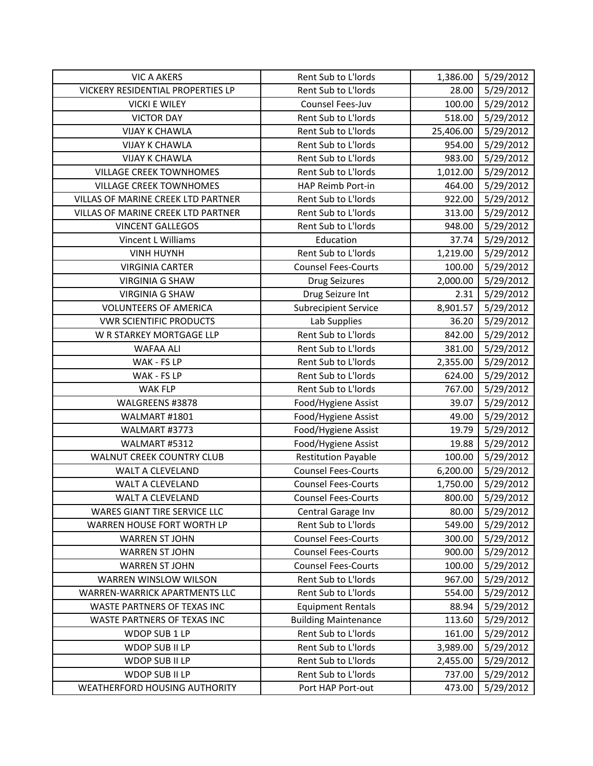| <b>VIC A AKERS</b>                 | Rent Sub to L'Iords         | 1,386.00  | 5/29/2012 |
|------------------------------------|-----------------------------|-----------|-----------|
| VICKERY RESIDENTIAL PROPERTIES LP  | Rent Sub to L'Iords         | 28.00     | 5/29/2012 |
| <b>VICKI E WILEY</b>               | Counsel Fees-Juv            | 100.00    | 5/29/2012 |
| <b>VICTOR DAY</b>                  | Rent Sub to L'Iords         | 518.00    | 5/29/2012 |
| <b>VIJAY K CHAWLA</b>              | Rent Sub to L'Iords         | 25,406.00 | 5/29/2012 |
| <b>VIJAY K CHAWLA</b>              | Rent Sub to L'Iords         | 954.00    | 5/29/2012 |
| <b>VIJAY K CHAWLA</b>              | Rent Sub to L'Iords         | 983.00    | 5/29/2012 |
| <b>VILLAGE CREEK TOWNHOMES</b>     | Rent Sub to L'Iords         | 1,012.00  | 5/29/2012 |
| <b>VILLAGE CREEK TOWNHOMES</b>     | HAP Reimb Port-in           | 464.00    | 5/29/2012 |
| VILLAS OF MARINE CREEK LTD PARTNER | Rent Sub to L'Iords         | 922.00    | 5/29/2012 |
| VILLAS OF MARINE CREEK LTD PARTNER | Rent Sub to L'Iords         | 313.00    | 5/29/2012 |
| <b>VINCENT GALLEGOS</b>            | Rent Sub to L'Iords         | 948.00    | 5/29/2012 |
| Vincent L Williams                 | Education                   | 37.74     | 5/29/2012 |
| <b>VINH HUYNH</b>                  | Rent Sub to L'Iords         | 1,219.00  | 5/29/2012 |
| <b>VIRGINIA CARTER</b>             | <b>Counsel Fees-Courts</b>  | 100.00    | 5/29/2012 |
| <b>VIRGINIA G SHAW</b>             | <b>Drug Seizures</b>        | 2,000.00  | 5/29/2012 |
| <b>VIRGINIA G SHAW</b>             | Drug Seizure Int            | 2.31      | 5/29/2012 |
| <b>VOLUNTEERS OF AMERICA</b>       | <b>Subrecipient Service</b> | 8,901.57  | 5/29/2012 |
| <b>VWR SCIENTIFIC PRODUCTS</b>     | Lab Supplies                | 36.20     | 5/29/2012 |
| W R STARKEY MORTGAGE LLP           | Rent Sub to L'Iords         | 842.00    | 5/29/2012 |
| <b>WAFAA ALI</b>                   | Rent Sub to L'Iords         | 381.00    | 5/29/2012 |
| WAK - FS LP                        | Rent Sub to L'Iords         | 2,355.00  | 5/29/2012 |
| WAK - FS LP                        | Rent Sub to L'Iords         | 624.00    | 5/29/2012 |
| <b>WAK FLP</b>                     | Rent Sub to L'Iords         | 767.00    | 5/29/2012 |
| WALGREENS #3878                    | Food/Hygiene Assist         | 39.07     | 5/29/2012 |
| WALMART #1801                      | Food/Hygiene Assist         | 49.00     | 5/29/2012 |
| WALMART #3773                      | Food/Hygiene Assist         | 19.79     | 5/29/2012 |
| WALMART #5312                      | Food/Hygiene Assist         | 19.88     | 5/29/2012 |
| WALNUT CREEK COUNTRY CLUB          | <b>Restitution Payable</b>  | 100.00    | 5/29/2012 |
| WALT A CLEVELAND                   | <b>Counsel Fees-Courts</b>  | 6,200.00  | 5/29/2012 |
| WALT A CLEVELAND                   | <b>Counsel Fees-Courts</b>  | 1,750.00  | 5/29/2012 |
| <b>WALT A CLEVELAND</b>            | <b>Counsel Fees-Courts</b>  | 800.00    | 5/29/2012 |
| WARES GIANT TIRE SERVICE LLC       | Central Garage Inv          | 80.00     | 5/29/2012 |
| WARREN HOUSE FORT WORTH LP         | Rent Sub to L'Iords         | 549.00    | 5/29/2012 |
| <b>WARREN ST JOHN</b>              | <b>Counsel Fees-Courts</b>  | 300.00    | 5/29/2012 |
| <b>WARREN ST JOHN</b>              | <b>Counsel Fees-Courts</b>  | 900.00    | 5/29/2012 |
| <b>WARREN ST JOHN</b>              | <b>Counsel Fees-Courts</b>  | 100.00    | 5/29/2012 |
| WARREN WINSLOW WILSON              | Rent Sub to L'Iords         | 967.00    | 5/29/2012 |
| WARREN-WARRICK APARTMENTS LLC      | Rent Sub to L'Iords         | 554.00    | 5/29/2012 |
| WASTE PARTNERS OF TEXAS INC        | <b>Equipment Rentals</b>    | 88.94     | 5/29/2012 |
| WASTE PARTNERS OF TEXAS INC        | <b>Building Maintenance</b> | 113.60    | 5/29/2012 |
| WDOP SUB 1 LP                      | Rent Sub to L'Iords         | 161.00    | 5/29/2012 |
| WDOP SUB II LP                     | Rent Sub to L'Iords         | 3,989.00  | 5/29/2012 |
| WDOP SUB II LP                     | Rent Sub to L'Iords         | 2,455.00  | 5/29/2012 |
| WDOP SUB II LP                     | Rent Sub to L'Iords         | 737.00    | 5/29/2012 |
| WEATHERFORD HOUSING AUTHORITY      | Port HAP Port-out           | 473.00    | 5/29/2012 |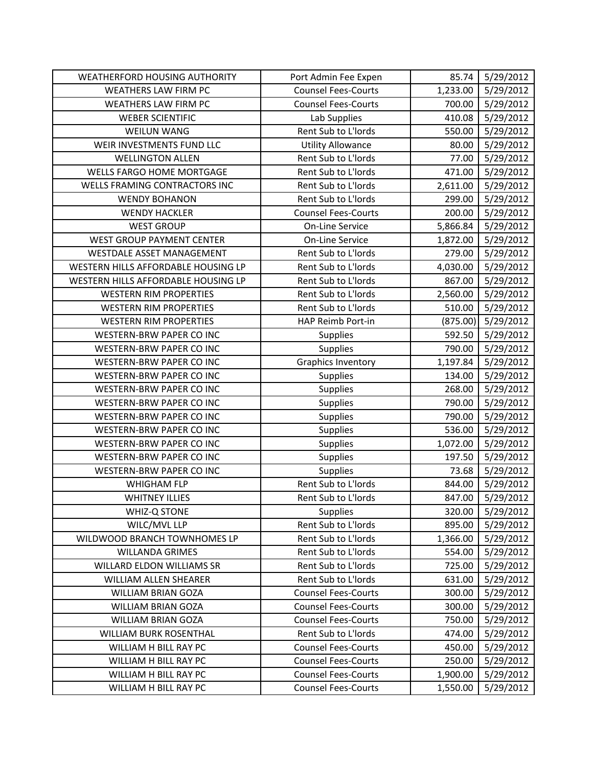| <b>WEATHERFORD HOUSING AUTHORITY</b> | Port Admin Fee Expen       | 85.74    | 5/29/2012 |
|--------------------------------------|----------------------------|----------|-----------|
| <b>WEATHERS LAW FIRM PC</b>          | <b>Counsel Fees-Courts</b> | 1,233.00 | 5/29/2012 |
| <b>WEATHERS LAW FIRM PC</b>          | <b>Counsel Fees-Courts</b> | 700.00   | 5/29/2012 |
| <b>WEBER SCIENTIFIC</b>              | Lab Supplies               | 410.08   | 5/29/2012 |
| <b>WEILUN WANG</b>                   | Rent Sub to L'Iords        | 550.00   | 5/29/2012 |
| WEIR INVESTMENTS FUND LLC            | <b>Utility Allowance</b>   | 80.00    | 5/29/2012 |
| <b>WELLINGTON ALLEN</b>              | Rent Sub to L'Iords        | 77.00    | 5/29/2012 |
| <b>WELLS FARGO HOME MORTGAGE</b>     | Rent Sub to L'Iords        | 471.00   | 5/29/2012 |
| WELLS FRAMING CONTRACTORS INC        | Rent Sub to L'Iords        | 2,611.00 | 5/29/2012 |
| <b>WENDY BOHANON</b>                 | Rent Sub to L'Iords        | 299.00   | 5/29/2012 |
| <b>WENDY HACKLER</b>                 | <b>Counsel Fees-Courts</b> | 200.00   | 5/29/2012 |
| <b>WEST GROUP</b>                    | <b>On-Line Service</b>     | 5,866.84 | 5/29/2012 |
| WEST GROUP PAYMENT CENTER            | On-Line Service            | 1,872.00 | 5/29/2012 |
| WESTDALE ASSET MANAGEMENT            | Rent Sub to L'Iords        | 279.00   | 5/29/2012 |
| WESTERN HILLS AFFORDABLE HOUSING LP  | Rent Sub to L'Iords        | 4,030.00 | 5/29/2012 |
| WESTERN HILLS AFFORDABLE HOUSING LP  | Rent Sub to L'Iords        | 867.00   | 5/29/2012 |
| <b>WESTERN RIM PROPERTIES</b>        | Rent Sub to L'Iords        | 2,560.00 | 5/29/2012 |
| <b>WESTERN RIM PROPERTIES</b>        | Rent Sub to L'Iords        | 510.00   | 5/29/2012 |
| <b>WESTERN RIM PROPERTIES</b>        | HAP Reimb Port-in          | (875.00) | 5/29/2012 |
| <b>WESTERN-BRW PAPER CO INC</b>      | Supplies                   | 592.50   | 5/29/2012 |
| WESTERN-BRW PAPER CO INC             | Supplies                   | 790.00   | 5/29/2012 |
| WESTERN-BRW PAPER CO INC             | <b>Graphics Inventory</b>  | 1,197.84 | 5/29/2012 |
| <b>WESTERN-BRW PAPER CO INC</b>      | Supplies                   | 134.00   | 5/29/2012 |
| WESTERN-BRW PAPER CO INC             | Supplies                   | 268.00   | 5/29/2012 |
| <b>WESTERN-BRW PAPER CO INC</b>      | Supplies                   | 790.00   | 5/29/2012 |
| <b>WESTERN-BRW PAPER CO INC</b>      | Supplies                   | 790.00   | 5/29/2012 |
| WESTERN-BRW PAPER CO INC             | <b>Supplies</b>            | 536.00   | 5/29/2012 |
| <b>WESTERN-BRW PAPER CO INC</b>      | Supplies                   | 1,072.00 | 5/29/2012 |
| <b>WESTERN-BRW PAPER CO INC</b>      | Supplies                   | 197.50   | 5/29/2012 |
| WESTERN-BRW PAPER CO INC             | Supplies                   | 73.68    | 5/29/2012 |
| <b>WHIGHAM FLP</b>                   | Rent Sub to L'Iords        | 844.00   | 5/29/2012 |
| <b>WHITNEY ILLIES</b>                | Rent Sub to L'Iords        | 847.00   | 5/29/2012 |
| WHIZ-Q STONE                         | Supplies                   | 320.00   | 5/29/2012 |
| WILC/MVL LLP                         | Rent Sub to L'Iords        | 895.00   | 5/29/2012 |
| WILDWOOD BRANCH TOWNHOMES LP         | Rent Sub to L'Iords        | 1,366.00 | 5/29/2012 |
| <b>WILLANDA GRIMES</b>               | Rent Sub to L'Iords        | 554.00   | 5/29/2012 |
| WILLARD ELDON WILLIAMS SR            | Rent Sub to L'Iords        | 725.00   | 5/29/2012 |
| WILLIAM ALLEN SHEARER                | Rent Sub to L'Iords        | 631.00   | 5/29/2012 |
| <b>WILLIAM BRIAN GOZA</b>            | <b>Counsel Fees-Courts</b> | 300.00   | 5/29/2012 |
| <b>WILLIAM BRIAN GOZA</b>            | <b>Counsel Fees-Courts</b> | 300.00   | 5/29/2012 |
| WILLIAM BRIAN GOZA                   | <b>Counsel Fees-Courts</b> | 750.00   | 5/29/2012 |
| WILLIAM BURK ROSENTHAL               | Rent Sub to L'Iords        | 474.00   | 5/29/2012 |
| WILLIAM H BILL RAY PC                | <b>Counsel Fees-Courts</b> | 450.00   | 5/29/2012 |
| WILLIAM H BILL RAY PC                | <b>Counsel Fees-Courts</b> | 250.00   | 5/29/2012 |
| WILLIAM H BILL RAY PC                | <b>Counsel Fees-Courts</b> | 1,900.00 | 5/29/2012 |
| WILLIAM H BILL RAY PC                | <b>Counsel Fees-Courts</b> | 1,550.00 | 5/29/2012 |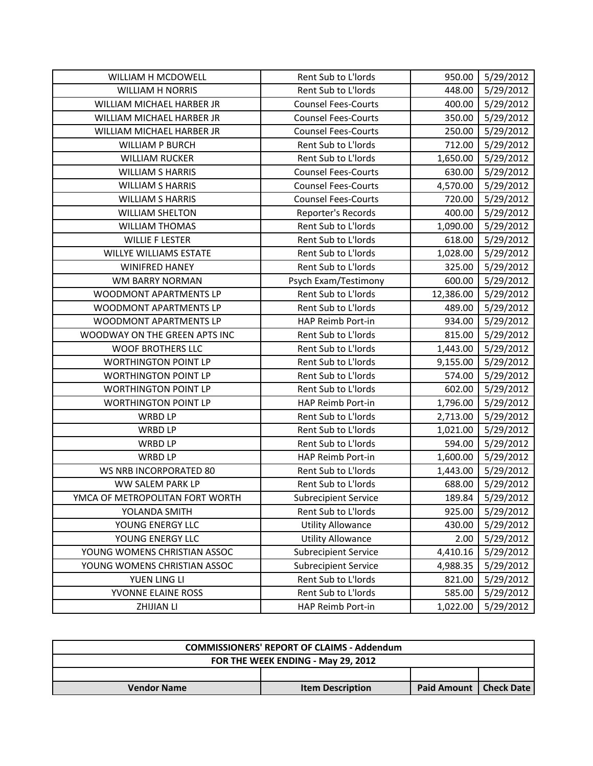| WILLIAM H MCDOWELL              | Rent Sub to L'Iords         | 950.00    | 5/29/2012 |
|---------------------------------|-----------------------------|-----------|-----------|
| <b>WILLIAM H NORRIS</b>         | Rent Sub to L'Iords         | 448.00    | 5/29/2012 |
| WILLIAM MICHAEL HARBER JR       | <b>Counsel Fees-Courts</b>  | 400.00    | 5/29/2012 |
| WILLIAM MICHAEL HARBER JR       | <b>Counsel Fees-Courts</b>  | 350.00    | 5/29/2012 |
| WILLIAM MICHAEL HARBER JR       | <b>Counsel Fees-Courts</b>  | 250.00    | 5/29/2012 |
| <b>WILLIAM P BURCH</b>          | Rent Sub to L'Iords         | 712.00    | 5/29/2012 |
| <b>WILLIAM RUCKER</b>           | Rent Sub to L'Iords         | 1,650.00  | 5/29/2012 |
| <b>WILLIAM S HARRIS</b>         | <b>Counsel Fees-Courts</b>  | 630.00    | 5/29/2012 |
| <b>WILLIAM S HARRIS</b>         | <b>Counsel Fees-Courts</b>  | 4,570.00  | 5/29/2012 |
| <b>WILLIAM S HARRIS</b>         | <b>Counsel Fees-Courts</b>  | 720.00    | 5/29/2012 |
| <b>WILLIAM SHELTON</b>          | Reporter's Records          | 400.00    | 5/29/2012 |
| <b>WILLIAM THOMAS</b>           | Rent Sub to L'Iords         | 1,090.00  | 5/29/2012 |
| <b>WILLIE F LESTER</b>          | Rent Sub to L'Iords         | 618.00    | 5/29/2012 |
| <b>WILLYE WILLIAMS ESTATE</b>   | Rent Sub to L'Iords         | 1,028.00  | 5/29/2012 |
| <b>WINIFRED HANEY</b>           | Rent Sub to L'Iords         | 325.00    | 5/29/2012 |
| <b>WM BARRY NORMAN</b>          | Psych Exam/Testimony        | 600.00    | 5/29/2012 |
| WOODMONT APARTMENTS LP          | Rent Sub to L'Iords         | 12,386.00 | 5/29/2012 |
| WOODMONT APARTMENTS LP          | Rent Sub to L'Iords         | 489.00    | 5/29/2012 |
| WOODMONT APARTMENTS LP          | HAP Reimb Port-in           | 934.00    | 5/29/2012 |
| WOODWAY ON THE GREEN APTS INC   | Rent Sub to L'Iords         | 815.00    | 5/29/2012 |
| <b>WOOF BROTHERS LLC</b>        | Rent Sub to L'Iords         | 1,443.00  | 5/29/2012 |
| <b>WORTHINGTON POINT LP</b>     | Rent Sub to L'Iords         | 9,155.00  | 5/29/2012 |
| <b>WORTHINGTON POINT LP</b>     | Rent Sub to L'Iords         | 574.00    | 5/29/2012 |
| <b>WORTHINGTON POINT LP</b>     | Rent Sub to L'Iords         | 602.00    | 5/29/2012 |
| <b>WORTHINGTON POINT LP</b>     | HAP Reimb Port-in           | 1,796.00  | 5/29/2012 |
| <b>WRBD LP</b>                  | Rent Sub to L'Iords         | 2,713.00  | 5/29/2012 |
| <b>WRBD LP</b>                  | Rent Sub to L'Iords         | 1,021.00  | 5/29/2012 |
| <b>WRBD LP</b>                  | Rent Sub to L'Iords         | 594.00    | 5/29/2012 |
| <b>WRBD LP</b>                  | HAP Reimb Port-in           | 1,600.00  | 5/29/2012 |
| <b>WS NRB INCORPORATED 80</b>   | Rent Sub to L'Iords         | 1,443.00  | 5/29/2012 |
| WW SALEM PARK LP                | Rent Sub to L'Iords         | 688.00    | 5/29/2012 |
| YMCA OF METROPOLITAN FORT WORTH | <b>Subrecipient Service</b> | 189.84    | 5/29/2012 |
| YOLANDA SMITH                   | Rent Sub to L'Iords         | 925.00    | 5/29/2012 |
| YOUNG ENERGY LLC                | <b>Utility Allowance</b>    | 430.00    | 5/29/2012 |
| YOUNG ENERGY LLC                | <b>Utility Allowance</b>    | 2.00      | 5/29/2012 |
| YOUNG WOMENS CHRISTIAN ASSOC    | <b>Subrecipient Service</b> | 4,410.16  | 5/29/2012 |
| YOUNG WOMENS CHRISTIAN ASSOC    | <b>Subrecipient Service</b> | 4,988.35  | 5/29/2012 |
| YUEN LING LI                    | Rent Sub to L'Iords         | 821.00    | 5/29/2012 |
| YVONNE ELAINE ROSS              | Rent Sub to L'Iords         | 585.00    | 5/29/2012 |
| <b>ZHIJIAN LI</b>               | HAP Reimb Port-in           | 1,022.00  | 5/29/2012 |

| <b>COMMISSIONERS' REPORT OF CLAIMS - Addendum</b> |                         |                                   |  |  |  |
|---------------------------------------------------|-------------------------|-----------------------------------|--|--|--|
| FOR THE WEEK ENDING - May 29, 2012                |                         |                                   |  |  |  |
|                                                   |                         |                                   |  |  |  |
| <b>Vendor Name</b>                                | <b>Item Description</b> | <b>Paid Amount   Check Date  </b> |  |  |  |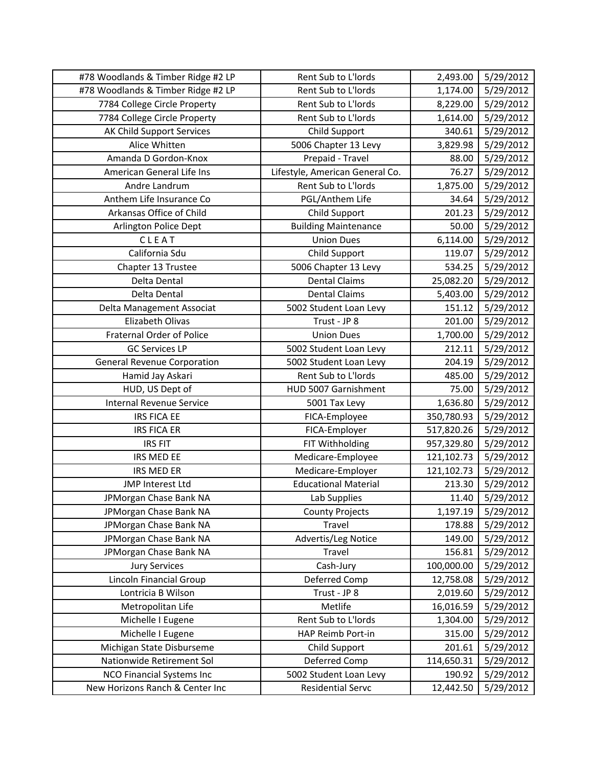| #78 Woodlands & Timber Ridge #2 LP | Rent Sub to L'Iords             | 2,493.00   | 5/29/2012 |
|------------------------------------|---------------------------------|------------|-----------|
| #78 Woodlands & Timber Ridge #2 LP | Rent Sub to L'Iords             | 1,174.00   | 5/29/2012 |
| 7784 College Circle Property       | Rent Sub to L'Iords             | 8,229.00   | 5/29/2012 |
| 7784 College Circle Property       | Rent Sub to L'Iords             | 1,614.00   | 5/29/2012 |
| AK Child Support Services          | Child Support                   | 340.61     | 5/29/2012 |
| Alice Whitten                      | 5006 Chapter 13 Levy            | 3,829.98   | 5/29/2012 |
| Amanda D Gordon-Knox               | Prepaid - Travel                | 88.00      | 5/29/2012 |
| American General Life Ins          | Lifestyle, American General Co. | 76.27      | 5/29/2012 |
| Andre Landrum                      | Rent Sub to L'Iords             | 1,875.00   | 5/29/2012 |
| Anthem Life Insurance Co           | PGL/Anthem Life                 | 34.64      | 5/29/2012 |
| Arkansas Office of Child           | Child Support                   | 201.23     | 5/29/2012 |
| Arlington Police Dept              | <b>Building Maintenance</b>     | 50.00      | 5/29/2012 |
| CLEAT                              | <b>Union Dues</b>               | 6,114.00   | 5/29/2012 |
| California Sdu                     | Child Support                   | 119.07     | 5/29/2012 |
| Chapter 13 Trustee                 | 5006 Chapter 13 Levy            | 534.25     | 5/29/2012 |
| Delta Dental                       | <b>Dental Claims</b>            | 25,082.20  | 5/29/2012 |
| Delta Dental                       | <b>Dental Claims</b>            | 5,403.00   | 5/29/2012 |
| Delta Management Associat          | 5002 Student Loan Levy          | 151.12     | 5/29/2012 |
| Elizabeth Olivas                   | Trust - JP 8                    | 201.00     | 5/29/2012 |
| Fraternal Order of Police          | <b>Union Dues</b>               | 1,700.00   | 5/29/2012 |
| <b>GC Services LP</b>              | 5002 Student Loan Levy          | 212.11     | 5/29/2012 |
| <b>General Revenue Corporation</b> | 5002 Student Loan Levy          | 204.19     | 5/29/2012 |
| Hamid Jay Askari                   | Rent Sub to L'Iords             | 485.00     | 5/29/2012 |
| HUD, US Dept of                    | HUD 5007 Garnishment            | 75.00      | 5/29/2012 |
| <b>Internal Revenue Service</b>    | 5001 Tax Levy                   | 1,636.80   | 5/29/2012 |
| <b>IRS FICA EE</b>                 | FICA-Employee                   | 350,780.93 | 5/29/2012 |
| <b>IRS FICA ER</b>                 | FICA-Employer                   | 517,820.26 | 5/29/2012 |
| <b>IRS FIT</b>                     | FIT Withholding                 | 957,329.80 | 5/29/2012 |
| <b>IRS MED EE</b>                  | Medicare-Employee               | 121,102.73 | 5/29/2012 |
| <b>IRS MED ER</b>                  | Medicare-Employer               | 121,102.73 | 5/29/2012 |
| JMP Interest Ltd                   | <b>Educational Material</b>     | 213.30     | 5/29/2012 |
| JPMorgan Chase Bank NA             | Lab Supplies                    | 11.40      | 5/29/2012 |
| JPMorgan Chase Bank NA             | <b>County Projects</b>          | 1,197.19   | 5/29/2012 |
| JPMorgan Chase Bank NA             | Travel                          | 178.88     | 5/29/2012 |
| JPMorgan Chase Bank NA             | Advertis/Leg Notice             | 149.00     | 5/29/2012 |
| JPMorgan Chase Bank NA             | Travel                          | 156.81     | 5/29/2012 |
| <b>Jury Services</b>               | Cash-Jury                       | 100,000.00 | 5/29/2012 |
| Lincoln Financial Group            | Deferred Comp                   | 12,758.08  | 5/29/2012 |
| Lontricia B Wilson                 | Trust - JP 8                    | 2,019.60   | 5/29/2012 |
| Metropolitan Life                  | Metlife                         | 16,016.59  | 5/29/2012 |
| Michelle I Eugene                  | Rent Sub to L'Iords             | 1,304.00   | 5/29/2012 |
| Michelle I Eugene                  | HAP Reimb Port-in               | 315.00     | 5/29/2012 |
| Michigan State Disburseme          | Child Support                   | 201.61     | 5/29/2012 |
| Nationwide Retirement Sol          | Deferred Comp                   | 114,650.31 | 5/29/2012 |
| NCO Financial Systems Inc          | 5002 Student Loan Levy          | 190.92     | 5/29/2012 |
| New Horizons Ranch & Center Inc    | Residential Servc               | 12,442.50  | 5/29/2012 |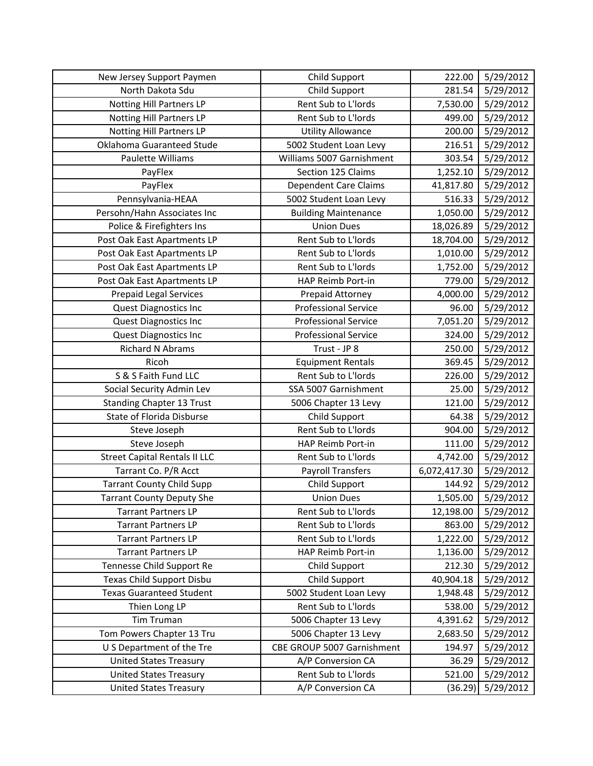| New Jersey Support Paymen            | <b>Child Support</b>         | 222.00       | 5/29/2012 |
|--------------------------------------|------------------------------|--------------|-----------|
| North Dakota Sdu                     | <b>Child Support</b>         | 281.54       | 5/29/2012 |
| Notting Hill Partners LP             | Rent Sub to L'Iords          | 7,530.00     | 5/29/2012 |
| Notting Hill Partners LP             | Rent Sub to L'Iords          | 499.00       | 5/29/2012 |
| <b>Notting Hill Partners LP</b>      | <b>Utility Allowance</b>     | 200.00       | 5/29/2012 |
| Oklahoma Guaranteed Stude            | 5002 Student Loan Levy       | 216.51       | 5/29/2012 |
| Paulette Williams                    | Williams 5007 Garnishment    | 303.54       | 5/29/2012 |
| PayFlex                              | Section 125 Claims           | 1,252.10     | 5/29/2012 |
| PayFlex                              | <b>Dependent Care Claims</b> | 41,817.80    | 5/29/2012 |
| Pennsylvania-HEAA                    | 5002 Student Loan Levy       | 516.33       | 5/29/2012 |
| Persohn/Hahn Associates Inc          | <b>Building Maintenance</b>  | 1,050.00     | 5/29/2012 |
| Police & Firefighters Ins            | <b>Union Dues</b>            | 18,026.89    | 5/29/2012 |
| Post Oak East Apartments LP          | Rent Sub to L'Iords          | 18,704.00    | 5/29/2012 |
| Post Oak East Apartments LP          | Rent Sub to L'Iords          | 1,010.00     | 5/29/2012 |
| Post Oak East Apartments LP          | Rent Sub to L'Iords          | 1,752.00     | 5/29/2012 |
| Post Oak East Apartments LP          | HAP Reimb Port-in            | 779.00       | 5/29/2012 |
| <b>Prepaid Legal Services</b>        | Prepaid Attorney             | 4,000.00     | 5/29/2012 |
| <b>Quest Diagnostics Inc</b>         | <b>Professional Service</b>  | 96.00        | 5/29/2012 |
| Quest Diagnostics Inc                | <b>Professional Service</b>  | 7,051.20     | 5/29/2012 |
| <b>Quest Diagnostics Inc</b>         | <b>Professional Service</b>  | 324.00       | 5/29/2012 |
| <b>Richard N Abrams</b>              | Trust - JP 8                 | 250.00       | 5/29/2012 |
| Ricoh                                | <b>Equipment Rentals</b>     | 369.45       | 5/29/2012 |
| S & S Faith Fund LLC                 | Rent Sub to L'Iords          | 226.00       | 5/29/2012 |
| Social Security Admin Lev            | SSA 5007 Garnishment         | 25.00        | 5/29/2012 |
| <b>Standing Chapter 13 Trust</b>     | 5006 Chapter 13 Levy         | 121.00       | 5/29/2012 |
| State of Florida Disburse            | <b>Child Support</b>         | 64.38        | 5/29/2012 |
| Steve Joseph                         | Rent Sub to L'Iords          | 904.00       | 5/29/2012 |
| Steve Joseph                         | HAP Reimb Port-in            | 111.00       | 5/29/2012 |
| <b>Street Capital Rentals II LLC</b> | Rent Sub to L'Iords          | 4,742.00     | 5/29/2012 |
| Tarrant Co. P/R Acct                 | <b>Payroll Transfers</b>     | 6,072,417.30 | 5/29/2012 |
| <b>Tarrant County Child Supp</b>     | <b>Child Support</b>         | 144.92       | 5/29/2012 |
| <b>Tarrant County Deputy She</b>     | <b>Union Dues</b>            | 1,505.00     | 5/29/2012 |
| <b>Tarrant Partners LP</b>           | Rent Sub to L'Iords          | 12,198.00    | 5/29/2012 |
| <b>Tarrant Partners LP</b>           | Rent Sub to L'Iords          | 863.00       | 5/29/2012 |
| <b>Tarrant Partners LP</b>           | Rent Sub to L'Iords          | 1,222.00     | 5/29/2012 |
| <b>Tarrant Partners LP</b>           | HAP Reimb Port-in            | 1,136.00     | 5/29/2012 |
| Tennesse Child Support Re            | <b>Child Support</b>         | 212.30       | 5/29/2012 |
| Texas Child Support Disbu            | Child Support                | 40,904.18    | 5/29/2012 |
| <b>Texas Guaranteed Student</b>      | 5002 Student Loan Levy       | 1,948.48     | 5/29/2012 |
| Thien Long LP                        | Rent Sub to L'Iords          | 538.00       | 5/29/2012 |
| Tim Truman                           | 5006 Chapter 13 Levy         | 4,391.62     | 5/29/2012 |
| Tom Powers Chapter 13 Tru            | 5006 Chapter 13 Levy         | 2,683.50     | 5/29/2012 |
| U S Department of the Tre            | CBE GROUP 5007 Garnishment   | 194.97       | 5/29/2012 |
| <b>United States Treasury</b>        | A/P Conversion CA            | 36.29        | 5/29/2012 |
| <b>United States Treasury</b>        | Rent Sub to L'Iords          | 521.00       | 5/29/2012 |
| <b>United States Treasury</b>        | A/P Conversion CA            | (36.29)      | 5/29/2012 |